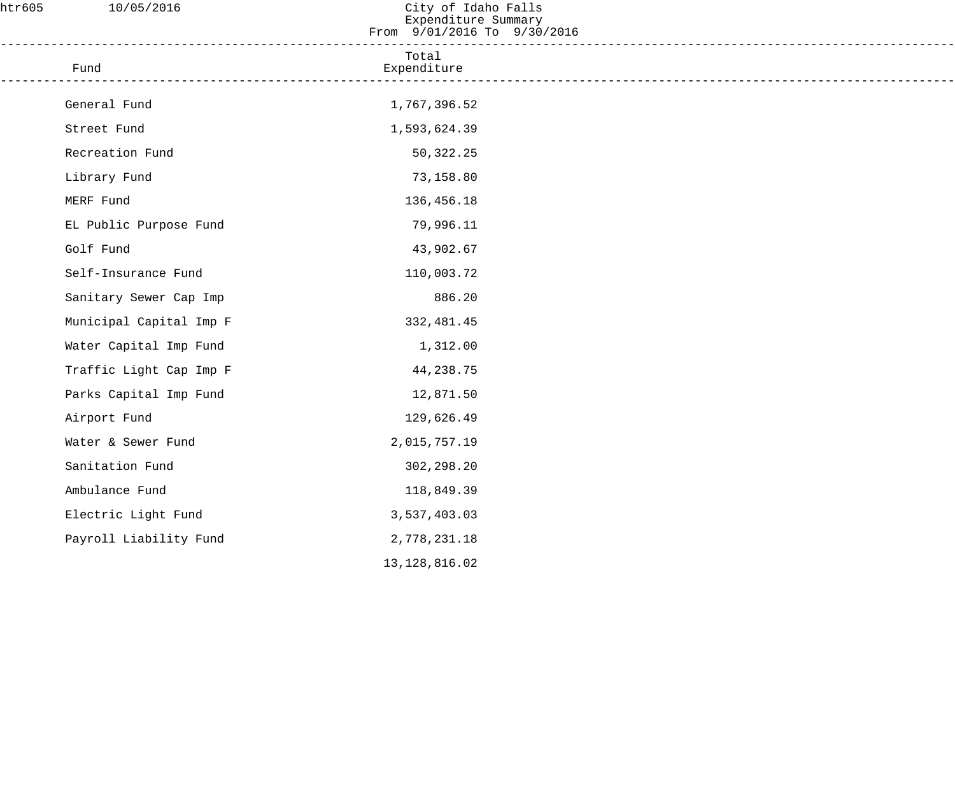| htr605 | 10/05/2016              | City of Idaho Falls<br>Expenditure Summary<br>From 9/01/2016 To 9/30/2016 |  |
|--------|-------------------------|---------------------------------------------------------------------------|--|
|        | Fund                    | Total<br>Expenditure                                                      |  |
|        | General Fund            | 1,767,396.52                                                              |  |
|        | Street Fund             | 1,593,624.39                                                              |  |
|        | Recreation Fund         | 50,322.25                                                                 |  |
|        | Library Fund            | 73,158.80                                                                 |  |
|        | MERF Fund               | 136,456.18                                                                |  |
|        | EL Public Purpose Fund  | 79,996.11                                                                 |  |
|        | Golf Fund               | 43,902.67                                                                 |  |
|        | Self-Insurance Fund     | 110,003.72                                                                |  |
|        | Sanitary Sewer Cap Imp  | 886.20                                                                    |  |
|        | Municipal Capital Imp F | 332,481.45                                                                |  |
|        | Water Capital Imp Fund  | 1,312.00                                                                  |  |
|        | Traffic Light Cap Imp F | 44,238.75                                                                 |  |
|        | Parks Capital Imp Fund  | 12,871.50                                                                 |  |
|        | Airport Fund            | 129,626.49                                                                |  |
|        | Water & Sewer Fund      | 2,015,757.19                                                              |  |
|        | Sanitation Fund         | 302,298.20                                                                |  |
|        | Ambulance Fund          | 118,849.39                                                                |  |
|        | Electric Light Fund     | 3,537,403.03                                                              |  |
|        | Payroll Liability Fund  | 2,778,231.18                                                              |  |
|        |                         | 13, 128, 816.02                                                           |  |
|        |                         |                                                                           |  |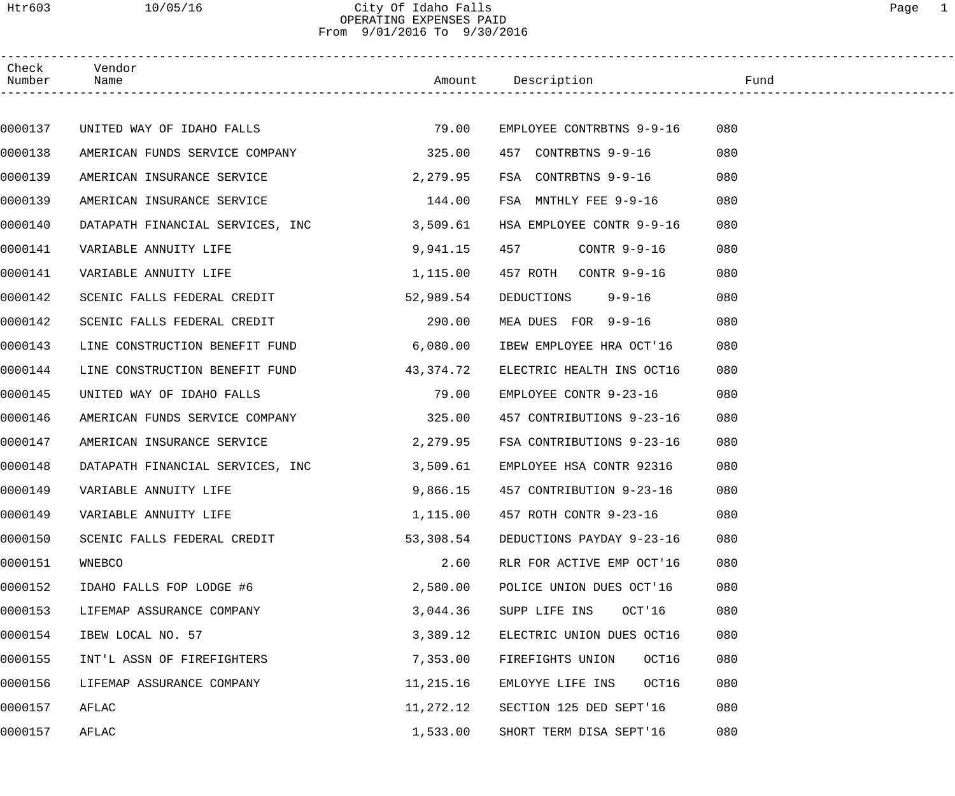### Htr603 10/05/16 City Of Idaho Falls Page 1 OPERATING EXPENSES PAID From 9/01/2016 To 9/30/2016

| Check<br>Number | Vendor<br>Name                   |             | Amount Description                | Fund |  |
|-----------------|----------------------------------|-------------|-----------------------------------|------|--|
|                 |                                  |             |                                   |      |  |
| 0000137         | UNITED WAY OF IDAHO FALLS        | 79.00       | EMPLOYEE CONTRBTNS 9-9-16         | 080  |  |
| 0000138         | AMERICAN FUNDS SERVICE COMPANY   | 325.00      | 457 CONTRBTNS 9-9-16              | 080  |  |
| 0000139         | AMERICAN INSURANCE SERVICE       | 2,279.95    | FSA CONTRBTNS 9-9-16              | 080  |  |
| 0000139         | AMERICAN INSURANCE SERVICE       | 144.00      | FSA MNTHLY FEE 9-9-16             | 080  |  |
| 0000140         | DATAPATH FINANCIAL SERVICES, INC | 3,509.61    | HSA EMPLOYEE CONTR 9-9-16         | 080  |  |
| 0000141         | VARIABLE ANNUITY LIFE            | 9,941.15    | 457<br>CONTR 9-9-16               | 080  |  |
| 0000141         | VARIABLE ANNUITY LIFE            | 1,115.00    | 457 ROTH CONTR 9-9-16             | 080  |  |
| 0000142         | SCENIC FALLS FEDERAL CREDIT      | 52,989.54   | DEDUCTIONS 9-9-16                 | 080  |  |
| 0000142         | SCENIC FALLS FEDERAL CREDIT      | 290.00      | MEA DUES FOR 9-9-16               | 080  |  |
| 0000143         | LINE CONSTRUCTION BENEFIT FUND   | 6,080.00    | IBEW EMPLOYEE HRA OCT'16          | 080  |  |
| 0000144         | LINE CONSTRUCTION BENEFIT FUND   | 43, 374. 72 | ELECTRIC HEALTH INS OCT16         | 080  |  |
| 0000145         | UNITED WAY OF IDAHO FALLS        | 79.00       | EMPLOYEE CONTR 9-23-16            | 080  |  |
| 0000146         | AMERICAN FUNDS SERVICE COMPANY   | 325.00      | 457 CONTRIBUTIONS 9-23-16         | 080  |  |
| 0000147         | AMERICAN INSURANCE SERVICE       | 2,279.95    | FSA CONTRIBUTIONS 9-23-16         | 080  |  |
| 0000148         | DATAPATH FINANCIAL SERVICES, INC | 3,509.61    | EMPLOYEE HSA CONTR 92316          | 080  |  |
| 0000149         | VARIABLE ANNUITY LIFE            |             | 9,866.15 457 CONTRIBUTION 9-23-16 | 080  |  |
| 0000149         | VARIABLE ANNUITY LIFE            | 1,115.00    | 457 ROTH CONTR 9-23-16            | 080  |  |
| 0000150         | SCENIC FALLS FEDERAL CREDIT      | 53,308.54   | DEDUCTIONS PAYDAY 9-23-16         | 080  |  |
| 0000151         | WNEBCO                           | 2.60        | RLR FOR ACTIVE EMP OCT'16         | 080  |  |
| 0000152         | IDAHO FALLS FOP LODGE #6         | 2,580.00    | POLICE UNION DUES OCT'16          | 080  |  |
| 0000153         | LIFEMAP ASSURANCE COMPANY        | 3,044.36    | SUPP LIFE INS<br>OCT'16           | 080  |  |
| 0000154         | IBEW LOCAL NO. 57                | 3,389.12    | ELECTRIC UNION DUES OCT16         | 080  |  |
| 0000155         | INT'L ASSN OF FIREFIGHTERS       | 7,353.00    | OCT16<br>FIREFIGHTS UNION         | 080  |  |
| 0000156         | LIFEMAP ASSURANCE COMPANY        | 11,215.16   | OCT16<br>EMLOYYE LIFE INS         | 080  |  |
| 0000157         | AFLAC                            | 11,272.12   | SECTION 125 DED SEPT'16           | 080  |  |
| 0000157         | AFLAC                            | 1,533.00    | SHORT TERM DISA SEPT'16           | 080  |  |
|                 |                                  |             |                                   |      |  |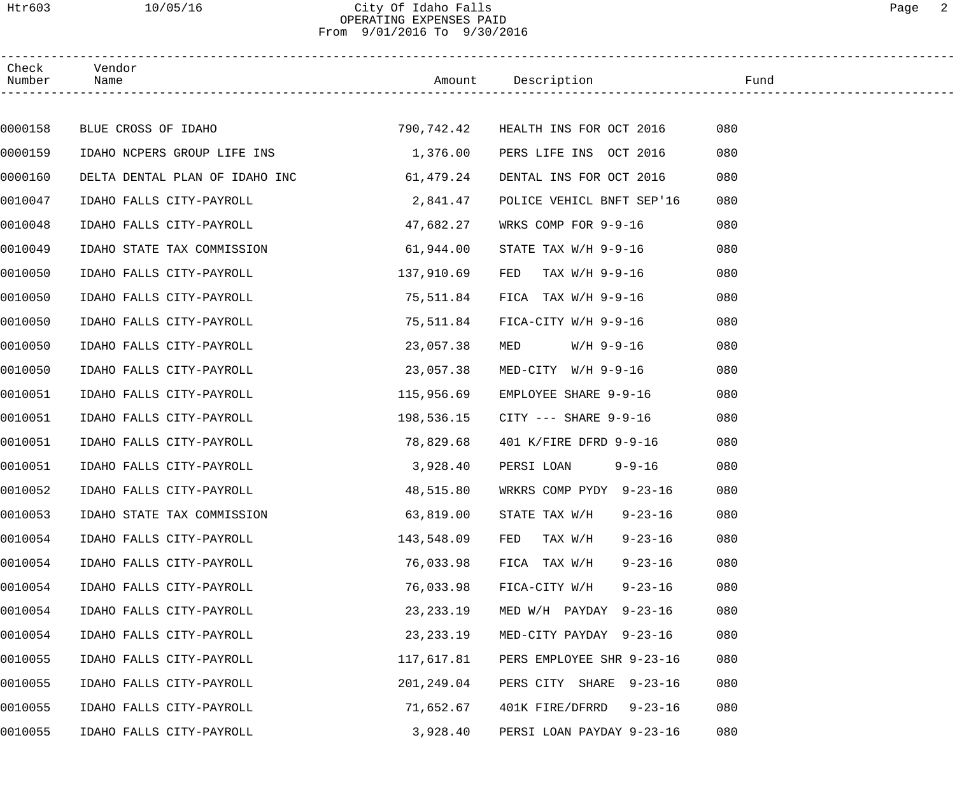### Htr603 10/05/16 City Of Idaho Falls Page 2 OPERATING EXPENSES PAID From 9/01/2016 To 9/30/2016

| Check<br>Number | Vendor<br>Name                                             |             | Amount Description              | Fund |
|-----------------|------------------------------------------------------------|-------------|---------------------------------|------|
|                 |                                                            |             |                                 |      |
| 0000158         | BLUE CROSS OF IDAHO 600 790,742.42 HEALTH INS FOR OCT 2016 |             |                                 | 080  |
| 0000159         | IDAHO NCPERS GROUP LIFE INS 1,376.00                       |             | PERS LIFE INS OCT 2016          | 080  |
| 0000160         | DELTA DENTAL PLAN OF IDAHO INC                             | 61,479.24   | DENTAL INS FOR OCT 2016         | 080  |
| 0010047         | IDAHO FALLS CITY-PAYROLL                                   | 2,841.47    | POLICE VEHICL BNFT SEP'16       | 080  |
| 0010048         | IDAHO FALLS CITY-PAYROLL                                   | 47,682.27   | WRKS COMP FOR 9-9-16            | 080  |
| 0010049         | 61,944.00<br>IDAHO STATE TAX COMMISSION                    |             | STATE TAX $W/H$ 9-9-16          | 080  |
| 0010050         | IDAHO FALLS CITY-PAYROLL                                   | 137,910.69  | TAX W/H 9-9-16<br>FED           | 080  |
| 0010050         | IDAHO FALLS CITY-PAYROLL                                   | 75,511.84   | FICA TAX $W/H$ 9-9-16           | 080  |
| 0010050         | IDAHO FALLS CITY-PAYROLL                                   | 75,511.84   | FICA-CITY W/H 9-9-16            | 080  |
| 0010050         | IDAHO FALLS CITY-PAYROLL                                   | 23,057.38   | $W/H$ 9-9-16<br>MED             | 080  |
| 0010050         | IDAHO FALLS CITY-PAYROLL                                   | 23,057.38   | MED-CITY W/H 9-9-16             | 080  |
| 0010051         | IDAHO FALLS CITY-PAYROLL                                   | 115,956.69  | EMPLOYEE SHARE 9-9-16           | 080  |
| 0010051         | IDAHO FALLS CITY-PAYROLL                                   | 198,536.15  | CITY --- SHARE 9-9-16           | 080  |
| 0010051         | IDAHO FALLS CITY-PAYROLL                                   | 78,829.68   | 401 K/FIRE DFRD 9-9-16          | 080  |
| 0010051         | IDAHO FALLS CITY-PAYROLL                                   | 3,928.40    | PERSI LOAN 9-9-16               | 080  |
| 0010052         | IDAHO FALLS CITY-PAYROLL                                   | 48,515.80   | WRKRS COMP PYDY 9-23-16         | 080  |
| 0010053         | IDAHO STATE TAX COMMISSION                                 | 63,819.00   | STATE TAX W/H<br>$9 - 23 - 16$  | 080  |
| 0010054         | IDAHO FALLS CITY-PAYROLL                                   | 143,548.09  | TAX W/H<br>$9 - 23 - 16$<br>FED | 080  |
| 0010054         | IDAHO FALLS CITY-PAYROLL                                   | 76,033.98   | FICA TAX W/H<br>$9 - 23 - 16$   | 080  |
| 0010054         | IDAHO FALLS CITY-PAYROLL                                   | 76,033.98   | FICA-CITY W/H<br>$9 - 23 - 16$  | 080  |
| 0010054         | IDAHO FALLS CITY-PAYROLL                                   | 23, 233. 19 | MED W/H PAYDAY<br>$9 - 23 - 16$ | 080  |
| 0010054         | IDAHO FALLS CITY-PAYROLL                                   | 23, 233. 19 | MED-CITY PAYDAY 9-23-16         | 080  |
| 0010055         | IDAHO FALLS CITY-PAYROLL                                   | 117,617.81  | PERS EMPLOYEE SHR 9-23-16       | 080  |
| 0010055         | IDAHO FALLS CITY-PAYROLL                                   | 201,249.04  | PERS CITY SHARE 9-23-16         | 080  |
| 0010055         | IDAHO FALLS CITY-PAYROLL                                   | 71,652.67   | 401K FIRE/DFRRD 9-23-16         | 080  |
| 0010055         | IDAHO FALLS CITY-PAYROLL                                   | 3,928.40    | PERSI LOAN PAYDAY 9-23-16       | 080  |
|                 |                                                            |             |                                 |      |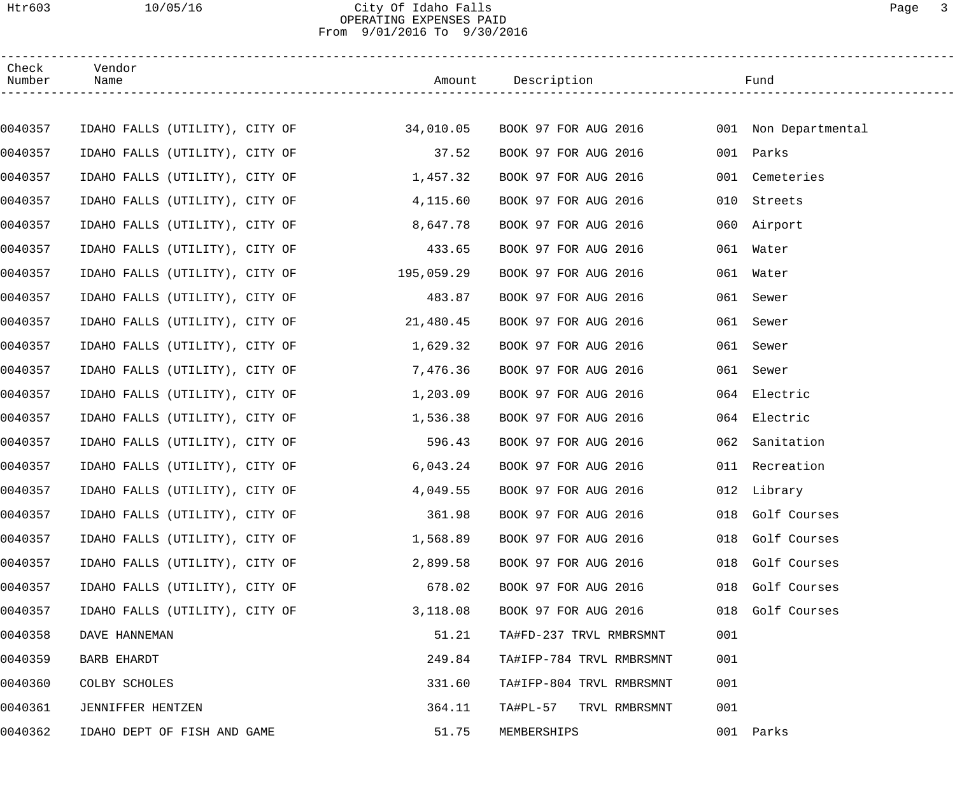### Htr603 10/05/16 City Of Idaho Falls Page 3 OPERATING EXPENSES PAID From 9/01/2016 To 9/30/2016

| Check<br>Number | Vendor<br>Name                 |            | Amount Description                                                                 |     | Fund             |
|-----------------|--------------------------------|------------|------------------------------------------------------------------------------------|-----|------------------|
|                 |                                |            |                                                                                    |     |                  |
| 0040357         |                                |            | IDAHO FALLS (UTILITY), CITY OF 34,010.05 BOOK 97 FOR AUG 2016 001 Non Departmental |     |                  |
| 0040357         | IDAHO FALLS (UTILITY), CITY OF | 37.52      | BOOK 97 FOR AUG 2016                                                               |     | 001 Parks        |
| 0040357         | IDAHO FALLS (UTILITY), CITY OF | 1,457.32   | BOOK 97 FOR AUG 2016                                                               | 001 | Cemeteries       |
| 0040357         | IDAHO FALLS (UTILITY), CITY OF | 4,115.60   | BOOK 97 FOR AUG 2016                                                               | 010 | Streets          |
| 0040357         | IDAHO FALLS (UTILITY), CITY OF | 8,647.78   | BOOK 97 FOR AUG 2016                                                               |     | 060 Airport      |
| 0040357         | IDAHO FALLS (UTILITY), CITY OF | 433.65     | BOOK 97 FOR AUG 2016                                                               | 061 | Water            |
| 0040357         | IDAHO FALLS (UTILITY), CITY OF | 195,059.29 | BOOK 97 FOR AUG 2016                                                               |     | 061 Water        |
| 0040357         | IDAHO FALLS (UTILITY), CITY OF | 483.87     | BOOK 97 FOR AUG 2016                                                               |     | 061 Sewer        |
| 0040357         | IDAHO FALLS (UTILITY), CITY OF | 21,480.45  | BOOK 97 FOR AUG 2016                                                               | 061 | Sewer            |
| 0040357         | IDAHO FALLS (UTILITY), CITY OF | 1,629.32   | BOOK 97 FOR AUG 2016                                                               | 061 | Sewer            |
| 0040357         | IDAHO FALLS (UTILITY), CITY OF | 7,476.36   | BOOK 97 FOR AUG 2016                                                               | 061 | Sewer            |
| 0040357         | IDAHO FALLS (UTILITY), CITY OF | 1,203.09   | BOOK 97 FOR AUG 2016                                                               | 064 | Electric         |
| 0040357         | IDAHO FALLS (UTILITY), CITY OF | 1,536.38   | BOOK 97 FOR AUG 2016                                                               |     | 064 Electric     |
| 0040357         | IDAHO FALLS (UTILITY), CITY OF | 596.43     | BOOK 97 FOR AUG 2016                                                               | 062 | Sanitation       |
| 0040357         | IDAHO FALLS (UTILITY), CITY OF | 6,043.24   | BOOK 97 FOR AUG 2016                                                               |     | 011 Recreation   |
| 0040357         | IDAHO FALLS (UTILITY), CITY OF | 4,049.55   | BOOK 97 FOR AUG 2016                                                               |     | 012 Library      |
| 0040357         | IDAHO FALLS (UTILITY), CITY OF | 361.98     | BOOK 97 FOR AUG 2016                                                               |     | 018 Golf Courses |
| 0040357         | IDAHO FALLS (UTILITY), CITY OF | 1,568.89   | BOOK 97 FOR AUG 2016                                                               |     | 018 Golf Courses |
| 0040357         | IDAHO FALLS (UTILITY), CITY OF | 2,899.58   | BOOK 97 FOR AUG 2016                                                               |     | 018 Golf Courses |
| 0040357         | IDAHO FALLS (UTILITY), CITY OF | 678.02     | BOOK 97 FOR AUG 2016                                                               |     | 018 Golf Courses |
| 0040357         | IDAHO FALLS (UTILITY), CITY OF | 3,118.08   | BOOK 97 FOR AUG 2016                                                               |     | 018 Golf Courses |
| 0040358         | DAVE HANNEMAN                  | 51.21      | TA#FD-237 TRVL RMBRSMNT                                                            | 001 |                  |
| 0040359         | BARB EHARDT                    | 249.84     | TA#IFP-784 TRVL RMBRSMNT                                                           | 001 |                  |
| 0040360         | COLBY SCHOLES                  | 331.60     | TA#IFP-804 TRVL RMBRSMNT                                                           | 001 |                  |
| 0040361         | JENNIFFER HENTZEN              | 364.11     | TA#PL-57 TRVL RMBRSMNT                                                             | 001 |                  |
| 0040362         | IDAHO DEPT OF FISH AND GAME    | 51.75      | MEMBERSHIPS                                                                        |     | 001 Parks        |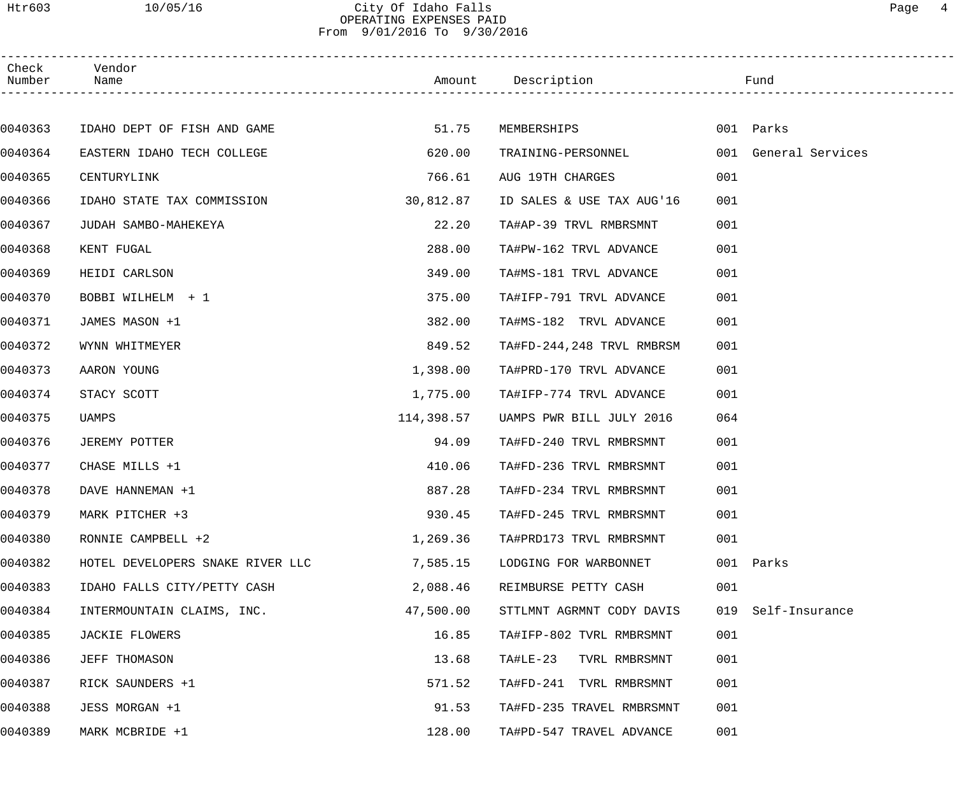### Htr603 10/05/16 City Of Idaho Falls Page 4 OPERATING EXPENSES PAID From 9/01/2016 To 9/30/2016

| Check<br>Number | Vendor<br>Name                   |            | Amount Description Tund   |                       |
|-----------------|----------------------------------|------------|---------------------------|-----------------------|
|                 |                                  |            |                           |                       |
| 0040363         | IDAHO DEPT OF FISH AND GAME      | 51.75      | MEMBERSHIPS               | 001 Parks             |
| 0040364         | EASTERN IDAHO TECH COLLEGE       | 620.00     | TRAINING-PERSONNEL        | 001 General Services  |
| 0040365         | CENTURYLINK                      | 766.61     | AUG 19TH CHARGES          | 001                   |
| 0040366         | IDAHO STATE TAX COMMISSION       | 30,812.87  | ID SALES & USE TAX AUG'16 | 001                   |
| 0040367         | JUDAH SAMBO-MAHEKEYA             | 22.20      | TA#AP-39 TRVL RMBRSMNT    | 001                   |
| 0040368         | KENT FUGAL                       | 288.00     | TA#PW-162 TRVL ADVANCE    | 001                   |
| 0040369         | HEIDI CARLSON                    | 349.00     | TA#MS-181 TRVL ADVANCE    | 001                   |
| 0040370         | BOBBI WILHELM + 1                | 375.00     | TA#IFP-791 TRVL ADVANCE   | 001                   |
| 0040371         | JAMES MASON +1                   | 382.00     | TA#MS-182 TRVL ADVANCE    | 001                   |
| 0040372         | WYNN WHITMEYER                   | 849.52     | TA#FD-244,248 TRVL RMBRSM | 001                   |
| 0040373         | AARON YOUNG                      | 1,398.00   | TA#PRD-170 TRVL ADVANCE   | 001                   |
| 0040374         | STACY SCOTT                      | 1,775.00   | TA#IFP-774 TRVL ADVANCE   | 001                   |
| 0040375         | UAMPS                            | 114,398.57 | UAMPS PWR BILL JULY 2016  | 064                   |
| 0040376         | JEREMY POTTER                    | 94.09      | TA#FD-240 TRVL RMBRSMNT   | 001                   |
| 0040377         | CHASE MILLS +1                   | 410.06     | TA#FD-236 TRVL RMBRSMNT   | 001                   |
| 0040378         | DAVE HANNEMAN +1                 | 887.28     | TA#FD-234 TRVL RMBRSMNT   | 001                   |
| 0040379         | MARK PITCHER +3                  | 930.45     | TA#FD-245 TRVL RMBRSMNT   | 001                   |
| 0040380         | RONNIE CAMPBELL +2               | 1,269.36   | TA#PRD173 TRVL RMBRSMNT   | 001                   |
| 0040382         | HOTEL DEVELOPERS SNAKE RIVER LLC | 7,585.15   | LODGING FOR WARBONNET     | 001 Parks             |
| 0040383         | IDAHO FALLS CITY/PETTY CASH      | 2,088.46   | REIMBURSE PETTY CASH      | 001                   |
| 0040384         | INTERMOUNTAIN CLAIMS, INC.       | 47,500.00  | STTLMNT AGRMNT CODY DAVIS | Self-Insurance<br>019 |
| 0040385         | JACKIE FLOWERS                   | 16.85      | TA#IFP-802 TVRL RMBRSMNT  | 001                   |
| 0040386         | JEFF THOMASON                    | 13.68      | TA#LE-23 TVRL RMBRSMNT    | 001                   |
| 0040387         | RICK SAUNDERS +1                 | 571.52     | TA#FD-241 TVRL RMBRSMNT   | 001                   |
| 0040388         | JESS MORGAN +1                   | 91.53      | TA#FD-235 TRAVEL RMBRSMNT | 001                   |
| 0040389         | MARK MCBRIDE +1                  | 128.00     | TA#PD-547 TRAVEL ADVANCE  | 001                   |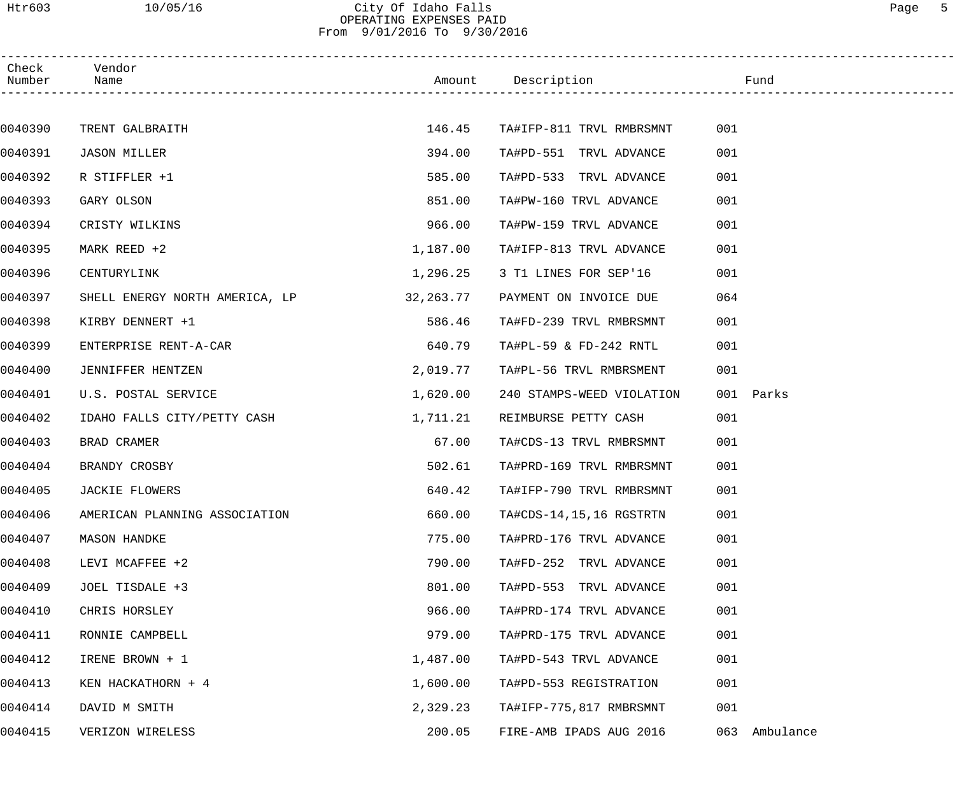### Htr603 10/05/16 City Of Idaho Falls Page 5 OPERATING EXPENSES PAID From 9/01/2016 To 9/30/2016

| Check<br>Number | Vendor<br>Name                 |           | Amount Description        | in the state of the state of the state of the state of the state of the state of the state of the state of the |
|-----------------|--------------------------------|-----------|---------------------------|----------------------------------------------------------------------------------------------------------------|
|                 |                                |           |                           |                                                                                                                |
| 0040390         | TRENT GALBRAITH                | 146.45    | TA#IFP-811 TRVL RMBRSMNT  | 001                                                                                                            |
| 0040391         | <b>JASON MILLER</b>            | 394.00    | TA#PD-551 TRVL ADVANCE    | 001                                                                                                            |
| 0040392         | R STIFFLER +1                  | 585.00    | TA#PD-533 TRVL ADVANCE    | 001                                                                                                            |
| 0040393         | GARY OLSON                     | 851.00    | TA#PW-160 TRVL ADVANCE    | 001                                                                                                            |
| 0040394         | CRISTY WILKINS                 | 966.00    | TA#PW-159 TRVL ADVANCE    | 001                                                                                                            |
| 0040395         | MARK REED +2                   | 1,187.00  | TA#IFP-813 TRVL ADVANCE   | 001                                                                                                            |
| 0040396         | CENTURYLINK                    | 1,296.25  | 3 T1 LINES FOR SEP'16     | 001                                                                                                            |
| 0040397         | SHELL ENERGY NORTH AMERICA, LP | 32,263.77 | PAYMENT ON INVOICE DUE    | 064                                                                                                            |
| 0040398         | KIRBY DENNERT +1               | 586.46    | TA#FD-239 TRVL RMBRSMNT   | 001                                                                                                            |
| 0040399         | ENTERPRISE RENT-A-CAR          | 640.79    | TA#PL-59 & FD-242 RNTL    | 001                                                                                                            |
| 0040400         | JENNIFFER HENTZEN              | 2,019.77  | TA#PL-56 TRVL RMBRSMENT   | 001                                                                                                            |
| 0040401         | U.S. POSTAL SERVICE            | 1,620.00  | 240 STAMPS-WEED VIOLATION | 001 Parks                                                                                                      |
| 0040402         | IDAHO FALLS CITY/PETTY CASH    | 1,711.21  | REIMBURSE PETTY CASH      | 001                                                                                                            |
| 0040403         | BRAD CRAMER                    | 67.00     | TA#CDS-13 TRVL RMBRSMNT   | 001                                                                                                            |
| 0040404         | BRANDY CROSBY                  | 502.61    | TA#PRD-169 TRVL RMBRSMNT  | 001                                                                                                            |
| 0040405         | JACKIE FLOWERS                 | 640.42    | TA#IFP-790 TRVL RMBRSMNT  | 001                                                                                                            |
| 0040406         | AMERICAN PLANNING ASSOCIATION  | 660.00    | TA#CDS-14, 15, 16 RGSTRTN | 001                                                                                                            |
| 0040407         | <b>MASON HANDKE</b>            | 775.00    | TA#PRD-176 TRVL ADVANCE   | 001                                                                                                            |
| 0040408         | LEVI MCAFFEE +2                | 790.00    | TA#FD-252 TRVL ADVANCE    | 001                                                                                                            |
| 0040409         | JOEL TISDALE +3                | 801.00    | TA#PD-553 TRVL ADVANCE    | 001                                                                                                            |
| 0040410         | CHRIS HORSLEY                  | 966.00    | TA#PRD-174 TRVL ADVANCE   | 001                                                                                                            |
| 0040411         | RONNIE CAMPBELL                | 979.00    | TA#PRD-175 TRVL ADVANCE   | 001                                                                                                            |
| 0040412         | IRENE BROWN + 1                | 1,487.00  | TA#PD-543 TRVL ADVANCE    | 001                                                                                                            |
| 0040413         | KEN HACKATHORN + 4             | 1,600.00  | TA#PD-553 REGISTRATION    | 001                                                                                                            |
| 0040414         | DAVID M SMITH                  | 2,329.23  | TA#IFP-775,817 RMBRSMNT   | 001                                                                                                            |
| 0040415         | VERIZON WIRELESS               | 200.05    | FIRE-AMB IPADS AUG 2016   | 063 Ambulance                                                                                                  |
|                 |                                |           |                           |                                                                                                                |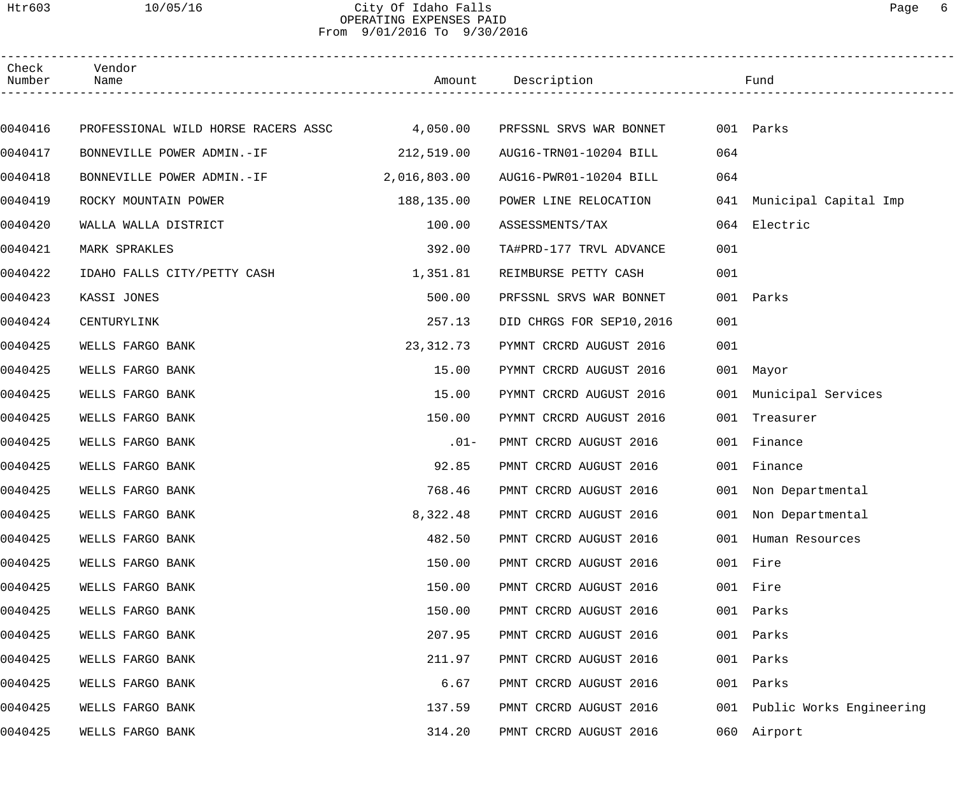### Htr603 10/05/16 City Of Idaho Falls Page 6 OPERATING EXPENSES PAID From 9/01/2016 To 9/30/2016

| Check<br>Number | Vendor<br>Name                               |              | Amount Description        |     | Fund                      |
|-----------------|----------------------------------------------|--------------|---------------------------|-----|---------------------------|
|                 |                                              |              |                           |     |                           |
| 0040416         | PROFESSIONAL WILD HORSE RACERS ASSC 4,050.00 |              | PRFSSNL SRVS WAR BONNET   |     | 001 Parks                 |
| 0040417         | BONNEVILLE POWER ADMIN.-IF 212,519.00        |              | AUG16-TRN01-10204 BILL    | 064 |                           |
| 0040418         | BONNEVILLE POWER ADMIN.-IF                   | 2,016,803.00 | AUG16-PWR01-10204 BILL    | 064 |                           |
| 0040419         | ROCKY MOUNTAIN POWER                         | 188,135.00   | POWER LINE RELOCATION     |     | 041 Municipal Capital Imp |
| 0040420         | WALLA WALLA DISTRICT                         | 100.00       | ASSESSMENTS/TAX           |     | 064 Electric              |
| 0040421         | MARK SPRAKLES                                | 392.00       | TA#PRD-177 TRVL ADVANCE   | 001 |                           |
| 0040422         | IDAHO FALLS CITY/PETTY CASH                  | 1,351.81     | REIMBURSE PETTY CASH      | 001 |                           |
| 0040423         | KASSI JONES                                  | 500.00       | PRFSSNL SRVS WAR BONNET   |     | 001 Parks                 |
| 0040424         | CENTURYLINK                                  | 257.13       | DID CHRGS FOR SEP10, 2016 | 001 |                           |
| 0040425         | WELLS FARGO BANK                             | 23, 312. 73  | PYMNT CRCRD AUGUST 2016   | 001 |                           |
| 0040425         | WELLS FARGO BANK                             | 15.00        | PYMNT CRCRD AUGUST 2016   |     | 001 Mayor                 |
| 0040425         | WELLS FARGO BANK                             | 15.00        | PYMNT CRCRD AUGUST 2016   |     | 001 Municipal Services    |
| 0040425         | WELLS FARGO BANK                             | 150.00       | PYMNT CRCRD AUGUST 2016   | 001 | Treasurer                 |
| 0040425         | WELLS FARGO BANK                             | $.01 -$      | PMNT CRCRD AUGUST 2016    |     | 001 Finance               |
| 0040425         | WELLS FARGO BANK                             | 92.85        | PMNT CRCRD AUGUST 2016    |     | 001 Finance               |
| 0040425         | WELLS FARGO BANK                             | 768.46       | PMNT CRCRD AUGUST 2016    |     | 001 Non Departmental      |
| 0040425         | WELLS FARGO BANK                             | 8,322.48     | PMNT CRCRD AUGUST 2016    |     | 001 Non Departmental      |
| 0040425         | WELLS FARGO BANK                             | 482.50       | PMNT CRCRD AUGUST 2016    |     | 001 Human Resources       |
| 0040425         | WELLS FARGO BANK                             | 150.00       | PMNT CRCRD AUGUST 2016    |     | 001 Fire                  |
| 0040425         | WELLS FARGO BANK                             | 150.00       | PMNT CRCRD AUGUST 2016    |     | 001 Fire                  |
| 0040425         | WELLS FARGO BANK                             | 150.00       | PMNT CRCRD AUGUST 2016    | 001 | Parks                     |
| 0040425         | WELLS FARGO BANK                             | 207.95       | PMNT CRCRD AUGUST 2016    | 001 | Parks                     |
| 0040425         | WELLS FARGO BANK                             | 211.97       | PMNT CRCRD AUGUST 2016    | 001 | Parks                     |
| 0040425         | WELLS FARGO BANK                             | 6.67         | PMNT CRCRD AUGUST 2016    | 001 | Parks                     |
| 0040425         | WELLS FARGO BANK                             | 137.59       | PMNT CRCRD AUGUST 2016    | 001 | Public Works Engineering  |
| 0040425         | WELLS FARGO BANK                             | 314.20       | PMNT CRCRD AUGUST 2016    | 060 | Airport                   |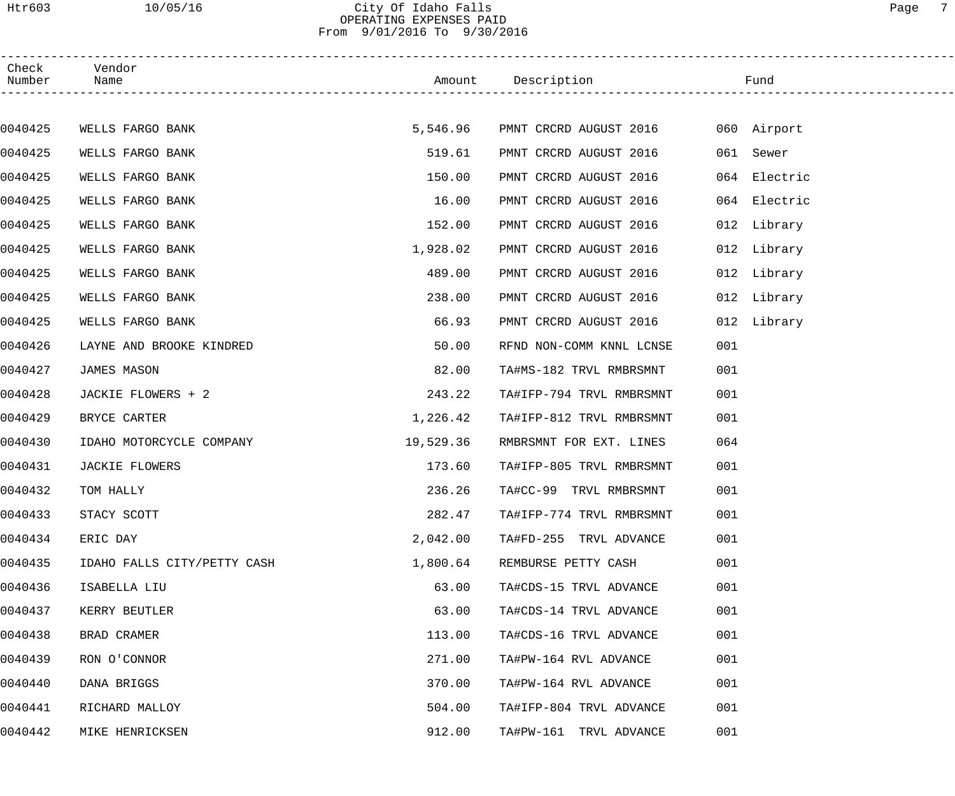### Htr603 10/05/16 City Of Idaho Falls Page 7 OPERATING EXPENSES PAID From 9/01/2016 To 9/30/2016

| Check<br>Number | Vendor<br>Name              |           | Amount Description                 |     | Fund         |  |
|-----------------|-----------------------------|-----------|------------------------------------|-----|--------------|--|
|                 |                             |           |                                    |     |              |  |
| 0040425         | WELLS FARGO BANK            | 5,546.96  | PMNT CRCRD AUGUST 2016 060 Airport |     |              |  |
| 0040425         | WELLS FARGO BANK            | 519.61    | PMNT CRCRD AUGUST 2016             |     | 061 Sewer    |  |
| 0040425         | WELLS FARGO BANK            | 150.00    | PMNT CRCRD AUGUST 2016             | 064 | Electric     |  |
| 0040425         | WELLS FARGO BANK            | 16.00     | PMNT CRCRD AUGUST 2016             |     | 064 Electric |  |
| 0040425         | WELLS FARGO BANK            | 152.00    | PMNT CRCRD AUGUST 2016             |     | 012 Library  |  |
| 0040425         | WELLS FARGO BANK            | 1,928.02  | PMNT CRCRD AUGUST 2016             |     | 012 Library  |  |
| 0040425         | WELLS FARGO BANK            | 489.00    | PMNT CRCRD AUGUST 2016             |     | 012 Library  |  |
| 0040425         | WELLS FARGO BANK            | 238.00    | PMNT CRCRD AUGUST 2016             |     | 012 Library  |  |
| 0040425         | WELLS FARGO BANK            | 66.93     | PMNT CRCRD AUGUST 2016             |     | 012 Library  |  |
| 0040426         | LAYNE AND BROOKE KINDRED    | 50.00     | RFND NON-COMM KNNL LCNSE           | 001 |              |  |
| 0040427         | JAMES MASON                 | 82.00     | TA#MS-182 TRVL RMBRSMNT            | 001 |              |  |
| 0040428         | JACKIE FLOWERS + 2          | 243.22    | TA#IFP-794 TRVL RMBRSMNT           | 001 |              |  |
| 0040429         | BRYCE CARTER                | 1,226.42  | TA#IFP-812 TRVL RMBRSMNT           | 001 |              |  |
| 0040430         | IDAHO MOTORCYCLE COMPANY    | 19,529.36 | RMBRSMNT FOR EXT. LINES            | 064 |              |  |
| 0040431         | JACKIE FLOWERS              | 173.60    | TA#IFP-805 TRVL RMBRSMNT           | 001 |              |  |
| 0040432         | TOM HALLY                   | 236.26    | TA#CC-99 TRVL RMBRSMNT             | 001 |              |  |
| 0040433         | STACY SCOTT                 | 282.47    | TA#IFP-774 TRVL RMBRSMNT           | 001 |              |  |
| 0040434         | ERIC DAY                    | 2,042.00  | TA#FD-255 TRVL ADVANCE             | 001 |              |  |
| 0040435         | IDAHO FALLS CITY/PETTY CASH | 1,800.64  | REMBURSE PETTY CASH                | 001 |              |  |
| 0040436         | ISABELLA LIU                | 63.00     | TA#CDS-15 TRVL ADVANCE             | 001 |              |  |
| 0040437         | KERRY BEUTLER               | 63.00     | TA#CDS-14 TRVL ADVANCE             | 001 |              |  |
| 0040438         | BRAD CRAMER                 | 113.00    | TA#CDS-16 TRVL ADVANCE             | 001 |              |  |
| 0040439         | RON O'CONNOR                | 271.00    | TA#PW-164 RVL ADVANCE              | 001 |              |  |
| 0040440         | DANA BRIGGS                 | 370.00    | TA#PW-164 RVL ADVANCE              | 001 |              |  |
| 0040441         | RICHARD MALLOY              | 504.00    | TA#IFP-804 TRVL ADVANCE            | 001 |              |  |
| 0040442         | MIKE HENRICKSEN             | 912.00    | TA#PW-161 TRVL ADVANCE             | 001 |              |  |
|                 |                             |           |                                    |     |              |  |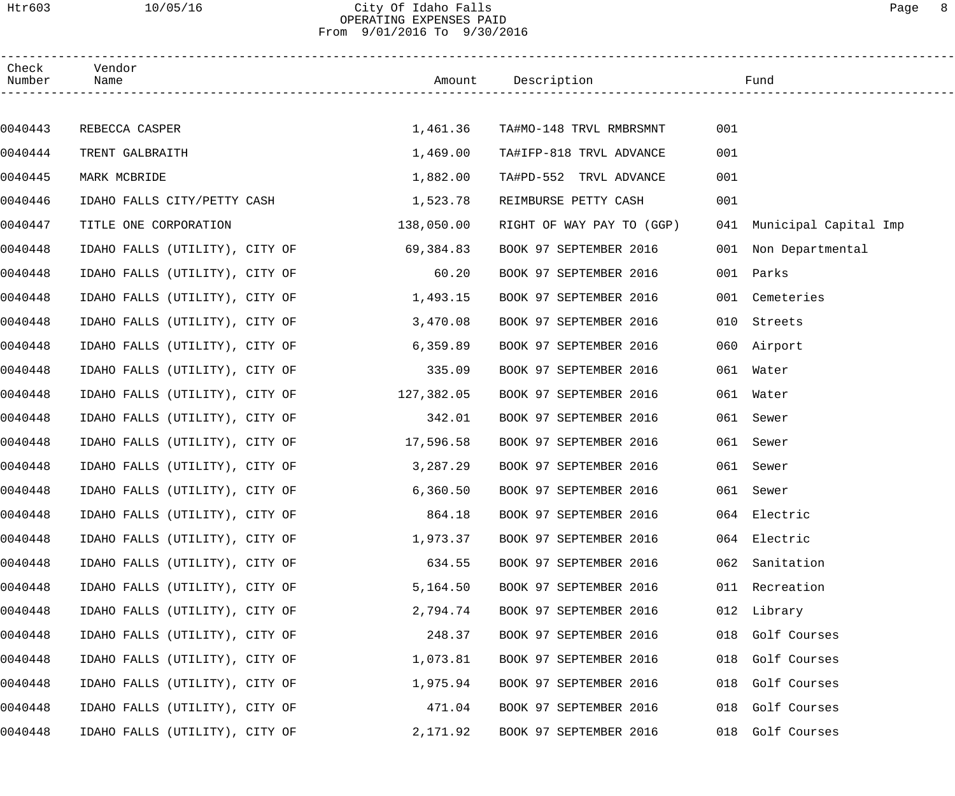### Htr603 10/05/16 City Of Idaho Falls Page 8 OPERATING EXPENSES PAID From 9/01/2016 To 9/30/2016

| Check<br>Number | Vendor<br>Name                 |            | Amount Description        |     | Fund                      |
|-----------------|--------------------------------|------------|---------------------------|-----|---------------------------|
|                 |                                |            |                           |     |                           |
| 0040443         | REBECCA CASPER                 | 1,461.36   | TA#MO-148 TRVL RMBRSMNT   | 001 |                           |
| 0040444         | TRENT GALBRAITH                | 1,469.00   | TA#IFP-818 TRVL ADVANCE   | 001 |                           |
| 0040445         | MARK MCBRIDE                   | 1,882.00   | TA#PD-552 TRVL ADVANCE    | 001 |                           |
| 0040446         | IDAHO FALLS CITY/PETTY CASH    | 1,523.78   | REIMBURSE PETTY CASH      | 001 |                           |
| 0040447         | TITLE ONE CORPORATION          | 138,050.00 | RIGHT OF WAY PAY TO (GGP) |     | 041 Municipal Capital Imp |
| 0040448         | IDAHO FALLS (UTILITY), CITY OF | 69,384.83  | BOOK 97 SEPTEMBER 2016    |     | 001 Non Departmental      |
| 0040448         | IDAHO FALLS (UTILITY), CITY OF | 60.20      | BOOK 97 SEPTEMBER 2016    | 001 | Parks                     |
| 0040448         | IDAHO FALLS (UTILITY), CITY OF | 1,493.15   | BOOK 97 SEPTEMBER 2016    |     | 001 Cemeteries            |
| 0040448         | IDAHO FALLS (UTILITY), CITY OF | 3,470.08   | BOOK 97 SEPTEMBER 2016    | 010 | Streets                   |
| 0040448         | IDAHO FALLS (UTILITY), CITY OF | 6,359.89   | BOOK 97 SEPTEMBER 2016    |     | 060 Airport               |
| 0040448         | IDAHO FALLS (UTILITY), CITY OF | 335.09     | BOOK 97 SEPTEMBER 2016    |     | 061 Water                 |
| 0040448         | IDAHO FALLS (UTILITY), CITY OF | 127,382.05 | BOOK 97 SEPTEMBER 2016    | 061 | Water                     |
| 0040448         | IDAHO FALLS (UTILITY), CITY OF | 342.01     | BOOK 97 SEPTEMBER 2016    | 061 | Sewer                     |
| 0040448         | IDAHO FALLS (UTILITY), CITY OF | 17,596.58  | BOOK 97 SEPTEMBER 2016    | 061 | Sewer                     |
| 0040448         | IDAHO FALLS (UTILITY), CITY OF | 3,287.29   | BOOK 97 SEPTEMBER 2016    | 061 | Sewer                     |
| 0040448         | IDAHO FALLS (UTILITY), CITY OF | 6,360.50   | BOOK 97 SEPTEMBER 2016    |     | 061 Sewer                 |
| 0040448         | IDAHO FALLS (UTILITY), CITY OF | 864.18     | BOOK 97 SEPTEMBER 2016    |     | 064 Electric              |
| 0040448         | IDAHO FALLS (UTILITY), CITY OF | 1,973.37   | BOOK 97 SEPTEMBER 2016    |     | 064 Electric              |
| 0040448         | IDAHO FALLS (UTILITY), CITY OF | 634.55     | BOOK 97 SEPTEMBER 2016    | 062 | Sanitation                |
| 0040448         | IDAHO FALLS (UTILITY), CITY OF | 5,164.50   | BOOK 97 SEPTEMBER 2016    |     | 011 Recreation            |
| 0040448         | IDAHO FALLS (UTILITY), CITY OF | 2,794.74   | BOOK 97 SEPTEMBER 2016    |     | 012 Library               |
| 0040448         | IDAHO FALLS (UTILITY), CITY OF | 248.37     | BOOK 97 SEPTEMBER 2016    |     | 018 Golf Courses          |
| 0040448         | IDAHO FALLS (UTILITY), CITY OF | 1,073.81   | BOOK 97 SEPTEMBER 2016    |     | 018 Golf Courses          |
| 0040448         | IDAHO FALLS (UTILITY), CITY OF | 1,975.94   | BOOK 97 SEPTEMBER 2016    |     | 018 Golf Courses          |
| 0040448         | IDAHO FALLS (UTILITY), CITY OF | 471.04     | BOOK 97 SEPTEMBER 2016    |     | 018 Golf Courses          |
| 0040448         | IDAHO FALLS (UTILITY), CITY OF | 2,171.92   | BOOK 97 SEPTEMBER 2016    |     | 018 Golf Courses          |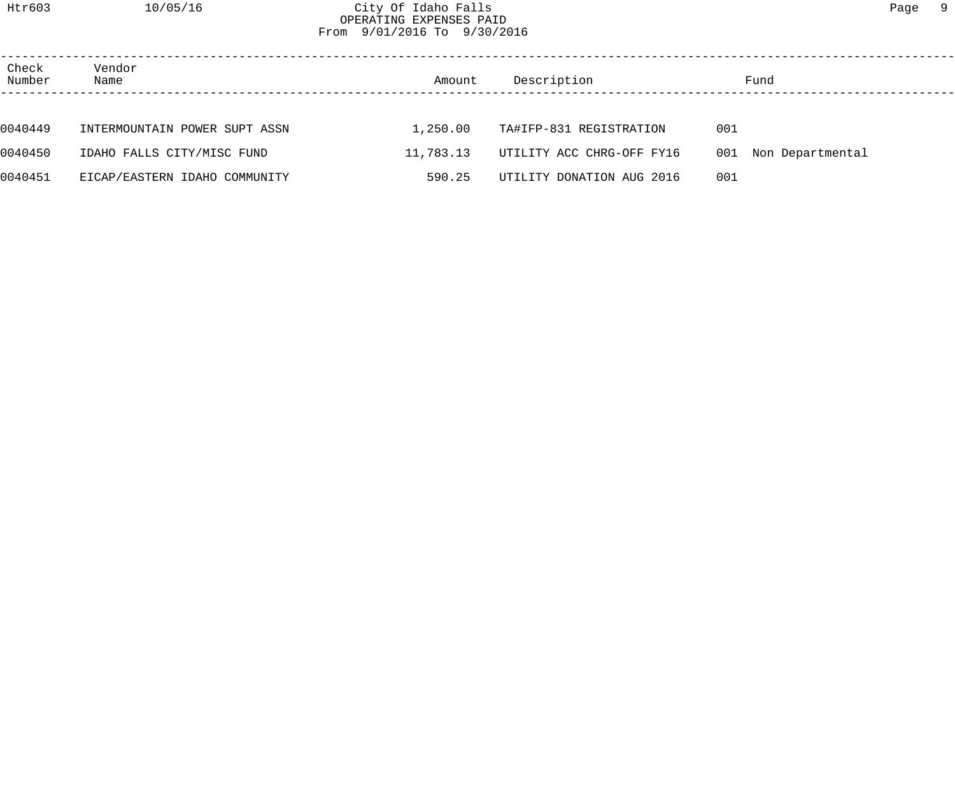### Htr603 10/05/16 City Of Idaho Falls Page 9 OPERATING EXPENSES PAID From 9/01/2016 To 9/30/2016

| Check<br>Number | Vendor<br>Name                | Amount    | Description               | Fund                    |  |
|-----------------|-------------------------------|-----------|---------------------------|-------------------------|--|
|                 |                               |           |                           |                         |  |
| 0040449         | INTERMOUNTAIN POWER SUPT ASSN | 1,250.00  | TA#IFP-831 REGISTRATION   | 001                     |  |
| 0040450         | IDAHO FALLS CITY/MISC FUND    | 11,783.13 | UTILITY ACC CHRG-OFF FY16 | 001<br>Non Departmental |  |
| 0040451         | EICAP/EASTERN IDAHO COMMUNITY | 590.25    | UTILITY DONATION AUG 2016 | 001                     |  |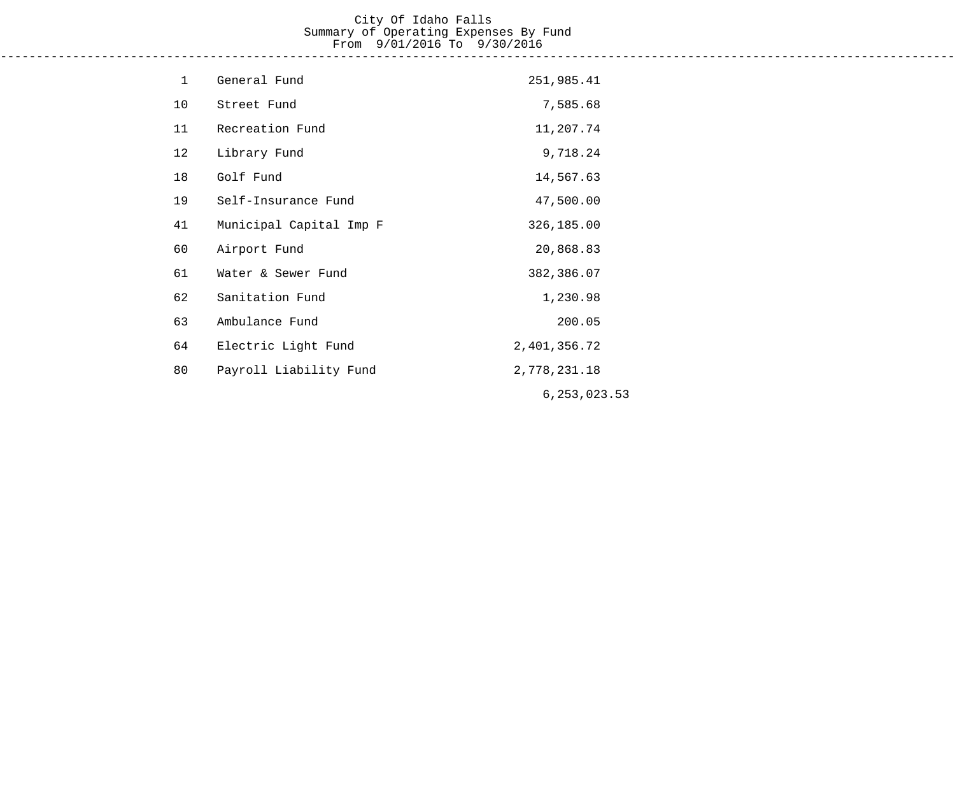# City Of Idaho Falls Summary of Operating Expenses By Fund From 9/01/2016 To 9/30/2016

------------------------------------------------------------------------------------------------------------------------------------

| $\mathbf 1$ | General Fund            | 251,985.41     |
|-------------|-------------------------|----------------|
| 10          | Street Fund             | 7,585.68       |
| 11          | Recreation Fund         | 11,207.74      |
| 12          | Library Fund            | 9,718.24       |
| 18          | Golf Fund               | 14,567.63      |
| 19          | Self-Insurance Fund     | 47,500.00      |
| 41          | Municipal Capital Imp F | 326,185.00     |
| 60          | Airport Fund            | 20,868.83      |
| 61          | Water & Sewer Fund      | 382,386.07     |
| 62          | Sanitation Fund         | 1,230.98       |
| 63          | Ambulance Fund          | 200.05         |
| 64          | Electric Light Fund     | 2,401,356.72   |
| 80          | Payroll Liability Fund  | 2,778,231.18   |
|             |                         | 6, 253, 023.53 |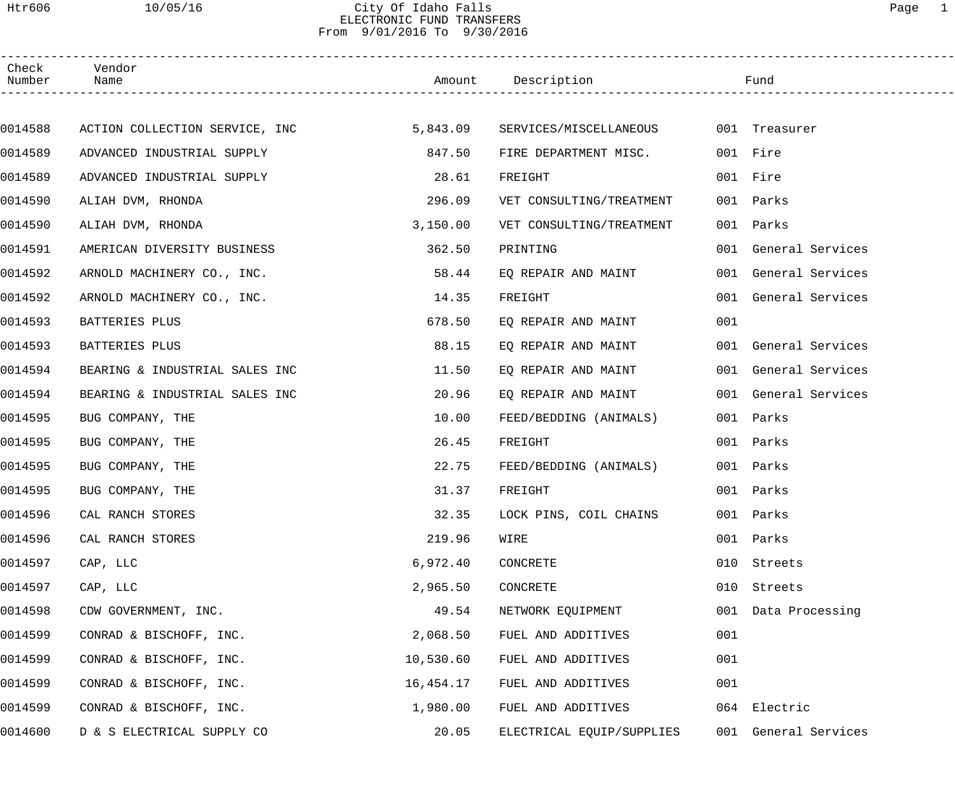## Htr606 10/05/16 City Of Idaho Falls Page 1 ELECTRONIC FUND TRANSFERS From 9/01/2016 To 9/30/2016

| Check<br>Number | Vendor<br>Name                 |           | Amount Description        |     | Fund                 |
|-----------------|--------------------------------|-----------|---------------------------|-----|----------------------|
|                 |                                |           |                           |     |                      |
| 0014588         | ACTION COLLECTION SERVICE, INC | 5,843.09  | SERVICES/MISCELLANEOUS    |     | 001 Treasurer        |
| 0014589         | ADVANCED INDUSTRIAL SUPPLY     | 847.50    | FIRE DEPARTMENT MISC.     |     | 001 Fire             |
| 0014589         | ADVANCED INDUSTRIAL SUPPLY     | 28.61     | FREIGHT                   |     | 001 Fire             |
| 0014590         | ALIAH DVM, RHONDA              | 296.09    | VET CONSULTING/TREATMENT  |     | 001 Parks            |
| 0014590         | ALIAH DVM, RHONDA              | 3,150.00  | VET CONSULTING/TREATMENT  |     | 001 Parks            |
| 0014591         | AMERICAN DIVERSITY BUSINESS    | 362.50    | PRINTING                  |     | 001 General Services |
| 0014592         | ARNOLD MACHINERY CO., INC.     | 58.44     | EQ REPAIR AND MAINT       |     | 001 General Services |
| 0014592         | ARNOLD MACHINERY CO., INC.     | 14.35     | FREIGHT                   |     | 001 General Services |
| 0014593         | BATTERIES PLUS                 | 678.50    | EQ REPAIR AND MAINT       | 001 |                      |
| 0014593         | BATTERIES PLUS                 | 88.15     | EQ REPAIR AND MAINT       |     | 001 General Services |
| 0014594         | BEARING & INDUSTRIAL SALES INC | 11.50     | EQ REPAIR AND MAINT       |     | 001 General Services |
| 0014594         | BEARING & INDUSTRIAL SALES INC | 20.96     | EQ REPAIR AND MAINT       |     | 001 General Services |
| 0014595         | BUG COMPANY, THE               | 10.00     | FEED/BEDDING (ANIMALS)    |     | 001 Parks            |
| 0014595         | BUG COMPANY, THE               | 26.45     | FREIGHT                   |     | 001 Parks            |
| 0014595         | BUG COMPANY, THE               | 22.75     | FEED/BEDDING (ANIMALS)    |     | 001 Parks            |
| 0014595         | BUG COMPANY, THE               | 31.37     | FREIGHT                   |     | 001 Parks            |
| 0014596         | CAL RANCH STORES               | 32.35     | LOCK PINS, COIL CHAINS    |     | 001 Parks            |
| 0014596         | CAL RANCH STORES               | 219.96    | WIRE                      | 001 | Parks                |
| 0014597         | CAP, LLC                       | 6,972.40  | CONCRETE                  | 010 | Streets              |
| 0014597         | CAP, LLC                       | 2,965.50  | CONCRETE                  | 010 | Streets              |
| 0014598         | CDW GOVERNMENT, INC.           | 49.54     | NETWORK EQUIPMENT         |     | 001 Data Processing  |
| 0014599         | CONRAD & BISCHOFF, INC.        | 2,068.50  | FUEL AND ADDITIVES        | 001 |                      |
| 0014599         | CONRAD & BISCHOFF, INC.        | 10,530.60 | FUEL AND ADDITIVES        | 001 |                      |
| 0014599         | CONRAD & BISCHOFF, INC.        | 16,454.17 | FUEL AND ADDITIVES        | 001 |                      |
| 0014599         | CONRAD & BISCHOFF, INC.        | 1,980.00  | FUEL AND ADDITIVES        |     | 064 Electric         |
| 0014600         | D & S ELECTRICAL SUPPLY CO     | 20.05     | ELECTRICAL EQUIP/SUPPLIES |     | 001 General Services |
|                 |                                |           |                           |     |                      |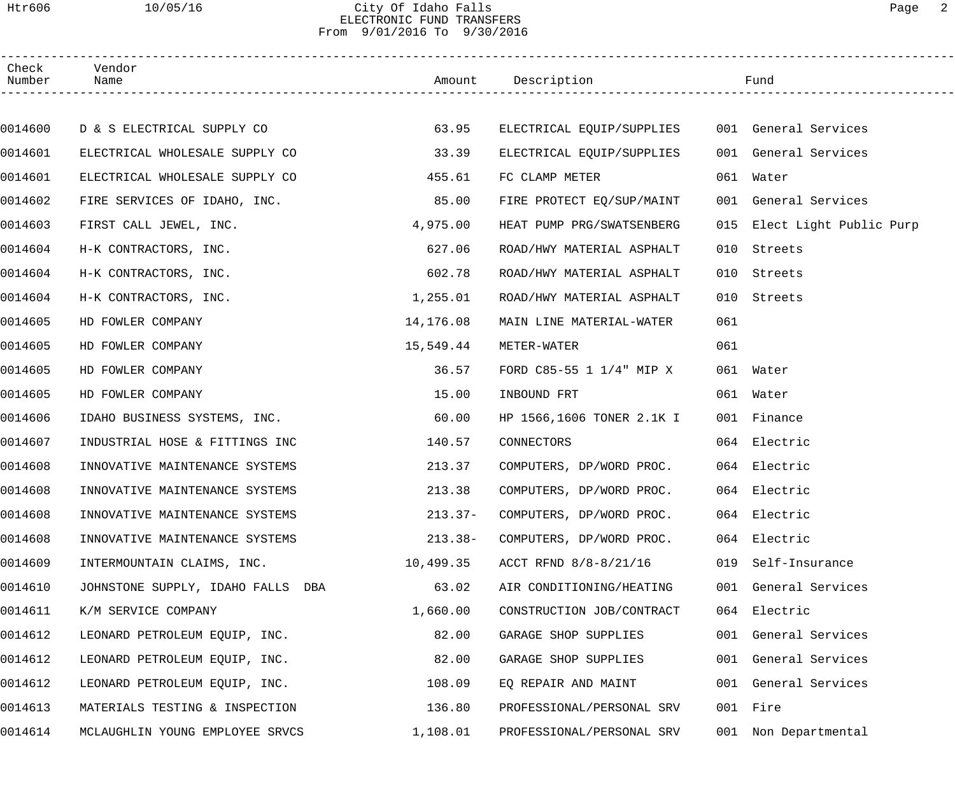### Htr606 10/05/16 City Of Idaho Falls Page 2 ELECTRONIC FUND TRANSFERS From 9/01/2016 To 9/30/2016

| Check<br>Number | Vendor<br>Name                    |           | Amount Description                             |     | Fund                        |  |
|-----------------|-----------------------------------|-----------|------------------------------------------------|-----|-----------------------------|--|
|                 |                                   |           |                                                |     |                             |  |
| 0014600         | D & S ELECTRICAL SUPPLY CO        | 63.95     | ELECTRICAL EQUIP/SUPPLIES 001 General Services |     |                             |  |
| 0014601         | ELECTRICAL WHOLESALE SUPPLY CO    | 33.39     | ELECTRICAL EQUIP/SUPPLIES                      |     | 001 General Services        |  |
| 0014601         | ELECTRICAL WHOLESALE SUPPLY CO    | 455.61    | FC CLAMP METER                                 |     | 061 Water                   |  |
| 0014602         | FIRE SERVICES OF IDAHO, INC.      | 85.00     | FIRE PROTECT EQ/SUP/MAINT                      |     | 001 General Services        |  |
| 0014603         | FIRST CALL JEWEL, INC.            | 4,975.00  | HEAT PUMP PRG/SWATSENBERG                      |     | 015 Elect Light Public Purp |  |
| 0014604         | H-K CONTRACTORS, INC.             | 627.06    | ROAD/HWY MATERIAL ASPHALT                      | 010 | Streets                     |  |
| 0014604         | H-K CONTRACTORS, INC.             | 602.78    | ROAD/HWY MATERIAL ASPHALT                      | 010 | Streets                     |  |
| 0014604         | H-K CONTRACTORS, INC.             | 1,255.01  | ROAD/HWY MATERIAL ASPHALT                      | 010 | Streets                     |  |
| 0014605         | HD FOWLER COMPANY                 | 14,176.08 | MAIN LINE MATERIAL-WATER                       | 061 |                             |  |
| 0014605         | HD FOWLER COMPANY                 | 15,549.44 | METER-WATER                                    | 061 |                             |  |
| 0014605         | HD FOWLER COMPANY                 | 36.57     | FORD C85-55 1 1/4" MIP X                       |     | 061 Water                   |  |
| 0014605         | HD FOWLER COMPANY                 | 15.00     | INBOUND FRT                                    |     | 061 Water                   |  |
| 0014606         | IDAHO BUSINESS SYSTEMS, INC.      | 60.00     | HP 1566,1606 TONER 2.1K I                      |     | 001 Finance                 |  |
| 0014607         | INDUSTRIAL HOSE & FITTINGS INC    | 140.57    | CONNECTORS                                     |     | 064 Electric                |  |
| 0014608         | INNOVATIVE MAINTENANCE SYSTEMS    | 213.37    | COMPUTERS, DP/WORD PROC.                       |     | 064 Electric                |  |
| 0014608         | INNOVATIVE MAINTENANCE SYSTEMS    | 213.38    | COMPUTERS, DP/WORD PROC.                       |     | 064 Electric                |  |
| 0014608         | INNOVATIVE MAINTENANCE SYSTEMS    | $213.37-$ | COMPUTERS, DP/WORD PROC.                       |     | 064 Electric                |  |
| 0014608         | INNOVATIVE MAINTENANCE SYSTEMS    | $213.38-$ | COMPUTERS, DP/WORD PROC.                       |     | 064 Electric                |  |
| 0014609         | INTERMOUNTAIN CLAIMS, INC.        | 10,499.35 | ACCT RFND 8/8-8/21/16                          |     | 019 Self-Insurance          |  |
| 0014610         | JOHNSTONE SUPPLY, IDAHO FALLS DBA | 63.02     | AIR CONDITIONING/HEATING                       |     | 001 General Services        |  |
| 0014611         | K/M SERVICE COMPANY               | 1,660.00  | CONSTRUCTION JOB/CONTRACT                      |     | 064 Electric                |  |
| 0014612         | LEONARD PETROLEUM EQUIP, INC.     | 82.00     | GARAGE SHOP SUPPLIES                           |     | 001 General Services        |  |
| 0014612         | LEONARD PETROLEUM EQUIP, INC.     | 82.00     | GARAGE SHOP SUPPLIES                           |     | 001 General Services        |  |
| 0014612         | LEONARD PETROLEUM EQUIP, INC.     | 108.09    | EQ REPAIR AND MAINT                            |     | 001 General Services        |  |
| 0014613         | MATERIALS TESTING & INSPECTION    | 136.80    | PROFESSIONAL/PERSONAL SRV                      |     | 001 Fire                    |  |
| 0014614         | MCLAUGHLIN YOUNG EMPLOYEE SRVCS   | 1,108.01  | PROFESSIONAL/PERSONAL SRV                      |     | 001 Non Departmental        |  |
|                 |                                   |           |                                                |     |                             |  |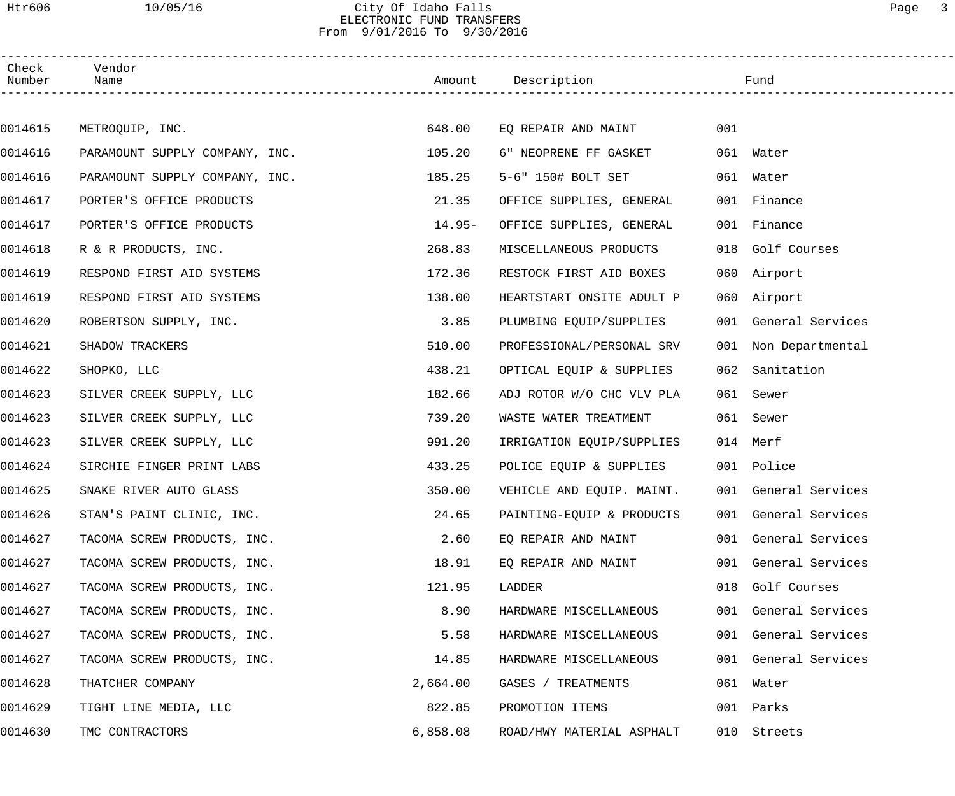## Htr606 10/05/16 City Of Idaho Falls Page 3 ELECTRONIC FUND TRANSFERS From 9/01/2016 To 9/30/2016

| Check<br>Number | Vendor<br>Name                 |          | Amount Description        |     | Fund                 |
|-----------------|--------------------------------|----------|---------------------------|-----|----------------------|
|                 |                                |          |                           |     |                      |
| 0014615         | METROQUIP, INC.                | 648.00   | EQ REPAIR AND MAINT       | 001 |                      |
| 0014616         | PARAMOUNT SUPPLY COMPANY, INC. | 105.20   | 6" NEOPRENE FF GASKET     |     | 061 Water            |
| 0014616         | PARAMOUNT SUPPLY COMPANY, INC. | 185.25   | 5-6" 150# BOLT SET        |     | 061 Water            |
| 0014617         | PORTER'S OFFICE PRODUCTS       | 21.35    | OFFICE SUPPLIES, GENERAL  |     | 001 Finance          |
| 0014617         | PORTER'S OFFICE PRODUCTS       | $14.95-$ | OFFICE SUPPLIES, GENERAL  |     | 001 Finance          |
| 0014618         | R & R PRODUCTS, INC.           | 268.83   | MISCELLANEOUS PRODUCTS    |     | 018 Golf Courses     |
| 0014619         | RESPOND FIRST AID SYSTEMS      | 172.36   | RESTOCK FIRST AID BOXES   |     | 060 Airport          |
| 0014619         | RESPOND FIRST AID SYSTEMS      | 138.00   | HEARTSTART ONSITE ADULT P |     | 060 Airport          |
| 0014620         | ROBERTSON SUPPLY, INC.         | 3.85     | PLUMBING EQUIP/SUPPLIES   |     | 001 General Services |
| 0014621         | SHADOW TRACKERS                | 510.00   | PROFESSIONAL/PERSONAL SRV |     | 001 Non Departmental |
| 0014622         | SHOPKO, LLC                    | 438.21   | OPTICAL EQUIP & SUPPLIES  |     | 062 Sanitation       |
| 0014623         | SILVER CREEK SUPPLY, LLC       | 182.66   | ADJ ROTOR W/O CHC VLV PLA |     | 061 Sewer            |
| 0014623         | SILVER CREEK SUPPLY, LLC       | 739.20   | WASTE WATER TREATMENT     |     | 061 Sewer            |
| 0014623         | SILVER CREEK SUPPLY, LLC       | 991.20   | IRRIGATION EQUIP/SUPPLIES |     | 014 Merf             |
| 0014624         | SIRCHIE FINGER PRINT LABS      | 433.25   | POLICE EQUIP & SUPPLIES   |     | 001 Police           |
| 0014625         | SNAKE RIVER AUTO GLASS         | 350.00   | VEHICLE AND EQUIP. MAINT. |     | 001 General Services |
| 0014626         | STAN'S PAINT CLINIC, INC.      | 24.65    | PAINTING-EQUIP & PRODUCTS |     | 001 General Services |
| 0014627         | TACOMA SCREW PRODUCTS, INC.    | 2.60     | EO REPAIR AND MAINT       |     | 001 General Services |
| 0014627         | TACOMA SCREW PRODUCTS, INC.    | 18.91    | EQ REPAIR AND MAINT       |     | 001 General Services |
| 0014627         | TACOMA SCREW PRODUCTS, INC.    | 121.95   | LADDER                    |     | 018 Golf Courses     |
| 0014627         | TACOMA SCREW PRODUCTS, INC.    | 8.90     | HARDWARE MISCELLANEOUS    |     | 001 General Services |
| 0014627         | TACOMA SCREW PRODUCTS, INC.    | 5.58     | HARDWARE MISCELLANEOUS    |     | 001 General Services |
| 0014627         | TACOMA SCREW PRODUCTS, INC.    | 14.85    | HARDWARE MISCELLANEOUS    |     | 001 General Services |
| 0014628         | THATCHER COMPANY               | 2,664.00 | GASES / TREATMENTS        |     | 061 Water            |
| 0014629         | TIGHT LINE MEDIA, LLC          | 822.85   | PROMOTION ITEMS           |     | 001 Parks            |
| 0014630         | TMC CONTRACTORS                | 6,858.08 | ROAD/HWY MATERIAL ASPHALT |     | 010 Streets          |
|                 |                                |          |                           |     |                      |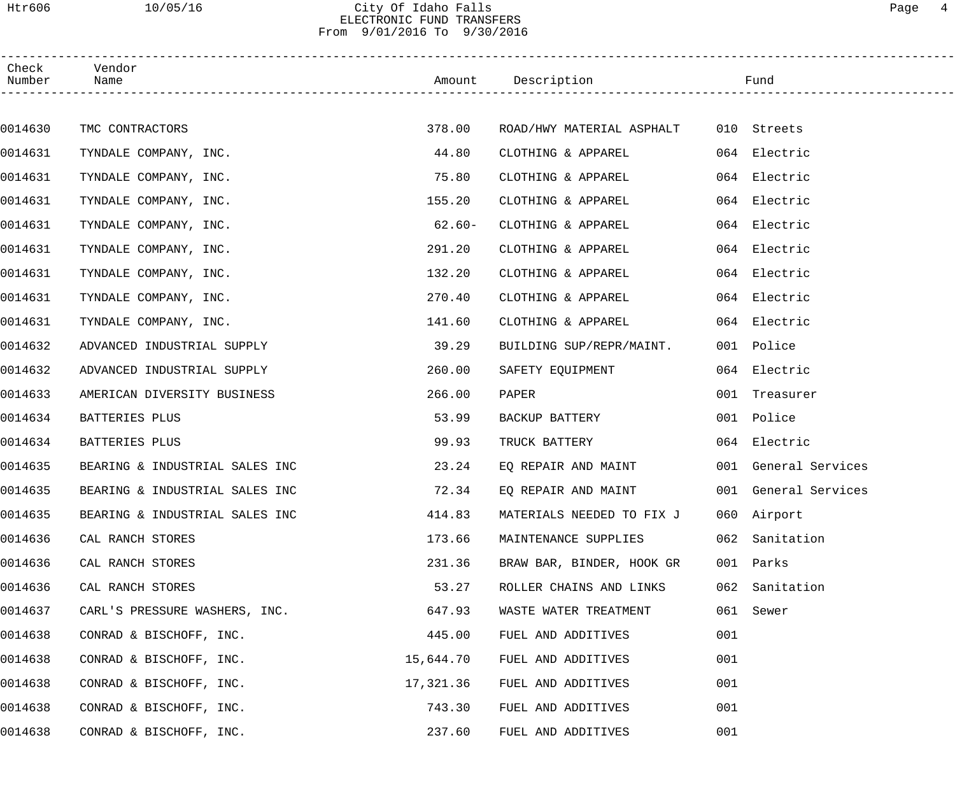## Htr606 10/05/16 City Of Idaho Falls Page 4 ELECTRONIC FUND TRANSFERS From 9/01/2016 To 9/30/2016

| Check<br>Number | Vendor<br>Name                 |           | Amount Description                    |     | Fund                 |
|-----------------|--------------------------------|-----------|---------------------------------------|-----|----------------------|
|                 |                                |           |                                       |     |                      |
| 0014630         | TMC CONTRACTORS                | 378.00    | ROAD/HWY MATERIAL ASPHALT 010 Streets |     |                      |
| 0014631         | TYNDALE COMPANY, INC.          | 44.80     | CLOTHING & APPAREL                    |     | 064 Electric         |
| 0014631         | TYNDALE COMPANY, INC.          | 75.80     | CLOTHING & APPAREL                    |     | 064 Electric         |
| 0014631         | TYNDALE COMPANY, INC.          | 155.20    | CLOTHING & APPAREL                    |     | 064 Electric         |
| 0014631         | TYNDALE COMPANY, INC.          | $62.60 -$ | CLOTHING & APPAREL                    |     | 064 Electric         |
| 0014631         | TYNDALE COMPANY, INC.          | 291.20    | CLOTHING & APPAREL                    |     | 064 Electric         |
| 0014631         | TYNDALE COMPANY, INC.          | 132.20    | CLOTHING & APPAREL                    |     | 064 Electric         |
| 0014631         | TYNDALE COMPANY, INC.          | 270.40    | CLOTHING & APPAREL                    |     | 064 Electric         |
| 0014631         | TYNDALE COMPANY, INC.          | 141.60    | CLOTHING & APPAREL                    |     | 064 Electric         |
| 0014632         | ADVANCED INDUSTRIAL SUPPLY     | 39.29     | BUILDING SUP/REPR/MAINT.              |     | 001 Police           |
| 0014632         | ADVANCED INDUSTRIAL SUPPLY     | 260.00    | SAFETY EQUIPMENT                      |     | 064 Electric         |
| 0014633         | AMERICAN DIVERSITY BUSINESS    | 266.00    | PAPER                                 |     | 001 Treasurer        |
| 0014634         | BATTERIES PLUS                 | 53.99     | BACKUP BATTERY                        |     | 001 Police           |
| 0014634         | BATTERIES PLUS                 | 99.93     | TRUCK BATTERY                         |     | 064 Electric         |
| 0014635         | BEARING & INDUSTRIAL SALES INC | 23.24     | EQ REPAIR AND MAINT                   |     | 001 General Services |
| 0014635         | BEARING & INDUSTRIAL SALES INC | 72.34     | EQ REPAIR AND MAINT                   |     | 001 General Services |
| 0014635         | BEARING & INDUSTRIAL SALES INC | 414.83    | MATERIALS NEEDED TO FIX J             |     | 060 Airport          |
| 0014636         | CAL RANCH STORES               | 173.66    | MAINTENANCE SUPPLIES                  |     | 062 Sanitation       |
| 0014636         | CAL RANCH STORES               | 231.36    | BRAW BAR, BINDER, HOOK GR             |     | 001 Parks            |
| 0014636         | CAL RANCH STORES               | 53.27     | ROLLER CHAINS AND LINKS               |     | 062 Sanitation       |
| 0014637         | CARL'S PRESSURE WASHERS, INC.  | 647.93    | WASTE WATER TREATMENT                 |     | 061 Sewer            |
| 0014638         | CONRAD & BISCHOFF, INC.        | 445.00    | FUEL AND ADDITIVES                    | 001 |                      |
| 0014638         | CONRAD & BISCHOFF, INC.        | 15,644.70 | FUEL AND ADDITIVES                    | 001 |                      |
| 0014638         | CONRAD & BISCHOFF, INC.        | 17,321.36 | FUEL AND ADDITIVES                    | 001 |                      |
| 0014638         | CONRAD & BISCHOFF, INC.        | 743.30    | FUEL AND ADDITIVES                    | 001 |                      |
| 0014638         | CONRAD & BISCHOFF, INC.        | 237.60    | FUEL AND ADDITIVES                    | 001 |                      |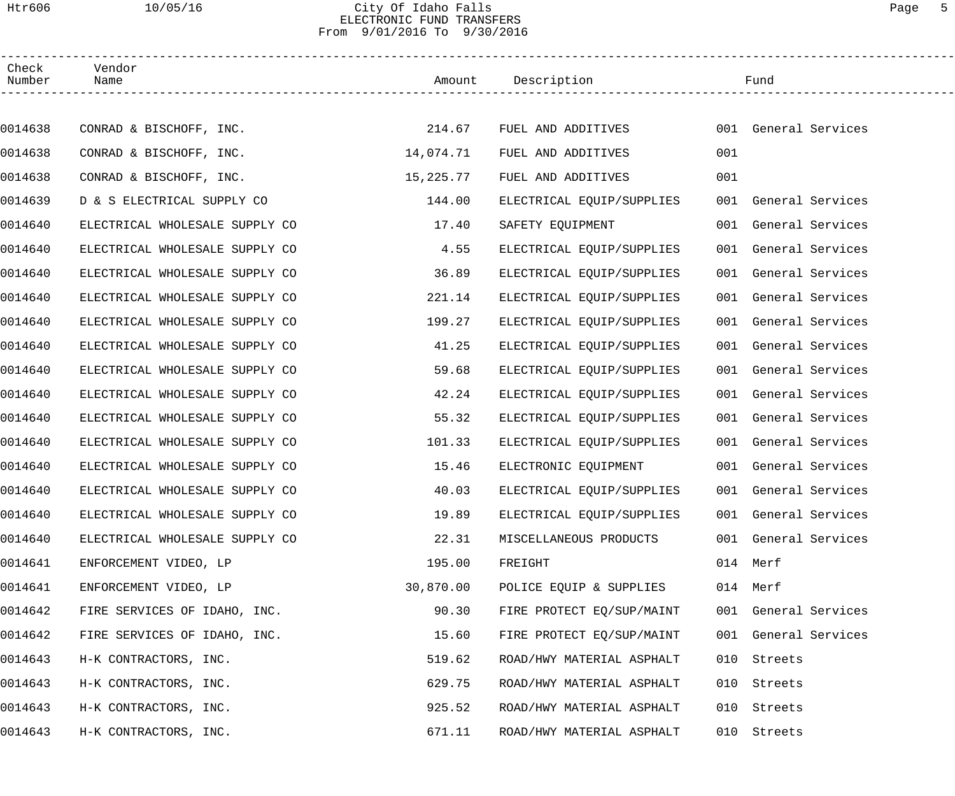### Htr606 10/05/16 City Of Idaho Falls Page 5 ELECTRONIC FUND TRANSFERS From 9/01/2016 To 9/30/2016

| Check<br>Number | Vendor<br>Name                 |           | Amount Description        |     | Fund                 |  |
|-----------------|--------------------------------|-----------|---------------------------|-----|----------------------|--|
|                 |                                |           |                           |     |                      |  |
| 0014638         | CONRAD & BISCHOFF, INC.        | 214.67    | FUEL AND ADDITIVES        |     | 001 General Services |  |
| 0014638         | CONRAD & BISCHOFF, INC.        | 14,074.71 | FUEL AND ADDITIVES        | 001 |                      |  |
| 0014638         | CONRAD & BISCHOFF, INC.        | 15,225.77 | FUEL AND ADDITIVES        | 001 |                      |  |
| 0014639         | D & S ELECTRICAL SUPPLY CO     | 144.00    | ELECTRICAL EQUIP/SUPPLIES |     | 001 General Services |  |
| 0014640         | ELECTRICAL WHOLESALE SUPPLY CO | 17.40     | SAFETY EQUIPMENT          |     | 001 General Services |  |
| 0014640         | ELECTRICAL WHOLESALE SUPPLY CO | 4.55      | ELECTRICAL EQUIP/SUPPLIES |     | 001 General Services |  |
| 0014640         | ELECTRICAL WHOLESALE SUPPLY CO | 36.89     | ELECTRICAL EQUIP/SUPPLIES |     | 001 General Services |  |
| 0014640         | ELECTRICAL WHOLESALE SUPPLY CO | 221.14    | ELECTRICAL EQUIP/SUPPLIES |     | 001 General Services |  |
| 0014640         | ELECTRICAL WHOLESALE SUPPLY CO | 199.27    | ELECTRICAL EQUIP/SUPPLIES |     | 001 General Services |  |
| 0014640         | ELECTRICAL WHOLESALE SUPPLY CO | 41.25     | ELECTRICAL EQUIP/SUPPLIES |     | 001 General Services |  |
| 0014640         | ELECTRICAL WHOLESALE SUPPLY CO | 59.68     | ELECTRICAL EQUIP/SUPPLIES |     | 001 General Services |  |
| 0014640         | ELECTRICAL WHOLESALE SUPPLY CO | 42.24     | ELECTRICAL EQUIP/SUPPLIES |     | 001 General Services |  |
| 0014640         | ELECTRICAL WHOLESALE SUPPLY CO | 55.32     | ELECTRICAL EQUIP/SUPPLIES |     | 001 General Services |  |
| 0014640         | ELECTRICAL WHOLESALE SUPPLY CO | 101.33    | ELECTRICAL EQUIP/SUPPLIES |     | 001 General Services |  |
| 0014640         | ELECTRICAL WHOLESALE SUPPLY CO | 15.46     | ELECTRONIC EQUIPMENT      |     | 001 General Services |  |
| 0014640         | ELECTRICAL WHOLESALE SUPPLY CO | 40.03     | ELECTRICAL EQUIP/SUPPLIES |     | 001 General Services |  |
| 0014640         | ELECTRICAL WHOLESALE SUPPLY CO | 19.89     | ELECTRICAL EQUIP/SUPPLIES |     | 001 General Services |  |
| 0014640         | ELECTRICAL WHOLESALE SUPPLY CO | 22.31     | MISCELLANEOUS PRODUCTS    |     | 001 General Services |  |
| 0014641         | ENFORCEMENT VIDEO, LP          | 195.00    | FREIGHT                   |     | 014 Merf             |  |
| 0014641         | ENFORCEMENT VIDEO, LP          | 30,870.00 | POLICE EQUIP & SUPPLIES   |     | 014 Merf             |  |
| 0014642         | FIRE SERVICES OF IDAHO, INC.   | 90.30     | FIRE PROTECT EQ/SUP/MAINT |     | 001 General Services |  |
| 0014642         | FIRE SERVICES OF IDAHO, INC.   | 15.60     | FIRE PROTECT EQ/SUP/MAINT |     | 001 General Services |  |
| 0014643         | H-K CONTRACTORS, INC.          | 519.62    | ROAD/HWY MATERIAL ASPHALT |     | 010 Streets          |  |
| 0014643         | H-K CONTRACTORS, INC.          | 629.75    | ROAD/HWY MATERIAL ASPHALT | 010 | Streets              |  |
| 0014643         | H-K CONTRACTORS, INC.          | 925.52    | ROAD/HWY MATERIAL ASPHALT |     | 010 Streets          |  |
| 0014643         | H-K CONTRACTORS, INC.          | 671.11    | ROAD/HWY MATERIAL ASPHALT |     | 010 Streets          |  |
|                 |                                |           |                           |     |                      |  |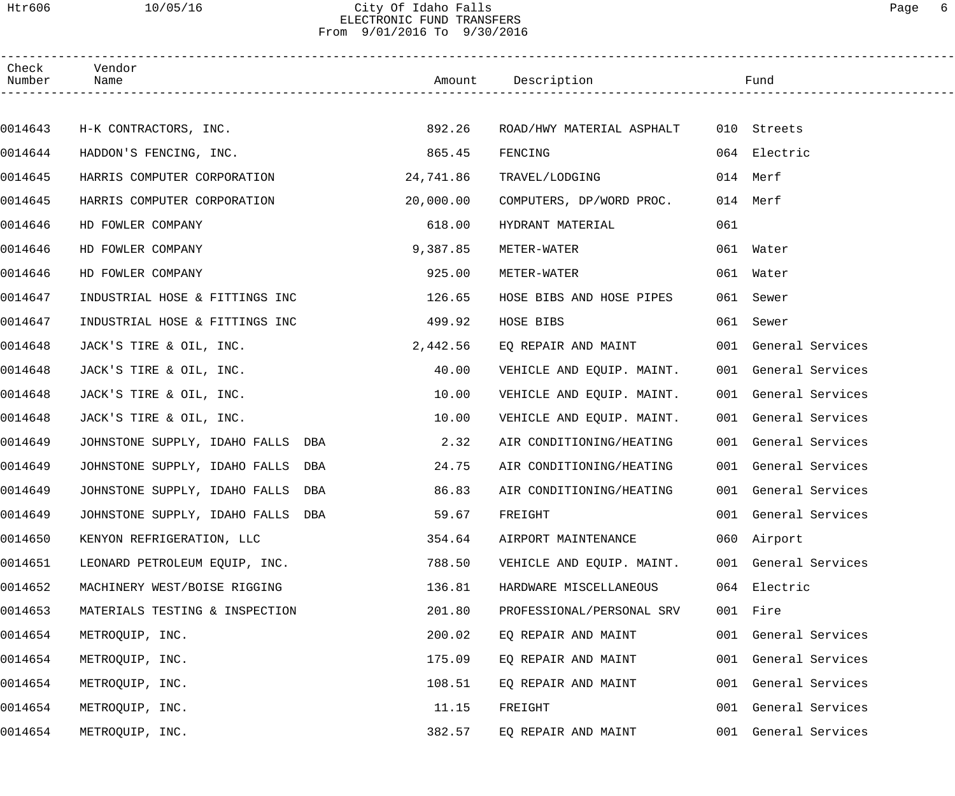### Htr606 10/05/16 City Of Idaho Falls Page 6 ELECTRONIC FUND TRANSFERS From 9/01/2016 To 9/30/2016

| Check<br>Number | Vendor<br>Name                    |           | Amount Description        |     | Fund                 |  |
|-----------------|-----------------------------------|-----------|---------------------------|-----|----------------------|--|
|                 |                                   |           |                           |     |                      |  |
| 0014643         | H-K CONTRACTORS, INC.             | 892.26    | ROAD/HWY MATERIAL ASPHALT |     | 010 Streets          |  |
| 0014644         | HADDON'S FENCING, INC.            | 865.45    | FENCING                   |     | 064 Electric         |  |
| 0014645         | HARRIS COMPUTER CORPORATION       | 24,741.86 | TRAVEL/LODGING            |     | 014 Merf             |  |
| 0014645         | HARRIS COMPUTER CORPORATION       | 20,000.00 | COMPUTERS, DP/WORD PROC.  |     | 014 Merf             |  |
| 0014646         | HD FOWLER COMPANY                 | 618.00    | HYDRANT MATERIAL          | 061 |                      |  |
| 0014646         | HD FOWLER COMPANY                 | 9,387.85  | METER-WATER               |     | 061 Water            |  |
| 0014646         | HD FOWLER COMPANY                 | 925.00    | METER-WATER               |     | 061 Water            |  |
| 0014647         | INDUSTRIAL HOSE & FITTINGS INC    | 126.65    | HOSE BIBS AND HOSE PIPES  |     | 061 Sewer            |  |
| 0014647         | INDUSTRIAL HOSE & FITTINGS INC    | 499.92    | HOSE BIBS                 |     | 061 Sewer            |  |
| 0014648         | JACK'S TIRE & OIL, INC.           | 2,442.56  | EQ REPAIR AND MAINT       |     | 001 General Services |  |
| 0014648         | JACK'S TIRE & OIL, INC.           | 40.00     | VEHICLE AND EQUIP. MAINT. |     | 001 General Services |  |
| 0014648         | JACK'S TIRE & OIL, INC.           | 10.00     | VEHICLE AND EQUIP. MAINT. |     | 001 General Services |  |
| 0014648         | JACK'S TIRE & OIL, INC.           | 10.00     | VEHICLE AND EQUIP. MAINT. |     | 001 General Services |  |
| 0014649         | JOHNSTONE SUPPLY, IDAHO FALLS DBA | 2.32      | AIR CONDITIONING/HEATING  |     | 001 General Services |  |
| 0014649         | JOHNSTONE SUPPLY, IDAHO FALLS DBA | 24.75     | AIR CONDITIONING/HEATING  |     | 001 General Services |  |
| 0014649         | JOHNSTONE SUPPLY, IDAHO FALLS DBA | 86.83     | AIR CONDITIONING/HEATING  |     | 001 General Services |  |
| 0014649         | JOHNSTONE SUPPLY, IDAHO FALLS DBA | 59.67     | FREIGHT                   |     | 001 General Services |  |
| 0014650         | KENYON REFRIGERATION, LLC         | 354.64    | AIRPORT MAINTENANCE       |     | 060 Airport          |  |
| 0014651         | LEONARD PETROLEUM EQUIP, INC.     | 788.50    | VEHICLE AND EQUIP. MAINT. |     | 001 General Services |  |
| 0014652         | MACHINERY WEST/BOISE RIGGING      | 136.81    | HARDWARE MISCELLANEOUS    |     | 064 Electric         |  |
| 0014653         | MATERIALS TESTING & INSPECTION    | 201.80    | PROFESSIONAL/PERSONAL SRV |     | 001 Fire             |  |
| 0014654         | METROQUIP, INC.                   | 200.02    | EQ REPAIR AND MAINT       |     | 001 General Services |  |
| 0014654         | METROQUIP, INC.                   | 175.09    | EQ REPAIR AND MAINT       |     | 001 General Services |  |
| 0014654         | METROQUIP, INC.                   | 108.51    | EQ REPAIR AND MAINT       |     | 001 General Services |  |
| 0014654         | METROQUIP, INC.                   | 11.15     | FREIGHT                   |     | 001 General Services |  |
| 0014654         | METROQUIP, INC.                   | 382.57    | EQ REPAIR AND MAINT       |     | 001 General Services |  |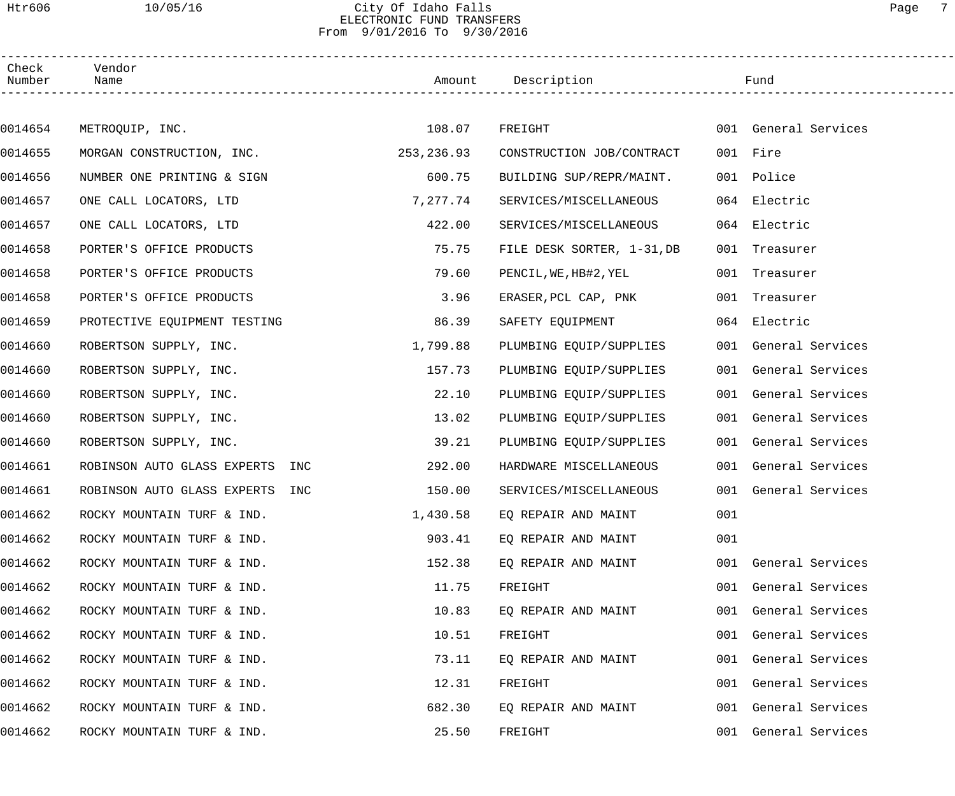### Htr606 10/05/16 City Of Idaho Falls Page 7 ELECTRONIC FUND TRANSFERS From 9/01/2016 To 9/30/2016

| Check<br>Number | Vendor<br>Name                     |            |                            |     |                      |  |
|-----------------|------------------------------------|------------|----------------------------|-----|----------------------|--|
|                 |                                    |            |                            |     |                      |  |
| 0014654         | METROQUIP, INC.                    | 108.07     | FREIGHT                    |     | 001 General Services |  |
| 0014655         | MORGAN CONSTRUCTION, INC.          | 253,236.93 | CONSTRUCTION JOB/CONTRACT  |     | 001 Fire             |  |
| 0014656         | NUMBER ONE PRINTING & SIGN         | 600.75     | BUILDING SUP/REPR/MAINT.   |     | 001 Police           |  |
| 0014657         | ONE CALL LOCATORS, LTD             | 7,277.74   | SERVICES/MISCELLANEOUS     |     | 064 Electric         |  |
| 0014657         | ONE CALL LOCATORS, LTD             | 422.00     | SERVICES/MISCELLANEOUS     |     | 064 Electric         |  |
| 0014658         | PORTER'S OFFICE PRODUCTS           | 75.75      | FILE DESK SORTER, 1-31, DB |     | 001 Treasurer        |  |
| 0014658         | PORTER'S OFFICE PRODUCTS           | 79.60      | PENCIL, WE, HB#2, YEL      |     | 001 Treasurer        |  |
| 0014658         | PORTER'S OFFICE PRODUCTS           | 3.96       | ERASER, PCL CAP, PNK       |     | 001 Treasurer        |  |
| 0014659         | PROTECTIVE EQUIPMENT TESTING       | 86.39      | SAFETY EQUIPMENT           |     | 064 Electric         |  |
| 0014660         | ROBERTSON SUPPLY, INC.             | 1,799.88   | PLUMBING EQUIP/SUPPLIES    |     | 001 General Services |  |
| 0014660         | ROBERTSON SUPPLY, INC.             | 157.73     | PLUMBING EQUIP/SUPPLIES    |     | 001 General Services |  |
| 0014660         | ROBERTSON SUPPLY, INC.             | 22.10      | PLUMBING EQUIP/SUPPLIES    |     | 001 General Services |  |
| 0014660         | ROBERTSON SUPPLY, INC.             | 13.02      | PLUMBING EQUIP/SUPPLIES    |     | 001 General Services |  |
| 0014660         | ROBERTSON SUPPLY, INC.             | 39.21      | PLUMBING EQUIP/SUPPLIES    |     | 001 General Services |  |
| 0014661         | INC<br>ROBINSON AUTO GLASS EXPERTS | 292.00     | HARDWARE MISCELLANEOUS     |     | 001 General Services |  |
| 0014661         | ROBINSON AUTO GLASS EXPERTS<br>INC | 150.00     | SERVICES/MISCELLANEOUS     |     | 001 General Services |  |
| 0014662         | ROCKY MOUNTAIN TURF & IND.         | 1,430.58   | EO REPAIR AND MAINT        | 001 |                      |  |
| 0014662         | ROCKY MOUNTAIN TURF & IND.         | 903.41     | EQ REPAIR AND MAINT        | 001 |                      |  |
| 0014662         | ROCKY MOUNTAIN TURF & IND.         | 152.38     | EQ REPAIR AND MAINT        |     | 001 General Services |  |
| 0014662         | ROCKY MOUNTAIN TURF & IND.         | 11.75      | FREIGHT                    | 001 | General Services     |  |
| 0014662         | ROCKY MOUNTAIN TURF & IND.         | 10.83      | EO REPAIR AND MAINT        | 001 | General Services     |  |
| 0014662         | ROCKY MOUNTAIN TURF & IND.         | 10.51      | FREIGHT                    | 001 | General Services     |  |
| 0014662         | ROCKY MOUNTAIN TURF & IND.         | 73.11      | EQ REPAIR AND MAINT        | 001 | General Services     |  |
| 0014662         | ROCKY MOUNTAIN TURF & IND.         | 12.31      | FREIGHT                    | 001 | General Services     |  |
| 0014662         | ROCKY MOUNTAIN TURF & IND.         | 682.30     | EQ REPAIR AND MAINT        |     | 001 General Services |  |
| 0014662         | ROCKY MOUNTAIN TURF & IND.         | 25.50      | FREIGHT                    | 001 | General Services     |  |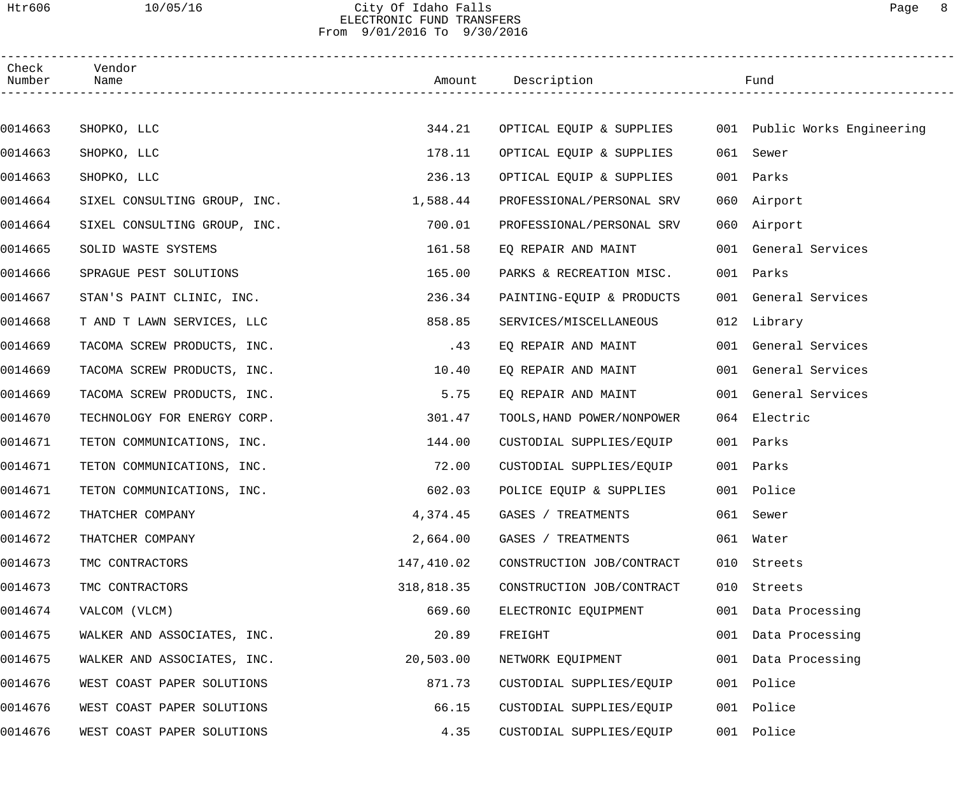### Htr606 10/05/16 City Of Idaho Falls Page 8 ELECTRONIC FUND TRANSFERS From 9/01/2016 To 9/30/2016

| Check<br>Number | Vendor<br>Name               |            | Amount Description                                    |     | Fund                 |  |
|-----------------|------------------------------|------------|-------------------------------------------------------|-----|----------------------|--|
|                 |                              |            |                                                       |     |                      |  |
| 0014663         | SHOPKO, LLC                  | 344.21     | OPTICAL EQUIP & SUPPLIES 001 Public Works Engineering |     |                      |  |
| 0014663         | SHOPKO, LLC                  | 178.11     | OPTICAL EQUIP & SUPPLIES                              |     | 061 Sewer            |  |
| 0014663         | SHOPKO, LLC                  | 236.13     | OPTICAL EQUIP & SUPPLIES                              | 001 | Parks                |  |
| 0014664         | SIXEL CONSULTING GROUP, INC. | 1,588.44   | PROFESSIONAL/PERSONAL SRV                             |     | 060 Airport          |  |
| 0014664         | SIXEL CONSULTING GROUP, INC. | 700.01     | PROFESSIONAL/PERSONAL SRV                             |     | 060 Airport          |  |
| 0014665         | SOLID WASTE SYSTEMS          | 161.58     | EQ REPAIR AND MAINT                                   |     | 001 General Services |  |
| 0014666         | SPRAGUE PEST SOLUTIONS       | 165.00     | PARKS & RECREATION MISC.                              |     | 001 Parks            |  |
| 0014667         | STAN'S PAINT CLINIC, INC.    | 236.34     | PAINTING-EQUIP & PRODUCTS                             |     | 001 General Services |  |
| 0014668         | T AND T LAWN SERVICES, LLC   | 858.85     | SERVICES/MISCELLANEOUS                                |     | 012 Library          |  |
| 0014669         | TACOMA SCREW PRODUCTS, INC.  | .43        | EQ REPAIR AND MAINT                                   |     | 001 General Services |  |
| 0014669         | TACOMA SCREW PRODUCTS, INC.  | 10.40      | EQ REPAIR AND MAINT                                   |     | 001 General Services |  |
| 0014669         | TACOMA SCREW PRODUCTS, INC.  | 5.75       | EQ REPAIR AND MAINT                                   |     | 001 General Services |  |
| 0014670         | TECHNOLOGY FOR ENERGY CORP.  | 301.47     | TOOLS, HAND POWER/NONPOWER                            |     | 064 Electric         |  |
| 0014671         | TETON COMMUNICATIONS, INC.   | 144.00     | CUSTODIAL SUPPLIES/EQUIP                              | 001 | Parks                |  |
| 0014671         | TETON COMMUNICATIONS, INC.   | 72.00      | CUSTODIAL SUPPLIES/EQUIP                              |     | 001 Parks            |  |
| 0014671         | TETON COMMUNICATIONS, INC.   | 602.03     | POLICE EQUIP & SUPPLIES                               |     | 001 Police           |  |
| 0014672         | THATCHER COMPANY             | 4,374.45   | GASES / TREATMENTS                                    |     | 061 Sewer            |  |
| 0014672         | THATCHER COMPANY             | 2,664.00   | GASES / TREATMENTS                                    |     | 061 Water            |  |
| 0014673         | TMC CONTRACTORS              | 147,410.02 | CONSTRUCTION JOB/CONTRACT                             | 010 | Streets              |  |
| 0014673         | TMC CONTRACTORS              | 318,818.35 | CONSTRUCTION JOB/CONTRACT                             | 010 | Streets              |  |
| 0014674         | VALCOM (VLCM)                | 669.60     | ELECTRONIC EQUIPMENT                                  |     | 001 Data Processing  |  |
| 0014675         | WALKER AND ASSOCIATES, INC.  | 20.89      | FREIGHT                                               |     | 001 Data Processing  |  |
| 0014675         | WALKER AND ASSOCIATES, INC.  | 20,503.00  | NETWORK EQUIPMENT                                     |     | 001 Data Processing  |  |
| 0014676         | WEST COAST PAPER SOLUTIONS   | 871.73     | CUSTODIAL SUPPLIES/EQUIP                              | 001 | Police               |  |
| 0014676         | WEST COAST PAPER SOLUTIONS   | 66.15      | CUSTODIAL SUPPLIES/EQUIP                              | 001 | Police               |  |
| 0014676         | WEST COAST PAPER SOLUTIONS   | 4.35       | CUSTODIAL SUPPLIES/EQUIP                              |     | 001 Police           |  |
|                 |                              |            |                                                       |     |                      |  |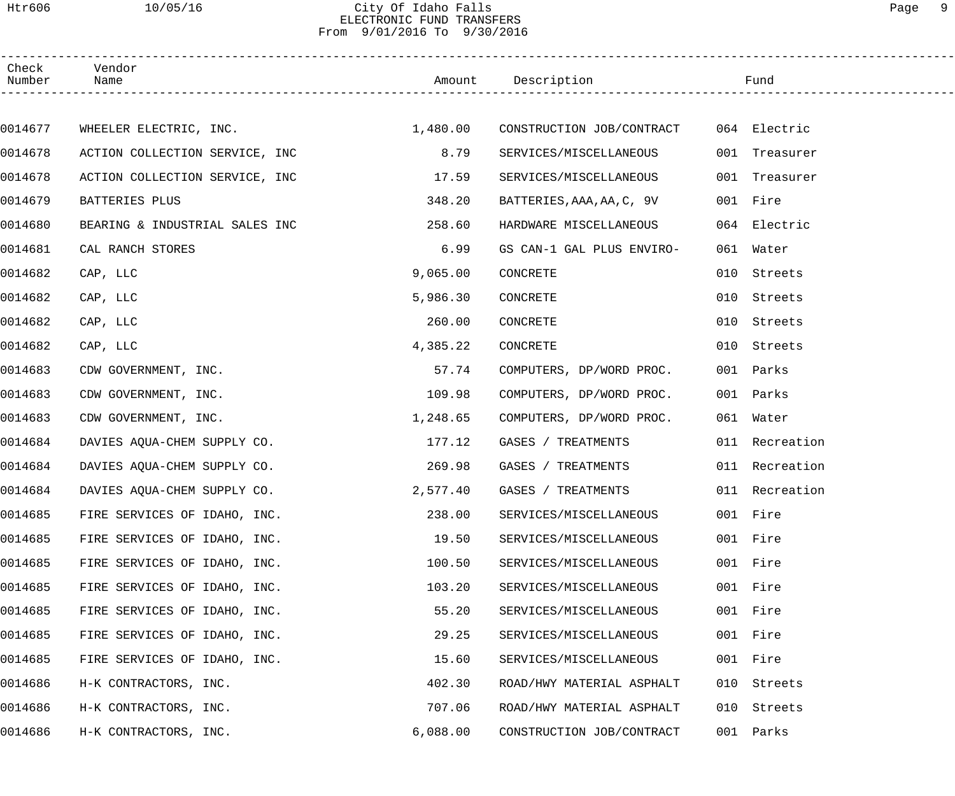## Htr606 10/05/16 City Of Idaho Falls Page 9 ELECTRONIC FUND TRANSFERS From 9/01/2016 To 9/30/2016

| Check<br>Number | Vendor<br>Name                 |          | Amount Description        |     | Fund           |  |
|-----------------|--------------------------------|----------|---------------------------|-----|----------------|--|
|                 |                                |          |                           |     |                |  |
| 0014677         | WHEELER ELECTRIC, INC.         | 1,480.00 | CONSTRUCTION JOB/CONTRACT |     | 064 Electric   |  |
| 0014678         | ACTION COLLECTION SERVICE, INC | 8.79     | SERVICES/MISCELLANEOUS    |     | 001 Treasurer  |  |
| 0014678         | ACTION COLLECTION SERVICE, INC | 17.59    | SERVICES/MISCELLANEOUS    | 001 | Treasurer      |  |
| 0014679         | BATTERIES PLUS                 | 348.20   | BATTERIES, AAA, AA, C, 9V |     | 001 Fire       |  |
| 0014680         | BEARING & INDUSTRIAL SALES INC | 258.60   | HARDWARE MISCELLANEOUS    |     | 064 Electric   |  |
| 0014681         | CAL RANCH STORES               | 6.99     | GS CAN-1 GAL PLUS ENVIRO- | 061 | Water          |  |
| 0014682         | CAP, LLC                       | 9,065.00 | CONCRETE                  | 010 | Streets        |  |
| 0014682         | CAP, LLC                       | 5,986.30 | CONCRETE                  | 010 | Streets        |  |
| 0014682         | CAP, LLC                       | 260.00   | CONCRETE                  | 010 | Streets        |  |
| 0014682         | CAP, LLC                       | 4,385.22 | CONCRETE                  | 010 | Streets        |  |
| 0014683         | CDW GOVERNMENT, INC.           | 57.74    | COMPUTERS, DP/WORD PROC.  |     | 001 Parks      |  |
| 0014683         | CDW GOVERNMENT, INC.           | 109.98   | COMPUTERS, DP/WORD PROC.  |     | 001 Parks      |  |
| 0014683         | CDW GOVERNMENT, INC.           | 1,248.65 | COMPUTERS, DP/WORD PROC.  |     | 061 Water      |  |
| 0014684         | DAVIES AQUA-CHEM SUPPLY CO.    | 177.12   | GASES / TREATMENTS        |     | 011 Recreation |  |
| 0014684         | DAVIES AQUA-CHEM SUPPLY CO.    | 269.98   | GASES / TREATMENTS        |     | 011 Recreation |  |
| 0014684         | DAVIES AQUA-CHEM SUPPLY CO.    | 2,577.40 | GASES / TREATMENTS        |     | 011 Recreation |  |
| 0014685         | FIRE SERVICES OF IDAHO, INC.   | 238.00   | SERVICES/MISCELLANEOUS    |     | 001 Fire       |  |
| 0014685         | FIRE SERVICES OF IDAHO, INC.   | 19.50    | SERVICES/MISCELLANEOUS    |     | 001 Fire       |  |
| 0014685         | FIRE SERVICES OF IDAHO, INC.   | 100.50   | SERVICES/MISCELLANEOUS    | 001 | Fire           |  |
| 0014685         | FIRE SERVICES OF IDAHO, INC.   | 103.20   | SERVICES/MISCELLANEOUS    |     | 001 Fire       |  |
| 0014685         | FIRE SERVICES OF IDAHO, INC.   | 55.20    | SERVICES/MISCELLANEOUS    |     | 001 Fire       |  |
| 0014685         | FIRE SERVICES OF IDAHO, INC.   | 29.25    | SERVICES/MISCELLANEOUS    | 001 | Fire           |  |
| 0014685         | FIRE SERVICES OF IDAHO, INC.   | 15.60    | SERVICES/MISCELLANEOUS    |     | 001 Fire       |  |
| 0014686         | H-K CONTRACTORS, INC.          | 402.30   | ROAD/HWY MATERIAL ASPHALT | 010 | Streets        |  |
| 0014686         | H-K CONTRACTORS, INC.          | 707.06   | ROAD/HWY MATERIAL ASPHALT | 010 | Streets        |  |
| 0014686         | H-K CONTRACTORS, INC.          | 6,088.00 | CONSTRUCTION JOB/CONTRACT |     | 001 Parks      |  |
|                 |                                |          |                           |     |                |  |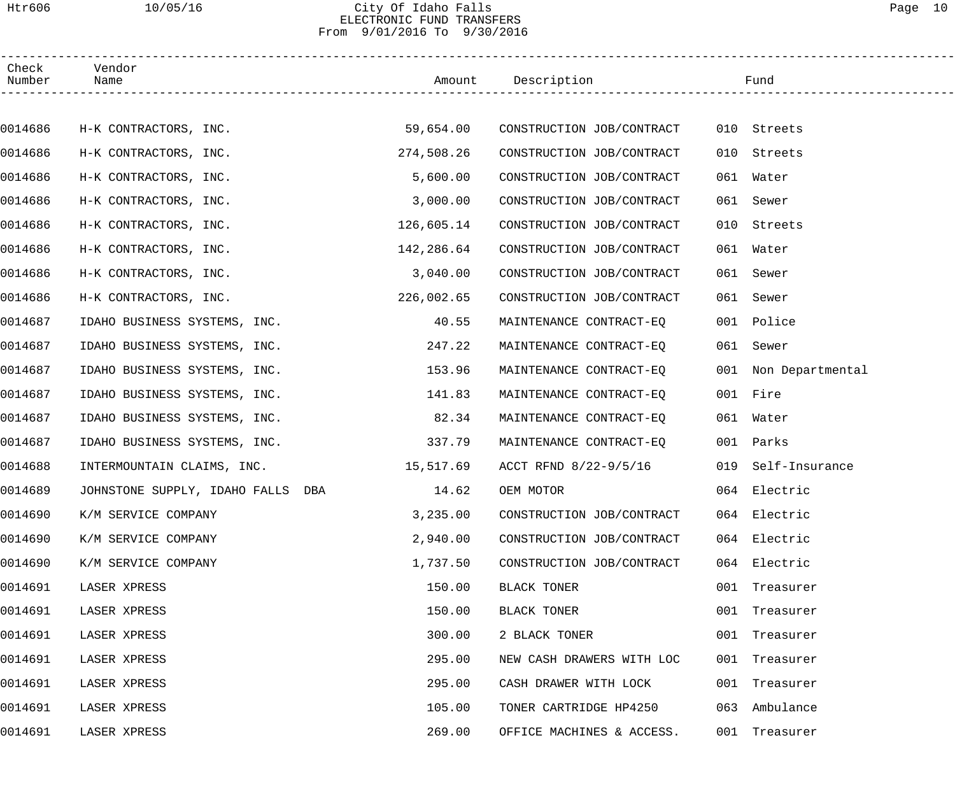## Htr606 10/05/16 City Of Idaho Falls Page 10 ELECTRONIC FUND TRANSFERS From 9/01/2016 To 9/30/2016

| Check<br>Number | Vendor<br>Name                       |            |                                     |     | Fund                 |
|-----------------|--------------------------------------|------------|-------------------------------------|-----|----------------------|
|                 |                                      |            |                                     |     |                      |
| 0014686         | H-K CONTRACTORS, INC.                |            | 59,654.00 CONSTRUCTION JOB/CONTRACT |     | 010 Streets          |
| 0014686         | H-K CONTRACTORS, INC.                | 274,508.26 | CONSTRUCTION JOB/CONTRACT           |     | 010 Streets          |
| 0014686         | H-K CONTRACTORS, INC.                | 5,600.00   | CONSTRUCTION JOB/CONTRACT           |     | 061 Water            |
| 0014686         | H-K CONTRACTORS, INC.                | 3,000.00   | CONSTRUCTION JOB/CONTRACT           |     | 061 Sewer            |
| 0014686         | H-K CONTRACTORS, INC.                | 126,605.14 | CONSTRUCTION JOB/CONTRACT           |     | 010 Streets          |
| 0014686         | H-K CONTRACTORS, INC.                | 142,286.64 | CONSTRUCTION JOB/CONTRACT           |     | 061 Water            |
| 0014686         | H-K CONTRACTORS, INC.                | 3,040.00   | CONSTRUCTION JOB/CONTRACT           |     | 061 Sewer            |
| 0014686         | H-K CONTRACTORS, INC.                | 226,002.65 | CONSTRUCTION JOB/CONTRACT           |     | 061 Sewer            |
| 0014687         | IDAHO BUSINESS SYSTEMS, INC.         | 40.55      | MAINTENANCE CONTRACT-EQ             |     | 001 Police           |
| 0014687         | IDAHO BUSINESS SYSTEMS, INC.         | 247.22     | MAINTENANCE CONTRACT-EQ             |     | 061 Sewer            |
| 0014687         | IDAHO BUSINESS SYSTEMS, INC.         | 153.96     | MAINTENANCE CONTRACT-EQ             |     | 001 Non Departmental |
| 0014687         | IDAHO BUSINESS SYSTEMS, INC.         | 141.83     | MAINTENANCE CONTRACT-EQ             |     | 001 Fire             |
| 0014687         | IDAHO BUSINESS SYSTEMS, INC.         | 82.34      | MAINTENANCE CONTRACT-EQ             |     | 061 Water            |
| 0014687         | IDAHO BUSINESS SYSTEMS, INC.         | 337.79     | MAINTENANCE CONTRACT-EQ             |     | 001 Parks            |
| 0014688         | INTERMOUNTAIN CLAIMS, INC. 15,517.69 |            | ACCT RFND 8/22-9/5/16               |     | 019 Self-Insurance   |
| 0014689         | JOHNSTONE SUPPLY, IDAHO FALLS DBA    | 14.62      | OEM MOTOR                           |     | 064 Electric         |
| 0014690         | K/M SERVICE COMPANY                  | 3,235.00   | CONSTRUCTION JOB/CONTRACT           |     | 064 Electric         |
| 0014690         | K/M SERVICE COMPANY                  | 2,940.00   | CONSTRUCTION JOB/CONTRACT           |     | 064 Electric         |
| 0014690         | K/M SERVICE COMPANY                  | 1,737.50   | CONSTRUCTION JOB/CONTRACT           |     | 064 Electric         |
| 0014691         | LASER XPRESS                         | 150.00     | BLACK TONER                         |     | 001 Treasurer        |
| 0014691         | LASER XPRESS                         | 150.00     | BLACK TONER                         |     | 001 Treasurer        |
| 0014691         | LASER XPRESS                         | 300.00     | 2 BLACK TONER                       |     | 001 Treasurer        |
| 0014691         | LASER XPRESS                         | 295.00     | NEW CASH DRAWERS WITH LOC           |     | 001 Treasurer        |
| 0014691         | LASER XPRESS                         | 295.00     | CASH DRAWER WITH LOCK               |     | 001 Treasurer        |
| 0014691         | LASER XPRESS                         | 105.00     | TONER CARTRIDGE HP4250              | 063 | Ambulance            |
| 0014691         | LASER XPRESS                         | 269.00     | OFFICE MACHINES & ACCESS.           |     | 001 Treasurer        |
|                 |                                      |            |                                     |     |                      |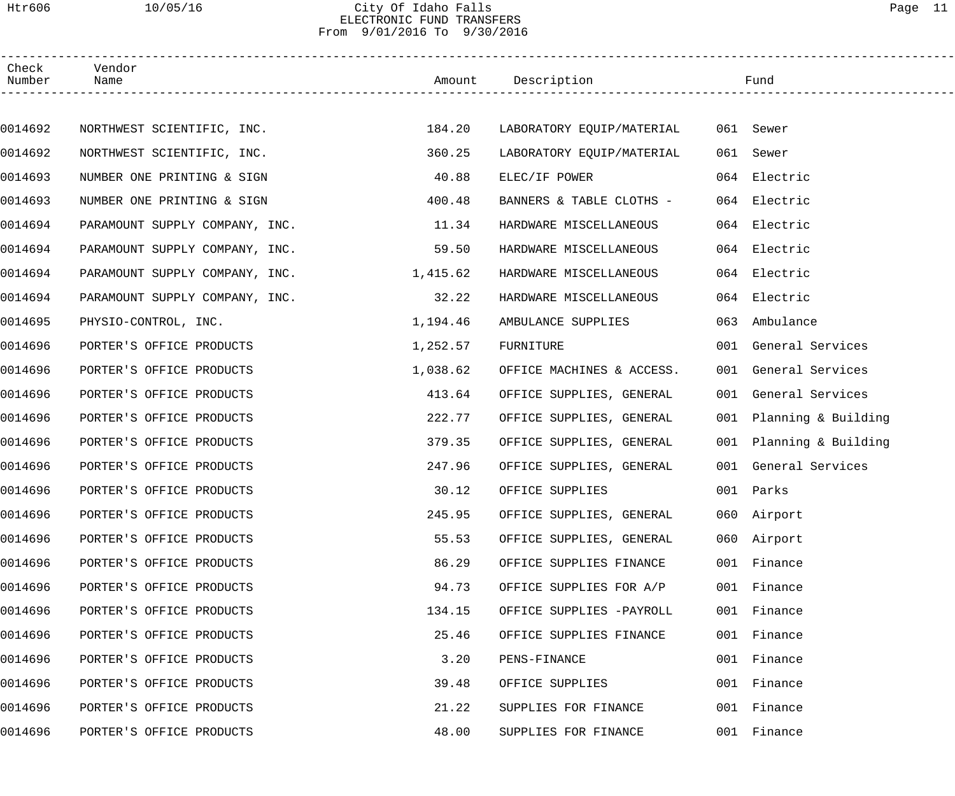### Htr606 10/05/16 City Of Idaho Falls Page 11 ELECTRONIC FUND TRANSFERS From 9/01/2016 To 9/30/2016

| Check<br>Number | Vendor<br>Name                 |          | Amount Description        |     | Fund                    |  |
|-----------------|--------------------------------|----------|---------------------------|-----|-------------------------|--|
|                 |                                |          |                           |     |                         |  |
| 0014692         | NORTHWEST SCIENTIFIC, INC.     | 184.20   | LABORATORY EQUIP/MATERIAL |     | 061 Sewer               |  |
| 0014692         | NORTHWEST SCIENTIFIC, INC.     | 360.25   | LABORATORY EQUIP/MATERIAL | 061 | Sewer                   |  |
| 0014693         | NUMBER ONE PRINTING & SIGN     | 40.88    | ELEC/IF POWER             |     | 064 Electric            |  |
| 0014693         | NUMBER ONE PRINTING & SIGN     | 400.48   | BANNERS & TABLE CLOTHS -  |     | 064 Electric            |  |
| 0014694         | PARAMOUNT SUPPLY COMPANY, INC. | 11.34    | HARDWARE MISCELLANEOUS    |     | 064 Electric            |  |
| 0014694         | PARAMOUNT SUPPLY COMPANY, INC. | 59.50    | HARDWARE MISCELLANEOUS    |     | 064 Electric            |  |
| 0014694         | PARAMOUNT SUPPLY COMPANY, INC. | 1,415.62 | HARDWARE MISCELLANEOUS    |     | 064 Electric            |  |
| 0014694         | PARAMOUNT SUPPLY COMPANY, INC. | 32.22    | HARDWARE MISCELLANEOUS    |     | 064 Electric            |  |
| 0014695         | PHYSIO-CONTROL, INC.           | 1,194.46 | AMBULANCE SUPPLIES        | 063 | Ambulance               |  |
| 0014696         | PORTER'S OFFICE PRODUCTS       | 1,252.57 | FURNITURE                 |     | 001 General Services    |  |
| 0014696         | PORTER'S OFFICE PRODUCTS       | 1,038.62 | OFFICE MACHINES & ACCESS. |     | 001 General Services    |  |
| 0014696         | PORTER'S OFFICE PRODUCTS       | 413.64   | OFFICE SUPPLIES, GENERAL  |     | 001 General Services    |  |
| 0014696         | PORTER'S OFFICE PRODUCTS       | 222.77   | OFFICE SUPPLIES, GENERAL  |     | 001 Planning & Building |  |
| 0014696         | PORTER'S OFFICE PRODUCTS       | 379.35   | OFFICE SUPPLIES, GENERAL  |     | 001 Planning & Building |  |
| 0014696         | PORTER'S OFFICE PRODUCTS       | 247.96   | OFFICE SUPPLIES, GENERAL  |     | 001 General Services    |  |
| 0014696         | PORTER'S OFFICE PRODUCTS       | 30.12    | OFFICE SUPPLIES           |     | 001 Parks               |  |
| 0014696         | PORTER'S OFFICE PRODUCTS       | 245.95   | OFFICE SUPPLIES, GENERAL  |     | 060 Airport             |  |
| 0014696         | PORTER'S OFFICE PRODUCTS       | 55.53    | OFFICE SUPPLIES, GENERAL  |     | 060 Airport             |  |
| 0014696         | PORTER'S OFFICE PRODUCTS       | 86.29    | OFFICE SUPPLIES FINANCE   |     | 001 Finance             |  |
| 0014696         | PORTER'S OFFICE PRODUCTS       | 94.73    | OFFICE SUPPLIES FOR A/P   |     | 001 Finance             |  |
| 0014696         | PORTER'S OFFICE PRODUCTS       | 134.15   | OFFICE SUPPLIES -PAYROLL  |     | 001 Finance             |  |
| 0014696         | PORTER'S OFFICE PRODUCTS       | 25.46    | OFFICE SUPPLIES FINANCE   |     | 001 Finance             |  |
| 0014696         | PORTER'S OFFICE PRODUCTS       | 3.20     | PENS-FINANCE              |     | 001 Finance             |  |
| 0014696         | PORTER'S OFFICE PRODUCTS       | 39.48    | OFFICE SUPPLIES           |     | 001 Finance             |  |
| 0014696         | PORTER'S OFFICE PRODUCTS       | 21.22    | SUPPLIES FOR FINANCE      |     | 001 Finance             |  |
| 0014696         | PORTER'S OFFICE PRODUCTS       | 48.00    | SUPPLIES FOR FINANCE      |     | 001 Finance             |  |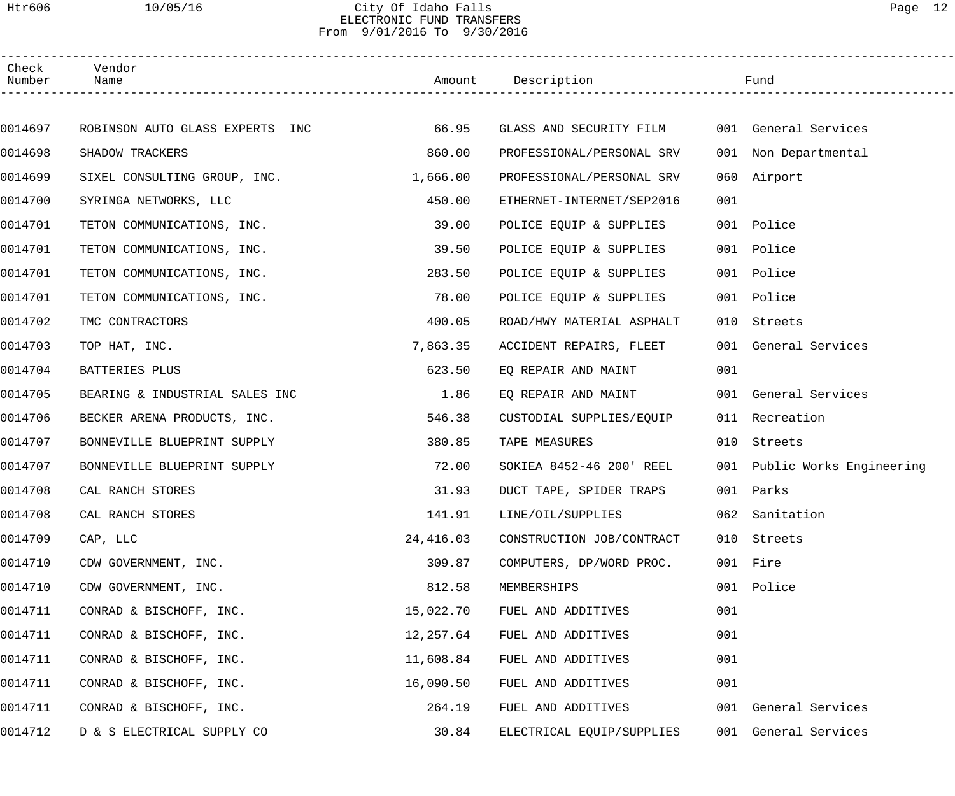### Htr606 10/05/16 City Of Idaho Falls Page 12 ELECTRONIC FUND TRANSFERS From 9/01/2016 To 9/30/2016

| Check<br>Number | Vendor<br>Name                  |           | Amount Description                           |     | Fund                         |
|-----------------|---------------------------------|-----------|----------------------------------------------|-----|------------------------------|
|                 |                                 |           |                                              |     |                              |
| 0014697         | ROBINSON AUTO GLASS EXPERTS INC | 66.95     | GLASS AND SECURITY FILM 001 General Services |     |                              |
| 0014698         | SHADOW TRACKERS                 | 860.00    | PROFESSIONAL/PERSONAL SRV                    |     | 001 Non Departmental         |
| 0014699         | SIXEL CONSULTING GROUP, INC.    | 1,666.00  | PROFESSIONAL/PERSONAL SRV                    |     | 060 Airport                  |
| 0014700         | SYRINGA NETWORKS, LLC           | 450.00    | ETHERNET-INTERNET/SEP2016                    | 001 |                              |
| 0014701         | TETON COMMUNICATIONS, INC.      | 39.00     | POLICE EQUIP & SUPPLIES                      |     | 001 Police                   |
| 0014701         | TETON COMMUNICATIONS, INC.      | 39.50     | POLICE EQUIP & SUPPLIES                      |     | 001 Police                   |
| 0014701         | TETON COMMUNICATIONS, INC.      | 283.50    | POLICE EQUIP & SUPPLIES                      |     | 001 Police                   |
| 0014701         | TETON COMMUNICATIONS, INC.      | 78.00     | POLICE EQUIP & SUPPLIES                      |     | 001 Police                   |
| 0014702         | TMC CONTRACTORS                 | 400.05    | ROAD/HWY MATERIAL ASPHALT                    |     | 010 Streets                  |
| 0014703         | TOP HAT, INC.                   | 7,863.35  | ACCIDENT REPAIRS, FLEET                      |     | 001 General Services         |
| 0014704         | BATTERIES PLUS                  | 623.50    | EQ REPAIR AND MAINT                          | 001 |                              |
| 0014705         | BEARING & INDUSTRIAL SALES INC  | 1.86      | EQ REPAIR AND MAINT                          |     | 001 General Services         |
| 0014706         | BECKER ARENA PRODUCTS, INC.     | 546.38    | CUSTODIAL SUPPLIES/EQUIP                     |     | 011 Recreation               |
| 0014707         | BONNEVILLE BLUEPRINT SUPPLY     | 380.85    | TAPE MEASURES                                |     | 010 Streets                  |
| 0014707         | BONNEVILLE BLUEPRINT SUPPLY     | 72.00     | SOKIEA 8452-46 200' REEL                     |     | 001 Public Works Engineering |
| 0014708         | CAL RANCH STORES                | 31.93     | DUCT TAPE, SPIDER TRAPS                      |     | 001 Parks                    |
| 0014708         | CAL RANCH STORES                | 141.91    | LINE/OIL/SUPPLIES                            |     | 062 Sanitation               |
| 0014709         | CAP, LLC                        | 24,416.03 | CONSTRUCTION JOB/CONTRACT                    | 010 | Streets                      |
| 0014710         | CDW GOVERNMENT, INC.            | 309.87    | COMPUTERS, DP/WORD PROC.                     | 001 | Fire                         |
| 0014710         | CDW GOVERNMENT, INC.            | 812.58    | MEMBERSHIPS                                  | 001 | Police                       |
| 0014711         | CONRAD & BISCHOFF, INC.         | 15,022.70 | FUEL AND ADDITIVES                           | 001 |                              |
| 0014711         | CONRAD & BISCHOFF, INC.         | 12,257.64 | FUEL AND ADDITIVES                           | 001 |                              |
| 0014711         | CONRAD & BISCHOFF, INC.         | 11,608.84 | FUEL AND ADDITIVES                           | 001 |                              |
| 0014711         | CONRAD & BISCHOFF, INC.         | 16,090.50 | FUEL AND ADDITIVES                           | 001 |                              |
| 0014711         | CONRAD & BISCHOFF, INC.         | 264.19    | FUEL AND ADDITIVES                           |     | 001 General Services         |
| 0014712         | D & S ELECTRICAL SUPPLY CO      | 30.84     | ELECTRICAL EQUIP/SUPPLIES                    | 001 | General Services             |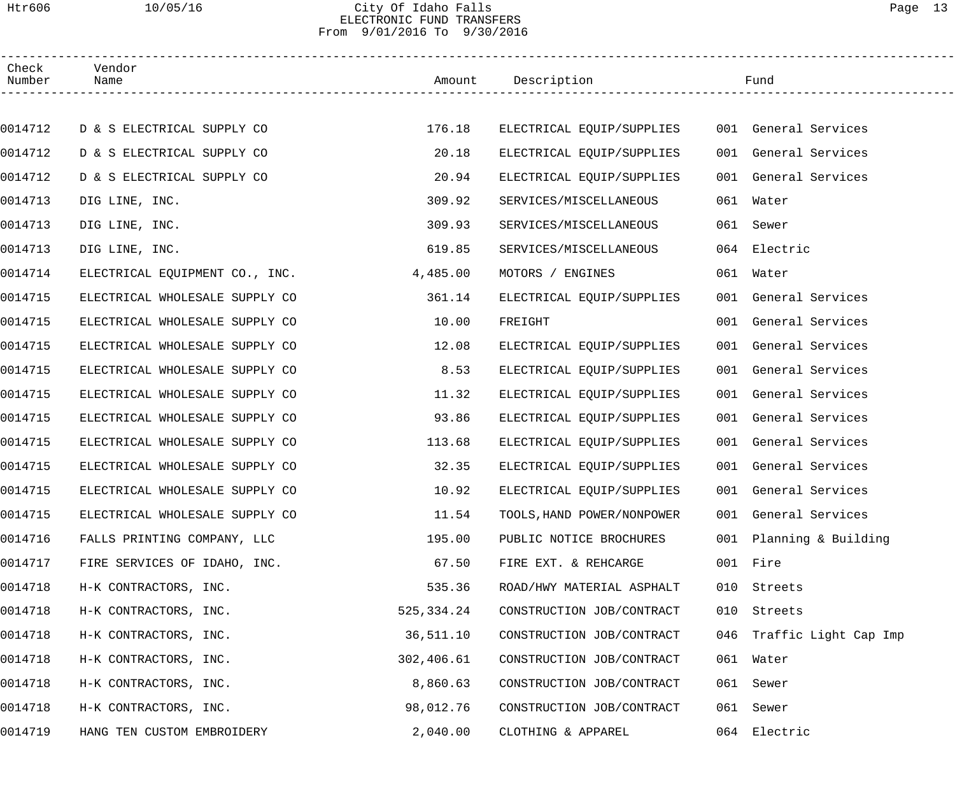### Htr606 10/05/16 City Of Idaho Falls Page 13 ELECTRONIC FUND TRANSFERS From 9/01/2016 To 9/30/2016

| Check<br>Number | Vendor<br>Name                 |              | Amount Description         |     | Fund                      |  |
|-----------------|--------------------------------|--------------|----------------------------|-----|---------------------------|--|
|                 |                                |              |                            |     |                           |  |
| 0014712         | D & S ELECTRICAL SUPPLY CO     | 176.18       | ELECTRICAL EQUIP/SUPPLIES  |     | 001 General Services      |  |
| 0014712         | D & S ELECTRICAL SUPPLY CO     | 20.18        | ELECTRICAL EQUIP/SUPPLIES  |     | 001 General Services      |  |
| 0014712         | D & S ELECTRICAL SUPPLY CO     | 20.94        | ELECTRICAL EQUIP/SUPPLIES  |     | 001 General Services      |  |
| 0014713         | DIG LINE, INC.                 | 309.92       | SERVICES/MISCELLANEOUS     |     | 061 Water                 |  |
| 0014713         | DIG LINE, INC.                 | 309.93       | SERVICES/MISCELLANEOUS     |     | 061 Sewer                 |  |
| 0014713         | DIG LINE, INC.                 | 619.85       | SERVICES/MISCELLANEOUS     |     | 064 Electric              |  |
| 0014714         | ELECTRICAL EQUIPMENT CO., INC. | 4,485.00     | MOTORS / ENGINES           |     | 061 Water                 |  |
| 0014715         | ELECTRICAL WHOLESALE SUPPLY CO | 361.14       | ELECTRICAL EQUIP/SUPPLIES  |     | 001 General Services      |  |
| 0014715         | ELECTRICAL WHOLESALE SUPPLY CO | 10.00        | FREIGHT                    |     | 001 General Services      |  |
| 0014715         | ELECTRICAL WHOLESALE SUPPLY CO | 12.08        | ELECTRICAL EQUIP/SUPPLIES  |     | 001 General Services      |  |
| 0014715         | ELECTRICAL WHOLESALE SUPPLY CO | 8.53         | ELECTRICAL EQUIP/SUPPLIES  |     | 001 General Services      |  |
| 0014715         | ELECTRICAL WHOLESALE SUPPLY CO | 11.32        | ELECTRICAL EQUIP/SUPPLIES  |     | 001 General Services      |  |
| 0014715         | ELECTRICAL WHOLESALE SUPPLY CO | 93.86        | ELECTRICAL EQUIP/SUPPLIES  |     | 001 General Services      |  |
| 0014715         | ELECTRICAL WHOLESALE SUPPLY CO | 113.68       | ELECTRICAL EQUIP/SUPPLIES  |     | 001 General Services      |  |
| 0014715         | ELECTRICAL WHOLESALE SUPPLY CO | 32.35        | ELECTRICAL EQUIP/SUPPLIES  |     | 001 General Services      |  |
| 0014715         | ELECTRICAL WHOLESALE SUPPLY CO | 10.92        | ELECTRICAL EQUIP/SUPPLIES  |     | 001 General Services      |  |
| 0014715         | ELECTRICAL WHOLESALE SUPPLY CO | 11.54        | TOOLS, HAND POWER/NONPOWER |     | 001 General Services      |  |
| 0014716         | FALLS PRINTING COMPANY, LLC    | 195.00       | PUBLIC NOTICE BROCHURES    |     | 001 Planning & Building   |  |
| 0014717         | FIRE SERVICES OF IDAHO, INC.   | 67.50        | FIRE EXT. & REHCARGE       |     | 001 Fire                  |  |
| 0014718         | H-K CONTRACTORS, INC.          | 535.36       | ROAD/HWY MATERIAL ASPHALT  | 010 | Streets                   |  |
| 0014718         | H-K CONTRACTORS, INC.          | 525, 334. 24 | CONSTRUCTION JOB/CONTRACT  | 010 | Streets                   |  |
| 0014718         | H-K CONTRACTORS, INC.          | 36,511.10    | CONSTRUCTION JOB/CONTRACT  |     | 046 Traffic Light Cap Imp |  |
| 0014718         | H-K CONTRACTORS, INC.          | 302,406.61   | CONSTRUCTION JOB/CONTRACT  |     | 061 Water                 |  |
| 0014718         | H-K CONTRACTORS, INC.          | 8,860.63     | CONSTRUCTION JOB/CONTRACT  | 061 | Sewer                     |  |
| 0014718         | H-K CONTRACTORS, INC.          | 98,012.76    | CONSTRUCTION JOB/CONTRACT  | 061 | Sewer                     |  |
| 0014719         | HANG TEN CUSTOM EMBROIDERY     | 2,040.00     | CLOTHING & APPAREL         | 064 | Electric                  |  |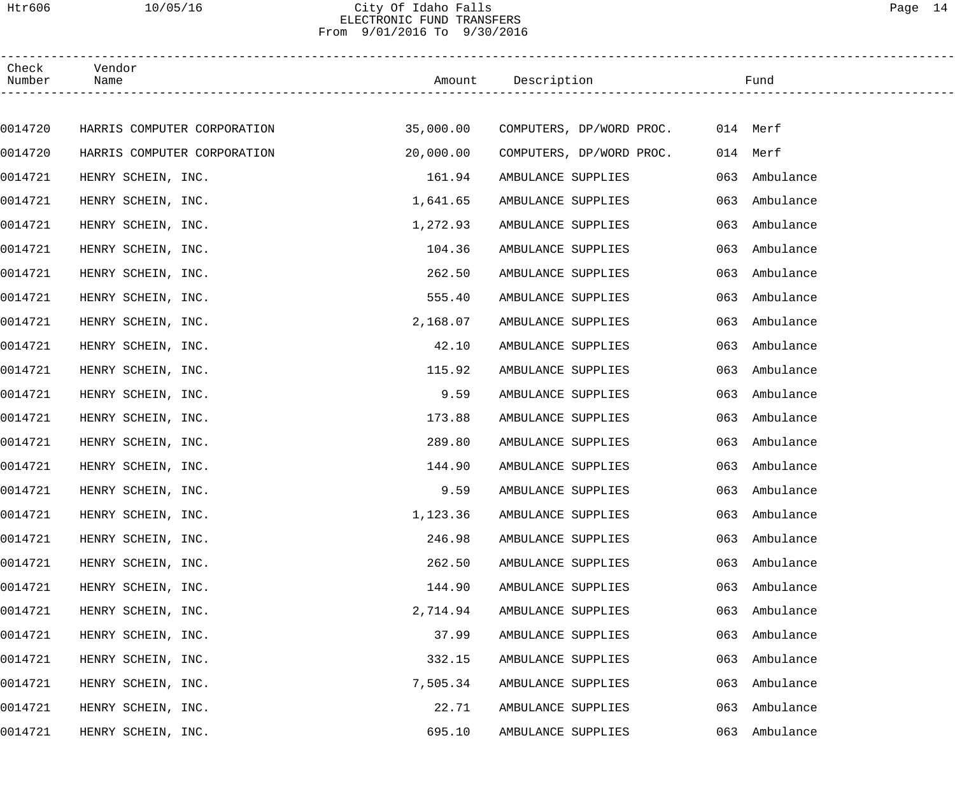## Htr606 10/05/16 City Of Idaho Falls Page 14 ELECTRONIC FUND TRANSFERS From 9/01/2016 To 9/30/2016

| Check<br>Number | Vendor<br>Name              |           | Amount Description                 | Fund             |  |
|-----------------|-----------------------------|-----------|------------------------------------|------------------|--|
|                 |                             |           |                                    |                  |  |
| 0014720         | HARRIS COMPUTER CORPORATION |           | 35,000.00 COMPUTERS, DP/WORD PROC. | 014 Merf         |  |
| 0014720         | HARRIS COMPUTER CORPORATION | 20,000.00 | COMPUTERS, DP/WORD PROC.           | 014 Merf         |  |
| 0014721         | HENRY SCHEIN, INC.          | 161.94    | AMBULANCE SUPPLIES                 | 063<br>Ambulance |  |
| 0014721         | HENRY SCHEIN, INC.          | 1,641.65  | AMBULANCE SUPPLIES                 | Ambulance<br>063 |  |
| 0014721         | HENRY SCHEIN, INC.          | 1,272.93  | AMBULANCE SUPPLIES                 | Ambulance<br>063 |  |
| 0014721         | HENRY SCHEIN, INC.          | 104.36    | AMBULANCE SUPPLIES                 | Ambulance<br>063 |  |
| 0014721         | HENRY SCHEIN, INC.          | 262.50    | AMBULANCE SUPPLIES                 | Ambulance<br>063 |  |
| 0014721         | HENRY SCHEIN, INC.          | 555.40    | AMBULANCE SUPPLIES                 | Ambulance<br>063 |  |
| 0014721         | HENRY SCHEIN, INC.          | 2,168.07  | AMBULANCE SUPPLIES                 | Ambulance<br>063 |  |
| 0014721         | HENRY SCHEIN, INC.          | 42.10     | AMBULANCE SUPPLIES                 | 063<br>Ambulance |  |
| 0014721         | HENRY SCHEIN, INC.          | 115.92    | AMBULANCE SUPPLIES                 | Ambulance<br>063 |  |
| 0014721         | HENRY SCHEIN, INC.          | 9.59      | AMBULANCE SUPPLIES                 | 063<br>Ambulance |  |
| 0014721         | HENRY SCHEIN, INC.          | 173.88    | AMBULANCE SUPPLIES                 | 063<br>Ambulance |  |
| 0014721         | HENRY SCHEIN, INC.          | 289.80    | AMBULANCE SUPPLIES                 | Ambulance<br>063 |  |
| 0014721         | HENRY SCHEIN, INC.          | 144.90    | AMBULANCE SUPPLIES                 | Ambulance<br>063 |  |
| 0014721         | HENRY SCHEIN, INC.          | 9.59      | AMBULANCE SUPPLIES                 | 063 Ambulance    |  |
| 0014721         | HENRY SCHEIN, INC.          | 1,123.36  | AMBULANCE SUPPLIES                 | 063 Ambulance    |  |
| 0014721         | HENRY SCHEIN, INC.          | 246.98    | AMBULANCE SUPPLIES                 | Ambulance<br>063 |  |
| 0014721         | HENRY SCHEIN, INC.          | 262.50    | AMBULANCE SUPPLIES                 | Ambulance<br>063 |  |
| 0014721         | HENRY SCHEIN, INC.          | 144.90    | AMBULANCE SUPPLIES                 | Ambulance<br>063 |  |
| 0014721         | HENRY SCHEIN, INC.          | 2,714.94  | AMBULANCE SUPPLIES                 | Ambulance<br>063 |  |
| 0014721         | HENRY SCHEIN, INC.          | 37.99     | AMBULANCE SUPPLIES                 | Ambulance<br>063 |  |
| 0014721         | HENRY SCHEIN, INC.          | 332.15    | AMBULANCE SUPPLIES                 | Ambulance<br>063 |  |
| 0014721         | HENRY SCHEIN, INC.          | 7,505.34  | AMBULANCE SUPPLIES                 | Ambulance<br>063 |  |
| 0014721         | HENRY SCHEIN, INC.          | 22.71     | AMBULANCE SUPPLIES                 | Ambulance<br>063 |  |
| 0014721         | HENRY SCHEIN, INC.          | 695.10    | AMBULANCE SUPPLIES                 | Ambulance<br>063 |  |
|                 |                             |           |                                    |                  |  |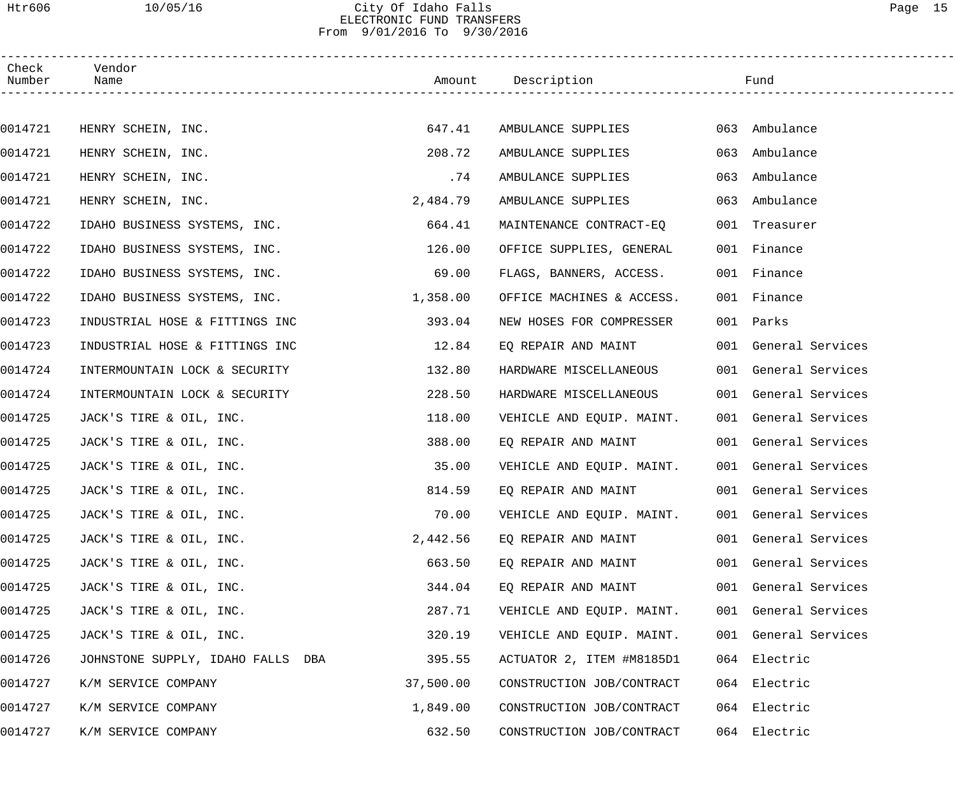### Htr606 10/05/16 City Of Idaho Falls Page 15 ELECTRONIC FUND TRANSFERS From 9/01/2016 To 9/30/2016

| Check<br>Number | Vendor<br>Name                    |           | Amount Description        |     | Fund                 |  |
|-----------------|-----------------------------------|-----------|---------------------------|-----|----------------------|--|
|                 |                                   |           |                           |     |                      |  |
| 0014721         | HENRY SCHEIN, INC.                | 647.41    | AMBULANCE SUPPLIES        |     | 063 Ambulance        |  |
| 0014721         | HENRY SCHEIN, INC.                | 208.72    | AMBULANCE SUPPLIES        |     | 063 Ambulance        |  |
| 0014721         | HENRY SCHEIN, INC.                | .74       | AMBULANCE SUPPLIES        | 063 | Ambulance            |  |
| 0014721         | HENRY SCHEIN, INC.                | 2,484.79  | AMBULANCE SUPPLIES        |     | 063 Ambulance        |  |
| 0014722         | IDAHO BUSINESS SYSTEMS, INC.      | 664.41    | MAINTENANCE CONTRACT-EQ   |     | 001 Treasurer        |  |
| 0014722         | IDAHO BUSINESS SYSTEMS, INC.      | 126.00    | OFFICE SUPPLIES, GENERAL  |     | 001 Finance          |  |
| 0014722         | IDAHO BUSINESS SYSTEMS, INC.      | 69.00     | FLAGS, BANNERS, ACCESS.   |     | 001 Finance          |  |
| 0014722         | IDAHO BUSINESS SYSTEMS, INC.      | 1,358.00  | OFFICE MACHINES & ACCESS. |     | 001 Finance          |  |
| 0014723         | INDUSTRIAL HOSE & FITTINGS INC    | 393.04    | NEW HOSES FOR COMPRESSER  |     | 001 Parks            |  |
| 0014723         | INDUSTRIAL HOSE & FITTINGS INC    | 12.84     | EQ REPAIR AND MAINT       |     | 001 General Services |  |
| 0014724         | INTERMOUNTAIN LOCK & SECURITY     | 132.80    | HARDWARE MISCELLANEOUS    |     | 001 General Services |  |
| 0014724         | INTERMOUNTAIN LOCK & SECURITY     | 228.50    | HARDWARE MISCELLANEOUS    |     | 001 General Services |  |
| 0014725         | JACK'S TIRE & OIL, INC.           | 118.00    | VEHICLE AND EQUIP. MAINT. |     | 001 General Services |  |
| 0014725         | JACK'S TIRE & OIL, INC.           | 388.00    | EO REPAIR AND MAINT       |     | 001 General Services |  |
| 0014725         | JACK'S TIRE & OIL, INC.           | 35.00     | VEHICLE AND EQUIP. MAINT. |     | 001 General Services |  |
| 0014725         | JACK'S TIRE & OIL, INC.           | 814.59    | EQ REPAIR AND MAINT       |     | 001 General Services |  |
| 0014725         | JACK'S TIRE & OIL, INC.           | 70.00     | VEHICLE AND EQUIP. MAINT. |     | 001 General Services |  |
| 0014725         | JACK'S TIRE & OIL, INC.           | 2,442.56  | EQ REPAIR AND MAINT       |     | 001 General Services |  |
| 0014725         | JACK'S TIRE & OIL, INC.           | 663.50    | EQ REPAIR AND MAINT       |     | 001 General Services |  |
| 0014725         | JACK'S TIRE & OIL, INC.           | 344.04    | EQ REPAIR AND MAINT       |     | 001 General Services |  |
| 0014725         | JACK'S TIRE & OIL, INC.           | 287.71    | VEHICLE AND EQUIP. MAINT. |     | 001 General Services |  |
| 0014725         | JACK'S TIRE & OIL, INC.           | 320.19    | VEHICLE AND EQUIP. MAINT. |     | 001 General Services |  |
| 0014726         | JOHNSTONE SUPPLY, IDAHO FALLS DBA | 395.55    | ACTUATOR 2, ITEM #M8185D1 |     | 064 Electric         |  |
| 0014727         | K/M SERVICE COMPANY               | 37,500.00 | CONSTRUCTION JOB/CONTRACT |     | 064 Electric         |  |
| 0014727         | K/M SERVICE COMPANY               | 1,849.00  | CONSTRUCTION JOB/CONTRACT |     | 064 Electric         |  |
| 0014727         | K/M SERVICE COMPANY               | 632.50    | CONSTRUCTION JOB/CONTRACT |     | 064 Electric         |  |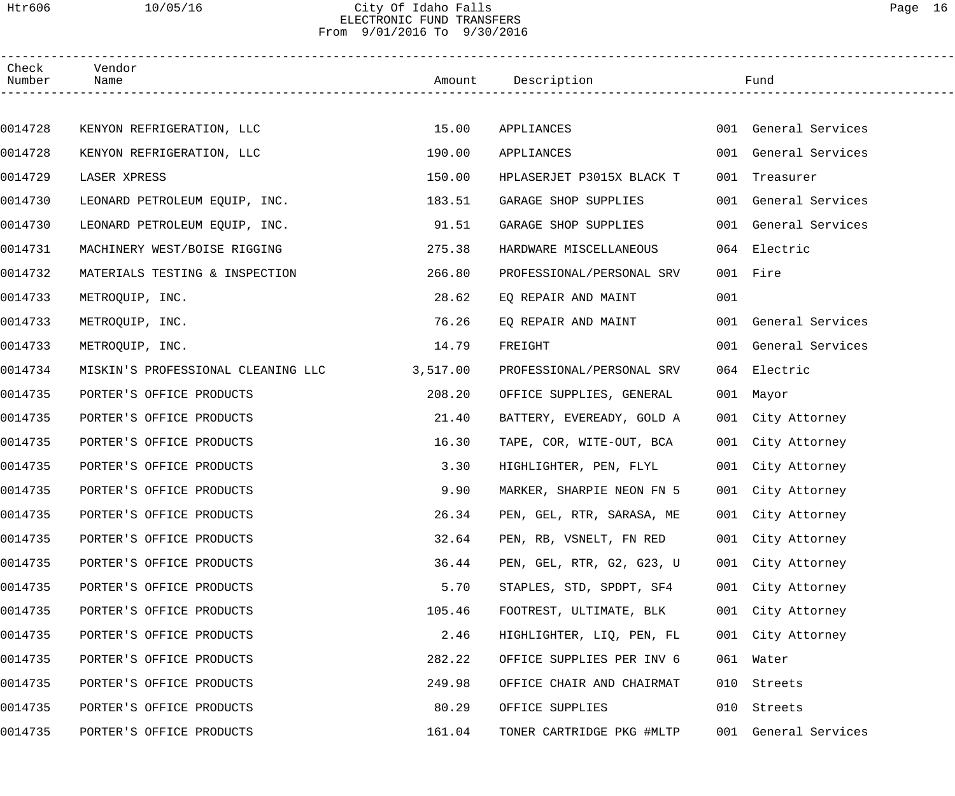### Htr606 10/05/16 City Of Idaho Falls Page 16 ELECTRONIC FUND TRANSFERS From 9/01/2016 To 9/30/2016

| Check<br>Number | Vendor<br>Name                     |          | Amount Description        |     | Fund                 |  |
|-----------------|------------------------------------|----------|---------------------------|-----|----------------------|--|
|                 |                                    |          |                           |     |                      |  |
| 0014728         | KENYON REFRIGERATION, LLC          | 15.00    | APPLIANCES                |     | 001 General Services |  |
| 0014728         | KENYON REFRIGERATION, LLC          | 190.00   | APPLIANCES                |     | 001 General Services |  |
| 0014729         | LASER XPRESS                       | 150.00   | HPLASERJET P3015X BLACK T | 001 | Treasurer            |  |
| 0014730         | LEONARD PETROLEUM EQUIP, INC.      | 183.51   | GARAGE SHOP SUPPLIES      |     | 001 General Services |  |
| 0014730         | LEONARD PETROLEUM EQUIP, INC.      | 91.51    | GARAGE SHOP SUPPLIES      |     | 001 General Services |  |
| 0014731         | MACHINERY WEST/BOISE RIGGING       | 275.38   | HARDWARE MISCELLANEOUS    |     | 064 Electric         |  |
| 0014732         | MATERIALS TESTING & INSPECTION     | 266.80   | PROFESSIONAL/PERSONAL SRV |     | 001 Fire             |  |
| 0014733         | METROQUIP, INC.                    | 28.62    | EQ REPAIR AND MAINT       | 001 |                      |  |
| 0014733         | METROQUIP, INC.                    | 76.26    | EQ REPAIR AND MAINT       |     | 001 General Services |  |
| 0014733         | METROQUIP, INC.                    | 14.79    | FREIGHT                   |     | 001 General Services |  |
| 0014734         | MISKIN'S PROFESSIONAL CLEANING LLC | 3,517.00 | PROFESSIONAL/PERSONAL SRV |     | 064 Electric         |  |
| 0014735         | PORTER'S OFFICE PRODUCTS           | 208.20   | OFFICE SUPPLIES, GENERAL  |     | 001 Mayor            |  |
| 0014735         | PORTER'S OFFICE PRODUCTS           | 21.40    | BATTERY, EVEREADY, GOLD A |     | 001 City Attorney    |  |
| 0014735         | PORTER'S OFFICE PRODUCTS           | 16.30    | TAPE, COR, WITE-OUT, BCA  |     | 001 City Attorney    |  |
| 0014735         | PORTER'S OFFICE PRODUCTS           | 3.30     | HIGHLIGHTER, PEN, FLYL    |     | 001 City Attorney    |  |
| 0014735         | PORTER'S OFFICE PRODUCTS           | 9.90     | MARKER, SHARPIE NEON FN 5 |     | 001 City Attorney    |  |
| 0014735         | PORTER'S OFFICE PRODUCTS           | 26.34    | PEN, GEL, RTR, SARASA, ME |     | 001 City Attorney    |  |
| 0014735         | PORTER'S OFFICE PRODUCTS           | 32.64    | PEN, RB, VSNELT, FN RED   |     | 001 City Attorney    |  |
| 0014735         | PORTER'S OFFICE PRODUCTS           | 36.44    | PEN, GEL, RTR, G2, G23, U |     | 001 City Attorney    |  |
| 0014735         | PORTER'S OFFICE PRODUCTS           | 5.70     | STAPLES, STD, SPDPT, SF4  |     | 001 City Attorney    |  |
| 0014735         | PORTER'S OFFICE PRODUCTS           | 105.46   | FOOTREST, ULTIMATE, BLK   |     | 001 City Attorney    |  |
| 0014735         | PORTER'S OFFICE PRODUCTS           | 2.46     | HIGHLIGHTER, LIQ, PEN, FL |     | 001 City Attorney    |  |
| 0014735         | PORTER'S OFFICE PRODUCTS           | 282.22   | OFFICE SUPPLIES PER INV 6 |     | 061 Water            |  |
| 0014735         | PORTER'S OFFICE PRODUCTS           | 249.98   | OFFICE CHAIR AND CHAIRMAT | 010 | Streets              |  |
| 0014735         | PORTER'S OFFICE PRODUCTS           | 80.29    | OFFICE SUPPLIES           | 010 | Streets              |  |
| 0014735         | PORTER'S OFFICE PRODUCTS           | 161.04   | TONER CARTRIDGE PKG #MLTP |     | 001 General Services |  |
|                 |                                    |          |                           |     |                      |  |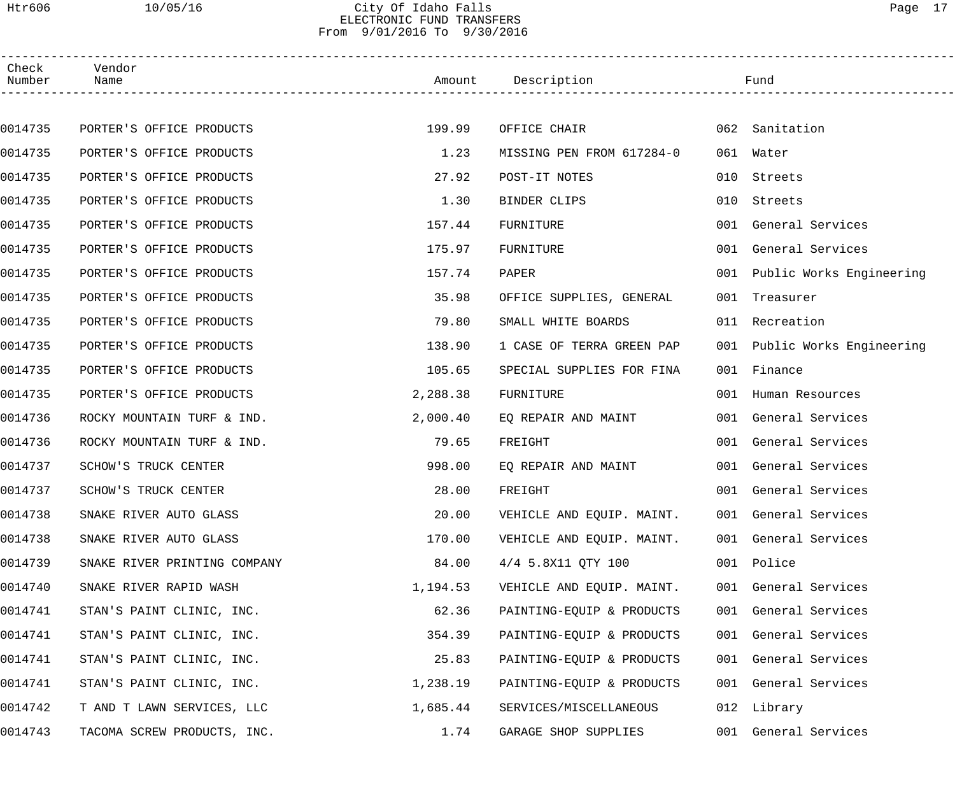### Htr606 10/05/16 City Of Idaho Falls Page 17 ELECTRONIC FUND TRANSFERS From 9/01/2016 To 9/30/2016

| Check<br>Number | Vendor<br>Name               |          | Amount Description             |     | Fund                         |  |
|-----------------|------------------------------|----------|--------------------------------|-----|------------------------------|--|
|                 |                              |          |                                |     |                              |  |
| 0014735         | PORTER'S OFFICE PRODUCTS     | 199.99   | OFFICE CHAIR <b>Example 20</b> |     | 062 Sanitation               |  |
| 0014735         | PORTER'S OFFICE PRODUCTS     | 1.23     | MISSING PEN FROM 617284-0      | 061 | Water                        |  |
| 0014735         | PORTER'S OFFICE PRODUCTS     | 27.92    | POST-IT NOTES                  | 010 | Streets                      |  |
| 0014735         | PORTER'S OFFICE PRODUCTS     | 1.30     | BINDER CLIPS                   | 010 | Streets                      |  |
| 0014735         | PORTER'S OFFICE PRODUCTS     | 157.44   | FURNITURE                      |     | 001 General Services         |  |
| 0014735         | PORTER'S OFFICE PRODUCTS     | 175.97   | FURNITURE                      |     | 001 General Services         |  |
| 0014735         | PORTER'S OFFICE PRODUCTS     | 157.74   | PAPER                          |     | 001 Public Works Engineering |  |
| 0014735         | PORTER'S OFFICE PRODUCTS     | 35.98    | OFFICE SUPPLIES, GENERAL       |     | 001 Treasurer                |  |
| 0014735         | PORTER'S OFFICE PRODUCTS     | 79.80    | SMALL WHITE BOARDS             |     | 011 Recreation               |  |
| 0014735         | PORTER'S OFFICE PRODUCTS     | 138.90   | 1 CASE OF TERRA GREEN PAP      |     | 001 Public Works Engineering |  |
| 0014735         | PORTER'S OFFICE PRODUCTS     | 105.65   | SPECIAL SUPPLIES FOR FINA      |     | 001 Finance                  |  |
| 0014735         | PORTER'S OFFICE PRODUCTS     | 2,288.38 | FURNITURE                      |     | 001 Human Resources          |  |
| 0014736         | ROCKY MOUNTAIN TURF & IND.   | 2,000.40 | EQ REPAIR AND MAINT            |     | 001 General Services         |  |
| 0014736         | ROCKY MOUNTAIN TURF & IND.   | 79.65    | FREIGHT                        |     | 001 General Services         |  |
| 0014737         | SCHOW'S TRUCK CENTER         | 998.00   | EQ REPAIR AND MAINT            |     | 001 General Services         |  |
| 0014737         | SCHOW'S TRUCK CENTER         | 28.00    | FREIGHT                        |     | 001 General Services         |  |
| 0014738         | SNAKE RIVER AUTO GLASS       | 20.00    | VEHICLE AND EQUIP. MAINT.      |     | 001 General Services         |  |
| 0014738         | SNAKE RIVER AUTO GLASS       | 170.00   | VEHICLE AND EQUIP. MAINT.      |     | 001 General Services         |  |
| 0014739         | SNAKE RIVER PRINTING COMPANY | 84.00    | 4/4 5.8X11 OTY 100             |     | 001 Police                   |  |
| 0014740         | SNAKE RIVER RAPID WASH       | 1,194.53 | VEHICLE AND EQUIP. MAINT.      |     | 001 General Services         |  |
| 0014741         | STAN'S PAINT CLINIC, INC.    | 62.36    | PAINTING-EQUIP & PRODUCTS      |     | 001 General Services         |  |
| 0014741         | STAN'S PAINT CLINIC, INC.    | 354.39   | PAINTING-EQUIP & PRODUCTS      |     | 001 General Services         |  |
| 0014741         | STAN'S PAINT CLINIC, INC.    | 25.83    | PAINTING-EQUIP & PRODUCTS      |     | 001 General Services         |  |
| 0014741         | STAN'S PAINT CLINIC, INC.    | 1,238.19 | PAINTING-EQUIP & PRODUCTS      |     | 001 General Services         |  |
| 0014742         | T AND T LAWN SERVICES, LLC   | 1,685.44 | SERVICES/MISCELLANEOUS         |     | 012 Library                  |  |
| 0014743         | TACOMA SCREW PRODUCTS, INC.  | 1.74     | GARAGE SHOP SUPPLIES           |     | 001 General Services         |  |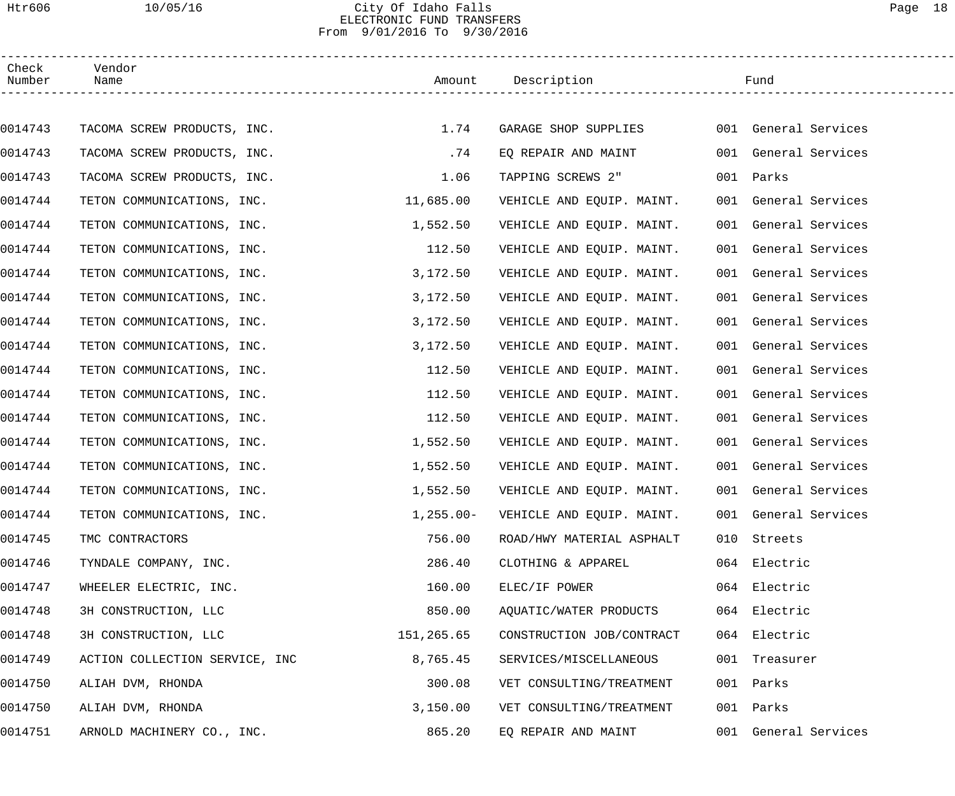### Htr606 10/05/16 City Of Idaho Falls Page 18 ELECTRONIC FUND TRANSFERS From 9/01/2016 To 9/30/2016

| Check<br>Number | Vendor<br>Name                 |             | Amount Description        | Fund                    |  |
|-----------------|--------------------------------|-------------|---------------------------|-------------------------|--|
|                 |                                |             |                           |                         |  |
| 0014743         | TACOMA SCREW PRODUCTS, INC.    | 1.74        | GARAGE SHOP SUPPLIES      | 001 General Services    |  |
| 0014743         | TACOMA SCREW PRODUCTS, INC.    | .74         | EQ REPAIR AND MAINT       | 001 General Services    |  |
| 0014743         | TACOMA SCREW PRODUCTS, INC.    | 1.06        | TAPPING SCREWS 2"         | 001 Parks               |  |
| 0014744         | TETON COMMUNICATIONS, INC.     | 11,685.00   | VEHICLE AND EQUIP. MAINT. | 001 General Services    |  |
| 0014744         | TETON COMMUNICATIONS, INC.     | 1,552.50    | VEHICLE AND EQUIP. MAINT. | 001 General Services    |  |
| 0014744         | TETON COMMUNICATIONS, INC.     | 112.50      | VEHICLE AND EQUIP. MAINT. | 001 General Services    |  |
| 0014744         | TETON COMMUNICATIONS, INC.     | 3,172.50    | VEHICLE AND EQUIP. MAINT. | 001 General Services    |  |
| 0014744         | TETON COMMUNICATIONS, INC.     | 3,172.50    | VEHICLE AND EQUIP. MAINT. | 001 General Services    |  |
| 0014744         | TETON COMMUNICATIONS, INC.     | 3,172.50    | VEHICLE AND EQUIP. MAINT. | 001 General Services    |  |
| 0014744         | TETON COMMUNICATIONS, INC.     | 3,172.50    | VEHICLE AND EQUIP. MAINT. | 001 General Services    |  |
| 0014744         | TETON COMMUNICATIONS, INC.     | 112.50      | VEHICLE AND EQUIP. MAINT. | 001 General Services    |  |
| 0014744         | TETON COMMUNICATIONS, INC.     | 112.50      | VEHICLE AND EQUIP. MAINT. | 001 General Services    |  |
| 0014744         | TETON COMMUNICATIONS, INC.     | 112.50      | VEHICLE AND EQUIP. MAINT. | 001 General Services    |  |
| 0014744         | TETON COMMUNICATIONS, INC.     | 1,552.50    | VEHICLE AND EQUIP. MAINT. | 001 General Services    |  |
| 0014744         | TETON COMMUNICATIONS, INC.     | 1,552.50    | VEHICLE AND EQUIP. MAINT. | 001 General Services    |  |
| 0014744         | TETON COMMUNICATIONS, INC.     | 1,552.50    | VEHICLE AND EQUIP. MAINT. | 001 General Services    |  |
| 0014744         | TETON COMMUNICATIONS, INC.     | $1,255.00-$ | VEHICLE AND EQUIP. MAINT. | 001 General Services    |  |
| 0014745         | TMC CONTRACTORS                | 756.00      | ROAD/HWY MATERIAL ASPHALT | 010 Streets             |  |
| 0014746         | TYNDALE COMPANY, INC.          | 286.40      | CLOTHING & APPAREL        | 064 Electric            |  |
| 0014747         | WHEELER ELECTRIC, INC.         | 160.00      | ELEC/IF POWER             | 064 Electric            |  |
| 0014748         | 3H CONSTRUCTION, LLC           | 850.00      | AQUATIC/WATER PRODUCTS    | 064 Electric            |  |
| 0014748         | 3H CONSTRUCTION, LLC           | 151,265.65  | CONSTRUCTION JOB/CONTRACT | 064 Electric            |  |
| 0014749         | ACTION COLLECTION SERVICE, INC | 8,765.45    | SERVICES/MISCELLANEOUS    | 001 Treasurer           |  |
| 0014750         | ALIAH DVM, RHONDA              | 300.08      | VET CONSULTING/TREATMENT  | 001 Parks               |  |
| 0014750         | ALIAH DVM, RHONDA              | 3,150.00    | VET CONSULTING/TREATMENT  | Parks<br>001            |  |
| 0014751         | ARNOLD MACHINERY CO., INC.     | 865.20      | EQ REPAIR AND MAINT       | General Services<br>001 |  |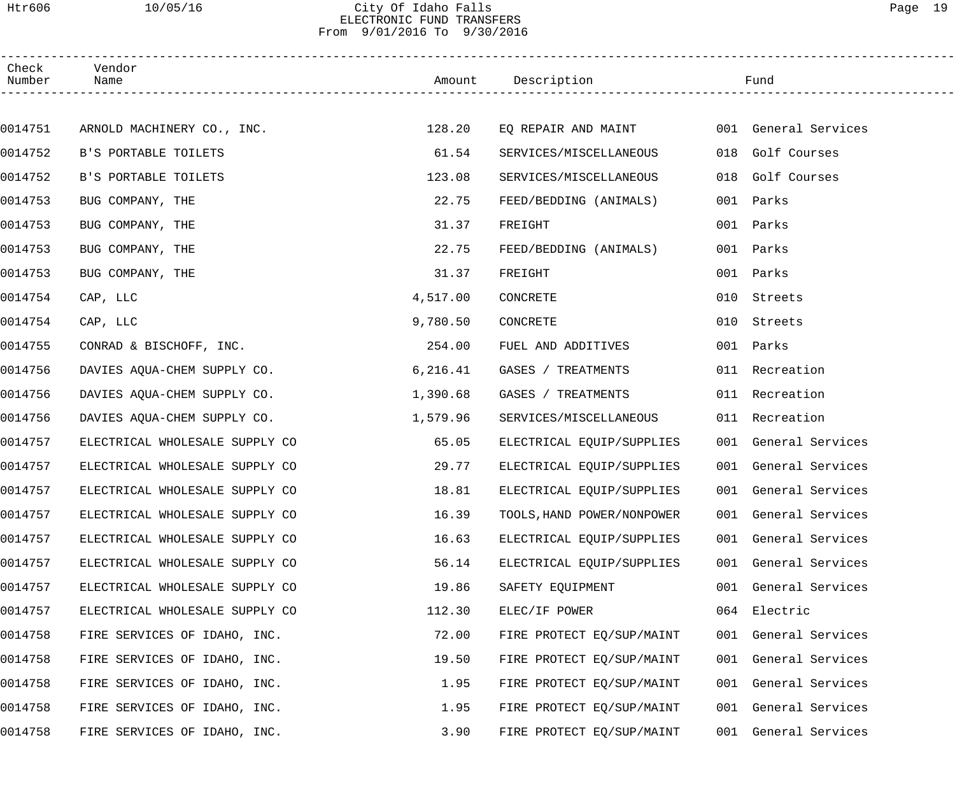### Htr606 10/05/16 City Of Idaho Falls Page 19 ELECTRONIC FUND TRANSFERS From 9/01/2016 To 9/30/2016

| Check<br>Number | Vendor<br>Name                 |           | Amount Description         |     | Fund                 |  |
|-----------------|--------------------------------|-----------|----------------------------|-----|----------------------|--|
|                 |                                |           |                            |     |                      |  |
| 0014751         | ARNOLD MACHINERY CO., INC.     | 128.20    | EQ REPAIR AND MAINT        |     | 001 General Services |  |
| 0014752         | B'S PORTABLE TOILETS           | 61.54     | SERVICES/MISCELLANEOUS     |     | 018 Golf Courses     |  |
| 0014752         | B'S PORTABLE TOILETS           | 123.08    | SERVICES/MISCELLANEOUS     | 018 | Golf Courses         |  |
| 0014753         | BUG COMPANY, THE               | 22.75     | FEED/BEDDING (ANIMALS)     | 001 | Parks                |  |
| 0014753         | BUG COMPANY, THE               | 31.37     | FREIGHT                    |     | 001 Parks            |  |
| 0014753         | BUG COMPANY, THE               | 22.75     | FEED/BEDDING (ANIMALS)     | 001 | Parks                |  |
| 0014753         | BUG COMPANY, THE               | 31.37     | FREIGHT                    |     | 001 Parks            |  |
| 0014754         | CAP, LLC                       | 4,517.00  | CONCRETE                   |     | 010 Streets          |  |
| 0014754         | CAP, LLC                       | 9,780.50  | CONCRETE                   | 010 | Streets              |  |
| 0014755         | CONRAD & BISCHOFF, INC.        | 254.00    | FUEL AND ADDITIVES         |     | 001 Parks            |  |
| 0014756         | DAVIES AQUA-CHEM SUPPLY CO.    | 6, 216.41 | GASES / TREATMENTS         |     | 011 Recreation       |  |
| 0014756         | DAVIES AQUA-CHEM SUPPLY CO.    | 1,390.68  | GASES / TREATMENTS         |     | 011 Recreation       |  |
| 0014756         | DAVIES AQUA-CHEM SUPPLY CO.    | 1,579.96  | SERVICES/MISCELLANEOUS     |     | 011 Recreation       |  |
| 0014757         | ELECTRICAL WHOLESALE SUPPLY CO | 65.05     | ELECTRICAL EQUIP/SUPPLIES  |     | 001 General Services |  |
| 0014757         | ELECTRICAL WHOLESALE SUPPLY CO | 29.77     | ELECTRICAL EQUIP/SUPPLIES  |     | 001 General Services |  |
| 0014757         | ELECTRICAL WHOLESALE SUPPLY CO | 18.81     | ELECTRICAL EQUIP/SUPPLIES  |     | 001 General Services |  |
| 0014757         | ELECTRICAL WHOLESALE SUPPLY CO | 16.39     | TOOLS, HAND POWER/NONPOWER |     | 001 General Services |  |
| 0014757         | ELECTRICAL WHOLESALE SUPPLY CO | 16.63     | ELECTRICAL EQUIP/SUPPLIES  |     | 001 General Services |  |
| 0014757         | ELECTRICAL WHOLESALE SUPPLY CO | 56.14     | ELECTRICAL EQUIP/SUPPLIES  |     | 001 General Services |  |
| 0014757         | ELECTRICAL WHOLESALE SUPPLY CO | 19.86     | SAFETY EQUIPMENT           |     | 001 General Services |  |
| 0014757         | ELECTRICAL WHOLESALE SUPPLY CO | 112.30    | ELEC/IF POWER              |     | 064 Electric         |  |
| 0014758         | FIRE SERVICES OF IDAHO, INC.   | 72.00     | FIRE PROTECT EQ/SUP/MAINT  |     | 001 General Services |  |
| 0014758         | FIRE SERVICES OF IDAHO, INC.   | 19.50     | FIRE PROTECT EQ/SUP/MAINT  |     | 001 General Services |  |
| 0014758         | FIRE SERVICES OF IDAHO, INC.   | 1.95      | FIRE PROTECT EQ/SUP/MAINT  |     | 001 General Services |  |
| 0014758         | FIRE SERVICES OF IDAHO, INC.   | 1.95      | FIRE PROTECT EQ/SUP/MAINT  |     | 001 General Services |  |
| 0014758         | FIRE SERVICES OF IDAHO, INC.   | 3.90      | FIRE PROTECT EQ/SUP/MAINT  |     | 001 General Services |  |
|                 |                                |           |                            |     |                      |  |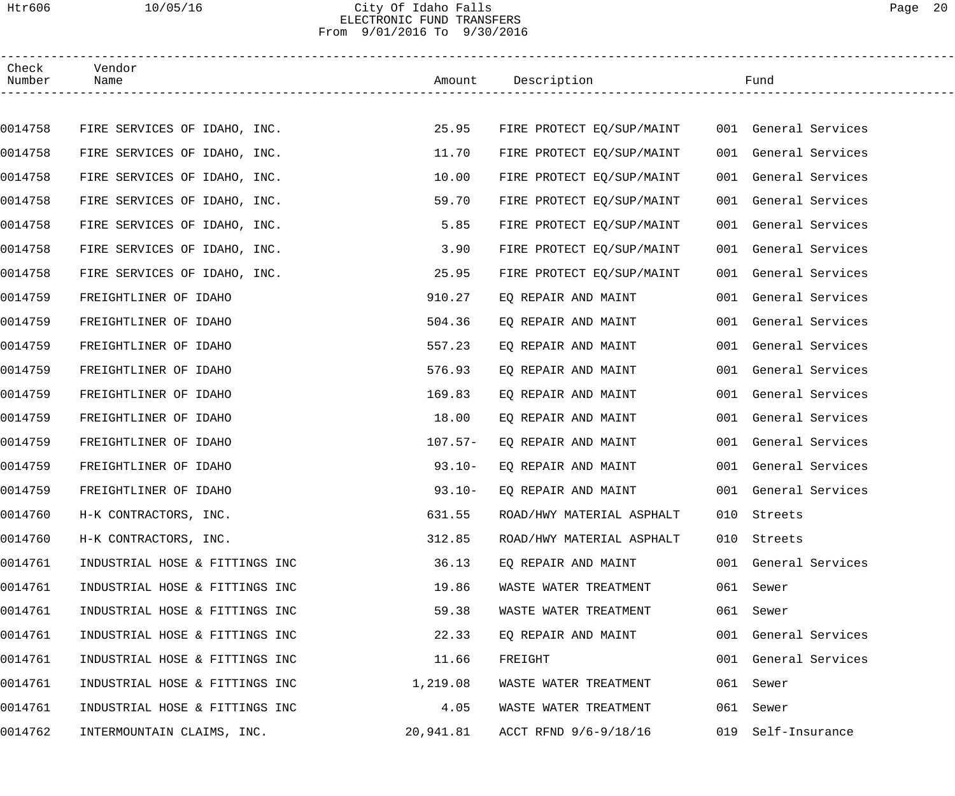### Htr606 10/05/16 City Of Idaho Falls Page 20 ELECTRONIC FUND TRANSFERS From 9/01/2016 To 9/30/2016

| Check<br>Number | Vendor<br>Name                 |           | Amount Description        | Fund                  |  |
|-----------------|--------------------------------|-----------|---------------------------|-----------------------|--|
|                 |                                |           |                           |                       |  |
| 0014758         | FIRE SERVICES OF IDAHO, INC.   | 25.95     | FIRE PROTECT EQ/SUP/MAINT | 001 General Services  |  |
| 0014758         | FIRE SERVICES OF IDAHO, INC.   | 11.70     | FIRE PROTECT EQ/SUP/MAINT | 001 General Services  |  |
| 0014758         | FIRE SERVICES OF IDAHO, INC.   | 10.00     | FIRE PROTECT EQ/SUP/MAINT | 001 General Services  |  |
| 0014758         | FIRE SERVICES OF IDAHO, INC.   | 59.70     | FIRE PROTECT EQ/SUP/MAINT | 001 General Services  |  |
| 0014758         | FIRE SERVICES OF IDAHO, INC.   | 5.85      | FIRE PROTECT EQ/SUP/MAINT | 001 General Services  |  |
| 0014758         | FIRE SERVICES OF IDAHO, INC.   | 3.90      | FIRE PROTECT EQ/SUP/MAINT | 001 General Services  |  |
| 0014758         | FIRE SERVICES OF IDAHO, INC.   | 25.95     | FIRE PROTECT EQ/SUP/MAINT | 001 General Services  |  |
| 0014759         | FREIGHTLINER OF IDAHO          | 910.27    | EQ REPAIR AND MAINT       | 001 General Services  |  |
| 0014759         | FREIGHTLINER OF IDAHO          | 504.36    | EQ REPAIR AND MAINT       | 001 General Services  |  |
| 0014759         | FREIGHTLINER OF IDAHO          | 557.23    | EQ REPAIR AND MAINT       | 001 General Services  |  |
| 0014759         | FREIGHTLINER OF IDAHO          | 576.93    | EQ REPAIR AND MAINT       | 001 General Services  |  |
| 0014759         | FREIGHTLINER OF IDAHO          | 169.83    | EQ REPAIR AND MAINT       | 001 General Services  |  |
| 0014759         | FREIGHTLINER OF IDAHO          | 18.00     | EQ REPAIR AND MAINT       | 001 General Services  |  |
| 0014759         | FREIGHTLINER OF IDAHO          | $107.57-$ | EQ REPAIR AND MAINT       | 001 General Services  |  |
| 0014759         | FREIGHTLINER OF IDAHO          | $93.10 -$ | EQ REPAIR AND MAINT       | 001 General Services  |  |
| 0014759         | FREIGHTLINER OF IDAHO          | $93.10 -$ | EQ REPAIR AND MAINT       | 001 General Services  |  |
| 0014760         | H-K CONTRACTORS, INC.          | 631.55    | ROAD/HWY MATERIAL ASPHALT | 010 Streets           |  |
| 0014760         | H-K CONTRACTORS, INC.          | 312.85    | ROAD/HWY MATERIAL ASPHALT | 010 Streets           |  |
| 0014761         | INDUSTRIAL HOSE & FITTINGS INC | 36.13     | EQ REPAIR AND MAINT       | 001 General Services  |  |
| 0014761         | INDUSTRIAL HOSE & FITTINGS INC | 19.86     | WASTE WATER TREATMENT     | 061 Sewer             |  |
| 0014761         | INDUSTRIAL HOSE & FITTINGS INC | 59.38     | WASTE WATER TREATMENT     | 061 Sewer             |  |
| 0014761         | INDUSTRIAL HOSE & FITTINGS INC | 22.33     | EQ REPAIR AND MAINT       | 001 General Services  |  |
| 0014761         | INDUSTRIAL HOSE & FITTINGS INC | 11.66     | FREIGHT                   | 001 General Services  |  |
| 0014761         | INDUSTRIAL HOSE & FITTINGS INC | 1,219.08  | WASTE WATER TREATMENT     | 061 Sewer             |  |
| 0014761         | INDUSTRIAL HOSE & FITTINGS INC | 4.05      | WASTE WATER TREATMENT     | 061<br>Sewer          |  |
| 0014762         | INTERMOUNTAIN CLAIMS, INC.     | 20,941.81 | ACCT RFND 9/6-9/18/16     | Self-Insurance<br>019 |  |
|                 |                                |           |                           |                       |  |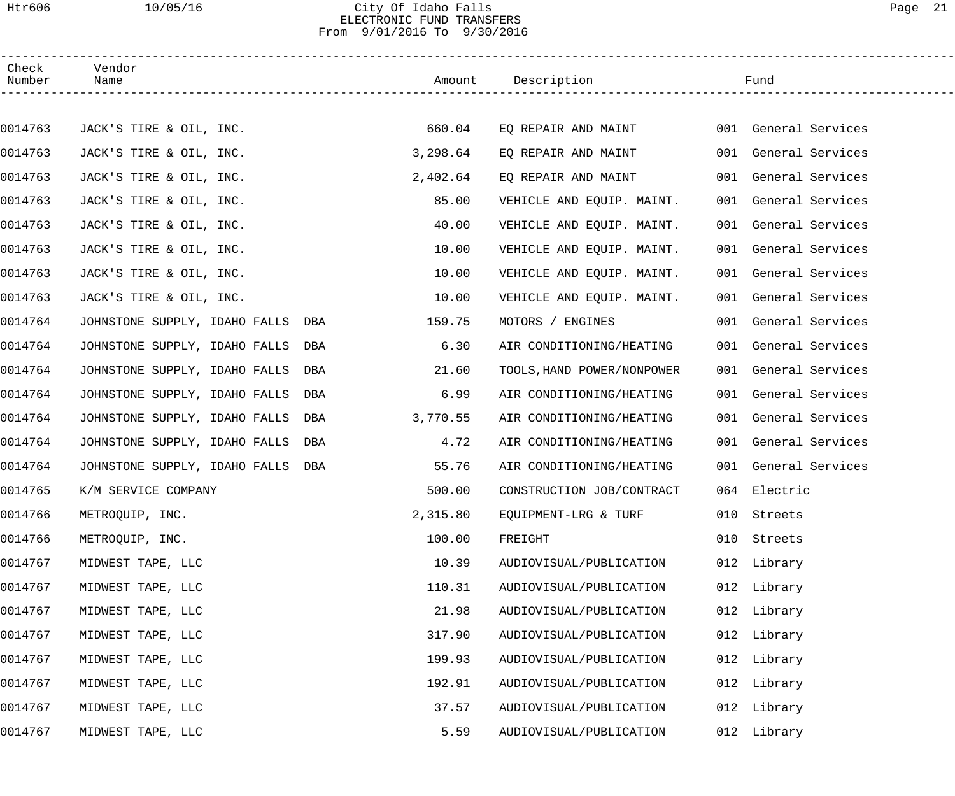### Htr606 10/05/16 City Of Idaho Falls Page 21 ELECTRONIC FUND TRANSFERS From 9/01/2016 To 9/30/2016

| Check<br>Number | Vendor<br>Name                    | Amount   | Description                |     | Fund                 |
|-----------------|-----------------------------------|----------|----------------------------|-----|----------------------|
|                 |                                   |          |                            |     |                      |
| 0014763         | JACK'S TIRE & OIL, INC.           | 660.04   | EQ REPAIR AND MAINT        |     | 001 General Services |
| 0014763         | JACK'S TIRE & OIL, INC.           | 3,298.64 | EQ REPAIR AND MAINT        |     | 001 General Services |
| 0014763         | JACK'S TIRE & OIL, INC.           | 2,402.64 | EO REPAIR AND MAINT        | 001 | General Services     |
| 0014763         | JACK'S TIRE & OIL, INC.           | 85.00    | VEHICLE AND EQUIP. MAINT.  | 001 | General Services     |
| 0014763         | JACK'S TIRE & OIL, INC.           | 40.00    | VEHICLE AND EQUIP. MAINT.  | 001 | General Services     |
| 0014763         | JACK'S TIRE & OIL, INC.           | 10.00    | VEHICLE AND EQUIP. MAINT.  |     | 001 General Services |
| 0014763         | JACK'S TIRE & OIL, INC.           | 10.00    | VEHICLE AND EQUIP. MAINT.  | 001 | General Services     |
| 0014763         | JACK'S TIRE & OIL, INC.           | 10.00    | VEHICLE AND EQUIP. MAINT.  |     | 001 General Services |
| 0014764         | JOHNSTONE SUPPLY, IDAHO FALLS DBA | 159.75   | MOTORS / ENGINES           | 001 | General Services     |
| 0014764         | JOHNSTONE SUPPLY, IDAHO FALLS DBA | 6.30     | AIR CONDITIONING/HEATING   | 001 | General Services     |
| 0014764         | JOHNSTONE SUPPLY, IDAHO FALLS DBA | 21.60    | TOOLS, HAND POWER/NONPOWER | 001 | General Services     |
| 0014764         | JOHNSTONE SUPPLY, IDAHO FALLS DBA | 6.99     | AIR CONDITIONING/HEATING   | 001 | General Services     |
| 0014764         | JOHNSTONE SUPPLY, IDAHO FALLS DBA | 3,770.55 | AIR CONDITIONING/HEATING   | 001 | General Services     |
| 0014764         | JOHNSTONE SUPPLY, IDAHO FALLS DBA | 4.72     | AIR CONDITIONING/HEATING   | 001 | General Services     |
| 0014764         | JOHNSTONE SUPPLY, IDAHO FALLS DBA | 55.76    | AIR CONDITIONING/HEATING   |     | 001 General Services |
| 0014765         | K/M SERVICE COMPANY               | 500.00   | CONSTRUCTION JOB/CONTRACT  |     | 064 Electric         |
| 0014766         | METROQUIP, INC.                   | 2,315.80 | EQUIPMENT-LRG & TURF       |     | 010 Streets          |
| 0014766         | METROQUIP, INC.                   | 100.00   | FREIGHT                    | 010 | Streets              |
| 0014767         | MIDWEST TAPE, LLC                 | 10.39    | AUDIOVISUAL/PUBLICATION    |     | 012 Library          |
| 0014767         | MIDWEST TAPE, LLC                 | 110.31   | AUDIOVISUAL/PUBLICATION    |     | 012 Library          |
| 0014767         | MIDWEST TAPE, LLC                 | 21.98    | AUDIOVISUAL/PUBLICATION    |     | 012 Library          |
| 0014767         | MIDWEST TAPE, LLC                 | 317.90   | AUDIOVISUAL/PUBLICATION    |     | 012 Library          |
| 0014767         | MIDWEST TAPE, LLC                 | 199.93   | AUDIOVISUAL/PUBLICATION    |     | 012 Library          |
| 0014767         | MIDWEST TAPE, LLC                 | 192.91   | AUDIOVISUAL/PUBLICATION    |     | 012 Library          |
| 0014767         | MIDWEST TAPE, LLC                 | 37.57    | AUDIOVISUAL/PUBLICATION    |     | 012 Library          |
| 0014767         | MIDWEST TAPE, LLC                 | 5.59     | AUDIOVISUAL/PUBLICATION    |     | 012 Library          |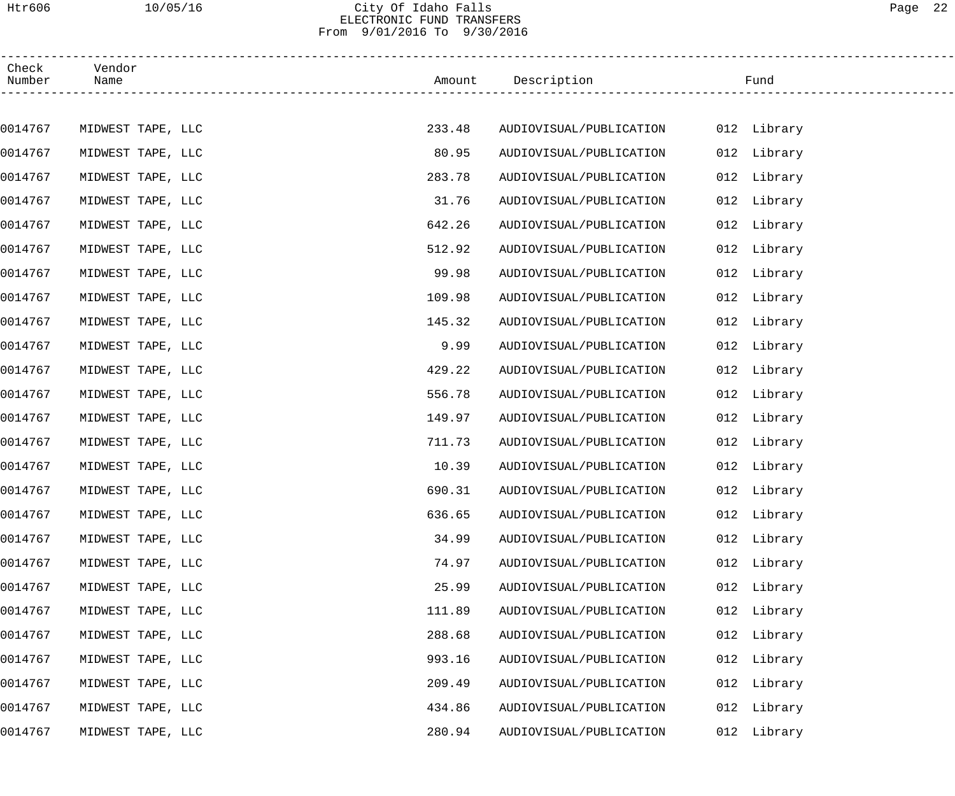## Htr606 10/05/16 City Of Idaho Falls Page 22 ELECTRONIC FUND TRANSFERS From 9/01/2016 To 9/30/2016

| Check<br>Number | Vendor<br>Name    |        | Amount Description      |     | Fund        |
|-----------------|-------------------|--------|-------------------------|-----|-------------|
|                 |                   |        |                         |     |             |
| 0014767         | MIDWEST TAPE, LLC | 233.48 | AUDIOVISUAL/PUBLICATION |     | 012 Library |
| 0014767         | MIDWEST TAPE, LLC | 80.95  | AUDIOVISUAL/PUBLICATION |     | 012 Library |
| 0014767         | MIDWEST TAPE, LLC | 283.78 | AUDIOVISUAL/PUBLICATION |     | 012 Library |
| 0014767         | MIDWEST TAPE, LLC | 31.76  | AUDIOVISUAL/PUBLICATION |     | 012 Library |
| 0014767         | MIDWEST TAPE, LLC | 642.26 | AUDIOVISUAL/PUBLICATION |     | 012 Library |
| 0014767         | MIDWEST TAPE, LLC | 512.92 | AUDIOVISUAL/PUBLICATION |     | 012 Library |
| 0014767         | MIDWEST TAPE, LLC | 99.98  | AUDIOVISUAL/PUBLICATION |     | 012 Library |
| 0014767         | MIDWEST TAPE, LLC | 109.98 | AUDIOVISUAL/PUBLICATION |     | 012 Library |
| 0014767         | MIDWEST TAPE, LLC | 145.32 | AUDIOVISUAL/PUBLICATION |     | 012 Library |
| 0014767         | MIDWEST TAPE, LLC | 9.99   | AUDIOVISUAL/PUBLICATION |     | 012 Library |
| 0014767         | MIDWEST TAPE, LLC | 429.22 | AUDIOVISUAL/PUBLICATION |     | 012 Library |
| 0014767         | MIDWEST TAPE, LLC | 556.78 | AUDIOVISUAL/PUBLICATION |     | 012 Library |
| 0014767         | MIDWEST TAPE, LLC | 149.97 | AUDIOVISUAL/PUBLICATION |     | 012 Library |
| 0014767         | MIDWEST TAPE, LLC | 711.73 | AUDIOVISUAL/PUBLICATION |     | 012 Library |
| 0014767         | MIDWEST TAPE, LLC | 10.39  | AUDIOVISUAL/PUBLICATION |     | 012 Library |
| 0014767         | MIDWEST TAPE, LLC | 690.31 | AUDIOVISUAL/PUBLICATION |     | 012 Library |
| 0014767         | MIDWEST TAPE, LLC | 636.65 | AUDIOVISUAL/PUBLICATION |     | 012 Library |
| 0014767         | MIDWEST TAPE, LLC | 34.99  | AUDIOVISUAL/PUBLICATION |     | 012 Library |
| 0014767         | MIDWEST TAPE, LLC | 74.97  | AUDIOVISUAL/PUBLICATION | 012 | Library     |
| 0014767         | MIDWEST TAPE, LLC | 25.99  | AUDIOVISUAL/PUBLICATION |     | 012 Library |
| 0014767         | MIDWEST TAPE, LLC | 111.89 | AUDIOVISUAL/PUBLICATION |     | 012 Library |
| 0014767         | MIDWEST TAPE, LLC | 288.68 | AUDIOVISUAL/PUBLICATION | 012 | Library     |
| 0014767         | MIDWEST TAPE, LLC | 993.16 | AUDIOVISUAL/PUBLICATION |     | 012 Library |
| 0014767         | MIDWEST TAPE, LLC | 209.49 | AUDIOVISUAL/PUBLICATION |     | 012 Library |
| 0014767         | MIDWEST TAPE, LLC | 434.86 | AUDIOVISUAL/PUBLICATION | 012 | Library     |
| 0014767         | MIDWEST TAPE, LLC | 280.94 | AUDIOVISUAL/PUBLICATION |     | 012 Library |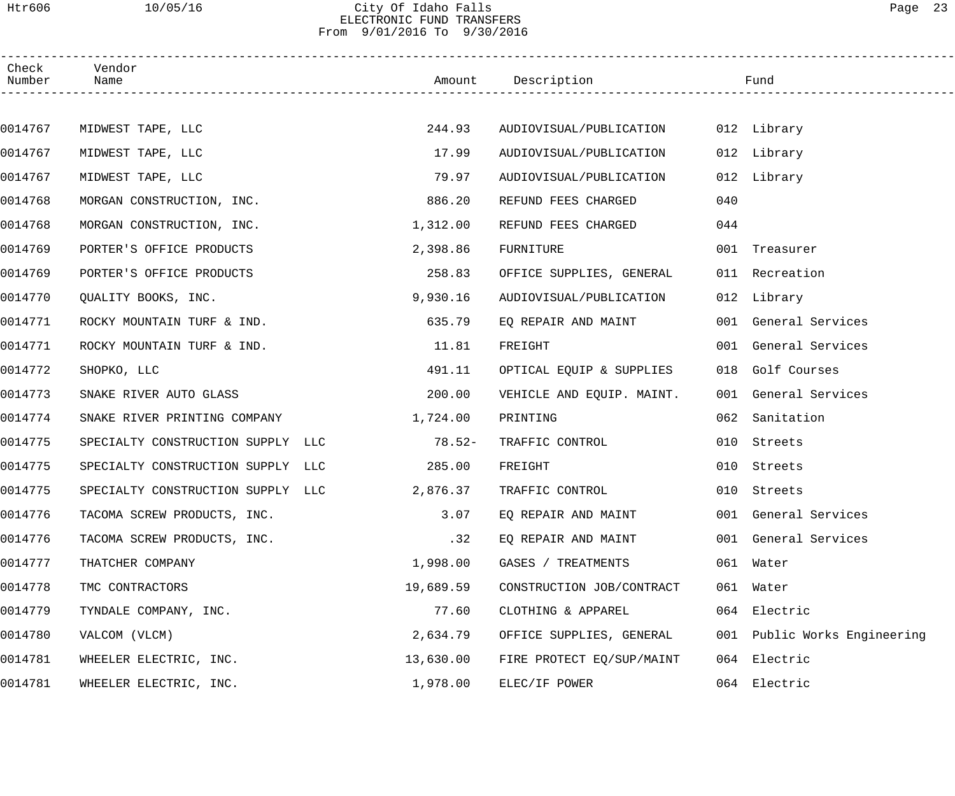### Htr606 10/05/16 City Of Idaho Falls Page 23 ELECTRONIC FUND TRANSFERS From 9/01/2016 To 9/30/2016

| Check<br>Number | Vendor<br>Name                    |           | Amount Description        |     | Fund                         |
|-----------------|-----------------------------------|-----------|---------------------------|-----|------------------------------|
|                 |                                   |           |                           |     |                              |
| 0014767         | MIDWEST TAPE, LLC                 | 244.93    | AUDIOVISUAL/PUBLICATION   |     | 012 Library                  |
| 0014767         | MIDWEST TAPE, LLC                 | 17.99     | AUDIOVISUAL/PUBLICATION   |     | 012 Library                  |
| 0014767         | MIDWEST TAPE, LLC                 | 79.97     | AUDIOVISUAL/PUBLICATION   |     | 012 Library                  |
| 0014768         | MORGAN CONSTRUCTION, INC.         | 886.20    | REFUND FEES CHARGED       | 040 |                              |
| 0014768         | MORGAN CONSTRUCTION, INC.         | 1,312.00  | REFUND FEES CHARGED       | 044 |                              |
| 0014769         | PORTER'S OFFICE PRODUCTS          | 2,398.86  | FURNITURE                 |     | 001 Treasurer                |
| 0014769         | PORTER'S OFFICE PRODUCTS          | 258.83    | OFFICE SUPPLIES, GENERAL  |     | 011 Recreation               |
| 0014770         | QUALITY BOOKS, INC.               | 9,930.16  | AUDIOVISUAL/PUBLICATION   |     | 012 Library                  |
| 0014771         | ROCKY MOUNTAIN TURF & IND.        | 635.79    | EQ REPAIR AND MAINT       |     | 001 General Services         |
| 0014771         | ROCKY MOUNTAIN TURF & IND.        | 11.81     | FREIGHT                   |     | 001 General Services         |
| 0014772         | SHOPKO, LLC                       | 491.11    | OPTICAL EQUIP & SUPPLIES  |     | 018 Golf Courses             |
| 0014773         | SNAKE RIVER AUTO GLASS            | 200.00    | VEHICLE AND EQUIP. MAINT. |     | 001 General Services         |
| 0014774         | SNAKE RIVER PRINTING COMPANY      | 1,724.00  | PRINTING                  | 062 | Sanitation                   |
| 0014775         | SPECIALTY CONSTRUCTION SUPPLY LLC | $78.52-$  | TRAFFIC CONTROL           | 010 | Streets                      |
| 0014775         | SPECIALTY CONSTRUCTION SUPPLY LLC | 285.00    | FREIGHT                   | 010 | Streets                      |
| 0014775         | SPECIALTY CONSTRUCTION SUPPLY LLC | 2,876.37  | TRAFFIC CONTROL           |     | 010 Streets                  |
| 0014776         | TACOMA SCREW PRODUCTS, INC.       | 3.07      | EQ REPAIR AND MAINT       |     | 001 General Services         |
| 0014776         | TACOMA SCREW PRODUCTS, INC.       | .32       | EQ REPAIR AND MAINT       |     | 001 General Services         |
| 0014777         | THATCHER COMPANY                  | 1,998.00  | GASES / TREATMENTS        |     | 061 Water                    |
| 0014778         | TMC CONTRACTORS                   | 19,689.59 | CONSTRUCTION JOB/CONTRACT |     | 061 Water                    |
| 0014779         | TYNDALE COMPANY, INC.             | 77.60     | CLOTHING & APPAREL        |     | 064 Electric                 |
| 0014780         | VALCOM (VLCM)                     | 2,634.79  | OFFICE SUPPLIES, GENERAL  |     | 001 Public Works Engineering |
| 0014781         | WHEELER ELECTRIC, INC.            | 13,630.00 | FIRE PROTECT EQ/SUP/MAINT |     | 064 Electric                 |
| 0014781         | WHEELER ELECTRIC, INC.            | 1,978.00  | ELEC/IF POWER             |     | 064 Electric                 |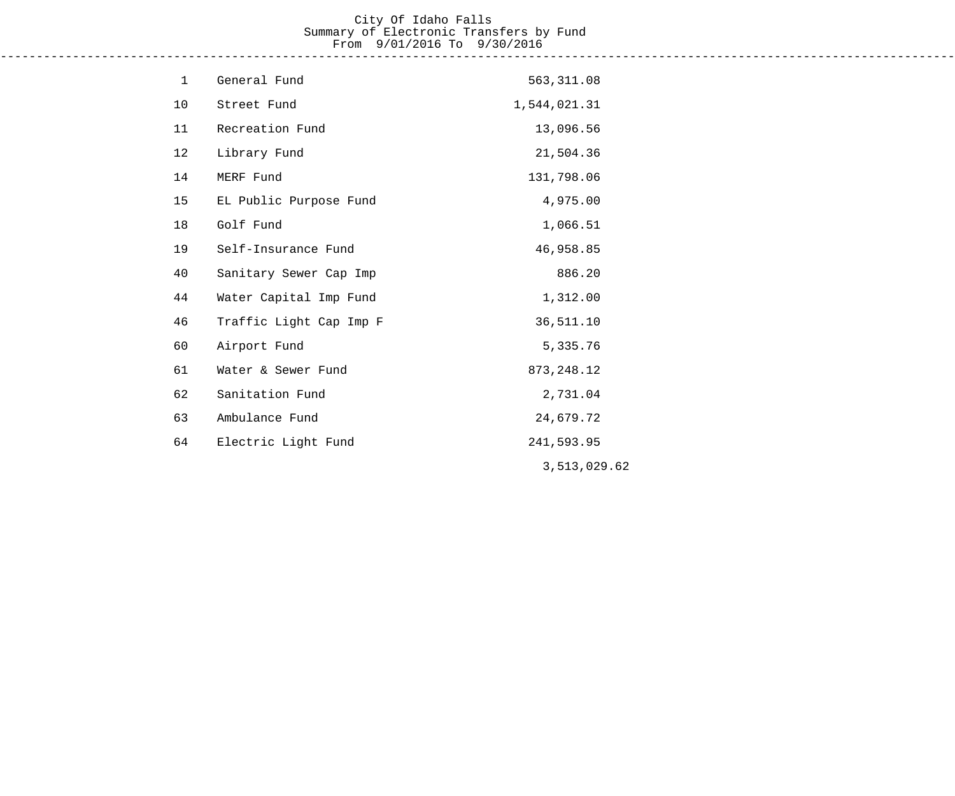# City Of Idaho Falls Summary of Electronic Transfers by Fund From 9/01/2016 To 9/30/2016

------------------------------------------------------------------------------------------------------------------------------------

| $\mathbf{1}$ | General Fund            | 563, 311.08  |
|--------------|-------------------------|--------------|
| 10           | Street Fund             | 1,544,021.31 |
| 11           | Recreation Fund         | 13,096.56    |
| 12           | Library Fund            | 21,504.36    |
| 14           | MERF Fund               | 131,798.06   |
| 15           | EL Public Purpose Fund  | 4,975.00     |
| 18           | Golf Fund               | 1,066.51     |
| 19           | Self-Insurance Fund     | 46,958.85    |
| 40           | Sanitary Sewer Cap Imp  | 886.20       |
| 44           | Water Capital Imp Fund  | 1,312.00     |
| 46           | Traffic Light Cap Imp F | 36,511.10    |
| 60           | Airport Fund            | 5,335.76     |
| 61           | Water & Sewer Fund      | 873, 248.12  |
| 62           | Sanitation Fund         | 2,731.04     |
| 63           | Ambulance Fund          | 24,679.72    |
| 64           | Electric Light Fund     | 241,593.95   |
|              |                         | 3,513,029.62 |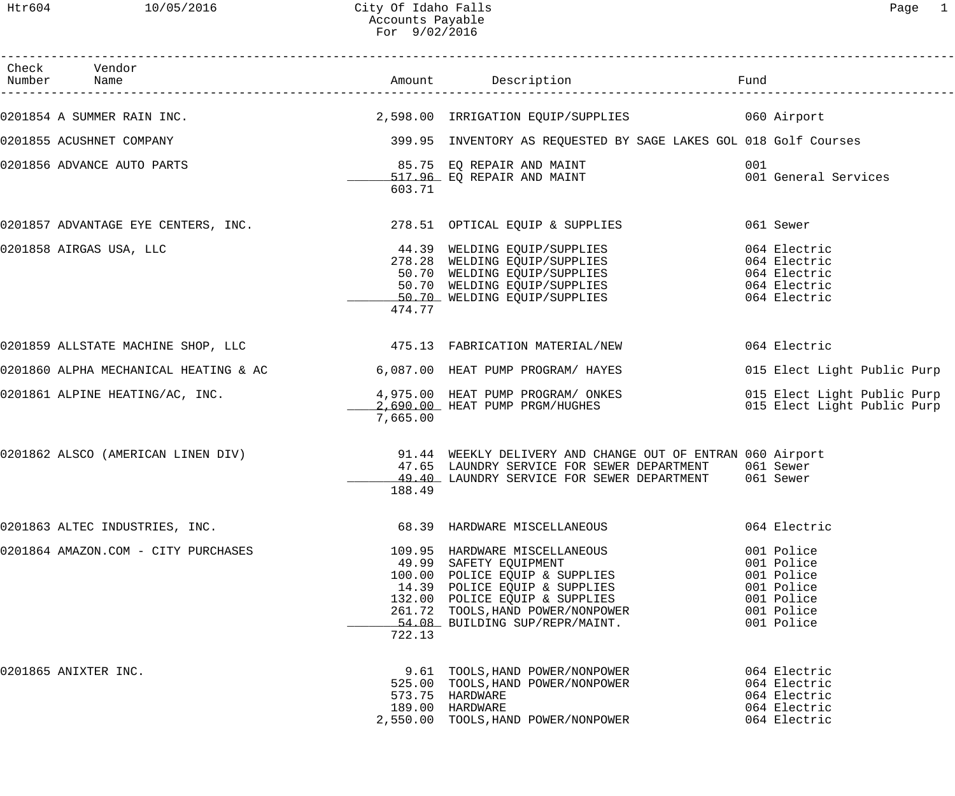| Check Vendor<br>Number Name                                                                    |          |                                                                                                                                                                                                                                                               | Fund                                                                                           |
|------------------------------------------------------------------------------------------------|----------|---------------------------------------------------------------------------------------------------------------------------------------------------------------------------------------------------------------------------------------------------------------|------------------------------------------------------------------------------------------------|
|                                                                                                |          | 0201854 A SUMMER RAIN INC. 2,598.00 IRRIGATION EQUIP/SUPPLIES 060 Airport                                                                                                                                                                                     |                                                                                                |
| 0201855 ACUSHNET COMPANY                                                                       |          | 399.95 INVENTORY AS REQUESTED BY SAGE LAKES GOL 018 Golf Courses                                                                                                                                                                                              |                                                                                                |
| 0201856 ADVANCE AUTO PARTS                                                                     | 603.71   | 85.75 EQ REPAIR AND MAINT<br>517.96 EQ REPAIR AND MAINT                                                                                                                                                                                                       | 001<br>001 General Services                                                                    |
| 0201857 ADVANTAGE EYE CENTERS, INC.                           278.51  OPTICAL EQUIP & SUPPLIES |          |                                                                                                                                                                                                                                                               | 061 Sewer                                                                                      |
| 0201858 AIRGAS USA, LLC                                                                        | 474.77   | 44.39 WELDING EQUIP/SUPPLIES<br>278.28 WELDING EQUIP/SUPPLIES<br>50.70 WELDING EQUIP/SUPPLIES<br>50.70 WELDING EQUIP/SUPPLIES<br>50.70 WELDING EQUIP/SUPPLIES                                                                                                 | 064 Electric<br>064 Electric<br>064 Electric<br>064 Electric<br>064 Electric                   |
|                                                                                                |          |                                                                                                                                                                                                                                                               | 064 Electric                                                                                   |
| 0201860 ALPHA MECHANICAL HEATING & AC 6,087.00 HEAT PUMP PROGRAM/ HAYES                        |          |                                                                                                                                                                                                                                                               | 015 Elect Light Public Purp                                                                    |
| 0201861 ALPINE HEATING/AC, INC.                                                                | 7,665.00 | 4,975.00 HEAT PUMP PROGRAM/ ONKES<br>2,690.00 HEAT PUMP PRGM/HUGHES                                                                                                                                                                                           | 015 Elect Light Public Purp<br>015 Elect Light Public Purp                                     |
| 0201862 ALSCO (AMERICAN LINEN DIV)                                                             | 188.49   | 91.44 WEEKLY DELIVERY AND CHANGE OUT OF ENTRAN 060 Airport<br>47.65 LAUNDRY SERVICE FOR SEWER DEPARTMENT 061 Sewer<br>49.40 LAUNDRY SERVICE FOR SEWER DEPARTMENT 061 Sewer                                                                                    |                                                                                                |
| 0201863 ALTEC INDUSTRIES, INC.                                                                 |          | 68.39 HARDWARE MISCELLANEOUS                                                                                                                                                                                                                                  | 064 Electric                                                                                   |
| 0201864 AMAZON.COM - CITY PURCHASES                                                            | 722.13   | 109.95 HARDWARE MISCELLANEOUS<br>49.99 SAFETY EQUIPMENT<br>49.99 SAFETY EQUIPMENT<br>100.00 POLICE EQUIP & SUPPLIES<br>14.39 POLICE EQUIP & SUPPLIES<br>132.00 POLICE EQUIP & SUPPLIES<br>261.72 TOOLS, HAND POWER/NONPOWER<br>54.08 BUILDING SUP/REPR/MAINT. | 001 Police<br>001 Police<br>001 Police<br>001 Police<br>001 Police<br>001 Police<br>001 Police |
| 0201865 ANIXTER INC.                                                                           |          | 9.61 TOOLS, HAND POWER/NONPOWER<br>525.00 TOOLS, HAND POWER/NONPOWER<br>573.75 HARDWARE<br>189.00 HARDWARE<br>2,550.00 TOOLS, HAND POWER/NONPOWER                                                                                                             | 064 Electric<br>064 Electric<br>064 Electric<br>064 Electric<br>064 Electric                   |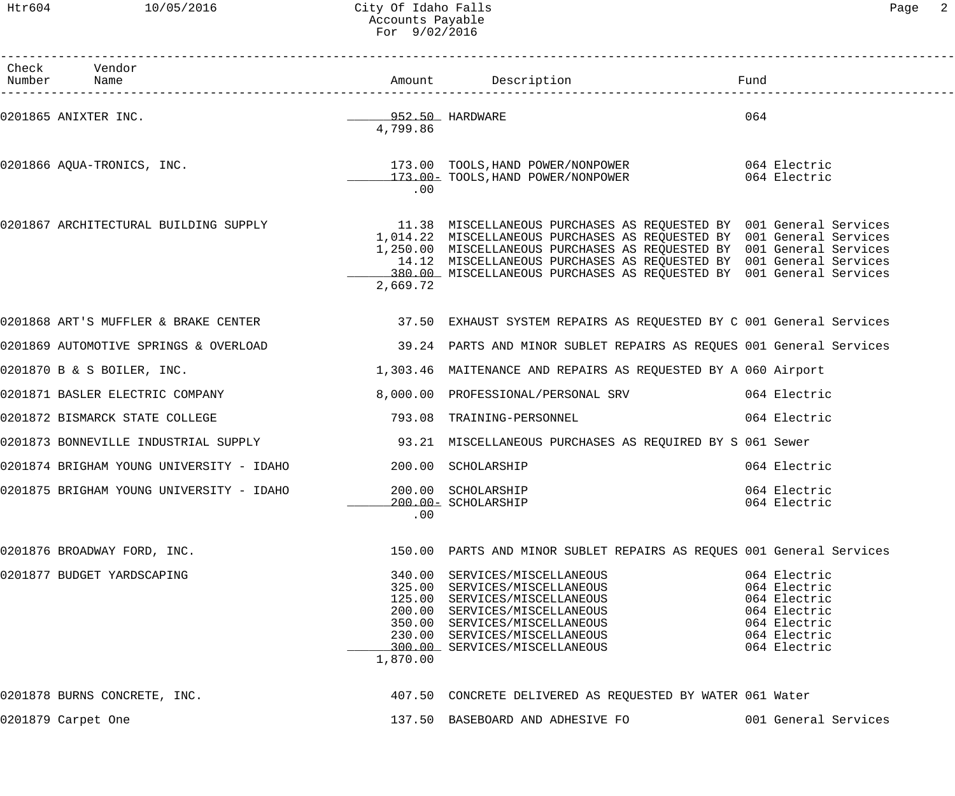# Htr604 10/05/2016 City Of Idaho Falls Page 2 Accounts Payable For 9/02/2016

| Раαе |  |
|------|--|
|------|--|

| Check Vendor<br>Number Name                                                                               |          | Amount Description                                                                                                                                                                                                                                                                          | Fund                                                                                                         |
|-----------------------------------------------------------------------------------------------------------|----------|---------------------------------------------------------------------------------------------------------------------------------------------------------------------------------------------------------------------------------------------------------------------------------------------|--------------------------------------------------------------------------------------------------------------|
| 0201865 ANIXTER INC.                                                                                      | 4,799.86 | __________952.50__HARDWARE                                                                                                                                                                                                                                                                  | 064                                                                                                          |
| 0201866 AQUA-TRONICS, INC. 173.00 TOOLS, HAND POWER/NONPOWER 064 Electric                                 | .00      | 173.00- TOOLS, HAND POWER/NONPOWER                                                                                                                                                                                                                                                          | 064 Electric                                                                                                 |
| 0201867 ARCHITECTURAL BUILDING SUPPLY 11.38 MISCELLANEOUS PURCHASES AS REQUESTED BY 001 General Services  | 2,669.72 | 1,014.22 MISCELLANEOUS PURCHASES AS REQUESTED BY 001 General Services<br>1,250.00 MISCELLANEOUS PURCHASES AS REQUESTED BY 001 General Services<br>14.12 MISCELLANEOUS PURCHASES AS REQUESTED BY 001 General Services<br>380.00 MISCELLANEOUS PURCHASES AS REQUESTED BY 001 General Services |                                                                                                              |
| 0201868 ART'S MUFFLER & BRAKE CENTER 37.50 EXHAUST SYSTEM REPAIRS AS REQUESTED BY C 001 General Services  |          |                                                                                                                                                                                                                                                                                             |                                                                                                              |
| 0201869 AUTOMOTIVE SPRINGS & OVERLOAD 39.24 PARTS AND MINOR SUBLET REPAIRS AS REQUES 001 General Services |          |                                                                                                                                                                                                                                                                                             |                                                                                                              |
| 0201870 B & S BOILER, INC.                                                                                |          | 1,303.46 MAITENANCE AND REPAIRS AS REQUESTED BY A 060 Airport                                                                                                                                                                                                                               |                                                                                                              |
| 0201871 BASLER ELECTRIC COMPANY                                                                           |          | 8,000.00 PROFESSIONAL/PERSONAL SRV 064 Electric                                                                                                                                                                                                                                             |                                                                                                              |
| 0201872 BISMARCK STATE COLLEGE                                                                            |          | 793.08 TRAINING-PERSONNEL                                                                                                                                                                                                                                                                   | 064 Electric                                                                                                 |
| 0201873 BONNEVILLE INDUSTRIAL SUPPLY 193.21 MISCELLANEOUS PURCHASES AS REQUIRED BY S 061 Sewer            |          |                                                                                                                                                                                                                                                                                             |                                                                                                              |
| 0201874 BRIGHAM YOUNG UNIVERSITY - IDAHO                                                                  |          | 200.00 SCHOLARSHIP                                                                                                                                                                                                                                                                          | 064 Electric                                                                                                 |
| 0201875 BRIGHAM YOUNG UNIVERSITY - IDAHO                                                                  | .00      | 200.00 SCHOLARSHIP<br>200.00- SCHOLARSHIP                                                                                                                                                                                                                                                   | 064 Electric<br>064 Electric                                                                                 |
| 0201876 BROADWAY FORD, INC.                                                                               |          | 150.00 PARTS AND MINOR SUBLET REPAIRS AS REQUES 001 General Services                                                                                                                                                                                                                        |                                                                                                              |
| 0201877 BUDGET YARDSCAPING                                                                                | 1,870.00 | 340.00 SERVICES/MISCELLANEOUS<br>325.00 SERVICES/MISCELLANEOUS<br>125.00 SERVICES/MISCELLANEOUS<br>200.00 SERVICES/MISCELLANEOUS<br>350.00 SERVICES/MISCELLANEOUS<br>230.00 SERVICES/MISCELLANEOUS<br>300.00 SERVICES/MISCELLANEOUS                                                         | 064 Electric<br>064 Electric<br>064 Electric<br>064 Electric<br>064 Electric<br>064 Electric<br>064 Electric |
| 0201878 BURNS CONCRETE, INC.                                                                              |          | 407.50 CONCRETE DELIVERED AS REQUESTED BY WATER 061 Water                                                                                                                                                                                                                                   |                                                                                                              |
| 0201879 Carpet One                                                                                        |          | 137.50 BASEBOARD AND ADHESIVE FO                                                                                                                                                                                                                                                            | 001 General Services                                                                                         |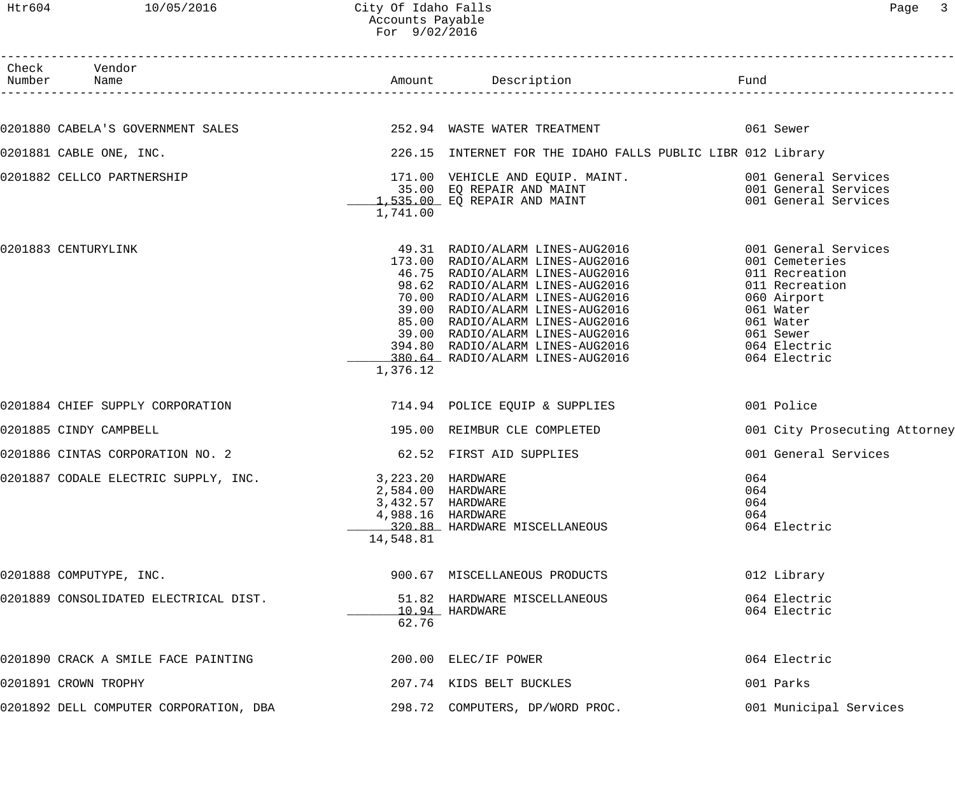Htr604 10/05/2016 City Of Idaho Falls Companies Companies and Page 3 Accounts Payable For 9/02/2016

| Check Vendor<br>Number Name                                                                                                    |                                                                                               | Amount Description                                                                                                                                                                                                                                                                                                                                                                                                     | Fund                     |                                                                                                                                          |
|--------------------------------------------------------------------------------------------------------------------------------|-----------------------------------------------------------------------------------------------|------------------------------------------------------------------------------------------------------------------------------------------------------------------------------------------------------------------------------------------------------------------------------------------------------------------------------------------------------------------------------------------------------------------------|--------------------------|------------------------------------------------------------------------------------------------------------------------------------------|
|                                                                                                                                |                                                                                               |                                                                                                                                                                                                                                                                                                                                                                                                                        |                          |                                                                                                                                          |
| 0201880 CABELA'S GOVERNMENT SALES                               252.94 WASTE WATER TREATMENT                         061 Sewer |                                                                                               |                                                                                                                                                                                                                                                                                                                                                                                                                        |                          |                                                                                                                                          |
| 0201881 CABLE ONE, INC.                                                                                                        |                                                                                               | 226.15 INTERNET FOR THE IDAHO FALLS PUBLIC LIBR 012 Library                                                                                                                                                                                                                                                                                                                                                            |                          |                                                                                                                                          |
| 0201882 CELLCO PARTNERSHIP                                                                                                     | 1,741.00                                                                                      | 171.00 VEHICLE AND EQUIP. MAINT. 001 General Services<br>35.00 EQ REPAIR AND MAINT 001 General Services<br>1,535.00 EQ REPAIR AND MAINT 001 General Services                                                                                                                                                                                                                                                           |                          |                                                                                                                                          |
| 0201883 CENTURYLINK                                                                                                            | 1,376.12                                                                                      | 49.31 RADIO/ALARM LINES-AUG2016 6001 General Services<br>173.00 RADIO/ALARM LINES-AUG2016<br>46.75 RADIO/ALARM LINES-AUG2016<br>98.62 RADIO/ALARM LINES-AUG2016<br>70.00 RADIO/ALARM LINES-AUG2016<br>70.00 RADIO/ALARM LINES-AUG2016<br>39.00 RADIO/ALARM LINES-AUG2016<br>85.00 RADIO/ALARM LINES-AUG2016<br>39.00 RADIO/ALARM LINES-AUG2016<br>394.80 RADIO/ALARM LINES-AUG2016<br>380.64 RADIO/ALARM LINES-AUG2016 |                          | 001 Cemeteries<br>011 Recreation<br>011 Recreation<br>060 Airport<br>061 Water<br>061 Water<br>061 Sewer<br>064 Electric<br>064 Electric |
| 0201884 CHIEF SUPPLY CORPORATION                                                                                               |                                                                                               | 714.94 POLICE EQUIP & SUPPLIES                                                                                                                                                                                                                                                                                                                                                                                         |                          | 001 Police                                                                                                                               |
| 0201885 CINDY CAMPBELL                                                                                                         |                                                                                               | 195.00 REIMBUR CLE COMPLETED                                                                                                                                                                                                                                                                                                                                                                                           |                          | 001 City Prosecuting Attorney                                                                                                            |
| 0201886 CINTAS CORPORATION NO. 2                                                                                               |                                                                                               | 62.52 FIRST AID SUPPLIES                                                                                                                                                                                                                                                                                                                                                                                               |                          | 001 General Services                                                                                                                     |
| 0201887 CODALE ELECTRIC SUPPLY, INC.                                                                                           | 3,223.20 HARDWARE<br>2,584.00 HARDWARE<br>3,432.57 HARDWARE<br>4,988.16 HARDWARE<br>14,548.81 | 320.88 HARDWARE MISCELLANEOUS                                                                                                                                                                                                                                                                                                                                                                                          | 064<br>064<br>064<br>064 | 064 Electric                                                                                                                             |
| 0201888 COMPUTYPE, INC.                                                                                                        |                                                                                               | 900.67 MISCELLANEOUS PRODUCTS                                                                                                                                                                                                                                                                                                                                                                                          |                          | 012 Library                                                                                                                              |
| 0201889 CONSOLIDATED ELECTRICAL DIST.                                                                                          | 62.76                                                                                         | 51.82 HARDWARE MISCELLANEOUS<br>10.94 HARDWARE                                                                                                                                                                                                                                                                                                                                                                         |                          | 064 Electric<br>064 Electric                                                                                                             |
| 0201890 CRACK A SMILE FACE PAINTING                                                                                            |                                                                                               | 200.00 ELEC/IF POWER                                                                                                                                                                                                                                                                                                                                                                                                   |                          | 064 Electric                                                                                                                             |
| 0201891 CROWN TROPHY                                                                                                           |                                                                                               | 207.74 KIDS BELT BUCKLES                                                                                                                                                                                                                                                                                                                                                                                               |                          | 001 Parks                                                                                                                                |
| 0201892 DELL COMPUTER CORPORATION, DBA                                                                                         |                                                                                               | 298.72 COMPUTERS, DP/WORD PROC.                                                                                                                                                                                                                                                                                                                                                                                        |                          | 001 Municipal Services                                                                                                                   |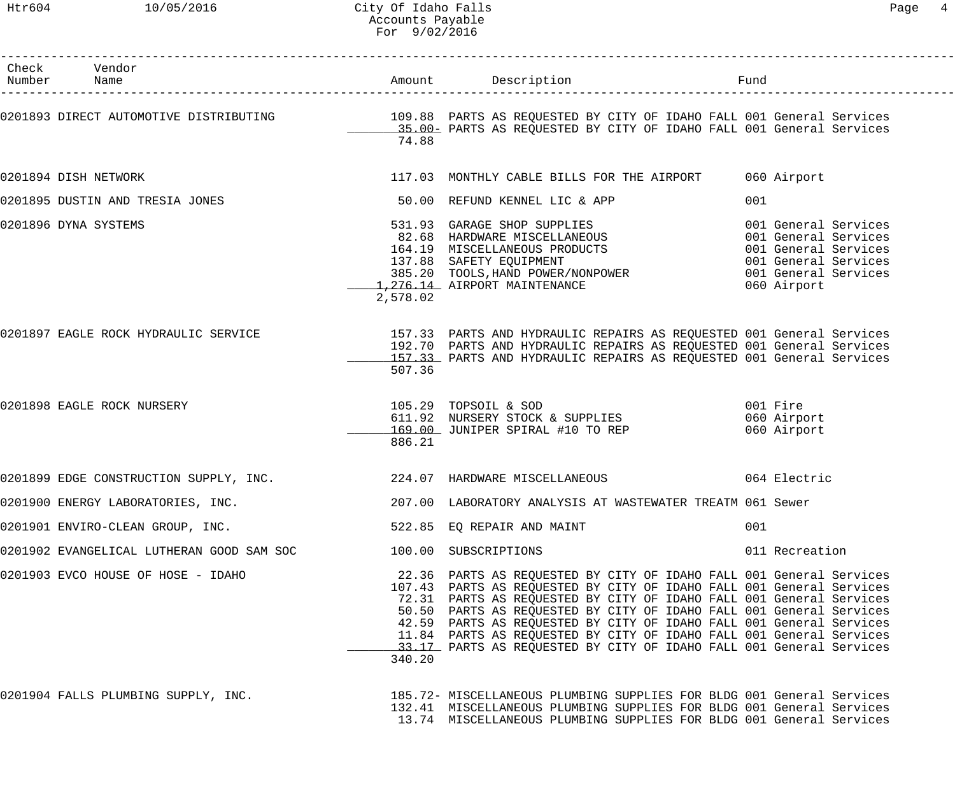| aα |  |
|----|--|
|----|--|

| Check Vendor<br>Number Name                                    |          | Amount Description                                                                                                                                                                                                                                                                                                                                                                                                                                                                                             | Fund |                                        |
|----------------------------------------------------------------|----------|----------------------------------------------------------------------------------------------------------------------------------------------------------------------------------------------------------------------------------------------------------------------------------------------------------------------------------------------------------------------------------------------------------------------------------------------------------------------------------------------------------------|------|----------------------------------------|
|                                                                | 74.88    | 0201893 DIRECT AUTOMOTIVE DISTRIBUTING 109.88 PARTS AS REQUESTED BY CITY OF IDAHO FALL 001 General Services 109.88 PARTS AS REQUESTED BY CITY OF IDAHO FALL 001 General Services                                                                                                                                                                                                                                                                                                                               |      |                                        |
| 0201894 DISH NETWORK                                           |          | 117.03 MONTHLY CABLE BILLS FOR THE AIRPORT 060 Airport                                                                                                                                                                                                                                                                                                                                                                                                                                                         |      |                                        |
| 0201895 DUSTIN AND TRESIA JONES                                |          | 50.00 REFUND KENNEL LIC & APP                                                                                                                                                                                                                                                                                                                                                                                                                                                                                  | 001  |                                        |
| 0201896 DYNA SYSTEMS                                           | 2,578.02 | 531.93 GARAGE SHOP SUPPLIES<br>82.68 HARDWARE MISCELLANEOUS<br>164.19 MISCELLANEOUS PRODUCTS<br>137.88 SAFETY EQUIPMENT<br>385.20 TOOLS, HAND POWER/NONPOWER<br>1,276.14 AIRPORT MAINTENANCE<br>1,276.14 AIRPORT MAINTENANCE<br>2,276.14 AIR                                                                                                                                                                                                                                                                   |      |                                        |
| 0201897 EAGLE ROCK HYDRAULIC SERVICE                           | 507.36   | 157.33 PARTS AND HYDRAULIC REPAIRS AS REQUESTED 001 General Services<br>192.70 PARTS AND HYDRAULIC REPAIRS AS REQUESTED 001 General Services<br>157.33 PARTS AND HYDRAULIC REPAIRS AS REQUESTED 001 General Services                                                                                                                                                                                                                                                                                           |      |                                        |
| 0201898 EAGLE ROCK NURSERY                                     | 886.21   | 105.29 TOPSOIL & SOD<br>611.92 NURSERY STOCK & SUPPLIES<br>169.00 JUNIPER SPIRAL #10 TO REP                                                                                                                                                                                                                                                                                                                                                                                                                    |      | 001 Fire<br>060 Airport<br>060 Airport |
| 0201899 EDGE CONSTRUCTION SUPPLY, INC.                         |          | 224.07 HARDWARE MISCELLANEOUS 664 Electric                                                                                                                                                                                                                                                                                                                                                                                                                                                                     |      |                                        |
| 0201900 ENERGY LABORATORIES, INC.                              |          | 207.00 LABORATORY ANALYSIS AT WASTEWATER TREATM 061 Sewer                                                                                                                                                                                                                                                                                                                                                                                                                                                      |      |                                        |
| 0201901 ENVIRO-CLEAN GROUP, INC. 522.85 EQ REPAIR AND MAINT    |          |                                                                                                                                                                                                                                                                                                                                                                                                                                                                                                                | 001  |                                        |
| 0201902 EVANGELICAL LUTHERAN GOOD SAM SOC 100.00 SUBSCRIPTIONS |          |                                                                                                                                                                                                                                                                                                                                                                                                                                                                                                                |      | 011 Recreation                         |
| 0201903 EVCO HOUSE OF HOSE - IDAHO                             | 340.20   | 22.36 PARTS AS REQUESTED BY CITY OF IDAHO FALL 001 General Services<br>107.43 PARTS AS REQUESTED BY CITY OF IDAHO FALL 001 General Services<br>72.31 PARTS AS REQUESTED BY CITY OF IDAHO FALL 001 General Services<br>50.50 PARTS AS REQUESTED BY CITY OF IDAHO FALL 001 General Services<br>42.59 PARTS AS REQUESTED BY CITY OF IDAHO FALL 001 General Services<br>11.84 PARTS AS REQUESTED BY CITY OF IDAHO FALL 001 General Services<br>33.17 PARTS AS REQUESTED BY CITY OF IDAHO FALL 001 General Services |      |                                        |
| 0201904 FALLS PLUMBING SUPPLY, INC.                            |          | 185.72- MISCELLANEOUS PLUMBING SUPPLIES FOR BLDG 001 General Services<br>132.41 MISCELLANEOUS PLUMBING SUPPLIES FOR BLDG 001 General Services<br>13.74 MISCELLANEOUS PLUMBING SUPPLIES FOR BLDG 001 General Services                                                                                                                                                                                                                                                                                           |      |                                        |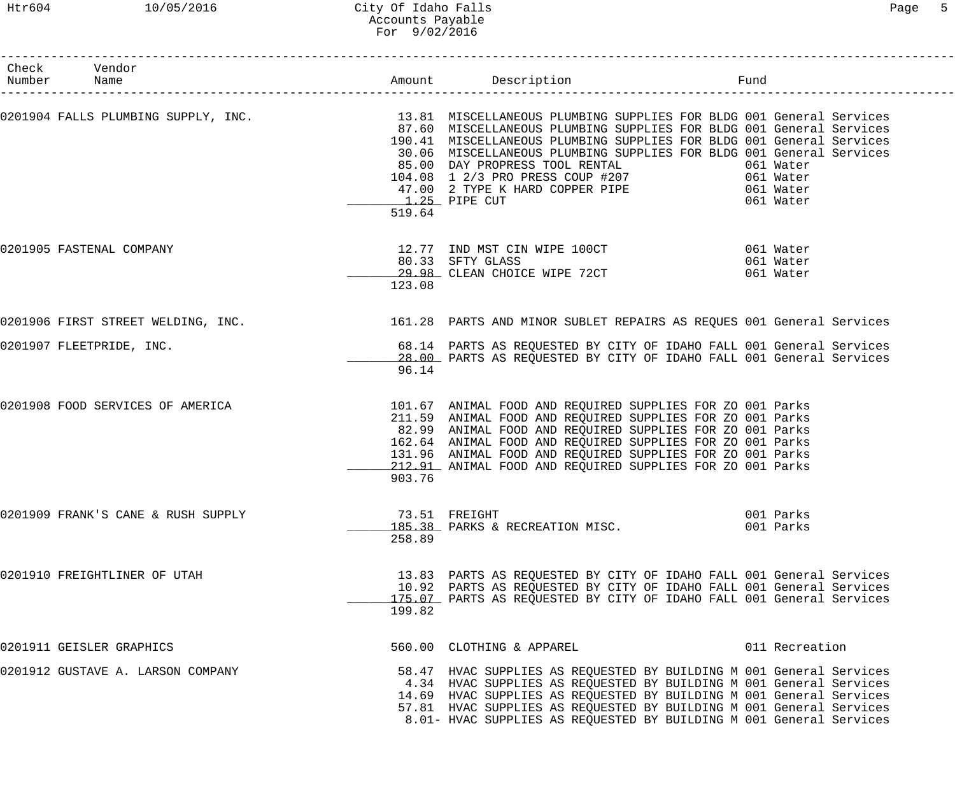## Htr604 10/05/2016 City Of Idaho Falls Page 5 Accounts Payable For 9/02/2016

| Check Vendor<br>Number Name                                                                                       |        | Amount Description<br>Fund                                                                                                                                                                                                                                                                                                                                                                                    |                        |  |
|-------------------------------------------------------------------------------------------------------------------|--------|---------------------------------------------------------------------------------------------------------------------------------------------------------------------------------------------------------------------------------------------------------------------------------------------------------------------------------------------------------------------------------------------------------------|------------------------|--|
| 0201904 FALLS PLUMBING SUPPLY, INC. 13.81 MISCELLANEOUS PLUMBING SUPPLIES FOR BLDG 001 General Services           | 519.64 | 87.60 MISCELLANEOUS PLUMBING SUPPLIES FOR BLDG 001 General Services<br>190.41 MISCELLANEOUS PLUMBING SUPPLIES FOR BLDG 001 General Services<br>30.06 MISCELLANEOUS PLUMBING SUPPLIES FOR BLDG 001 General Services<br>85.00 DAY PROPRESS TOOL RENTAL 65.00 DAY PROPRESS TOOL RENTAL 661 Water<br>104.08 1 2/3 PRO PRESS COUP #207<br>47.00 2 TYPE K HARD COPPER PIPE 6061 Water<br>1.25 PIPE CUT<br>061 Water |                        |  |
| 0201905 FASTENAL COMPANY                                                                                          | 123.08 | 12.77 IND MST CIN WIPE 100CT 061 Water<br>80.33 SFTY GLASS 061 Water<br>80.33 SFTY GLASS 60.33 SETY GLASS 60.33 SETY GLASS 60.99 61 Water                                                                                                                                                                                                                                                                     |                        |  |
| 0201906 FIRST STREET WELDING, INC. THE SAME SELLER STARTS AND MINOR SUBLET REPAIRS AS REQUES 001 General Services |        |                                                                                                                                                                                                                                                                                                                                                                                                               |                        |  |
| 0201907 FLEETPRIDE, INC.                                                                                          | 96.14  | 68.14 PARTS AS REQUESTED BY CITY OF IDAHO FALL 001 General Services<br>28.00 PARTS AS REQUESTED BY CITY OF IDAHO FALL 001 General Services                                                                                                                                                                                                                                                                    |                        |  |
| 0201908 FOOD SERVICES OF AMERICA                                                                                  | 903.76 | 101.67 ANIMAL FOOD AND REQUIRED SUPPLIES FOR ZO 001 Parks<br>211.59 ANIMAL FOOD AND REQUIRED SUPPLIES FOR ZO 001 Parks<br>82.99 ANIMAL FOOD AND REQUIRED SUPPLIES FOR ZO 001 Parks<br>162.64 ANIMAL FOOD AND REQUIRED SUPPLIES FOR ZO 001 Parks<br>131.96 ANIMAL FOOD AND REQUIRED SUPPLIES FOR ZO 001 Parks<br>212.91 ANIMAL FOOD AND REQUIRED SUPPLIES FOR ZO 001 Parks                                     |                        |  |
| 0201909 FRANK'S CANE & RUSH SUPPLY                                                                                | 258.89 | 73.51 FREIGHT<br>185.38 PARKS & RECREATION MISC.                                                                                                                                                                                                                                                                                                                                                              | 001 Parks<br>001 Parks |  |
| 0201910 FREIGHTLINER OF UTAH                                                                                      | 199.82 | 13.83 PARTS AS REQUESTED BY CITY OF IDAHO FALL 001 General Services<br>10.92 PARTS AS REQUESTED BY CITY OF IDAHO FALL 001 General Services<br>175.07 PARTS AS REQUESTED BY CITY OF IDAHO FALL 001 General Services                                                                                                                                                                                            |                        |  |
| 0201911 GEISLER GRAPHICS                                                                                          |        | 560.00 CLOTHING & APPAREL                                                                                                                                                                                                                                                                                                                                                                                     | 011 Recreation         |  |
| 0201912 GUSTAVE A. LARSON COMPANY                                                                                 |        | 58.47 HVAC SUPPLIES AS REQUESTED BY BUILDING M 001 General Services<br>4.34 HVAC SUPPLIES AS REQUESTED BY BUILDING M 001 General Services<br>14.69 HVAC SUPPLIES AS REQUESTED BY BUILDING M 001 General Services<br>57.81 HVAC SUPPLIES AS REQUESTED BY BUILDING M 001 General Services<br>8.01- HVAC SUPPLIES AS REQUESTED BY BUILDING M 001 General Services                                                |                        |  |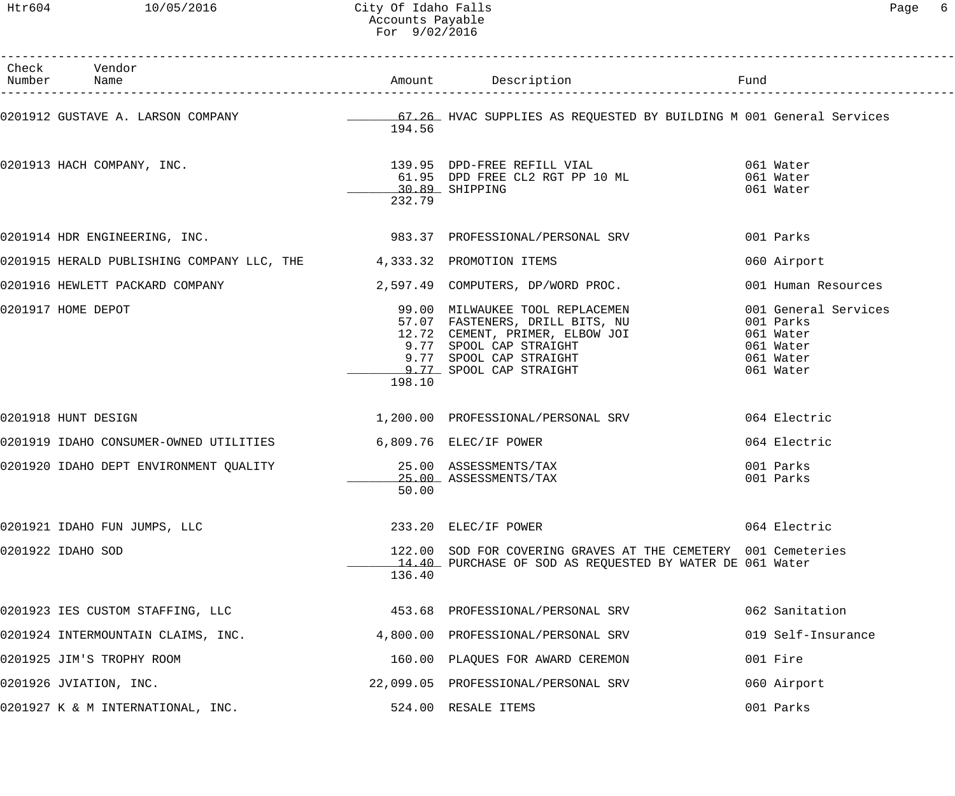| Check Vendor<br>Number Name                                                                                             |        |                                                                                                                                                                                                                   |                                                                                       |
|-------------------------------------------------------------------------------------------------------------------------|--------|-------------------------------------------------------------------------------------------------------------------------------------------------------------------------------------------------------------------|---------------------------------------------------------------------------------------|
| 0201912 GUSTAVE A. LARSON COMPANY <b>1989 - 20 SEPANE 4 SECULLE</b> S AS REQUESTED BY BUILDING M 001 General Services   | 194.56 |                                                                                                                                                                                                                   |                                                                                       |
| 0201913 HACH COMPANY, INC.                                                                                              | 232.79 | 139.95 DPD-FREE REFILL VIAL (1899)<br>61.95 DPD FREE CL2 RGT PP 10 ML (1896) 1001 Mater<br>$30.89$ SHIPPING                                                                                                       | 061 Water                                                                             |
| 0201914 HDR ENGINEERING, INC. 2020 1983.37 PROFESSIONAL/PERSONAL SRV                                                    |        |                                                                                                                                                                                                                   | 001 Parks                                                                             |
| 0201915 HERALD PUBLISHING COMPANY LLC, THE 4,333.32 PROMOTION ITEMS                                                     |        |                                                                                                                                                                                                                   | 060 Airport                                                                           |
| 0201916 HEWLETT PACKARD COMPANY 1999 1999 12,597.49 COMPUTERS, DP/WORD PROC.                                            |        |                                                                                                                                                                                                                   | 001 Human Resources                                                                   |
| 0201917 HOME DEPOT                                                                                                      | 198.10 | 99.00 MILWAUKEE TOOL REPLACEMEN<br>57.07 FASTENERS, DRILL BITS, NU<br>12.72 CEMENT, PRIMER, ELBOW JOI<br>9.77 SPOOL CAP STRAIGHT<br>9.77 SPOOL CAP STRAIGHT<br>9.77 SPOOL CAP STRAIGHT<br>9.77 SPOOL CAP STRAIGHT | 001 General Services<br>001 Parks<br>061 Water<br>061 Water<br>061 Water<br>061 Water |
| 0201918 HUNT DESIGN                                                                                                     |        | 1,200.00 PROFESSIONAL/PERSONAL SRV                                                                                                                                                                                | 064 Electric                                                                          |
| 0201919 IDAHO CONSUMER-OWNED UTILITIES 6,809.76 ELEC/IF POWER                                                           |        |                                                                                                                                                                                                                   | 064 Electric                                                                          |
| 0201920 IDAHO DEPT ENVIRONMENT QUALITY                                   25.00 ASSESSMENTS/TAX<br>25.00 ASSESSMENTS/TAX | 50.00  | 25.00 ASSESSMENTS/TAX                                                                                                                                                                                             | 001 Parks<br>001 Parks                                                                |
| 0201921 IDAHO FUN JUMPS, LLC                                                                                            |        | 233.20 ELEC/IF POWER                                                                                                                                                                                              | 064 Electric                                                                          |
| 0201922 IDAHO SOD                                                                                                       | 136.40 | 122.00 SOD FOR COVERING GRAVES AT THE CEMETERY 001 Cemeteries<br>14.40 PURCHASE OF SOD AS REQUESTED BY WATER DE 061 Water                                                                                         |                                                                                       |
| 0201923 IES CUSTOM STAFFING, LLC                                                                                        |        | 453.68 PROFESSIONAL/PERSONAL SRV                                                                                                                                                                                  | 062 Sanitation                                                                        |
| 0201924 INTERMOUNTAIN CLAIMS, INC.                                                                                      |        | 4,800.00 PROFESSIONAL/PERSONAL SRV                                                                                                                                                                                | 019 Self-Insurance                                                                    |
| 0201925 JIM'S TROPHY ROOM                                                                                               |        | 160.00 PLAQUES FOR AWARD CEREMON                                                                                                                                                                                  | 001 Fire                                                                              |
| 0201926 JVIATION, INC.                                                                                                  |        | 22,099.05 PROFESSIONAL/PERSONAL SRV                                                                                                                                                                               | 060 Airport                                                                           |
| 0201927 K & M INTERNATIONAL, INC.                                                                                       |        | 524.00 RESALE ITEMS                                                                                                                                                                                               | 001 Parks                                                                             |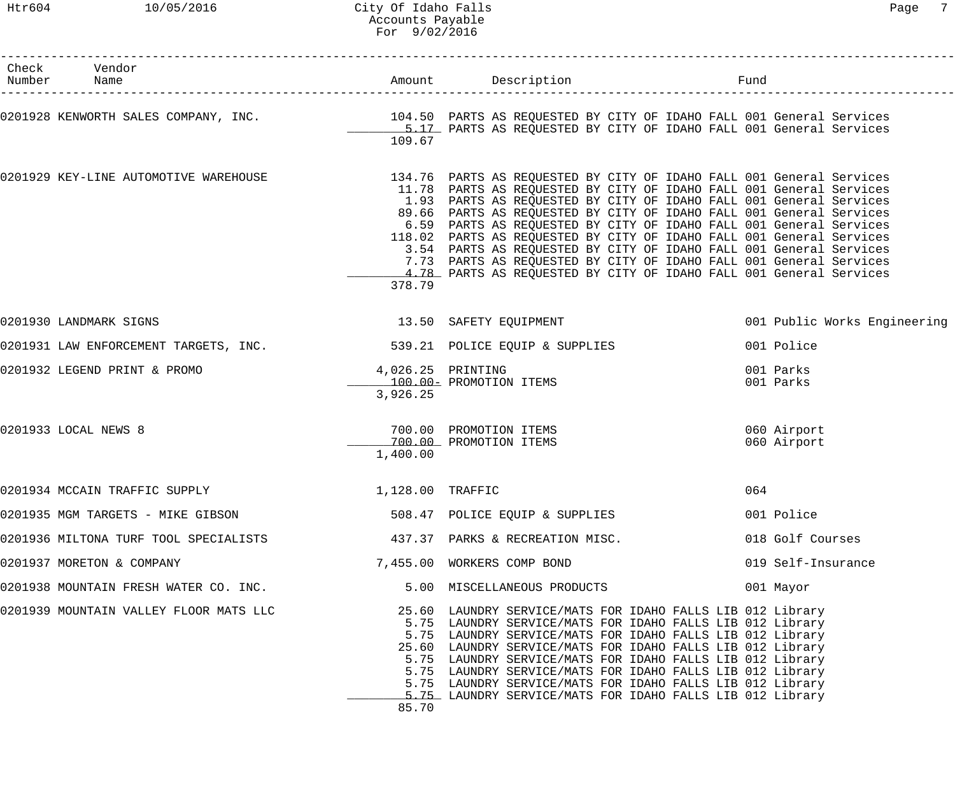| Check Vendor<br>Number Name                                                                                                                                                                |          |                                                                                                                                                                                                                                                                                                                                                                                                                                                                                                                                                                                                                                                          |                              |
|--------------------------------------------------------------------------------------------------------------------------------------------------------------------------------------------|----------|----------------------------------------------------------------------------------------------------------------------------------------------------------------------------------------------------------------------------------------------------------------------------------------------------------------------------------------------------------------------------------------------------------------------------------------------------------------------------------------------------------------------------------------------------------------------------------------------------------------------------------------------------------|------------------------------|
| 0201928 KENWORTH SALES COMPANY, INC. <sup>104.50</sup> PARTS AS REQUESTED BY CITY OF IDAHO FALL 001 General Services<br>5.17 PARTS AS REQUESTED BY CITY OF IDAHO FALL 001 General Services | 109.67   |                                                                                                                                                                                                                                                                                                                                                                                                                                                                                                                                                                                                                                                          |                              |
| 0201929 KEY-LINE AUTOMOTIVE WAREHOUSE                                                                                                                                                      | 378.79   | 134.76 PARTS AS REQUESTED BY CITY OF IDAHO FALL 001 General Services<br>11.78 PARTS AS REQUESTED BY CITY OF IDAHO FALL 001 General Services<br>1.93 PARTS AS REQUESTED BY CITY OF IDAHO FALL 001 General Services<br>89.66 PARTS AS REQUESTED BY CITY OF IDAHO FALL 001 General Services<br>6.59 PARTS AS REQUESTED BY CITY OF IDAHO FALL 001 General Services<br>118.02 PARTS AS REQUESTED BY CITY OF IDAHO FALL 001 General Services<br>3.54 PARTS AS REQUESTED BY CITY OF IDAHO FALL 001 General Services<br>7.73 PARTS AS REQUESTED BY CITY OF IDAHO FALL 001 General Services<br>4.78 PARTS AS REQUESTED BY CITY OF IDAHO FALL 001 General Services |                              |
| 0201930 LANDMARK SIGNS                                                                                                                                                                     |          | 13.50 SAFETY EQUIPMENT                                                                                                                                                                                                                                                                                                                                                                                                                                                                                                                                                                                                                                   | 001 Public Works Engineering |
| 0201931 LAW ENFORCEMENT TARGETS, INC. 539.21 POLICE EQUIP & SUPPLIES                                                                                                                       |          |                                                                                                                                                                                                                                                                                                                                                                                                                                                                                                                                                                                                                                                          | 001 Police                   |
| 0201932 LEGEND PRINT & PROMO                                                                                                                                                               | 3,926.25 | 4,026.25 PRINTING<br>100.00 - PROMOTION ITEMS                                                                                                                                                                                                                                                                                                                                                                                                                                                                                                                                                                                                            | 001 Parks<br>001 Parks       |
| 0201933 LOCAL NEWS 8                                                                                                                                                                       | 1,400.00 | 700.00 PROMOTION ITEMS<br>700.00 PROMOTION ITEMS                                                                                                                                                                                                                                                                                                                                                                                                                                                                                                                                                                                                         | 060 Airport<br>060 Airport   |
| 1,128.00 TRAFFIC<br>0201934 MCCAIN TRAFFIC SUPPLY                                                                                                                                          |          |                                                                                                                                                                                                                                                                                                                                                                                                                                                                                                                                                                                                                                                          | 064                          |
| 0201935 MGM TARGETS - MIKE GIBSON                                                                                                                                                          |          | 508.47 POLICE EQUIP & SUPPLIES                                                                                                                                                                                                                                                                                                                                                                                                                                                                                                                                                                                                                           | 001 Police                   |
| 0201936 MILTONA TURF TOOL SPECIALISTS 6 1997 - 437.37 PARKS & RECREATION MISC.                                                                                                             |          |                                                                                                                                                                                                                                                                                                                                                                                                                                                                                                                                                                                                                                                          | 018 Golf Courses             |
| 0201937 MORETON & COMPANY                                                                                                                                                                  |          | 7,455.00 WORKERS COMP BOND                                                                                                                                                                                                                                                                                                                                                                                                                                                                                                                                                                                                                               | 019 Self-Insurance           |
| 0201938 MOUNTAIN FRESH WATER CO. INC.                                                                                                                                                      |          | 5.00 MISCELLANEOUS PRODUCTS                                                                                                                                                                                                                                                                                                                                                                                                                                                                                                                                                                                                                              | 001 Mayor                    |
| 0201939 MOUNTAIN VALLEY FLOOR MATS LLC                                                                                                                                                     | 85.70    | 25.60 LAUNDRY SERVICE/MATS FOR IDAHO FALLS LIB 012 Library<br>5.75 LAUNDRY SERVICE/MATS FOR IDAHO FALLS LIB 012 Library<br>5.75 LAUNDRY SERVICE/MATS FOR IDAHO FALLS LIB 012 Library<br>25.60 LAUNDRY SERVICE/MATS FOR IDAHO FALLS LIB 012 Library<br>5.75 LAUNDRY SERVICE/MATS FOR IDAHO FALLS LIB 012 Library<br>5.75 LAUNDRY SERVICE/MATS FOR IDAHO FALLS LIB 012 Library<br>5.75 LAUNDRY SERVICE/MATS FOR IDAHO FALLS LIB 012 Library<br>5.75 LAUNDRY SERVICE/MATS FOR IDAHO FALLS LIB 012 Library                                                                                                                                                   |                              |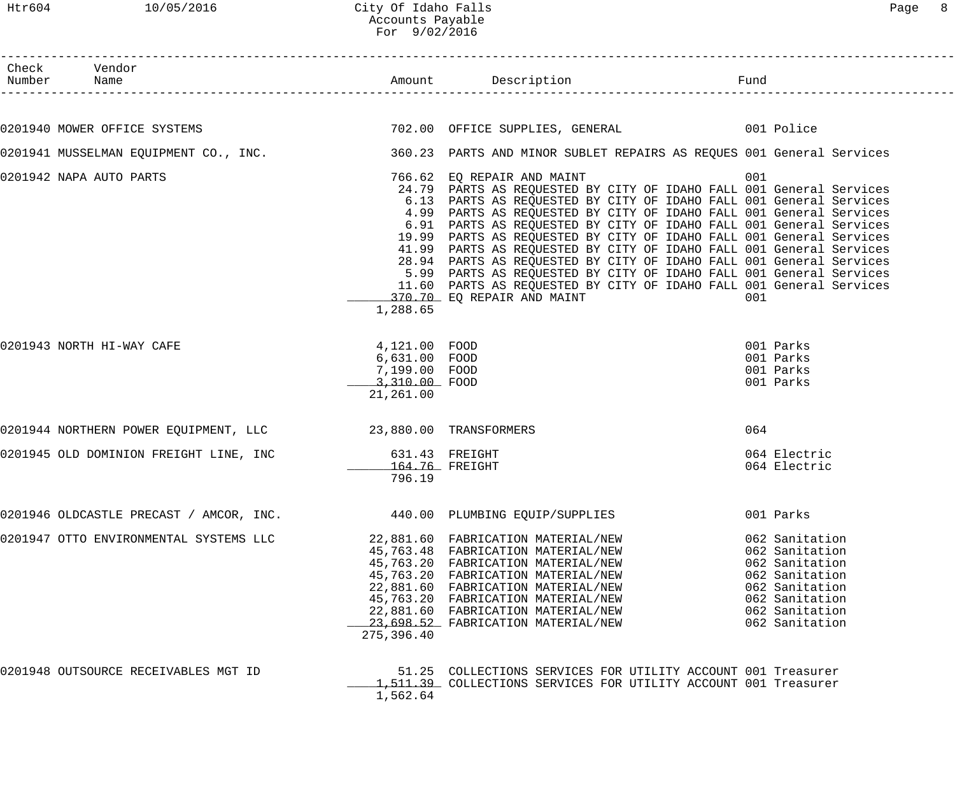| Check Vendor<br>Number Name                                                                                |                                                                               |                                                                                                                                                                                                                                                                                                                                                                                                                                                                                                                                                                                                                                                                                                                     |                                                                                                                                              |  |
|------------------------------------------------------------------------------------------------------------|-------------------------------------------------------------------------------|---------------------------------------------------------------------------------------------------------------------------------------------------------------------------------------------------------------------------------------------------------------------------------------------------------------------------------------------------------------------------------------------------------------------------------------------------------------------------------------------------------------------------------------------------------------------------------------------------------------------------------------------------------------------------------------------------------------------|----------------------------------------------------------------------------------------------------------------------------------------------|--|
|                                                                                                            |                                                                               |                                                                                                                                                                                                                                                                                                                                                                                                                                                                                                                                                                                                                                                                                                                     |                                                                                                                                              |  |
| 0201940 MOWER OFFICE SYSTEMS 601 CONTROL 202.00 OFFICE SUPPLIES, GENERAL 601 Police                        |                                                                               |                                                                                                                                                                                                                                                                                                                                                                                                                                                                                                                                                                                                                                                                                                                     |                                                                                                                                              |  |
| 0201941 MUSSELMAN EQUIPMENT CO., INC. 360.23 PARTS AND MINOR SUBLET REPAIRS AS REQUES 001 General Services |                                                                               |                                                                                                                                                                                                                                                                                                                                                                                                                                                                                                                                                                                                                                                                                                                     |                                                                                                                                              |  |
| 0201942 NAPA AUTO PARTS                                                                                    | 1,288.65                                                                      | 766.62 EQ REPAIR AND MAINT<br>24.79 PARTS AS REQUESTED BY CITY OF IDAHO FALL 001 General Services<br>6.13 PARTS AS REQUESTED BY CITY OF IDAHO FALL 001 General Services<br>4.99 PARTS AS REQUESTED BY CITY OF IDAHO FALL 001 General Services<br>6.91 PARTS AS REQUESTED BY CITY OF IDAHO FALL 001 General Services<br>19.99 PARTS AS REQUESTED BY CITY OF IDAHO FALL 001 General Services<br>41.99 PARTS AS REQUESTED BY CITY OF IDAHO FALL 001 General Services<br>28.94 PARTS AS REQUESTED BY CITY OF IDAHO FALL 001 General Services<br>5.99 PARTS AS REQUESTED BY CITY OF IDAHO FALL 001 General Services<br>11.60 PARTS AS REQUESTED BY CITY OF IDAHO FALL 001 General Services<br>370.70 EQ REPAIR AND MAINT | 001<br>001                                                                                                                                   |  |
| 0201943 NORTH HI-WAY CAFE                                                                                  | 4,121.00 FOOD<br>6,631.00 FOOD<br>7,199.00 FOOD<br>3,310.00 FOOD<br>21,261.00 |                                                                                                                                                                                                                                                                                                                                                                                                                                                                                                                                                                                                                                                                                                                     | 001 Parks<br>001 Parks<br>001 Parks<br>001 Parks                                                                                             |  |
| 0201944 NORTHERN POWER EQUIPMENT, LLC <a> 23,880.00 TRANSFORMERS</a>                                       |                                                                               |                                                                                                                                                                                                                                                                                                                                                                                                                                                                                                                                                                                                                                                                                                                     | 064                                                                                                                                          |  |
| 0201945 OLD DOMINION FREIGHT LINE, INC 631.43 FREIGHT                                                      | 164.76 FREIGHT<br>796.19                                                      |                                                                                                                                                                                                                                                                                                                                                                                                                                                                                                                                                                                                                                                                                                                     | 064 Electric<br>064 Electric                                                                                                                 |  |
| 0201946 OLDCASTLE PRECAST / AMCOR, INC. 440.00 PLUMBING EQUIP/SUPPLIES                                     |                                                                               |                                                                                                                                                                                                                                                                                                                                                                                                                                                                                                                                                                                                                                                                                                                     | 001 Parks                                                                                                                                    |  |
| 0201947 OTTO ENVIRONMENTAL SYSTEMS LLC                                                                     | 275,396.40                                                                    | 22,881.60 FABRICATION MATERIAL/NEW<br>45,763.48 FABRICATION MATERIAL/NEW<br>45,763.20 FABRICATION MATERIAL/NEW<br>45,763.20 FABRICATION MATERIAL/NEW<br>22,881.60 FABRICATION MATERIAL/NEW<br>45,763.20 FABRICATION MATERIAL/NEW<br>22,881.60 FABRICATION MATERIAL/NEW<br>23,698.52 FABRICATION MATERIAL/NEW                                                                                                                                                                                                                                                                                                                                                                                                        | 062 Sanitation<br>062 Sanitation<br>062 Sanitation<br>062 Sanitation<br>062 Sanitation<br>062 Sanitation<br>062 Sanitation<br>062 Sanitation |  |
| 0201948 OUTSOURCE RECEIVABLES MGT ID                                                                       | 1,562.64                                                                      | 51.25 COLLECTIONS SERVICES FOR UTILITY ACCOUNT 001 Treasurer<br>1,511.39 COLLECTIONS SERVICES FOR UTILITY ACCOUNT 001 Treasurer                                                                                                                                                                                                                                                                                                                                                                                                                                                                                                                                                                                     |                                                                                                                                              |  |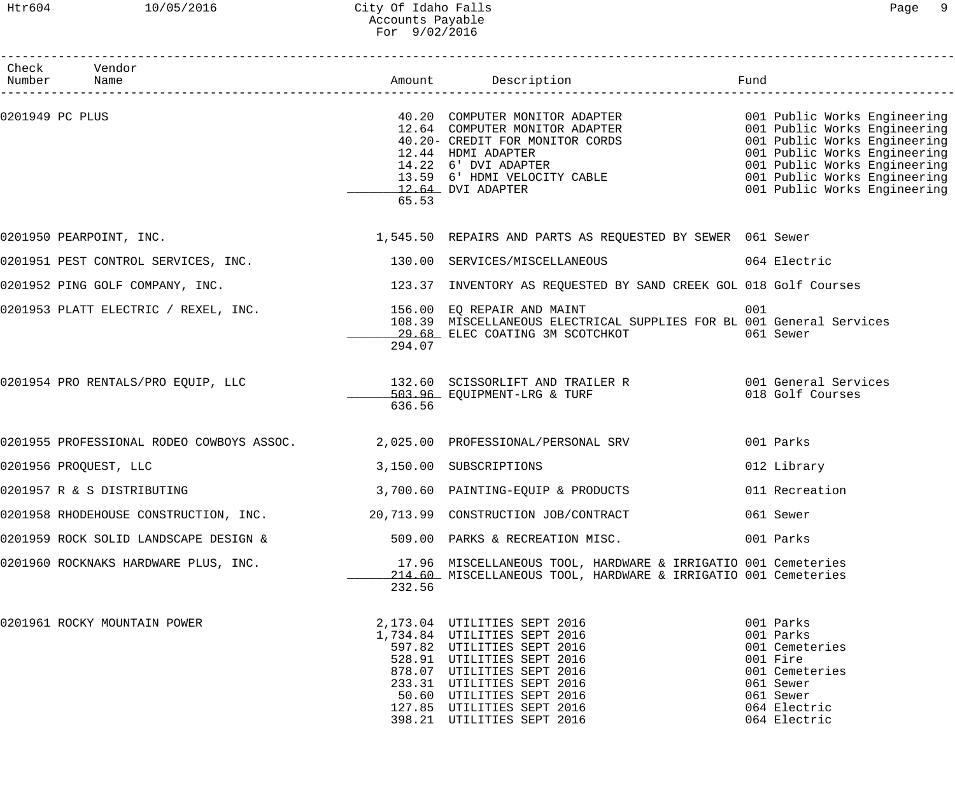## Htr604 10/05/2016 City Of Idaho Falls Page 9 Accounts Payable For 9/02/2016

| Check Vendor<br>Number Name                                                           |        |                                                                                                                                                                                                                                                                               |     |                                                                                                                                  |
|---------------------------------------------------------------------------------------|--------|-------------------------------------------------------------------------------------------------------------------------------------------------------------------------------------------------------------------------------------------------------------------------------|-----|----------------------------------------------------------------------------------------------------------------------------------|
| 0201949 PC PLUS                                                                       | 65.53  | 40.20 COMPUTER MONITOR ADAPTER<br>12.64 COMPUTER MONITOR ADAPTER<br>40.20- CREDIT FOR MONITOR CORDS<br>12.44 HDMI ADAPTER<br>14.22 6' DVI ADAPTER<br>13.59 6' HDMI VELOCITY CABLE<br>13.59 6' HDMI VELOCITY CABLE<br>12.64 DVI ADAPTER<br>13.5                                |     |                                                                                                                                  |
| 0201950 PEARPOINT, INC.                                                               |        | 1,545.50 REPAIRS AND PARTS AS REQUESTED BY SEWER 061 Sewer                                                                                                                                                                                                                    |     |                                                                                                                                  |
|                                                                                       |        | 0201951 PEST CONTROL SERVICES, INC. 130.00 SERVICES/MISCELLANEOUS 64 Electric                                                                                                                                                                                                 |     |                                                                                                                                  |
|                                                                                       |        | 0201952 PING GOLF COMPANY, INC. THE SAME READS AND SERVESTED BY SAND CREEK GOL 018 Golf Courses                                                                                                                                                                               |     |                                                                                                                                  |
| 0201953 PLATT ELECTRIC / REXEL, INC.                       156.00 EQ REPAIR AND MAINT | 294.07 | 108.39 MISCELLANEOUS ELECTRICAL SUPPLIES FOR BL 001 General Services<br>29.68 ELEC COATING 3M SCOTCHKOT                                                                                                                                                                       | 001 | 061 Sewer                                                                                                                        |
|                                                                                       | 636.56 | 0201954 PRO RENTALS/PRO EQUIP, LLC 132.60 SCISSORLIFT AND TRAILER R 001 General Services<br>503.96 EQUIPMENT-LRG & TURF                                                                                                                                                       |     | 018 Golf Courses                                                                                                                 |
|                                                                                       |        | 0201955 PROFESSIONAL RODEO COWBOYS ASSOC. 2,025.00 PROFESSIONAL/PERSONAL SRV                                                                                                                                                                                                  |     | 001 Parks                                                                                                                        |
| 0201956 PROQUEST, LLC                                                                 |        | 3,150.00 SUBSCRIPTIONS                                                                                                                                                                                                                                                        |     | 012 Library                                                                                                                      |
| 0201957 R & S DISTRIBUTING                                                            |        | 3,700.60 PAINTING-EQUIP & PRODUCTS                                                                                                                                                                                                                                            |     | 011 Recreation                                                                                                                   |
|                                                                                       |        | 0201958 RHODEHOUSE CONSTRUCTION, INC.         20,713.99 CONSTRUCTION JOB/CONTRACT                                                                                                                                                                                             |     | 061 Sewer                                                                                                                        |
| 0201959 ROCK SOLID LANDSCAPE DESIGN &                                                 |        | 509.00 PARKS & RECREATION MISC.                                                                                                                                                                                                                                               |     | 001 Parks                                                                                                                        |
| 0201960 ROCKNAKS HARDWARE PLUS, INC.                                                  | 232.56 | 17.96 MISCELLANEOUS TOOL, HARDWARE & IRRIGATIO 001 Cemeteries<br>214.60 MISCELLANEOUS TOOL, HARDWARE & IRRIGATIO 001 Cemeteries                                                                                                                                               |     |                                                                                                                                  |
| 0201961 ROCKY MOUNTAIN POWER                                                          |        | 2,173.04 UTILITIES SEPT 2016<br>1,734.84 UTILITIES SEPT 2016<br>597.82 UTILITIES SEPT 2016<br>528.91 UTILITIES SEPT 2016<br>878.07 UTILITIES SEPT 2016<br>233.31 UTILITIES SEPT 2016<br>50.60 UTILITIES SEPT 2016<br>127.85 UTILITIES SEPT 2016<br>398.21 UTILITIES SEPT 2016 |     | 001 Parks<br>001 Parks<br>001 Cemeteries<br>001 Fire<br>001 Cemeteries<br>061 Sewer<br>061 Sewer<br>064 Electric<br>064 Electric |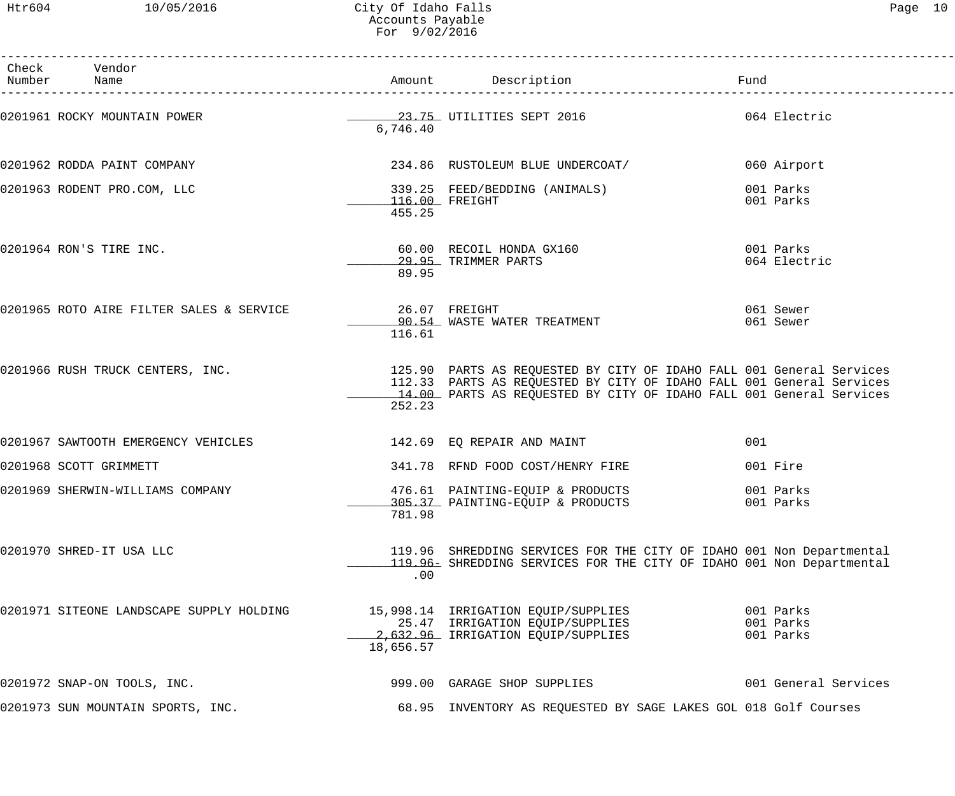| Check Vendor<br>Number Name              |           | Amount Description                                                                                                                                                                                                  | Fund                                |
|------------------------------------------|-----------|---------------------------------------------------------------------------------------------------------------------------------------------------------------------------------------------------------------------|-------------------------------------|
| 0201961 ROCKY MOUNTAIN POWER             | 6,746.40  | 23.75 UTILITIES SEPT 2016                                                                                                                                                                                           | 064 Electric                        |
| 0201962 RODDA PAINT COMPANY              |           | 234.86 RUSTOLEUM BLUE UNDERCOAT/                                                                                                                                                                                    | 060 Airport                         |
| 0201963 RODENT PRO.COM, LLC              | 455.25    | 339.25 FEED/BEDDING (ANIMALS)<br>116.00 FREIGHT                                                                                                                                                                     | 001 Parks<br>001 Parks              |
| 0201964 RON'S TIRE INC.                  | 89.95     | 60.00 RECOIL HONDA GX160<br>29.95 TRIMMER PARTS                                                                                                                                                                     | 001 Parks<br>064 Electric           |
|                                          | 116.61    | 90.54 WASTE WATER TREATMENT                                                                                                                                                                                         | 061 Sewer<br>061 Sewer              |
| 0201966 RUSH TRUCK CENTERS, INC.         | 252.23    | 125.90 PARTS AS REQUESTED BY CITY OF IDAHO FALL 001 General Services<br>112.33 PARTS AS REQUESTED BY CITY OF IDAHO FALL 001 General Services<br>14.00 PARTS AS REQUESTED BY CITY OF IDAHO FALL 001 General Services |                                     |
| 0201967 SAWTOOTH EMERGENCY VEHICLES      |           | 142.69 EQ REPAIR AND MAINT                                                                                                                                                                                          | 001                                 |
| 0201968 SCOTT GRIMMETT                   |           | 341.78 RFND FOOD COST/HENRY FIRE                                                                                                                                                                                    | 001 Fire                            |
| 0201969 SHERWIN-WILLIAMS COMPANY         | 781.98    | 476.61 PAINTING-EQUIP & PRODUCTS<br>305.37 PAINTING-EQUIP & PRODUCTS                                                                                                                                                | 001 Parks<br>001 Parks              |
| 0201970 SHRED-IT USA LLC                 | .00       | 119.96 SHREDDING SERVICES FOR THE CITY OF IDAHO 001 Non Departmental<br>119.96 SHREDDING SERVICES FOR THE CITY OF IDAHO 001 Non Departmental                                                                        |                                     |
| 0201971 SITEONE LANDSCAPE SUPPLY HOLDING | 18,656.57 | 15,998.14 IRRIGATION EQUIP/SUPPLIES<br>25.47 IRRIGATION EQUIP/SUPPLIES<br>2,632.96 IRRIGATION EQUIP/SUPPLIES                                                                                                        | 001 Parks<br>001 Parks<br>001 Parks |
| 0201972 SNAP-ON TOOLS, INC.              |           | 999.00 GARAGE SHOP SUPPLIES                                                                                                                                                                                         | 001 General Services                |
| 0201973 SUN MOUNTAIN SPORTS, INC.        |           | 68.95 INVENTORY AS REQUESTED BY SAGE LAKES GOL 018 Golf Courses                                                                                                                                                     |                                     |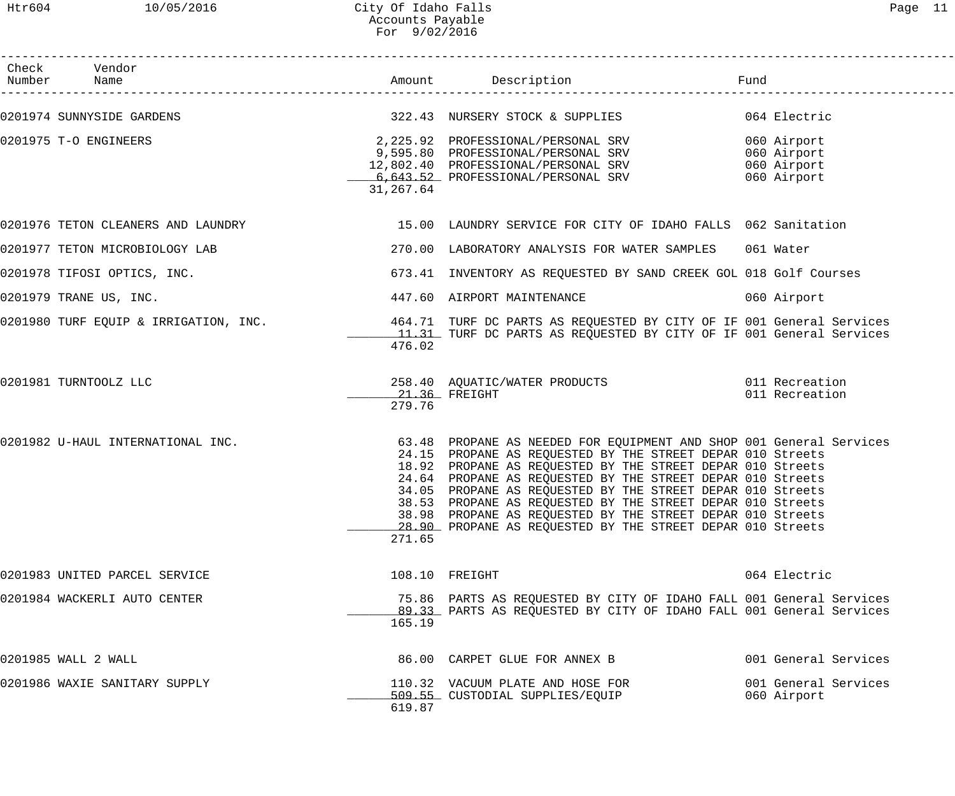# Htr604 10/05/2016 City Of Idaho Falls Page 11 Accounts Payable For 9/02/2016

| Check Vendor<br>Number Name       |           |                                                                                                                                                                                                                                                                                                                                                                                                                                                                                                                       |                                                          |
|-----------------------------------|-----------|-----------------------------------------------------------------------------------------------------------------------------------------------------------------------------------------------------------------------------------------------------------------------------------------------------------------------------------------------------------------------------------------------------------------------------------------------------------------------------------------------------------------------|----------------------------------------------------------|
|                                   |           |                                                                                                                                                                                                                                                                                                                                                                                                                                                                                                                       |                                                          |
| 0201975 T-O ENGINEERS             | 31,267.64 | 2,225.92 PROFESSIONAL/PERSONAL SRV<br>9,595.80 PROFESSIONAL/PERSONAL SRV<br>12,802.40 PROFESSIONAL/PERSONAL SRV<br>6,643.52 PROFESSIONAL/PERSONAL SRV                                                                                                                                                                                                                                                                                                                                                                 | 060 Airport<br>060 Airport<br>060 Airport<br>060 Airport |
|                                   |           | 0201976 TETON CLEANERS AND LAUNDRY THE SERIES OF LAUNDRY SERVICE FOR CITY OF IDAHO FALLS 062 Sanitation                                                                                                                                                                                                                                                                                                                                                                                                               |                                                          |
| 0201977 TETON MICROBIOLOGY LAB    |           | 270.00 LABORATORY ANALYSIS FOR WATER SAMPLES 061 Water                                                                                                                                                                                                                                                                                                                                                                                                                                                                |                                                          |
| 0201978 TIFOSI OPTICS, INC.       |           | 673.41 INVENTORY AS REQUESTED BY SAND CREEK GOL 018 Golf Courses                                                                                                                                                                                                                                                                                                                                                                                                                                                      |                                                          |
| 0201979 TRANE US, INC.            |           | 447.60 AIRPORT MAINTENANCE                                                                                                                                                                                                                                                                                                                                                                                                                                                                                            | 060 Airport                                              |
|                                   | 476.02    | 0201980 TURF EQUIP & IRRIGATION, INC. 464.71 TURF DC PARTS AS REQUESTED BY CITY OF IF 001 General Services<br>11.31 TURF DC PARTS AS REQUESTED BY CITY OF IF 001 General Services                                                                                                                                                                                                                                                                                                                                     |                                                          |
| 0201981 TURNTOOLZ LLC             | 279.76    | 258.40 AQUATIC/WATER PRODUCTS 011 Recreation<br>$21.36$ FREIGHT                                                                                                                                                                                                                                                                                                                                                                                                                                                       | 011 Recreation                                           |
| 0201982 U-HAUL INTERNATIONAL INC. | 271.65    | 63.48 PROPANE AS NEEDED FOR EQUIPMENT AND SHOP 001 General Services<br>24.15 PROPANE AS REQUESTED BY THE STREET DEPAR 010 Streets<br>18.92 PROPANE AS REQUESTED BY THE STREET DEPAR 010 Streets<br>24.64 PROPANE AS REQUESTED BY THE STREET DEPAR 010 Streets<br>34.05 PROPANE AS REQUESTED BY THE STREET DEPAR 010 Streets<br>38.53 PROPANE AS REQUESTED BY THE STREET DEPAR 010 Streets<br>38.98 PROPANE AS REQUESTED BY THE STREET DEPAR 010 Streets<br>28.90 PROPANE AS REQUESTED BY THE STREET DEPAR 010 Streets |                                                          |
| 0201983 UNITED PARCEL SERVICE     |           | 108.10 FREIGHT                                                                                                                                                                                                                                                                                                                                                                                                                                                                                                        | 064 Electric                                             |
| 0201984 WACKERLI AUTO CENTER      | 165.19    | 75.86 PARTS AS REQUESTED BY CITY OF IDAHO FALL 001 General Services<br>89.33 PARTS AS REQUESTED BY CITY OF IDAHO FALL 001 General Services                                                                                                                                                                                                                                                                                                                                                                            |                                                          |
| 0201985 WALL 2 WALL               |           | 86.00 CARPET GLUE FOR ANNEX B                                                                                                                                                                                                                                                                                                                                                                                                                                                                                         | 001 General Services                                     |
| 0201986 WAXIE SANITARY SUPPLY     | 619.87    | 110.32 VACUUM PLATE AND HOSE FOR<br>509.55 CUSTODIAL SUPPLIES/EQUIP                                                                                                                                                                                                                                                                                                                                                                                                                                                   | 001 General Services<br>060 Airport                      |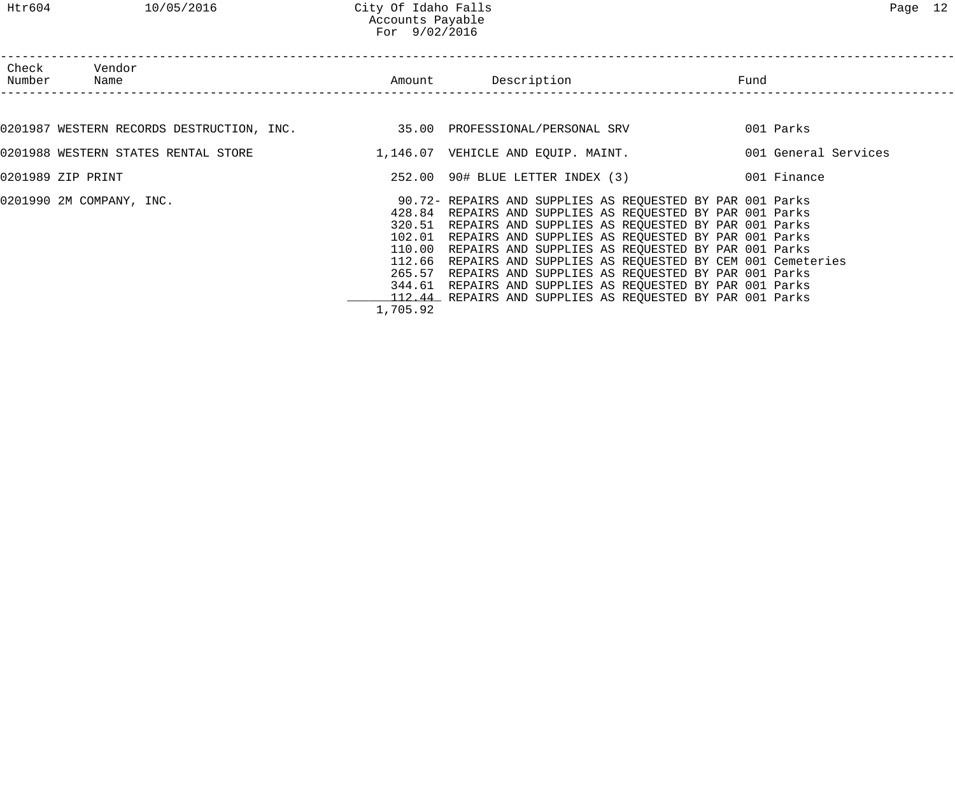|                 |                                                                                | For 9/02/2016 |                                                                                                                                                                                                                                                                                                                                                                                                                                                                                                                                                                        |                      |
|-----------------|--------------------------------------------------------------------------------|---------------|------------------------------------------------------------------------------------------------------------------------------------------------------------------------------------------------------------------------------------------------------------------------------------------------------------------------------------------------------------------------------------------------------------------------------------------------------------------------------------------------------------------------------------------------------------------------|----------------------|
| Check<br>Number | Vendor<br>Name                                                                 |               | Amount Description                                                                                                                                                                                                                                                                                                                                                                                                                                                                                                                                                     | Fund                 |
|                 | 0201987 WESTERN RECORDS DESTRUCTION, INC. $\,$ 35.00 PROFESSIONAL/PERSONAL SRV |               |                                                                                                                                                                                                                                                                                                                                                                                                                                                                                                                                                                        | 001 Parks            |
|                 |                                                                                |               | 0201988 WESTERN STATES RENTAL STORE                         1,146.07  VEHICLE AND EQUIP. MAINT.                                                                                                                                                                                                                                                                                                                                                                                                                                                                        | 001 General Services |
|                 | 0201989 ZIP PRINT                                                              |               | 252.00 90# BLUE LETTER INDEX (3) 001 Finance                                                                                                                                                                                                                                                                                                                                                                                                                                                                                                                           |                      |
|                 | 0201990 2M COMPANY, INC.                                                       |               | 90.72- REPAIRS AND SUPPLIES AS REQUESTED BY PAR 001 Parks<br>428.84 REPAIRS AND SUPPLIES AS REQUESTED BY PAR 001 Parks<br>320.51 REPAIRS AND SUPPLIES AS REQUESTED BY PAR 001 Parks<br>102.01 REPAIRS AND SUPPLIES AS REQUESTED BY PAR 001 Parks<br>110.00 REPAIRS AND SUPPLIES AS REQUESTED BY PAR 001 Parks<br>112.66 REPAIRS AND SUPPLIES AS REQUESTED BY CEM 001 Cemeteries<br>265.57 REPAIRS AND SUPPLIES AS REQUESTED BY PAR 001 Parks<br>344.61 REPAIRS AND SUPPLIES AS REQUESTED BY PAR 001 Parks<br>112.44 REPAIRS AND SUPPLIES AS REQUESTED BY PAR 001 Parks |                      |

1,705.92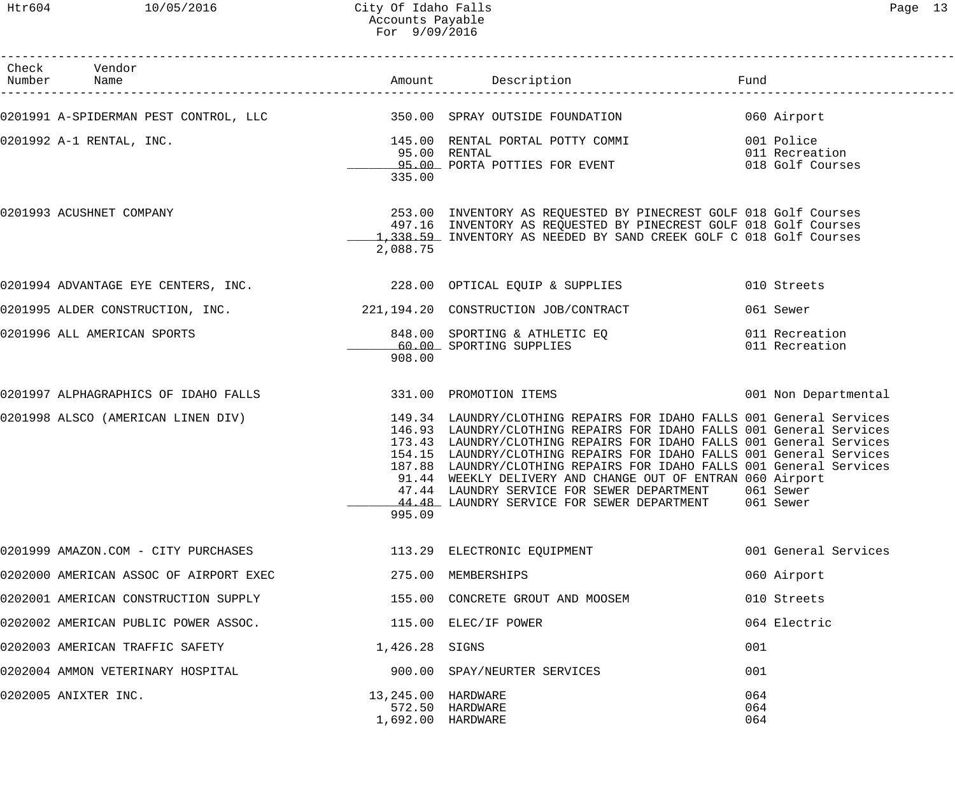Htr604 10/05/2016 City Of Idaho Falls Page 13 Accounts Payable For 9/09/2016

| Check Vendor<br>Number Name                                 |                                         |                                                                                                                                                                                                                                                                                                                                                                                                                                                                                                                                                                             |                      |
|-------------------------------------------------------------|-----------------------------------------|-----------------------------------------------------------------------------------------------------------------------------------------------------------------------------------------------------------------------------------------------------------------------------------------------------------------------------------------------------------------------------------------------------------------------------------------------------------------------------------------------------------------------------------------------------------------------------|----------------------|
|                                                             |                                         | 0201991 A-SPIDERMAN PEST CONTROL, LLC 350.00 SPRAY OUTSIDE FOUNDATION 060 Airport                                                                                                                                                                                                                                                                                                                                                                                                                                                                                           |                      |
| 0201992 A-1 RENTAL, INC.                                    | 335.00                                  | 145.00 RENTAL PORTAL POTTY COMMI 6001 Police<br>95.00 RENTAL<br>95.00 RENTAL 1999 PORTA POTTIES FOR EVENT 1999 PORTA POTTIES FOR EVENT                                                                                                                                                                                                                                                                                                                                                                                                                                      |                      |
| 0201993 ACUSHNET COMPANY                                    | 2,088.75                                | 253.00 INVENTORY AS REQUESTED BY PINECREST GOLF 018 Golf Courses<br>497.16 INVENTORY AS REQUESTED BY PINECREST GOLF 018 Golf Courses<br>1,338.59 INVENTORY AS NEEDED BY SAND CREEK GOLF C 018 Golf Courses                                                                                                                                                                                                                                                                                                                                                                  |                      |
|                                                             |                                         | 0201994 ADVANTAGE EYE CENTERS, INC. 228.00 OPTICAL EQUIP & SUPPLIES                                                                                                                                                                                                                                                                                                                                                                                                                                                                                                         | 010 Streets          |
|                                                             |                                         | 0201995 ALDER CONSTRUCTION, INC. 221,194.20 CONSTRUCTION JOB/CONTRACT                                                                                                                                                                                                                                                                                                                                                                                                                                                                                                       | 061 Sewer            |
| 0201996 ALL AMERICAN SPORTS                                 | 908.00                                  | 848.00 SPORTING & ATHLETIC EQ 011 Recreation<br>60.00 SPORTING SUPPLIES 011 Recreation                                                                                                                                                                                                                                                                                                                                                                                                                                                                                      |                      |
| 0201997 ALPHAGRAPHICS OF IDAHO FALLS 331.00 PROMOTION ITEMS |                                         |                                                                                                                                                                                                                                                                                                                                                                                                                                                                                                                                                                             | 001 Non Departmental |
|                                                             | 995.09                                  | 0201998 ALSCO (AMERICAN LINEN DIV) 149.34 LAUNDRY/CLOTHING REPAIRS FOR IDAHO FALLS 001 General Services<br>146.93 LAUNDRY/CLOTHING REPAIRS FOR IDAHO FALLS 001 General Services<br>173.43 LAUNDRY/CLOTHING REPAIRS FOR IDAHO FALLS 001 General Services<br>154.15 LAUNDRY/CLOTHING REPAIRS FOR IDAHO FALLS 001 General Services<br>187.88 LAUNDRY/CLOTHING REPAIRS FOR IDAHO FALLS 001 General Services<br>91.44 WEEKLY DELIVERY AND CHANGE OUT OF ENTRAN 060 Airport<br>47.44 LAUNDRY SERVICE FOR SEWER DEPARTMENT<br>44.48 LAUNDRY SERVICE FOR SEWER DEPARTMENT 061 Sewer | 061 Sewer            |
| 0201999 AMAZON.COM - CITY PURCHASES                         |                                         | 113.29 ELECTRONIC EQUIPMENT                                                                                                                                                                                                                                                                                                                                                                                                                                                                                                                                                 | 001 General Services |
| 0202000 AMERICAN ASSOC OF AIRPORT EXEC                      |                                         | 275.00 MEMBERSHIPS                                                                                                                                                                                                                                                                                                                                                                                                                                                                                                                                                          | 060 Airport          |
| 0202001 AMERICAN CONSTRUCTION SUPPLY                        |                                         | 155.00 CONCRETE GROUT AND MOOSEM                                                                                                                                                                                                                                                                                                                                                                                                                                                                                                                                            | 010 Streets          |
| 0202002 AMERICAN PUBLIC POWER ASSOC.                        |                                         | 115.00 ELEC/IF POWER                                                                                                                                                                                                                                                                                                                                                                                                                                                                                                                                                        | 064 Electric         |
| 0202003 AMERICAN TRAFFIC SAFETY                             | 1,426.28 SIGNS                          |                                                                                                                                                                                                                                                                                                                                                                                                                                                                                                                                                                             | 001                  |
| 0202004 AMMON VETERINARY HOSPITAL                           |                                         | 900.00 SPAY/NEURTER SERVICES                                                                                                                                                                                                                                                                                                                                                                                                                                                                                                                                                | 001                  |
| 0202005 ANIXTER INC.                                        | 13,245.00 HARDWARE<br>1,692.00 HARDWARE | 572.50 HARDWARE                                                                                                                                                                                                                                                                                                                                                                                                                                                                                                                                                             | 064<br>064<br>064    |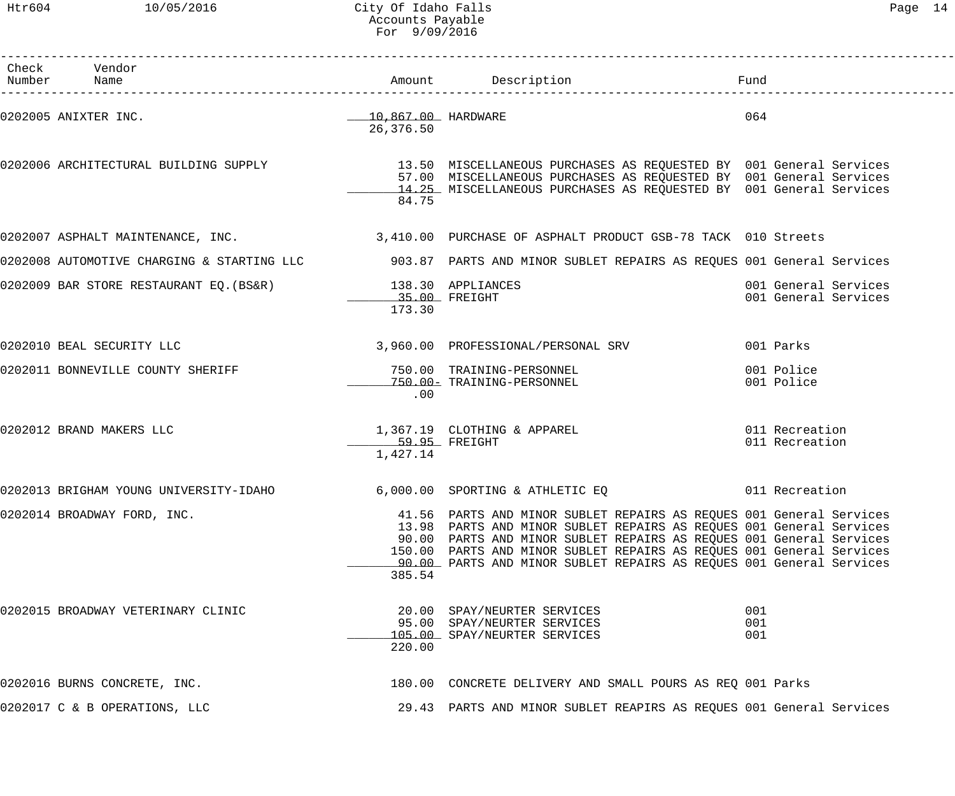Htr604 10/05/2016 City Of Idaho Falls Page 14 Accounts Payable For 9/09/2016

| Check Vendor<br>Number Name            |                                              | Amount Description                                                                                                                                                                                                                                                                                                                                               | Fund                                         |
|----------------------------------------|----------------------------------------------|------------------------------------------------------------------------------------------------------------------------------------------------------------------------------------------------------------------------------------------------------------------------------------------------------------------------------------------------------------------|----------------------------------------------|
| 0202005 ANIXTER INC.                   | ____10,867.00 HARDWARE<br>26,376.50          |                                                                                                                                                                                                                                                                                                                                                                  | 064                                          |
| 0202006 ARCHITECTURAL BUILDING SUPPLY  | 84.75                                        | 13.50 MISCELLANEOUS PURCHASES AS REQUESTED BY 001 General Services<br>57.00 MISCELLANEOUS PURCHASES AS REQUESTED BY 001 General Services<br>14.25 MISCELLANEOUS PURCHASES AS REQUESTED BY 001 General Services                                                                                                                                                   |                                              |
|                                        |                                              | 0202007 ASPHALT MAINTENANCE, INC. THE SALE SALE 3,410.00 PURCHASE OF ASPHALT PRODUCT GSB-78 TACK 010 Streets                                                                                                                                                                                                                                                     |                                              |
|                                        |                                              | 0202008 AUTOMOTIVE CHARGING & STARTING LLC 303.87 PARTS AND MINOR SUBLET REPAIRS AS REQUES 001 General Services                                                                                                                                                                                                                                                  |                                              |
| 0202009 BAR STORE RESTAURANT EQ.(BS&R) | 138.30 APPLIANCES<br>35.00 FREIGHT<br>173.30 |                                                                                                                                                                                                                                                                                                                                                                  | 001 General Services<br>001 General Services |
| 0202010 BEAL SECURITY LLC              |                                              | 3,960.00 PROFESSIONAL/PERSONAL SRV                                                                                                                                                                                                                                                                                                                               | 001 Parks                                    |
| 0202011 BONNEVILLE COUNTY SHERIFF      | .00                                          | 750.00 TRAINING-PERSONNEL<br>750.00- TRAINING-PERSONNEL                                                                                                                                                                                                                                                                                                          | 001 Police<br>001 Police                     |
| 0202012 BRAND MAKERS LLC               | 59.95 FREIGHT<br>1,427.14                    | 1,367.19 CLOTHING & APPAREL                                                                                                                                                                                                                                                                                                                                      | 011 Recreation<br>011 Recreation             |
| 0202013 BRIGHAM YOUNG UNIVERSITY-IDAHO |                                              | 6,000.00 SPORTING & ATHLETIC EQ                                                                                                                                                                                                                                                                                                                                  | 011 Recreation                               |
| 0202014 BROADWAY FORD, INC.            | 385.54                                       | 41.56 PARTS AND MINOR SUBLET REPAIRS AS REQUES 001 General Services<br>13.98 PARTS AND MINOR SUBLET REPAIRS AS REQUES 001 General Services<br>90.00 PARTS AND MINOR SUBLET REPAIRS AS REQUES 001 General Services<br>150.00 PARTS AND MINOR SUBLET REPAIRS AS REQUES 001 General Services<br>90.00 PARTS AND MINOR SUBLET REPAIRS AS REQUES 001 General Services |                                              |
| 0202015 BROADWAY VETERINARY CLINIC     | 220.00                                       | 20.00 SPAY/NEURTER SERVICES<br>95.00 SPAY/NEURTER SERVICES<br>105.00 SPAY/NEURTER SERVICES                                                                                                                                                                                                                                                                       | 001<br>001<br>001                            |
| 0202016 BURNS CONCRETE, INC.           |                                              | 180.00 CONCRETE DELIVERY AND SMALL POURS AS REQ 001 Parks                                                                                                                                                                                                                                                                                                        |                                              |
| 0202017 C & B OPERATIONS, LLC          |                                              | 29.43 PARTS AND MINOR SUBLET REAPIRS AS REQUES 001 General Services                                                                                                                                                                                                                                                                                              |                                              |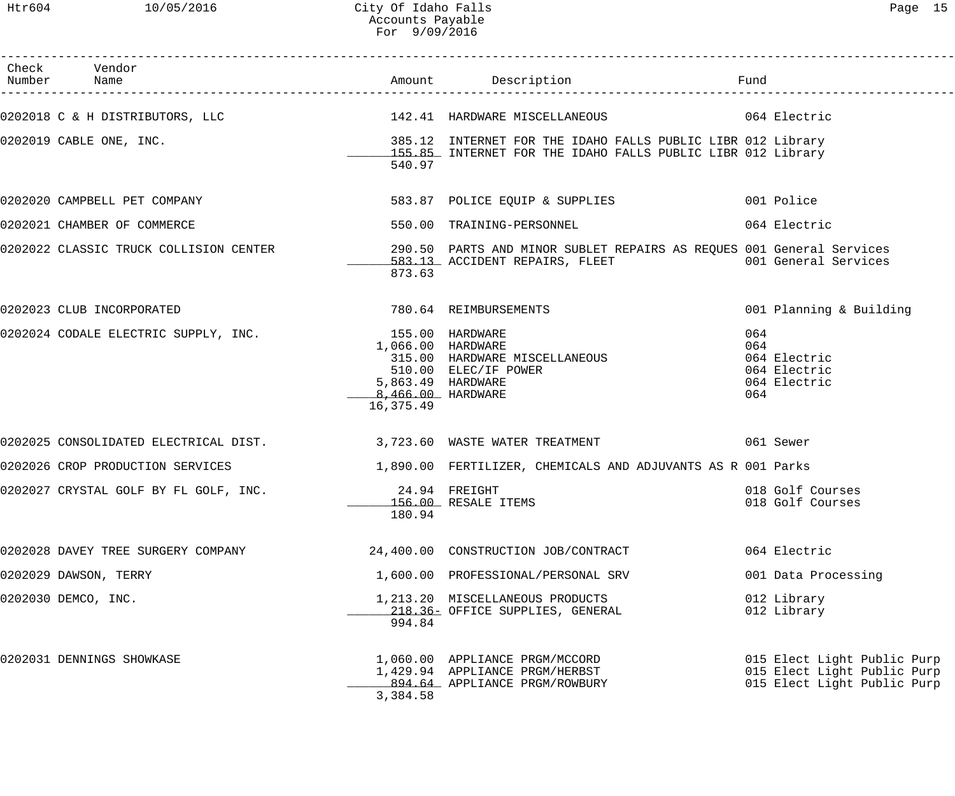| Check Vendor                                                                                                       |                                                                          |                                                                                                                            | Fund                                                                                      |
|--------------------------------------------------------------------------------------------------------------------|--------------------------------------------------------------------------|----------------------------------------------------------------------------------------------------------------------------|-------------------------------------------------------------------------------------------|
| 0202018 C & H DISTRIBUTORS, LLC                      142.41 HARDWARE MISCELLANEOUS                    064 Electric |                                                                          |                                                                                                                            |                                                                                           |
| 0202019 CABLE ONE, INC.                                                                                            | 540.97                                                                   | 385.12 INTERNET FOR THE IDAHO FALLS PUBLIC LIBR 012 Library<br>155.85 INTERNET FOR THE IDAHO FALLS PUBLIC LIBR 012 Library |                                                                                           |
| 0202020 CAMPBELL PET COMPANY                                                                                       |                                                                          | 583.87 POLICE EQUIP & SUPPLIES 001 Police                                                                                  |                                                                                           |
| 0202021 CHAMBER OF COMMERCE                                                                                        |                                                                          | 550.00 TRAINING-PERSONNEL                                                                                                  | 064 Electric                                                                              |
|                                                                                                                    | 873.63                                                                   |                                                                                                                            |                                                                                           |
| 0202023 CLUB INCORPORATED                                                                                          |                                                                          | 780.64 REIMBURSEMENTS                                                                                                      | 001 Planning & Building                                                                   |
| 0202024 CODALE ELECTRIC SUPPLY, INC. 155.00 HARDWARE                                                               | 1,066.00 HARDWARE<br>5,863.49 HARDWARE<br>8,466.00 HARDWARE<br>16,375.49 | 315.00 HARDWARE MISCELLANEOUS<br>510.00 ELEC/IF POWER                                                                      | 064<br>064<br>064 Electric<br>064 Electric<br>064 Electric<br>064                         |
| 0202025 CONSOLIDATED ELECTRICAL DIST. 3,723.60 WASTE WATER TREATMENT                                               |                                                                          |                                                                                                                            | 061 Sewer                                                                                 |
| 0202026 CROP PRODUCTION SERVICES                                                                                   |                                                                          | 1,890.00 FERTILIZER, CHEMICALS AND ADJUVANTS AS R 001 Parks                                                                |                                                                                           |
| 0202027 CRYSTAL GOLF BY FL GOLF, INC.                                                                              | 24.94 FREIGHT<br>180.94                                                  | 156.00 RESALE ITEMS                                                                                                        | 018 Golf Courses<br>018 Golf Courses                                                      |
| 0202028 DAVEY TREE SURGERY COMPANY                                                                                 |                                                                          | 24,400.00 CONSTRUCTION JOB/CONTRACT                                                                                        | 064 Electric                                                                              |
| 0202029 DAWSON, TERRY                                                                                              |                                                                          | 1,600.00 PROFESSIONAL/PERSONAL SRV                                                                                         | 001 Data Processing                                                                       |
| 0202030 DEMCO, INC.                                                                                                | 994.84                                                                   | 1,213.20 MISCELLANEOUS PRODUCTS<br>218.36- OFFICE SUPPLIES, GENERAL                                                        | 012 Library<br>012 Library                                                                |
| 0202031 DENNINGS SHOWKASE                                                                                          | 3,384.58                                                                 | 1,060.00 APPLIANCE PRGM/MCCORD<br>1,429.94 APPLIANCE PRGM/HERBST<br>894.64 APPLIANCE PRGM/ROWBURY                          | 015 Elect Light Public Purp<br>015 Elect Light Public Purp<br>015 Elect Light Public Purp |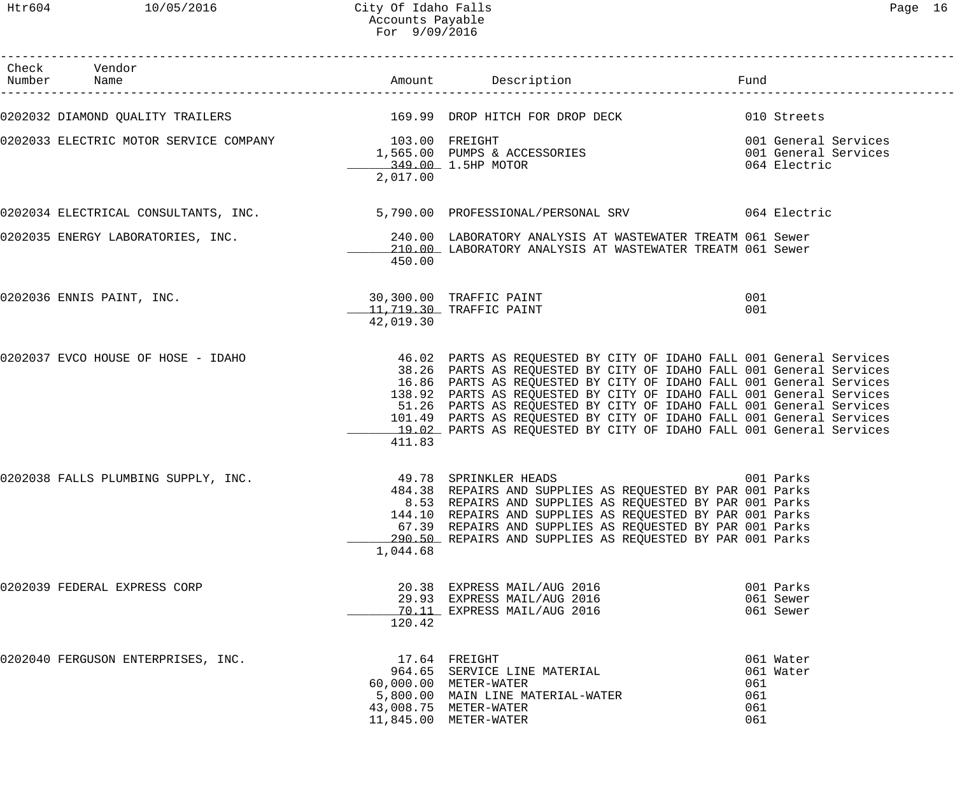Htr604 10/05/2016 City Of Idaho Falls Page 16 Accounts Payable For 9/09/2016

| Check Vendor<br>Number Name                           |           |                                                                                                                                                                                                                                                                                                                                                                                                                                                                                                                 | Fund                                               |
|-------------------------------------------------------|-----------|-----------------------------------------------------------------------------------------------------------------------------------------------------------------------------------------------------------------------------------------------------------------------------------------------------------------------------------------------------------------------------------------------------------------------------------------------------------------------------------------------------------------|----------------------------------------------------|
|                                                       |           | 0202032 DIAMOND QUALITY TRAILERS THE SERIE SERIES TO MALLER SERIES AND ROP HITCH FOR DROP DECK THE MOND Streets                                                                                                                                                                                                                                                                                                                                                                                                 |                                                    |
| 0202033 ELECTRIC MOTOR SERVICE COMPANY 103.00 FREIGHT | 2,017.00  | 1,565.00 PUMPS & ACCESSORIES<br>1,565.00 PUMPS & ACCESSORIES<br>349.00 1.5HP MOTOR<br>2,017.00<br>349.00 1.5HP MOTOR                                                                                                                                                                                                                                                                                                                                                                                            |                                                    |
|                                                       |           | 0202034 ELECTRICAL CONSULTANTS, INC. 5,790.00 PROFESSIONAL/PERSONAL SRV 664 Electric                                                                                                                                                                                                                                                                                                                                                                                                                            |                                                    |
|                                                       | 450.00    | 0202035 ENERGY LABORATORIES, INC. 240.00 LABORATORY ANALYSIS AT WASTEWATER TREATM 061 Sewer<br>210.00 LABORATORY ANALYSIS AT WASTEWATER TREATM 061 Sewer                                                                                                                                                                                                                                                                                                                                                        |                                                    |
| 0202036 ENNIS PAINT, INC.                             | 42,019.30 | 30,300.00 TRAFFIC PAINT<br>11,719.30 TRAFFIC PAINT                                                                                                                                                                                                                                                                                                                                                                                                                                                              | 001<br>001                                         |
| 0202037 EVCO HOUSE OF HOSE - IDAHO                    | 411.83    | 46.02 PARTS AS REQUESTED BY CITY OF IDAHO FALL 001 General Services<br>38.26 PARTS AS REQUESTED BY CITY OF IDAHO FALL 001 General Services<br>16.86 PARTS AS REQUESTED BY CITY OF IDAHO FALL 001 General Services<br>138.92 PARTS AS REQUESTED BY CITY OF IDAHO FALL 001 General Services<br>51.26 PARTS AS REQUESTED BY CITY OF IDAHO FALL 001 General Services<br>101.49 PARTS AS REQUESTED BY CITY OF IDAHO FALL 001 General Services<br>19.02 PARTS AS REQUESTED BY CITY OF IDAHO FALL 001 General Services |                                                    |
| 0202038 FALLS PLUMBING SUPPLY, INC.                   | 1,044.68  | 49.78 SPRINKLER HEADS<br>484.38 REPAIRS AND SUPPLIES AS REQUESTED BY PAR 001 Parks<br>8.53 REPAIRS AND SUPPLIES AS REQUESTED BY PAR 001 Parks<br>144.10 REPAIRS AND SUPPLIES AS REQUESTED BY PAR 001 Parks<br>67.39 REPAIRS AND SUPPLIES AS REQUESTED BY PAR 001 Parks<br>290.50 REPAIRS AND SUPPLIES AS REQUESTED BY PAR 001 Parks                                                                                                                                                                             | 001 Parks                                          |
| 0202039 FEDERAL EXPRESS CORP                          | 120.42    | 20.38 EXPRESS MAIL/AUG 2016<br>29.93 EXPRESS MAIL/AUG 2016<br>70.11 EXPRESS MAIL/AUG 2016                                                                                                                                                                                                                                                                                                                                                                                                                       | 001 Parks<br>061 Sewer<br>061 Sewer                |
| 0202040 FERGUSON ENTERPRISES, INC.                    |           | 17.64 FREIGHT<br>964.65 SERVICE LINE MATERIAL<br>60,000.00 METER-WATER<br>5,800.00 MAIN LINE MATERIAL-WATER<br>43,008.75 METER-WATER<br>11,845.00 METER-WATER                                                                                                                                                                                                                                                                                                                                                   | 061 Water<br>061 Water<br>061<br>061<br>061<br>061 |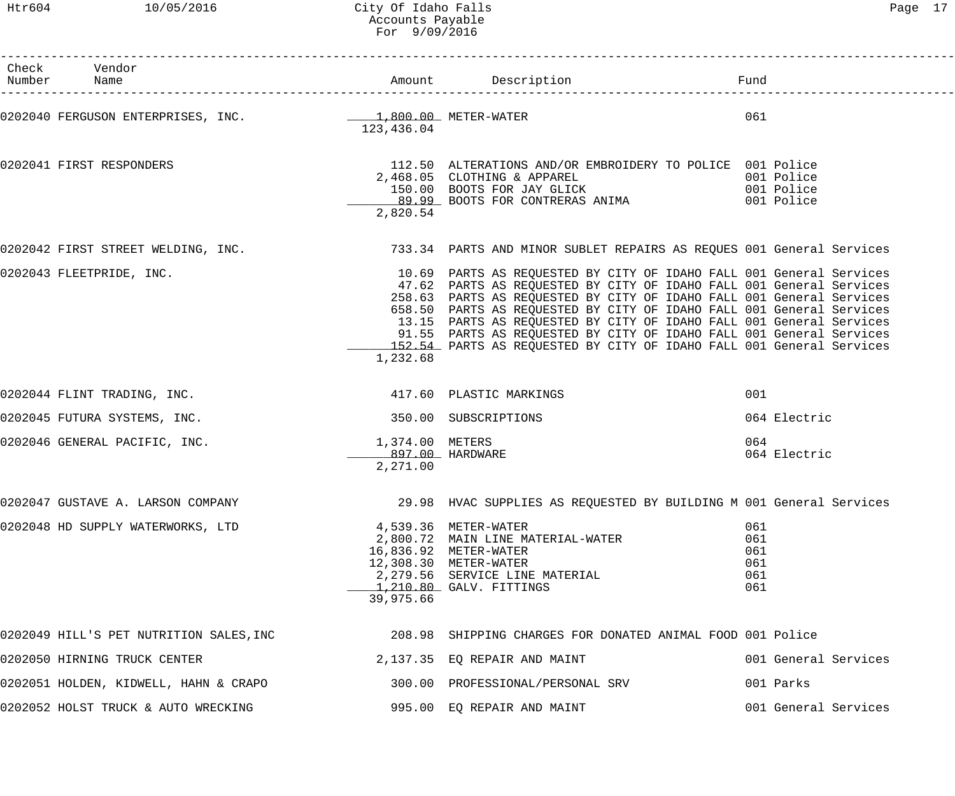| Htr604 10/05/2016                                                                                  | City Of Idaho Falls<br>Accounts Payable<br>For 9/09/2016 |                                                                                                                                         |                                                                                                                                             | Page 17 |  |
|----------------------------------------------------------------------------------------------------|----------------------------------------------------------|-----------------------------------------------------------------------------------------------------------------------------------------|---------------------------------------------------------------------------------------------------------------------------------------------|---------|--|
| Check Vendor<br>Number Name                                                                        |                                                          |                                                                                                                                         |                                                                                                                                             |         |  |
|                                                                                                    |                                                          |                                                                                                                                         |                                                                                                                                             |         |  |
|                                                                                                    | 123,436.04                                               |                                                                                                                                         | 061                                                                                                                                         |         |  |
| 0202041 FIRST RESPONDERS                                                                           |                                                          | 112.50 ALTERATIONS AND/OR EMBROIDERY TO POLICE 001 Police                                                                               |                                                                                                                                             |         |  |
|                                                                                                    |                                                          | 2,468.05 CLOTHING & APPAREL<br>468.05 CLOTHING & APPAREL 001 Police<br>150.00 BOOTS FOR JAY GLICK 001 Police<br>00.00 POOTS FOR SOUTHER |                                                                                                                                             |         |  |
|                                                                                                    |                                                          |                                                                                                                                         |                                                                                                                                             |         |  |
|                                                                                                    | 2,820.54                                                 | 89.99 BOOTS FOR CONTRERAS ANIMA 601 Police                                                                                              |                                                                                                                                             |         |  |
| 0202042 FIRST STREET WELDING, INC.                                                                 |                                                          |                                                                                                                                         | 733.34 PARTS AND MINOR SUBLET REPAIRS AS REQUES 001 General Services                                                                        |         |  |
| 0202043 FLEETPRIDE, INC.                                                                           |                                                          |                                                                                                                                         | 10.69 PARTS AS REQUESTED BY CITY OF IDAHO FALL 001 General Services                                                                         |         |  |
|                                                                                                    |                                                          |                                                                                                                                         | 47.62 PARTS AS REQUESTED BY CITY OF IDAHO FALL 001 General Services                                                                         |         |  |
|                                                                                                    |                                                          |                                                                                                                                         | 258.63 PARTS AS REQUESTED BY CITY OF IDAHO FALL 001 General Services                                                                        |         |  |
|                                                                                                    |                                                          |                                                                                                                                         | 658.50 PARTS AS REQUESTED BY CITY OF IDAHO FALL 001 General Services                                                                        |         |  |
|                                                                                                    |                                                          |                                                                                                                                         | 13.15 PARTS AS REQUESTED BY CITY OF IDAHO FALL 001 General Services                                                                         |         |  |
|                                                                                                    |                                                          |                                                                                                                                         | 91.55 PARTS AS REQUESTED BY CITY OF IDAHO FALL 001 General Services<br>152.54 PARTS AS REQUESTED BY CITY OF IDAHO FALL 001 General Services |         |  |
|                                                                                                    | 1,232.68                                                 |                                                                                                                                         |                                                                                                                                             |         |  |
| 0202044 FLINT TRADING, INC.                                                                        |                                                          | 417.60 PLASTIC MARKINGS                                                                                                                 | 001                                                                                                                                         |         |  |
| 0202045 FUTURA SYSTEMS, INC.                                                                       |                                                          | 350.00 SUBSCRIPTIONS                                                                                                                    | 064 Electric                                                                                                                                |         |  |
| 0202046 GENERAL PACIFIC, INC.                                                                      | 1,374.00 METERS                                          |                                                                                                                                         | 064                                                                                                                                         |         |  |
|                                                                                                    |                                                          | 897.00 HARDWARE                                                                                                                         | 064 Electric                                                                                                                                |         |  |
|                                                                                                    | 2,271.00                                                 |                                                                                                                                         |                                                                                                                                             |         |  |
| 0202047 GUSTAVE A. LARSON COMPANY                                                                  |                                                          |                                                                                                                                         | 29.98 HVAC SUPPLIES AS REQUESTED BY BUILDING M 001 General Services                                                                         |         |  |
| 0202048 HD SUPPLY WATERWORKS, LTD                                                                  |                                                          | 4,539.36 METER-WATER                                                                                                                    | 061                                                                                                                                         |         |  |
|                                                                                                    |                                                          | 2,800.72 MAIN LINE MATERIAL-WATER                                                                                                       | 061                                                                                                                                         |         |  |
|                                                                                                    |                                                          | 16,836.92 METER-WATER                                                                                                                   | 061                                                                                                                                         |         |  |
|                                                                                                    |                                                          | 12,308.30 METER-WATER<br>2,279.56 SERVICE LINE MATERIAL                                                                                 | 061<br>061                                                                                                                                  |         |  |
|                                                                                                    |                                                          | $1,210.80$ GALV. FITTINGS                                                                                                               | 061                                                                                                                                         |         |  |
|                                                                                                    | 39,975.66                                                |                                                                                                                                         |                                                                                                                                             |         |  |
| 0202049 HILL'S PET NUTRITION SALES, INC 208.98 SHIPPING CHARGES FOR DONATED ANIMAL FOOD 001 Police |                                                          |                                                                                                                                         |                                                                                                                                             |         |  |
| 0202050 HIRNING TRUCK CENTER                                                                       |                                                          | 2,137.35 EQ REPAIR AND MAINT                                                                                                            | 001 General Services                                                                                                                        |         |  |
| 0202051 HOLDEN, KIDWELL, HAHN & CRAPO                                                              |                                                          | 300.00 PROFESSIONAL/PERSONAL SRV                                                                                                        | 001 Parks                                                                                                                                   |         |  |

0202052 HOLST TRUCK & AUTO WRECKING **1995.00 EQ REPAIR AND MAINT** 1995.00 CONSIDENT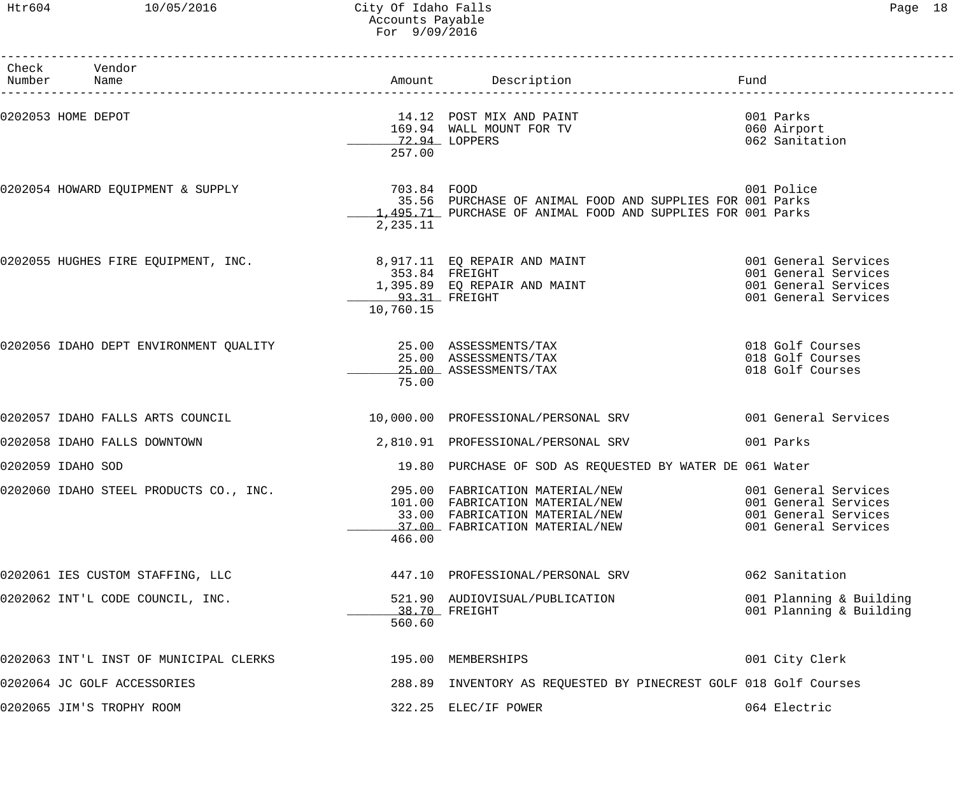## Htr604 10/05/2016 City Of Idaho Falls Page 18 Accounts Payable For 9/09/2016

| Paqe | 18 |
|------|----|
|------|----|

| Check Vendor<br>Number Name                                      |                                              |                                                                                                                                        | Fund                                                                                         |
|------------------------------------------------------------------|----------------------------------------------|----------------------------------------------------------------------------------------------------------------------------------------|----------------------------------------------------------------------------------------------|
| 0202053 HOME DEPOT                                               | 72.94 LOPPERS<br>257.00                      | 14.12 POST MIX AND PAINT<br>169.94 WALL MOUNT FOR TV                                                                                   | 001 Parks<br>060 Airport<br>062 Sanitation                                                   |
| 0202054 HOWARD EQUIPMENT & SUPPLY 6 (2020) 703.84 FOOD           | 2,235.11                                     | 35.56 PURCHASE OF ANIMAL FOOD AND SUPPLIES FOR 001 Parks<br>1,495.71 PURCHASE OF ANIMAL FOOD AND SUPPLIES FOR 001 Parks                | 001 Police                                                                                   |
| 0202055 HUGHES FIRE EQUIPMENT, INC. 8,917.11 EQ REPAIR AND MAINT | 353.84 FREIGHT<br>93.31 FREIGHT<br>10,760.15 | 1,395.89 EQ REPAIR AND MAINT<br><u>93.31</u> FREIGHT                                                                                   | 001 General Services<br>001 General Services<br>001 General Services<br>001 General Services |
|                                                                  | 75.00                                        | 25.00 ASSESSMENTS/TAX<br>25.00 ASSESSMENTS/TAX                                                                                         | 018 Golf Courses<br>018 Golf Courses<br>018 Golf Courses                                     |
| 0202057 IDAHO FALLS ARTS COUNCIL                                 |                                              | 10,000.00 PROFESSIONAL/PERSONAL SRV                                                                                                    | 001 General Services                                                                         |
| 0202058 IDAHO FALLS DOWNTOWN                                     |                                              | 2,810.91 PROFESSIONAL/PERSONAL SRV                                                                                                     | 001 Parks                                                                                    |
| 0202059 IDAHO SOD                                                |                                              | 19.80 PURCHASE OF SOD AS REQUESTED BY WATER DE 061 Water                                                                               |                                                                                              |
| 0202060 IDAHO STEEL PRODUCTS CO., INC.                           | 466.00                                       | 295.00 FABRICATION MATERIAL/NEW<br>101.00 FABRICATION MATERIAL/NEW<br>33.00 FABRICATION MATERIAL/NEW<br>37.00 FABRICATION MATERIAL/NEW | 001 General Services<br>001 General Services<br>001 General Services<br>001 General Services |
| 0202061 IES CUSTOM STAFFING, LLC                                 |                                              | 447.10 PROFESSIONAL/PERSONAL SRV                                                                                                       | 062 Sanitation                                                                               |
| 0202062 INT'L CODE COUNCIL, INC.                                 | 560.60                                       | 521.90 AUDIOVISUAL/PUBLICATION<br>38.70 FREIGHT                                                                                        | 001 Planning & Building<br>001 Planning & Building                                           |
| 0202063 INT'L INST OF MUNICIPAL CLERKS                           |                                              | 195.00 MEMBERSHIPS                                                                                                                     | 001 City Clerk                                                                               |
| 0202064 JC GOLF ACCESSORIES                                      |                                              | 288.89 INVENTORY AS REQUESTED BY PINECREST GOLF 018 Golf Courses                                                                       |                                                                                              |
| 0202065 JIM'S TROPHY ROOM                                        |                                              | 322.25 ELEC/IF POWER                                                                                                                   | 064 Electric                                                                                 |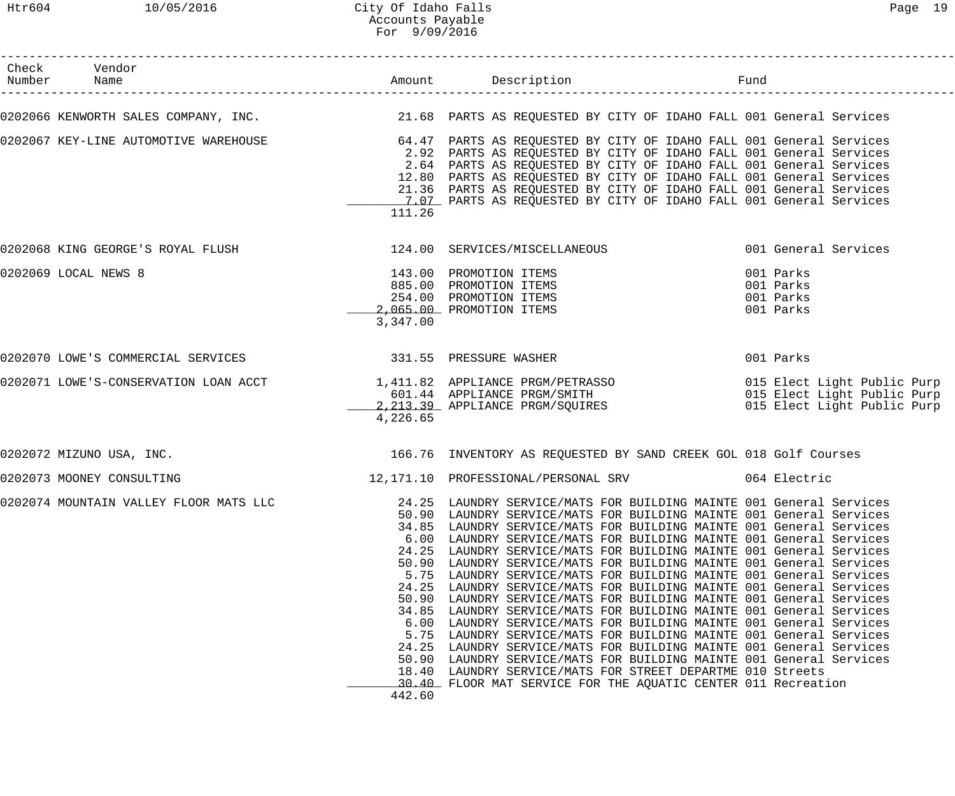| Check Vendor<br>Number Name           |                                  |                                                                                                                                                                                                                                                                                                                                                                                                                                                                                                                                                                                                                                                                                                                                                                                                                                                                                                                                                                                                                                                                                                                                                                                 | Fund                                             |
|---------------------------------------|----------------------------------|---------------------------------------------------------------------------------------------------------------------------------------------------------------------------------------------------------------------------------------------------------------------------------------------------------------------------------------------------------------------------------------------------------------------------------------------------------------------------------------------------------------------------------------------------------------------------------------------------------------------------------------------------------------------------------------------------------------------------------------------------------------------------------------------------------------------------------------------------------------------------------------------------------------------------------------------------------------------------------------------------------------------------------------------------------------------------------------------------------------------------------------------------------------------------------|--------------------------------------------------|
|                                       |                                  | 0202066 KENWORTH SALES COMPANY, INC. THE READLE 21.68 PARTS AS REQUESTED BY CITY OF IDAHO FALL 001 General Services                                                                                                                                                                                                                                                                                                                                                                                                                                                                                                                                                                                                                                                                                                                                                                                                                                                                                                                                                                                                                                                             |                                                  |
| 0202067 KEY-LINE AUTOMOTIVE WAREHOUSE | 111.26                           | 64.47 PARTS AS REQUESTED BY CITY OF IDAHO FALL 001 General Services<br>2.92 PARTS AS REQUESTED BY CITY OF IDAHO FALL 001 General Services<br>2.64 PARTS AS REQUESTED BY CITY OF IDAHO FALL 001 General Services<br>12.80 PARTS AS REQUESTED BY CITY OF IDAHO FALL 001 General Services<br>21.36 PARTS AS REQUESTED BY CITY OF IDAHO FALL 001 General Services<br>1.07 PARTS AS REQUESTED BY CITY OF IDAHO FALL 001 General Services                                                                                                                                                                                                                                                                                                                                                                                                                                                                                                                                                                                                                                                                                                                                             |                                                  |
|                                       |                                  |                                                                                                                                                                                                                                                                                                                                                                                                                                                                                                                                                                                                                                                                                                                                                                                                                                                                                                                                                                                                                                                                                                                                                                                 | 001 General Services                             |
| 0202069 LOCAL NEWS 8                  | 3,347.00                         | 143.00 PROMOTION ITEMS<br>885.00 PROMOTION ITEMS<br>254.00 PROMOTION ITEMS<br>2,065.00 PROMOTION ITEMS                                                                                                                                                                                                                                                                                                                                                                                                                                                                                                                                                                                                                                                                                                                                                                                                                                                                                                                                                                                                                                                                          | 001 Parks<br>001 Parks<br>001 Parks<br>001 Parks |
|                                       |                                  |                                                                                                                                                                                                                                                                                                                                                                                                                                                                                                                                                                                                                                                                                                                                                                                                                                                                                                                                                                                                                                                                                                                                                                                 | 001 Parks                                        |
|                                       | 4,226.65                         | 0202071 LOWE'S-CONSERVATION LOAN ACCT 1,411.82 APPLIANCE PRGM/PETRASSO 6 015 Elect Light Public Purp 1,411.82<br>601.44 APPLIANCE PRGM/SMITH 015 Elect Light Public Purp<br>2,213.39 APPLIANCE PRGM/SQUIRES 015 Elect Light Public P                                                                                                                                                                                                                                                                                                                                                                                                                                                                                                                                                                                                                                                                                                                                                                                                                                                                                                                                            |                                                  |
| 0202072 MIZUNO USA, INC.              |                                  | 166.76 INVENTORY AS REQUESTED BY SAND CREEK GOL 018 Golf Courses                                                                                                                                                                                                                                                                                                                                                                                                                                                                                                                                                                                                                                                                                                                                                                                                                                                                                                                                                                                                                                                                                                                |                                                  |
| 0202073 MOONEY CONSULTING             |                                  | 12,171.10 PROFESSIONAL/PERSONAL SRV 064 Electric                                                                                                                                                                                                                                                                                                                                                                                                                                                                                                                                                                                                                                                                                                                                                                                                                                                                                                                                                                                                                                                                                                                                |                                                  |
|                                       | 5.75<br>24.25<br>50.90<br>442.60 | 0202074 MOUNTAIN VALLEY FLOOR MATS LLC 24.25 LAUNDRY SERVICE/MATS FOR BUILDING MAINTE 001 General Services<br>50.90 LAUNDRY SERVICE/MATS FOR BUILDING MAINTE 001 General Services<br>34.85 LAUNDRY SERVICE/MATS FOR BUILDING MAINTE 001 General Services<br>6.00 LAUNDRY SERVICE/MATS FOR BUILDING MAINTE 001 General Services<br>24.25 LAUNDRY SERVICE/MATS FOR BUILDING MAINTE 001 General Services<br>50.90 LAUNDRY SERVICE/MATS FOR BUILDING MAINTE 001 General Services<br>5.75 LAUNDRY SERVICE/MATS FOR BUILDING MAINTE 001 General Services<br>24.25 LAUNDRY SERVICE/MATS FOR BUILDING MAINTE 001 General Services<br>50.90 LAUNDRY SERVICE/MATS FOR BUILDING MAINTE 001 General Services<br>34.85 LAUNDRY SERVICE/MATS FOR BUILDING MAINTE 001 General Services<br>6.00 LAUNDRY SERVICE/MATS FOR BUILDING MAINTE 001 General Services<br>LAUNDRY SERVICE/MATS FOR BUILDING MAINTE 001 General Services<br>LAUNDRY SERVICE/MATS FOR BUILDING MAINTE 001 General Services<br>LAUNDRY SERVICE/MATS FOR BUILDING MAINTE 001 General Services<br>18.40 LAUNDRY SERVICE/MATS FOR STREET DEPARTME 010 Streets<br>30.40 FLOOR MAT SERVICE FOR THE AQUATIC CENTER 011 Recreation |                                                  |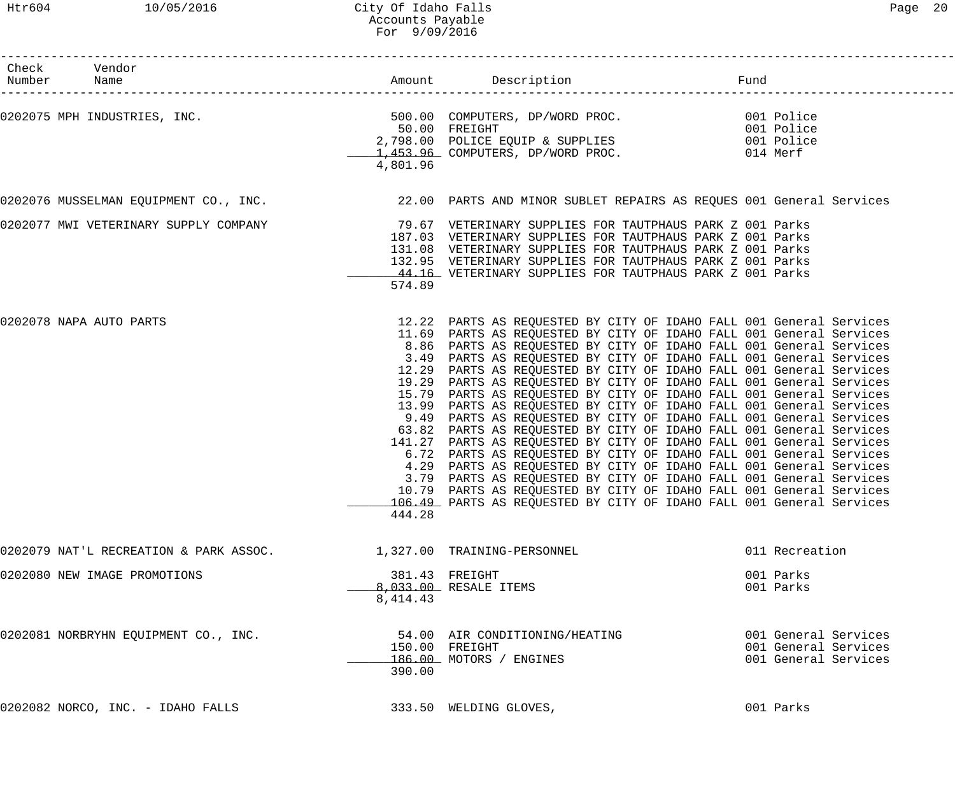## Htr604 10/05/2016 City Of Idaho Falls Page 20 Accounts Payable For 9/09/2016

| Check Vendor<br>Number Name                                                                                                                                                                                        |            |                                                                                                                                             | Fund                         |  |
|--------------------------------------------------------------------------------------------------------------------------------------------------------------------------------------------------------------------|------------|---------------------------------------------------------------------------------------------------------------------------------------------|------------------------------|--|
|                                                                                                                                                                                                                    |            |                                                                                                                                             | ____________________________ |  |
| 0202075 MPH INDUSTRIES, INC.<br>001 Police 50.00 COMPUTERS, DP/WORD PROC.<br>2,798.00 POLICE EQUIP & SUPPLIES 001 Police 2,798.00 POLICE EQUIP & SUPPLIES 001 Police<br>1,453.96 COMPUTERS, DP/WORD PROC. 014 Merf |            |                                                                                                                                             |                              |  |
|                                                                                                                                                                                                                    |            |                                                                                                                                             |                              |  |
|                                                                                                                                                                                                                    |            |                                                                                                                                             |                              |  |
|                                                                                                                                                                                                                    | 4,801.96   |                                                                                                                                             |                              |  |
|                                                                                                                                                                                                                    |            |                                                                                                                                             |                              |  |
| 0202076 MUSSELMAN EQUIPMENT CO., INC. 22.00 PARTS AND MINOR SUBLET REPAIRS AS REQUES 001 General Services                                                                                                          |            |                                                                                                                                             |                              |  |
| 0202077 MWI VETERINARY SUPPLY COMPANY                                                                                                                                                                              |            | 79.67 VETERINARY SUPPLIES FOR TAUTPHAUS PARK Z 001 Parks                                                                                    |                              |  |
|                                                                                                                                                                                                                    |            | 187.03 VETERINARY SUPPLIES FOR TAUTPHAUS PARK Z 001 Parks                                                                                   |                              |  |
|                                                                                                                                                                                                                    |            | 131.08 VETERINARY SUPPLIES FOR TAUTPHAUS PARK Z 001 Parks                                                                                   |                              |  |
|                                                                                                                                                                                                                    |            | 132.95 VETERINARY SUPPLIES FOR TAUTPHAUS PARK Z 001 Parks                                                                                   |                              |  |
|                                                                                                                                                                                                                    |            | 44.16 VETERINARY SUPPLIES FOR TAUTPHAUS PARK Z 001 Parks                                                                                    |                              |  |
|                                                                                                                                                                                                                    | 574.89     |                                                                                                                                             |                              |  |
| 0202078 NAPA AUTO PARTS                                                                                                                                                                                            |            | 12.22 PARTS AS REQUESTED BY CITY OF IDAHO FALL 001 General Services                                                                         |                              |  |
|                                                                                                                                                                                                                    |            | 11.69 PARTS AS REQUESTED BY CITY OF IDAHO FALL 001 General Services                                                                         |                              |  |
|                                                                                                                                                                                                                    |            | 8.86 PARTS AS REQUESTED BY CITY OF IDAHO FALL 001 General Services                                                                          |                              |  |
|                                                                                                                                                                                                                    |            | 3.49 PARTS AS REQUESTED BY CITY OF IDAHO FALL 001 General Services                                                                          |                              |  |
|                                                                                                                                                                                                                    |            | 12.29 PARTS AS REQUESTED BY CITY OF IDAHO FALL 001 General Services                                                                         |                              |  |
|                                                                                                                                                                                                                    |            | 19.29 PARTS AS REQUESTED BY CITY OF IDAHO FALL 001 General Services                                                                         |                              |  |
|                                                                                                                                                                                                                    |            | 15.79 PARTS AS REQUESTED BY CITY OF IDAHO FALL 001 General Services                                                                         |                              |  |
|                                                                                                                                                                                                                    |            | 13.99 PARTS AS REQUESTED BY CITY OF IDAHO FALL 001 General Services                                                                         |                              |  |
|                                                                                                                                                                                                                    |            | 9.49 PARTS AS REQUESTED BY CITY OF IDAHO FALL 001 General Services                                                                          |                              |  |
|                                                                                                                                                                                                                    |            | 63.82 PARTS AS REQUESTED BY CITY OF IDAHO FALL 001 General Services                                                                         |                              |  |
|                                                                                                                                                                                                                    |            | 141.27 PARTS AS REQUESTED BY CITY OF IDAHO FALL 001 General Services                                                                        |                              |  |
|                                                                                                                                                                                                                    |            | 6.72 PARTS AS REQUESTED BY CITY OF IDAHO FALL 001 General Services                                                                          |                              |  |
|                                                                                                                                                                                                                    | 4.29       | PARTS AS REQUESTED BY CITY OF IDAHO FALL 001 General Services                                                                               |                              |  |
|                                                                                                                                                                                                                    |            | 3.79 PARTS AS REQUESTED BY CITY OF IDAHO FALL 001 General Services                                                                          |                              |  |
|                                                                                                                                                                                                                    |            | 10.79 PARTS AS REQUESTED BY CITY OF IDAHO FALL 001 General Services<br>106.49 PARTS AS REQUESTED BY CITY OF IDAHO FALL 001 General Services |                              |  |
|                                                                                                                                                                                                                    | 444.28     |                                                                                                                                             |                              |  |
| 0202079 NAT'L RECREATION & PARK ASSOC.                                                                                                                                                                             |            | 1,327.00 TRAINING-PERSONNEL                                                                                                                 | 011 Recreation               |  |
| 0202080 NEW IMAGE PROMOTIONS                                                                                                                                                                                       |            | 381.43 FREIGHT                                                                                                                              | 001 Parks                    |  |
|                                                                                                                                                                                                                    |            | 8,033.00 RESALE ITEMS                                                                                                                       | 001 Parks                    |  |
|                                                                                                                                                                                                                    | 8, 414. 43 |                                                                                                                                             |                              |  |
|                                                                                                                                                                                                                    |            |                                                                                                                                             |                              |  |
| 0202081 NORBRYHN EQUIPMENT CO., INC.                                                                                                                                                                               |            | 54.00 AIR CONDITIONING/HEATING                                                                                                              | 001 General Services         |  |
|                                                                                                                                                                                                                    |            | 150.00 FREIGHT                                                                                                                              | 001 General Services         |  |
|                                                                                                                                                                                                                    |            | 186.00 MOTORS / ENGINES                                                                                                                     | 001 General Services         |  |
|                                                                                                                                                                                                                    | 390.00     |                                                                                                                                             |                              |  |
| 0202082 NORCO, INC. - IDAHO FALLS                                                                                                                                                                                  |            | 333.50 WELDING GLOVES,                                                                                                                      | 001 Parks                    |  |
|                                                                                                                                                                                                                    |            |                                                                                                                                             |                              |  |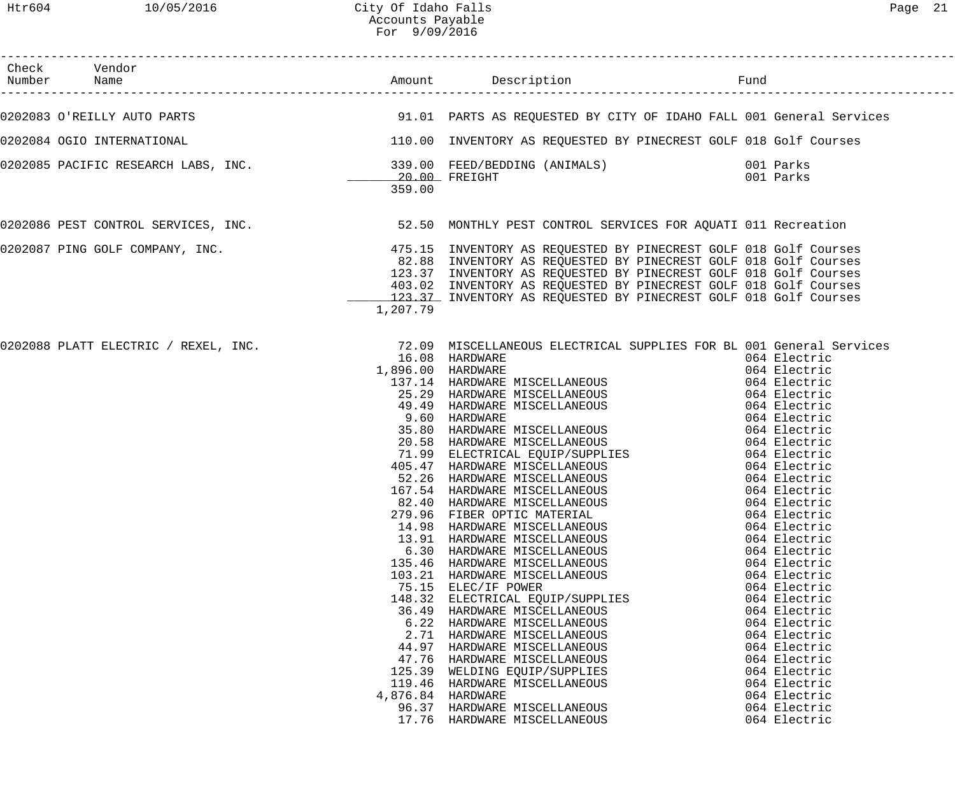| Check Vendor<br>Number Name |                                                                                       |                                                                                                                                                                                                                                                                                                                                                                                                                                                                                                                                                                                                                                                                                                                                                                                                                                                                                                                                                                                                                                                                                                                       |                                                                                                                                                                                                                                                                                                                                                                                                                                              |
|-----------------------------|---------------------------------------------------------------------------------------|-----------------------------------------------------------------------------------------------------------------------------------------------------------------------------------------------------------------------------------------------------------------------------------------------------------------------------------------------------------------------------------------------------------------------------------------------------------------------------------------------------------------------------------------------------------------------------------------------------------------------------------------------------------------------------------------------------------------------------------------------------------------------------------------------------------------------------------------------------------------------------------------------------------------------------------------------------------------------------------------------------------------------------------------------------------------------------------------------------------------------|----------------------------------------------------------------------------------------------------------------------------------------------------------------------------------------------------------------------------------------------------------------------------------------------------------------------------------------------------------------------------------------------------------------------------------------------|
|                             |                                                                                       | 0202083 O'REILLY AUTO PARTS NE SAN SERIE SERIES AS REQUESTED BY CITY OF IDAHO FALL 001 General Services                                                                                                                                                                                                                                                                                                                                                                                                                                                                                                                                                                                                                                                                                                                                                                                                                                                                                                                                                                                                               |                                                                                                                                                                                                                                                                                                                                                                                                                                              |
|                             |                                                                                       | 0202084 OGIO INTERNATIONAL COURSES SUBSERVIES ON TRESPORT ON TRINISHING AS REQUESTED BY PINECREST GOLF 018 Golf Courses                                                                                                                                                                                                                                                                                                                                                                                                                                                                                                                                                                                                                                                                                                                                                                                                                                                                                                                                                                                               |                                                                                                                                                                                                                                                                                                                                                                                                                                              |
|                             | 359.00                                                                                | 0202085 PACIFIC RESEARCH LABS, INC.           339.00 FEED/BEDDING (ANIMALS)            001 Parks<br>20.00 FREIGHT                                                                                                                                                                                                                                                                                                                                                                                                                                                                                                                                                                                                                                                                                                                                                                                                                                                                                                                                                                                                     | 001 Parks                                                                                                                                                                                                                                                                                                                                                                                                                                    |
|                             |                                                                                       | 0202086 PEST CONTROL SERVICES, INC.<br>52.50 MONTHLY PEST CONTROL SERVICES, INC. 612.50 MONTHLY PEST CONTROL SERVICES FOR AQUATI 011 Recreation                                                                                                                                                                                                                                                                                                                                                                                                                                                                                                                                                                                                                                                                                                                                                                                                                                                                                                                                                                       |                                                                                                                                                                                                                                                                                                                                                                                                                                              |
|                             | 1,207.79                                                                              | 0202087 PING GOLF COMPANY, INC. THE SAME READS AT A 475.15 INVENTORY AS REQUESTED BY PINECREST GOLF 018 Golf Courses<br>82.88 INVENTORY AS REQUESTED BY PINECREST GOLF 018 Golf Courses<br>123.37 INVENTORY AS REQUESTED BY PINECREST GOLF 018 Golf Courses<br>403.02 INVENTORY AS REQUESTED BY PINECREST GOLF 018 Golf Courses<br>123.37 INVENTORY AS REQUESTED BY PINECREST GOLF 018 Golf Courses                                                                                                                                                                                                                                                                                                                                                                                                                                                                                                                                                                                                                                                                                                                   |                                                                                                                                                                                                                                                                                                                                                                                                                                              |
|                             | 1,896.00 HARDWARE<br>279.96<br>44.97<br>47.76<br>125.39<br>4,876.84 HARDWARE<br>17.76 | 0202088 PLATT ELECTRIC / REXEL, INC. 200 MISCELLANEOUS ELECTRICAL SUPPLIES FOR BL 001 General Services<br>16.08 HARDWARE<br>137.14 HARDWARE MISCELLANEOUS<br>25.29 HARDWARE MISCELLANEOUS<br>49.49 HARDWARE MISCELLANEOUS<br>9.60 HARDWARE<br>35.80 HARDWARE MISCELLANEOUS<br>20.58 HARDWARE MISCELLANEOUS<br>20.36 HARDWARE MISCELLANEOUS<br>71.99 ELECTRICAL EQUIP/SUPPLIES<br>405.47 HARDWARE MISCELLANEOUS<br>52.26 HARDWARE MISCELLANEOUS<br>167.54 HARDWARE MISCELLANEOUS<br>82.40 HARDWARE MISCELLANEOUS<br>82.40 HARDWARE MISCELLANEOUS<br>82.40 H<br>82.40 HARDWARE MISCELLANEOUS<br>FIBER OPTIC MATERIAL<br>14.98 HARDWARE MISCELLANEOUS<br>13.91 HARDWARE MISCELLANEOUS<br>6.30 HARDWARE MISCELLANEOUS<br>135.46 HARDWARE MISCELLANEOUS<br>103.21 HARDWARE MISCELLANEOUS<br>75.15 ELEC/IF POWER<br>148.32 ELECTRICAL EQUIP/SUPPLIES<br>36.49 HARDWARE MISCELLANEOUS<br>6.22 HARDWARE MISCELLANEOUS<br>2.71 HARDWARE MISCELLANEOUS<br>HARDWARE MISCELLANEOUS<br>HARDWARE MISCELLANEOUS<br>WELDING EQUIP/SUPPLIES<br>119.46 HARDWARE MISCELLANEOUS<br>96.37 HARDWARE MISCELLANEOUS<br>HARDWARE MISCELLANEOUS | 064 Electric<br>064 Electric<br>064 Electric<br>064 Electric<br>064 Electric<br>064 Electric<br>064 Electric<br>064 Electric<br>064 Electric<br>064 Electric<br>064 Electric<br>064 Electric<br>064 Electric<br>064 Electric<br>064 Electric<br>064 Electric<br>064 Electric<br>064 Electric<br>064 Electric<br>064 Electric<br>064 Electric<br>064 Electric<br>064 Electric<br>064 Electric<br>064 Electric<br>064 Electric<br>064 Electric |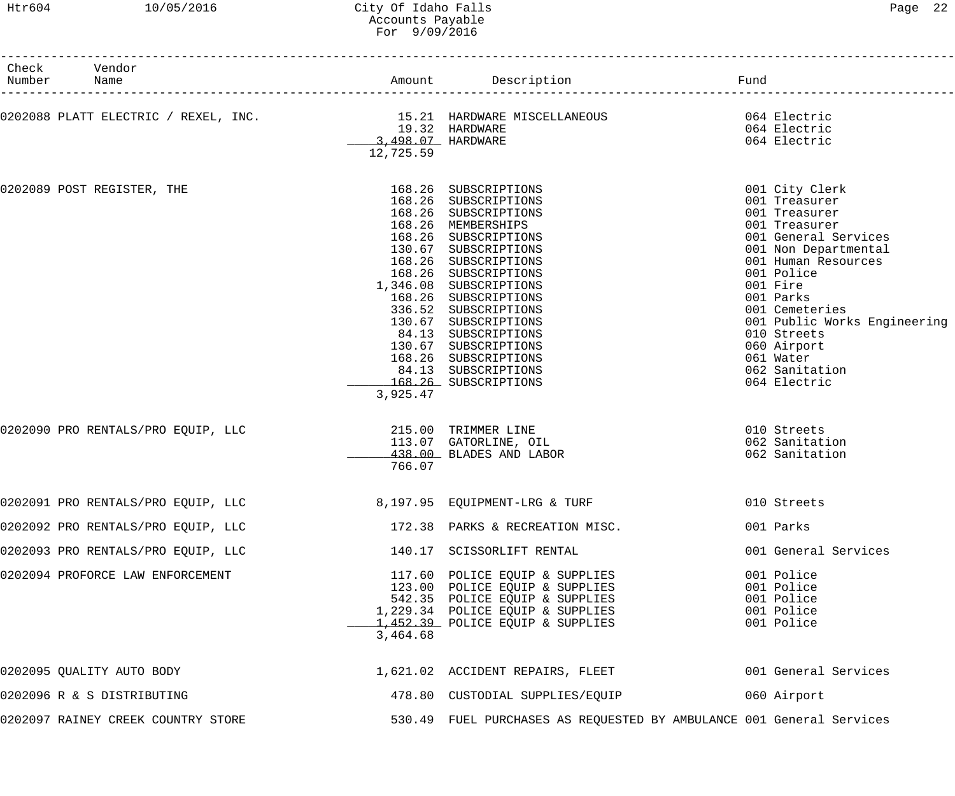## Htr604 10/05/2016 City Of Idaho Falls Page 22 Accounts Payable For 9/09/2016

| Check<br>Number | Vendor<br>Name                                                         |                                                  | Amount Description                                                                                                                                                                                                                                                                                                                                                                                                 | Fund                                                                                                                                                                                                                                                                                                           |
|-----------------|------------------------------------------------------------------------|--------------------------------------------------|--------------------------------------------------------------------------------------------------------------------------------------------------------------------------------------------------------------------------------------------------------------------------------------------------------------------------------------------------------------------------------------------------------------------|----------------------------------------------------------------------------------------------------------------------------------------------------------------------------------------------------------------------------------------------------------------------------------------------------------------|
|                 |                                                                        |                                                  |                                                                                                                                                                                                                                                                                                                                                                                                                    |                                                                                                                                                                                                                                                                                                                |
|                 | 0202088 PLATT ELECTRIC / REXEL, INC.                                   | 19.32 HARDWARE<br>3,498.07 HARDWARE<br>12,725.59 | 15.21 HARDWARE MISCELLANEOUS<br>064 Electric                                                                                                                                                                                                                                                                                                                                                                       | 064 Electric<br>064 Electric                                                                                                                                                                                                                                                                                   |
|                 | 0202089 POST REGISTER, THE                                             | 3,925.47                                         | 168.26 SUBSCRIPTIONS<br>168.26 SUBSCRIPTIONS<br>168.26 SUBSCRIPTIONS<br>168.26 MEMBERSHIPS<br>168.26 SUBSCRIPTIONS<br>130.67 SUBSCRIPTIONS<br>168.26 SUBSCRIPTIONS<br>168.26 SUBSCRIPTIONS<br>1,346.08 SUBSCRIPTIONS<br>168.26 SUBSCRIPTIONS<br>336.52 SUBSCRIPTIONS<br>130.67 SUBSCRIPTIONS<br>84.13 SUBSCRIPTIONS<br>130.67 SUBSCRIPTIONS<br>168.26 SUBSCRIPTIONS<br>84.13 SUBSCRIPTIONS<br>168.26 SUBSCRIPTIONS | 001 City Clerk<br>001 Treasurer<br>001 Treasurer<br>001 Treasurer<br>001 General Services<br>001 Non Departmental<br>001 Human Resources<br>001 Police<br>001 Fire<br>001 Parks<br>001 Cemeteries<br>001 Public Works Engineering<br>010 Streets<br>060 Airport<br>061 Water<br>062 Sanitation<br>064 Electric |
|                 | 0202090 PRO RENTALS/PRO EQUIP, LLC                                     | 766.07                                           | 215.00 TRIMMER LINE<br>113.07 GATORLINE, OIL<br>438.00 BLADES AND LABOR                                                                                                                                                                                                                                                                                                                                            | 010 Streets<br>062 Sanitation<br>062 Sanitation                                                                                                                                                                                                                                                                |
|                 | 0202091 PRO RENTALS/PRO EQUIP, LLC                                     |                                                  | 8,197.95 EQUIPMENT-LRG & TURF                                                                                                                                                                                                                                                                                                                                                                                      | 010 Streets                                                                                                                                                                                                                                                                                                    |
|                 |                                                                        |                                                  | 0202092 PRO RENTALS/PRO EQUIP, LLC and the state of the state of 172.38 PARKS & RECREATION MISC.                                                                                                                                                                                                                                                                                                                   | 001 Parks                                                                                                                                                                                                                                                                                                      |
|                 | 0202093 PRO RENTALS/PRO EQUIP, LLC           140.17 SCISSORLIFT RENTAL |                                                  |                                                                                                                                                                                                                                                                                                                                                                                                                    | 001 General Services                                                                                                                                                                                                                                                                                           |
|                 | 0202094 PROFORCE LAW ENFORCEMENT                                       | 3,464.68                                         | 117.60 POLICE EQUIP & SUPPLIES<br>123.00 POLICE EQUIP & SUPPLIES<br>542.35 POLICE EQUIP & SUPPLIES<br>1,229.34 POLICE EQUIP & SUPPLIES<br>1,452.39 POLICE EQUIP & SUPPLIES                                                                                                                                                                                                                                         | 001 Police<br>001 Police<br>001 Police<br>001 Police<br>001 Police                                                                                                                                                                                                                                             |
|                 | 0202095 QUALITY AUTO BODY                                              |                                                  | 1,621.02 ACCIDENT REPAIRS, FLEET                                                                                                                                                                                                                                                                                                                                                                                   | 001 General Services                                                                                                                                                                                                                                                                                           |
|                 | 0202096 R & S DISTRIBUTING                                             |                                                  | 478.80 CUSTODIAL SUPPLIES/EQUIP 600 Airport                                                                                                                                                                                                                                                                                                                                                                        |                                                                                                                                                                                                                                                                                                                |
|                 | 0202097 RAINEY CREEK COUNTRY STORE                                     |                                                  | 530.49 FUEL PURCHASES AS REQUESTED BY AMBULANCE 001 General Services                                                                                                                                                                                                                                                                                                                                               |                                                                                                                                                                                                                                                                                                                |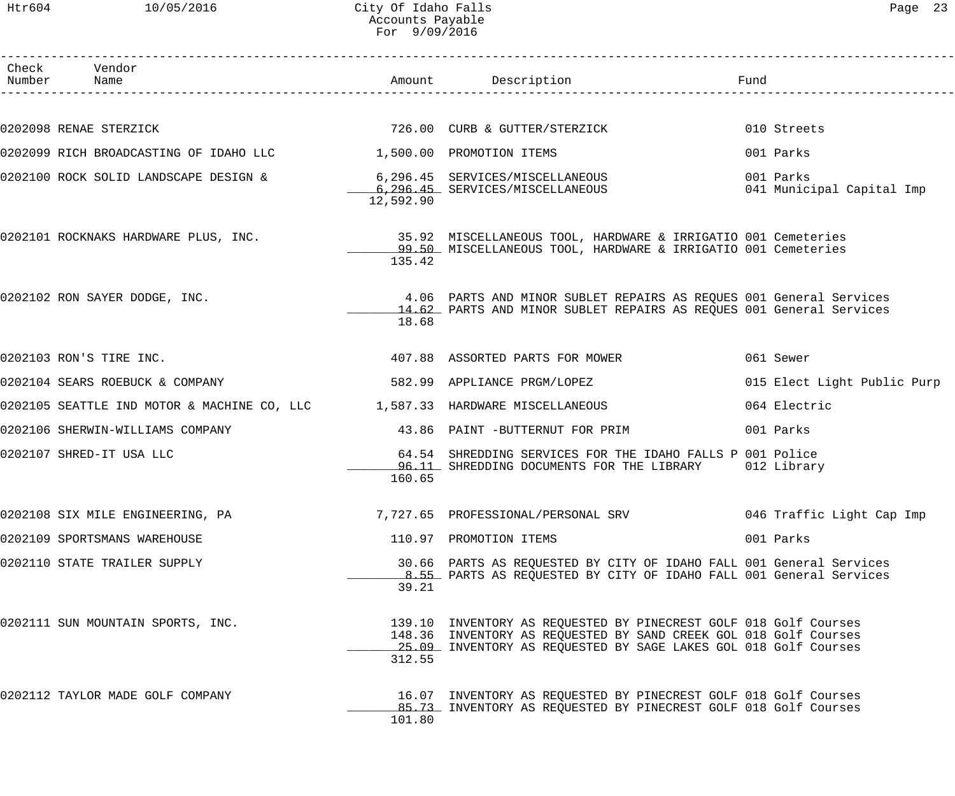## Htr604 10/05/2016 City Of Idaho Falls Page 23 Accounts Payable For 9/09/2016

| ില<br>Я. |  |
|----------|--|
|----------|--|

| Check Vendor<br>Number Name                                                                              |           | Amount Description                                                                                                                                                                                      | Fund                                   |
|----------------------------------------------------------------------------------------------------------|-----------|---------------------------------------------------------------------------------------------------------------------------------------------------------------------------------------------------------|----------------------------------------|
|                                                                                                          |           |                                                                                                                                                                                                         |                                        |
| 0202098 RENAE STERZICK                                                                                   |           | 726.00 CURB & GUTTER/STERZICK                                                                                                                                                                           | 010 Streets                            |
| 0202099 RICH BROADCASTING OF IDAHO LLC 1,500.00 PROMOTION ITEMS                                          |           |                                                                                                                                                                                                         | 001 Parks                              |
| 0202100 ROCK SOLID LANDSCAPE DESIGN & 6,296.45 SERVICES/MISCELLANEOUS<br>6,296.45 SERVICES/MISCELLANEOUS | 12,592.90 |                                                                                                                                                                                                         | 001 Parks<br>041 Municipal Capital Imp |
|                                                                                                          | 135.42    | 0202101 ROCKNAKS HARDWARE PLUS, INC. 35.92 MISCELLANEOUS TOOL, HARDWARE & IRRIGATIO 001 Cemeteries<br>09.50 MISCELLANEOUS TOOL, HARDWARE & IRRIGATIO 001 Cemeteries                                     |                                        |
| 0202102 RON SAYER DODGE, INC.                                                                            | 18.68     | 4.06 PARTS AND MINOR SUBLET REPAIRS AS REQUES 001 General Services<br>14.62 PARTS AND MINOR SUBLET REPAIRS AS REQUES 001 General Services                                                               |                                        |
| 0202103 RON'S TIRE INC.                                                                                  |           | 407.88 ASSORTED PARTS FOR MOWER                                                                                                                                                                         | 061 Sewer                              |
| 0202104 SEARS ROEBUCK & COMPANY                                                                          |           | 582.99 APPLIANCE PRGM/LOPEZ                                                                                                                                                                             | 015 Elect Light Public Purp            |
| 0202105 SEATTLE IND MOTOR & MACHINE CO, LLC 1,587.33 HARDWARE MISCELLANEOUS                              |           |                                                                                                                                                                                                         | 064 Electric                           |
| 0202106 SHERWIN-WILLIAMS COMPANY                                                                         |           | 43.86 PAINT -BUTTERNUT FOR PRIM                                                                                                                                                                         | 001 Parks                              |
| 0202107 SHRED-IT USA LLC                                                                                 | 160.65    | 64.54 SHREDDING SERVICES FOR THE IDAHO FALLS P 001 Police<br>10.11 SHREDDING DOCUMENTS FOR THE LIBRARY 1012 Library                                                                                     |                                        |
| 0202108 SIX MILE ENGINEERING, PA                                                                         |           | 7,727.65 PROFESSIONAL/PERSONAL SRV                                                                                                                                                                      | 046 Traffic Light Cap Imp              |
| 0202109 SPORTSMANS WAREHOUSE                                                                             |           | 110.97 PROMOTION ITEMS                                                                                                                                                                                  | 001 Parks                              |
| 0202110 STATE TRAILER SUPPLY                                                                             | 39.21     | 30.66 PARTS AS REQUESTED BY CITY OF IDAHO FALL 001 General Services<br>8.55 PARTS AS REQUESTED BY CITY OF IDAHO FALL 001 General Services                                                               |                                        |
| 0202111 SUN MOUNTAIN SPORTS, INC.                                                                        | 312.55    | 139.10 INVENTORY AS REQUESTED BY PINECREST GOLF 018 Golf Courses<br>148.36 INVENTORY AS REQUESTED BY SAND CREEK GOL 018 Golf Courses<br>25.09 INVENTORY AS REQUESTED BY SAGE LAKES GOL 018 Golf Courses |                                        |
| 0202112 TAYLOR MADE GOLF COMPANY                                                                         | 101.80    | 16.07 INVENTORY AS REQUESTED BY PINECREST GOLF 018 Golf Courses<br>85.73 INVENTORY AS REQUESTED BY PINECREST GOLF 018 Golf Courses                                                                      |                                        |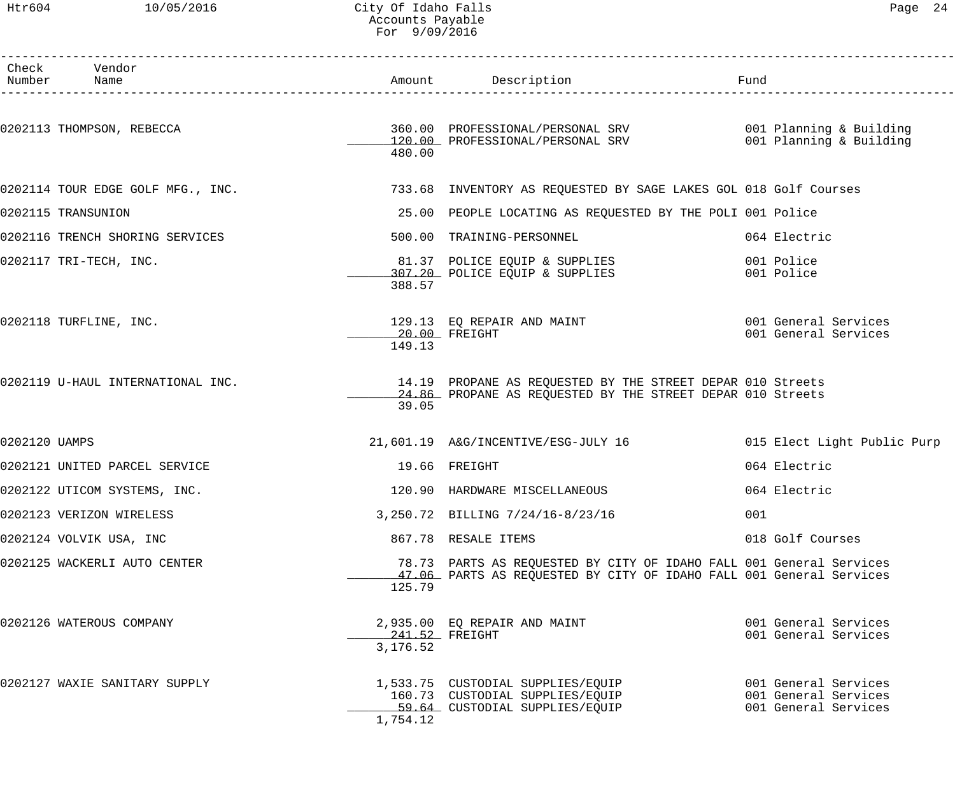## Htr604 10/05/2016 City Of Idaho Falls Page 24 Accounts Payable For 9/09/2016

|               | Check Vendor<br>Number Name       |                                | Amount Description Description Pund                                                                                                                           |                                                                      |
|---------------|-----------------------------------|--------------------------------|---------------------------------------------------------------------------------------------------------------------------------------------------------------|----------------------------------------------------------------------|
|               | 0202113 THOMPSON, REBECCA         | 480.00                         | 360.00 PROFESSIONAL/PERSONAL SRV                      001 Planning & Building<br>120.00 PROFESSIONAL/PERSONAL SRV                     001 Planning & Building |                                                                      |
|               | 0202114 TOUR EDGE GOLF MFG., INC. |                                | 733.68 INVENTORY AS REQUESTED BY SAGE LAKES GOL 018 Golf Courses                                                                                              |                                                                      |
|               | 0202115 TRANSUNION                |                                | 25.00 PEOPLE LOCATING AS REQUESTED BY THE POLI 001 Police                                                                                                     |                                                                      |
|               | 0202116 TRENCH SHORING SERVICES   |                                | 500.00 TRAINING-PERSONNEL                                                                                                                                     | 064 Electric                                                         |
|               | 0202117 TRI-TECH, INC.            | 388.57                         | 81.37 POLICE EQUIP & SUPPLIES<br>307.20 POLICE EQUIP & SUPPLIES                                                                                               | 001 Police<br>001 Police                                             |
|               | 0202118 TURFLINE, INC.            | 149.13                         | 129.13 EQ REPAIR AND MAINT<br>$20.00$ FREIGHT                                                                                                                 | 001 General Services<br>001 General Services                         |
|               | 0202119 U-HAUL INTERNATIONAL INC. | 39.05                          | 14.19 PROPANE AS REQUESTED BY THE STREET DEPAR 010 Streets<br>24.86 PROPANE AS REQUESTED BY THE STREET DEPAR 010 Streets                                      |                                                                      |
| 0202120 UAMPS |                                   |                                | 21,601.19 A&G/INCENTIVE/ESG-JULY 16                                                                                                                           | 015 Elect Light Public Purp                                          |
|               | 0202121 UNITED PARCEL SERVICE     |                                | 19.66 FREIGHT                                                                                                                                                 | 064 Electric                                                         |
|               | 0202122 UTICOM SYSTEMS, INC.      |                                | 120.90 HARDWARE MISCELLANEOUS                                                                                                                                 | 064 Electric                                                         |
|               | 0202123 VERIZON WIRELESS          |                                | 3,250.72 BILLING 7/24/16-8/23/16                                                                                                                              | 001                                                                  |
|               | 0202124 VOLVIK USA, INC           |                                | 867.78 RESALE ITEMS                                                                                                                                           | 018 Golf Courses                                                     |
|               | 0202125 WACKERLI AUTO CENTER      | 125.79                         | 78.73 PARTS AS REQUESTED BY CITY OF IDAHO FALL 001 General Services<br>47.06 PARTS AS REQUESTED BY CITY OF IDAHO FALL 001 General Services                    |                                                                      |
|               | 0202126 WATEROUS COMPANY          | ____241.52 FREIGHT<br>3,176.52 | 2,935.00 EQ REPAIR AND MAINT                                                                                                                                  | 001 General Services<br>001 General Services                         |
|               | 0202127 WAXIE SANITARY SUPPLY     | 1,754.12                       | 1,533.75 CUSTODIAL SUPPLIES/EQUIP<br>160.73 CUSTODIAL SUPPLIES/EQUIP<br>59.64 CUSTODIAL SUPPLIES/EQUIP                                                        | 001 General Services<br>001 General Services<br>001 General Services |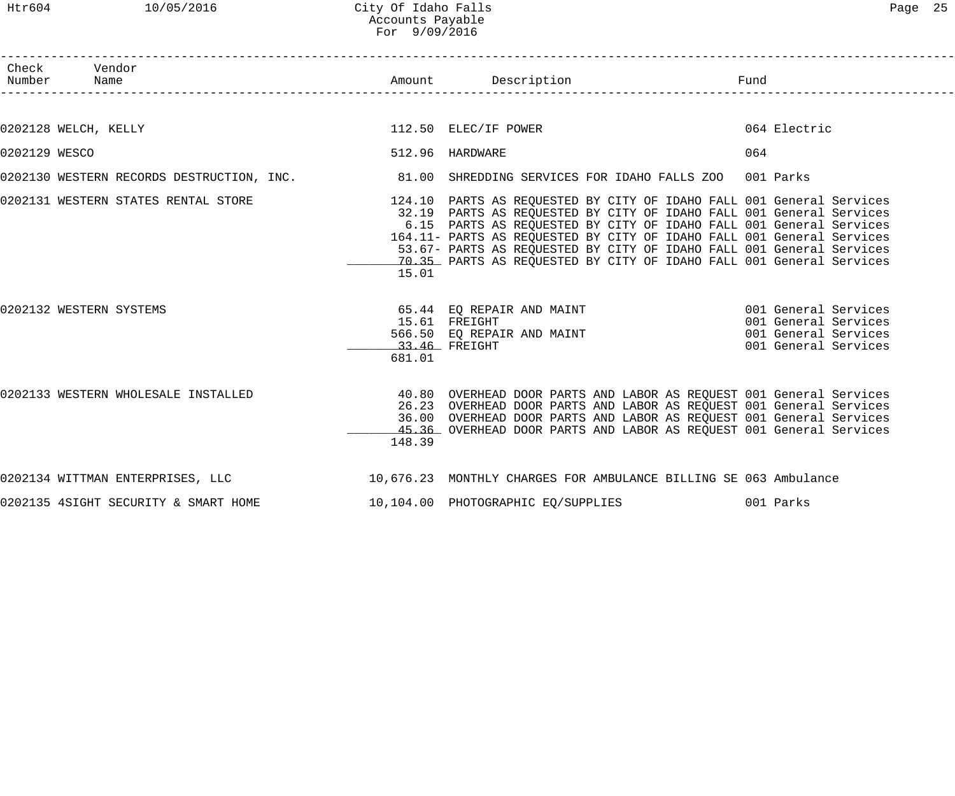| Htr604        | 10/05/2016                                                                                        | City Of Idaho Falls<br>Accounts Payable<br>For 9/09/2016 |                                                                                                                                                                                                                                                                                                                                                                                                                                           |                                                                                              | Page 25 |
|---------------|---------------------------------------------------------------------------------------------------|----------------------------------------------------------|-------------------------------------------------------------------------------------------------------------------------------------------------------------------------------------------------------------------------------------------------------------------------------------------------------------------------------------------------------------------------------------------------------------------------------------------|----------------------------------------------------------------------------------------------|---------|
| Number        | Check Vendor<br>Name                                                                              |                                                          | Amount Description                                                                                                                                                                                                                                                                                                                                                                                                                        | Fund                                                                                         |         |
|               |                                                                                                   |                                                          |                                                                                                                                                                                                                                                                                                                                                                                                                                           |                                                                                              |         |
|               | 0202128 WELCH, KELLY                                                                              |                                                          | 112.50 ELEC/IF POWER                                                                                                                                                                                                                                                                                                                                                                                                                      | 064 Electric                                                                                 |         |
| 0202129 WESCO |                                                                                                   |                                                          | 512.96 HARDWARE                                                                                                                                                                                                                                                                                                                                                                                                                           | 064                                                                                          |         |
|               | 0202130 WESTERN RECORDS DESTRUCTION, INC. 481.00 SHREDDING SERVICES FOR IDAHO FALLS ZOO 001 Parks |                                                          |                                                                                                                                                                                                                                                                                                                                                                                                                                           |                                                                                              |         |
|               | 0202131 WESTERN STATES RENTAL STORE                                                               | 15.01                                                    | 124.10 PARTS AS REQUESTED BY CITY OF IDAHO FALL 001 General Services<br>32.19 PARTS AS REQUESTED BY CITY OF IDAHO FALL 001 General Services<br>6.15 PARTS AS REQUESTED BY CITY OF IDAHO FALL 001 General Services<br>164.11- PARTS AS REQUESTED BY CITY OF IDAHO FALL 001 General Services<br>53.67- PARTS AS REQUESTED BY CITY OF IDAHO FALL 001 General Services<br>70.35 PARTS AS REQUESTED BY CITY OF IDAHO FALL 001 General Services |                                                                                              |         |
|               | 0202132 WESTERN SYSTEMS                                                                           |                                                          | 65.44 EQ REPAIR AND MAINT<br>15.61 FREIGHT<br>566.50 EQ REPAIR AND MAINT<br>33.46 FREIGHT                                                                                                                                                                                                                                                                                                                                                 | 001 General Services<br>001 General Services<br>001 General Services<br>001 General Services |         |

0202133 WESTERN WHOLESALE INSTALLED 40.80 OVERHEAD DOOR PARTS AND LABOR AS REQUEST 001 General Services 26.23 OVERHEAD DOOR PARTS AND LABOR AS REQUEST 001 General Services 36.00 OVERHEAD DOOR PARTS AND LABOR AS REQUEST 001 General Services \_\_\_\_\_\_\_\_\_\_\_\_\_ 45.36 OVERHEAD DOOR PARTS AND LABOR AS REQUEST 001 General Services 148.39

0202134 WITTMAN ENTERPRISES, LLC 10,676.23 MONTHLY CHARGES FOR AMBULANCE BILLING SE 063 Ambulance

681.01

0202135 4SIGHT SECURITY & SMART HOME 10,104.00 PHOTOGRAPHIC EQ/SUPPLIES 001 Parks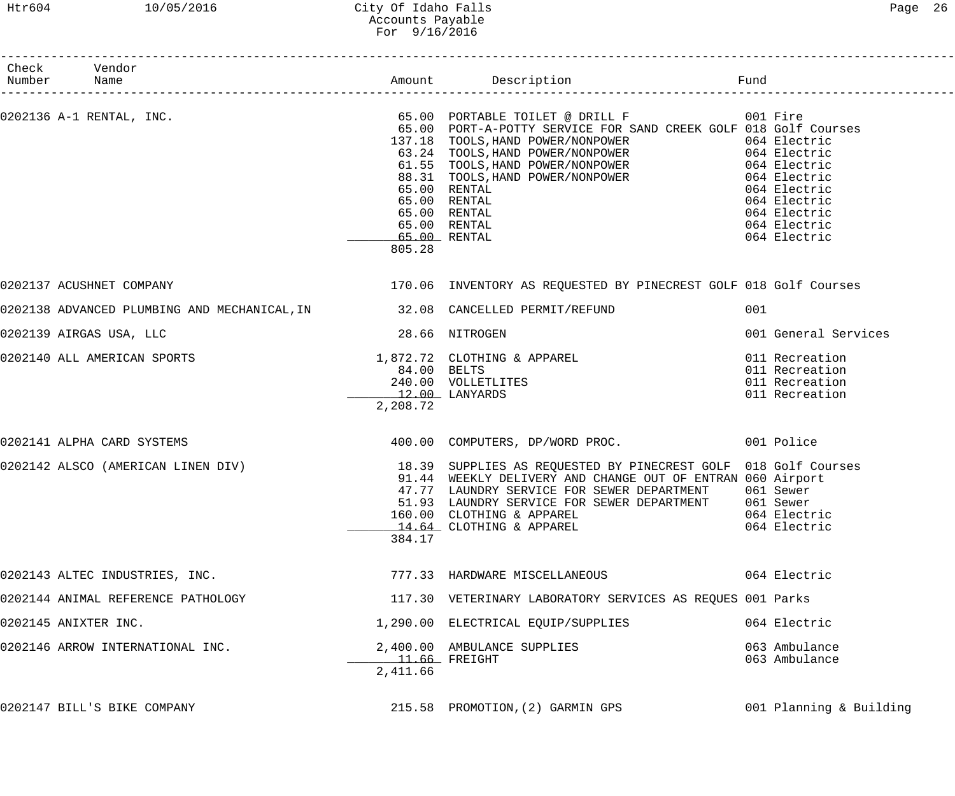# Htr604 10/05/2016 City Of Idaho Falls Page 26 Accounts Payable For 9/16/2016

| Number Name | Check Vendor                                                               |                                                  |                                                                                                                                                                                                                                                                                                                                                                                                                                                                                      |                                                                              |
|-------------|----------------------------------------------------------------------------|--------------------------------------------------|--------------------------------------------------------------------------------------------------------------------------------------------------------------------------------------------------------------------------------------------------------------------------------------------------------------------------------------------------------------------------------------------------------------------------------------------------------------------------------------|------------------------------------------------------------------------------|
|             |                                                                            | 805.28                                           | $0202136$ A-1 RENTAL, INC. $\qquad \qquad$ 65.00 PORTABLE TOILET @ DRILL F $\qquad \qquad$ 001 Fire<br>65.00 PORT-A-POTTY SERVICE FOR SAND CREEK GOLF 018 Golf Courses<br>05.00 FORI-A-FOILL DENVIOR CONSTRUER<br>137.18 TOOLS, HAND POWER/NONPOWER 064 Electric<br>61.55 TOOLS, HAND POWER/NONPOWER 064 Electric<br>88.31 TOOLS, HAND POWER/NONPOWER 064 Electric<br>1064 Electric<br>1064 Electric<br>65.00 RENTAL<br>65.00 RENTAL<br>65.00 RENTAL<br>65.00 RENTAL<br>65.00 RENTAL | 064 Electric<br>064 Electric<br>064 Electric<br>064 Electric<br>064 Electric |
|             | 0202137 ACUSHNET COMPANY                                                   |                                                  | 170.06 INVENTORY AS REQUESTED BY PINECREST GOLF 018 Golf Courses                                                                                                                                                                                                                                                                                                                                                                                                                     |                                                                              |
|             | 0202138 ADVANCED PLUMBING AND MECHANICAL, IN 32.08 CANCELLED PERMIT/REFUND |                                                  |                                                                                                                                                                                                                                                                                                                                                                                                                                                                                      | 001                                                                          |
|             | 0202139 AIRGAS USA, LLC                                                    | 28.66 NITROGEN                                   |                                                                                                                                                                                                                                                                                                                                                                                                                                                                                      | 001 General Services                                                         |
|             | 0202140 ALL AMERICAN SPORTS                                                | 84.00 BELTS<br><b>12.00 LANYARDS</b><br>2,208.72 | 1,872.72 CLOTHING & APPAREL<br>84.00 BELTS<br>84.00 DELLS<br>240.00 VOLLETLITES<br>12 00 LANYARDS                                                                                                                                                                                                                                                                                                                                                                                    | 011 Recreation<br>011 Recreation<br>011 Recreation<br>011 Recreation         |
|             | 0202141 ALPHA CARD SYSTEMS                                                 |                                                  | 400.00 COMPUTERS, DP/WORD PROC. 001 Police                                                                                                                                                                                                                                                                                                                                                                                                                                           |                                                                              |
|             |                                                                            | 384.17                                           | 0202142 ALSCO (AMERICAN LINEN DIV) 18.39 SUPPLIES AS REQUESTED BY PINECREST GOLF 018 Golf Courses<br>91.44 WEEKLY DELIVERY AND CHANGE OUT OF ENTRAN 060 Airport<br>47.77 LAUNDRY SERVICE FOR SEWER DEPARTMENT<br>51.93 LAUNDRY SERVICE FOR SEWER DEPARTMENT 061 Sewer<br>160.00 CLOTHING & APPAREL<br>14.64 CLOTHING & APPAREL                                                                                                                                                       | 061 Sewer<br>064 Electric<br>064 Electric                                    |
|             | 0202143 ALTEC INDUSTRIES, INC.                                             |                                                  | 777.33 HARDWARE MISCELLANEOUS                                                                                                                                                                                                                                                                                                                                                                                                                                                        | 064 Electric                                                                 |
|             | 0202144 ANIMAL REFERENCE PATHOLOGY                                         |                                                  | 117.30 VETERINARY LABORATORY SERVICES AS REQUES 001 Parks                                                                                                                                                                                                                                                                                                                                                                                                                            |                                                                              |
|             | 0202145 ANIXTER INC.                                                       |                                                  | 1,290.00 ELECTRICAL EQUIP/SUPPLIES                                                                                                                                                                                                                                                                                                                                                                                                                                                   | 064 Electric                                                                 |
|             | 0202146 ARROW INTERNATIONAL INC.                                           | $11.66$ FREIGHT<br>2,411.66                      | 2,400.00 AMBULANCE SUPPLIES                                                                                                                                                                                                                                                                                                                                                                                                                                                          | 063 Ambulance<br>063 Ambulance                                               |
|             | 0202147 BILL'S BIKE COMPANY                                                |                                                  | 215.58 PROMOTION, (2) GARMIN GPS                                                                                                                                                                                                                                                                                                                                                                                                                                                     | 001 Planning & Building                                                      |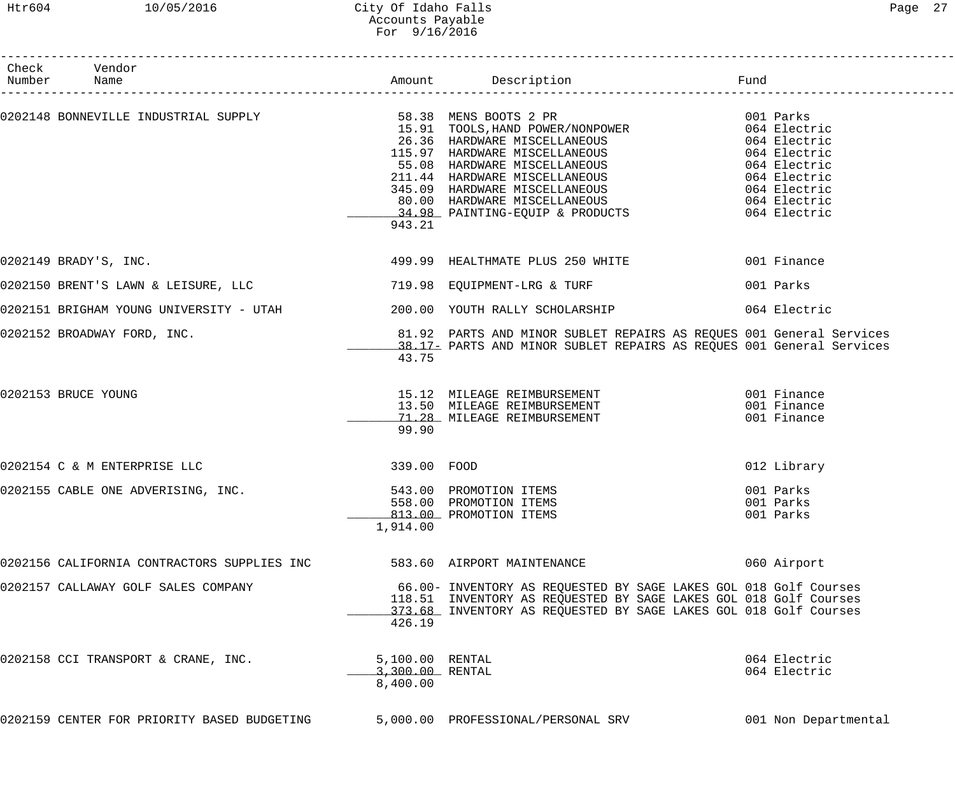## Htr604 10/05/2016 City Of Idaho Falls Page 27 Accounts Payable For 9/16/2016

| Check Vendor                                                                    |                                                |                                                                                                                                                                                                                                              |                                     |
|---------------------------------------------------------------------------------|------------------------------------------------|----------------------------------------------------------------------------------------------------------------------------------------------------------------------------------------------------------------------------------------------|-------------------------------------|
|                                                                                 | 943.21                                         | 0202148 BONNEVILLE INDUSTRIAL SUPPLY<br>$15.91$ TOOLS, HAND POWER/NONPOWER<br>$15.91$ TOOLS, HAND POWER/NONPOWER<br>$26.36$ HARDWARE MISCELLANEOUS<br>$15.97$ HARDWARE MISCELLANEOUS<br>$55.08$ HARDWARE MISCELLANEOUS<br>$24.91$<br>$34.91$ |                                     |
| 0202149 BRADY'S, INC.                                                           |                                                | 499.99 HEALTHMATE PLUS 250 WHITE 1999 1001 Finance                                                                                                                                                                                           |                                     |
| 0202150 BRENT'S LAWN & LEISURE, LLC <a>&gt; 719.98 EQUIPMENT-LRG &amp; TURF</a> |                                                |                                                                                                                                                                                                                                              | 001 Parks                           |
|                                                                                 |                                                | 0202151 BRIGHAM YOUNG UNIVERSITY - UTAH                   200.00 YOUTH RALLY SCHOLARSHIP                     064 Electric                                                                                                                    |                                     |
| 0202152 BROADWAY FORD, INC.                                                     | 43.75                                          | 81.92 PARTS AND MINOR SUBLET REPAIRS AS REQUES 001 General Services<br>38.17- PARTS AND MINOR SUBLET REPAIRS AS REQUES 001 General Services                                                                                                  |                                     |
| 0202153 BRUCE YOUNG                                                             | 99.90                                          | 15.12 MILEAGE REIMBURSEMENT (13.50 MILEAGE REIMBURSEMENT (13.50 MILEAGE REIMBURSEMENT (13.50 MILEAGE REIMBURSEMENT (13.50 MILEAGE REIMBURSEMENT (13.50 MILEAGE REIMBURSEMENT (13.50 MILEAGE REIMBURSEMENT (13.50 MILEAGE REIMB               |                                     |
| 0202154 C & M ENTERPRISE LLC                                                    | 339.00 FOOD                                    |                                                                                                                                                                                                                                              | 012 Library                         |
| 0202155 CABLE ONE ADVERISING, INC.                                              | 1,914.00                                       | 543.00 PROMOTION ITEMS<br>558.00 PROMOTION ITEMS<br>813.00 PROMOTION ITEMS                                                                                                                                                                   | 001 Parks<br>001 Parks<br>001 Parks |
| 0202156 CALIFORNIA CONTRACTORS SUPPLIES INC                                     |                                                | 583.60 AIRPORT MAINTENANCE                                                                                                                                                                                                                   | 060 Airport                         |
| 0202157 CALLAWAY GOLF SALES COMPANY                                             | 426.19                                         | 66.00- INVENTORY AS REQUESTED BY SAGE LAKES GOL 018 Golf Courses<br>118.51 INVENTORY AS REQUESTED BY SAGE LAKES GOL 018 Golf Courses<br>373.68 INVENTORY AS REQUESTED BY SAGE LAKES GOL 018 Golf Courses                                     |                                     |
| 0202158 CCI TRANSPORT & CRANE, INC.                                             | 5,100.00 RENTAL<br>3,300.00 RENTAL<br>8,400.00 |                                                                                                                                                                                                                                              | 064 Electric<br>064 Electric        |
| 0202159 CENTER FOR PRIORITY BASED BUDGETING                                     |                                                | 5,000.00 PROFESSIONAL/PERSONAL SRV                                                                                                                                                                                                           | 001 Non Departmental                |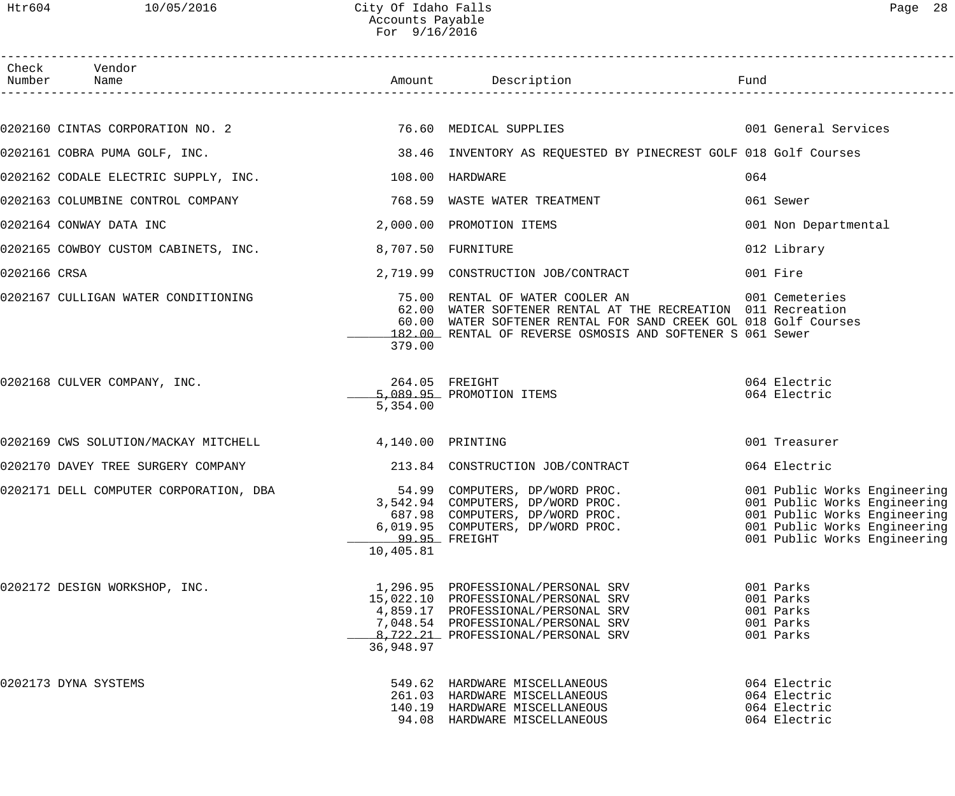Htr604 10/05/2016 City Of Idaho Falls Content Content of Page 28 Accounts Payable

|              |                                                        | ACCOUNTS Payable<br>For $9/16/2016$ |                                                                                                                                                                                                                                                 |                                                                                                                                                              |
|--------------|--------------------------------------------------------|-------------------------------------|-------------------------------------------------------------------------------------------------------------------------------------------------------------------------------------------------------------------------------------------------|--------------------------------------------------------------------------------------------------------------------------------------------------------------|
| Number       | Check Vendor                                           |                                     |                                                                                                                                                                                                                                                 |                                                                                                                                                              |
|              |                                                        |                                     |                                                                                                                                                                                                                                                 | 001 General Services                                                                                                                                         |
|              | 0202161 COBRA PUMA GOLF, INC.                          |                                     | 38.46 INVENTORY AS REQUESTED BY PINECREST GOLF 018 Golf Courses                                                                                                                                                                                 |                                                                                                                                                              |
|              | 0202162 CODALE ELECTRIC SUPPLY, INC.                   |                                     | 108.00 HARDWARE                                                                                                                                                                                                                                 | 064                                                                                                                                                          |
|              | 0202163 COLUMBINE CONTROL COMPANY                      |                                     | 768.59 WASTE WATER TREATMENT                                                                                                                                                                                                                    | 061 Sewer                                                                                                                                                    |
|              | 0202164 CONWAY DATA INC                                |                                     | 2,000.00 PROMOTION ITEMS                                                                                                                                                                                                                        | 001 Non Departmental                                                                                                                                         |
|              | 0202165 COWBOY CUSTOM CABINETS, INC.                   |                                     | 8,707.50 FURNITURE                                                                                                                                                                                                                              | 012 Library                                                                                                                                                  |
| 0202166 CRSA |                                                        |                                     | 2,719.99 CONSTRUCTION JOB/CONTRACT                                                                                                                                                                                                              | 001 Fire                                                                                                                                                     |
|              | 0202167 CULLIGAN WATER CONDITIONING                    | 379.00                              | 75.00 RENTAL OF WATER COOLER AN 6001 Cemeteries<br>62.00 WATER SOFTENER RENTAL AT THE RECREATION 011 Recreation<br>60.00 WATER SOFTENER RENTAL FOR SAND CREEK GOL 018 Golf Courses<br>182.00 RENTAL OF REVERSE OSMOSIS AND SOFTENER S 061 Sewer |                                                                                                                                                              |
|              | 0202168 CULVER COMPANY, INC.                           | 5,354.00                            | 264.05 FREIGHT<br>5,089.95 PROMOTION ITEMS                                                                                                                                                                                                      | 064 Electric<br>064 Electric                                                                                                                                 |
|              | 0202169 CWS SOLUTION/MACKAY MITCHELL 4,140.00 PRINTING |                                     |                                                                                                                                                                                                                                                 | 001 Treasurer                                                                                                                                                |
|              | 0202170 DAVEY TREE SURGERY COMPANY                     |                                     | 213.84 CONSTRUCTION JOB/CONTRACT                                                                                                                                                                                                                | 064 Electric                                                                                                                                                 |
|              | 0202171 DELL COMPUTER CORPORATION, DBA                 | 10,405.81                           | 54.99 COMPUTERS, DP/WORD PROC.<br>3,542.94 COMPUTERS, DP/WORD PROC.<br>687.98 COMPUTERS, DP/WORD PROC.<br>6,019.95 COMPUTERS, DP/WORD PROC.<br>99.95 FREIGHT                                                                                    | 001 Public Works Engineering<br>001 Public Works Engineering<br>001 Public Works Engineering<br>001 Public Works Engineering<br>001 Public Works Engineering |
|              | 0202172 DESIGN WORKSHOP, INC.                          | 36,948.97                           | 1,296.95 PROFESSIONAL/PERSONAL SRV<br>15,022.10 PROFESSIONAL/PERSONAL SRV<br>4,859.17 PROFESSIONAL/PERSONAL SRV<br>7,048.54 PROFESSIONAL/PERSONAL SRV<br>8,722.21 PROFESSIONAL/PERSONAL SRV                                                     | 001 Parks<br>001 Parks<br>001 Parks<br>001 Parks<br>001 Parks                                                                                                |
|              | 0202173 DYNA SYSTEMS                                   |                                     | 549.62 HARDWARE MISCELLANEOUS<br>261.03 HARDWARE MISCELLANEOUS<br>140.19 HARDWARE MISCELLANEOUS<br>94.08 HARDWARE MISCELLANEOUS                                                                                                                 | 064 Electric<br>064 Electric<br>064 Electric<br>064 Electric                                                                                                 |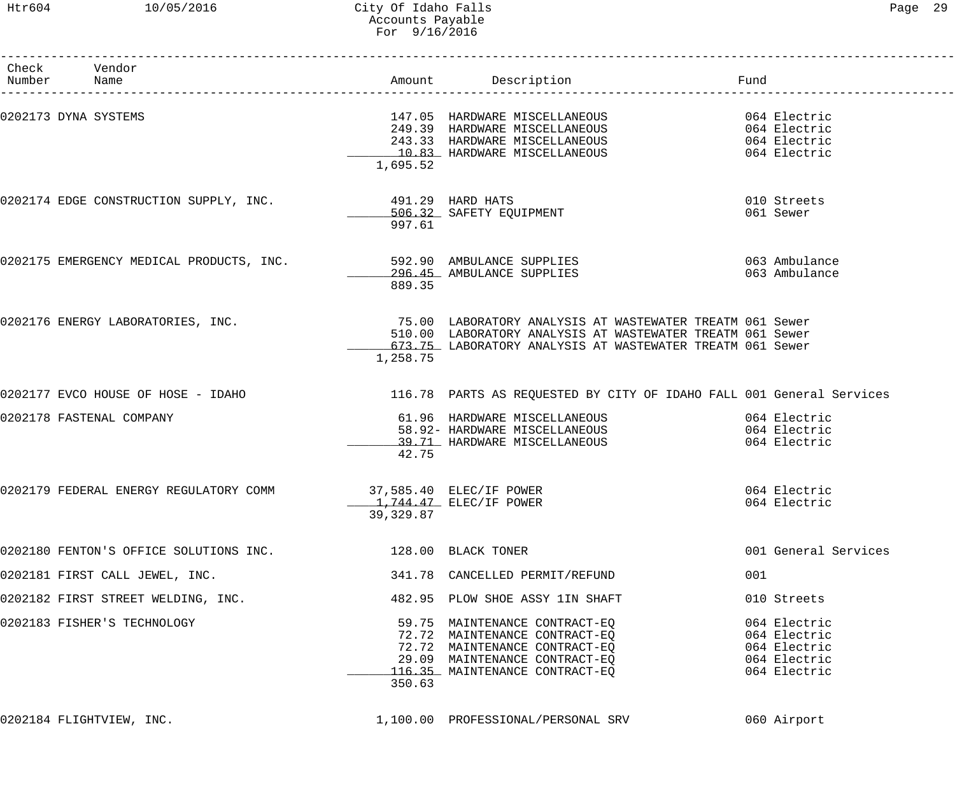| Check Vendor<br>Number Name                                        |                                       | Amount Description                                                                                                                                                                 | Fund                                                                         |
|--------------------------------------------------------------------|---------------------------------------|------------------------------------------------------------------------------------------------------------------------------------------------------------------------------------|------------------------------------------------------------------------------|
| 0202173 DYNA SYSTEMS                                               | 1,695.52                              | 147.05 HARDWARE MISCELLANEOUS<br>249.39 HARDWARE MISCELLANEOUS<br>243.33 HARDWARE MISCELLANEOUS<br>10.83 HARDWARE MISCELLANEOUS                                                    | 064 Electric<br>064 Electric<br>064 Electric<br>064 Electric                 |
| 0202174 EDGE CONSTRUCTION SUPPLY, INC.                             | 491.29 HARD HATS<br>997.61            | 506.32 SAFETY EQUIPMENT                                                                                                                                                            | 010 Streets<br>061 Sewer                                                     |
| 0202175 EMERGENCY MEDICAL PRODUCTS, INC. 592.90 AMBULANCE SUPPLIES | 889.35                                | 296.45 AMBULANCE SUPPLIES                                                                                                                                                          | 063 Ambulance<br>063 Ambulance                                               |
| 0202176 ENERGY LABORATORIES, INC.                                  | 1,258.75                              | 75.00 LABORATORY ANALYSIS AT WASTEWATER TREATM 061 Sewer<br>510.00 LABORATORY ANALYSIS AT WASTEWATER TREATM 061 Sewer<br>673.75 LABORATORY ANALYSIS AT WASTEWATER TREATM 061 Sewer |                                                                              |
| 0202177 EVCO HOUSE OF HOSE - IDAHO                                 |                                       | 116.78 PARTS AS REQUESTED BY CITY OF IDAHO FALL 001 General Services                                                                                                               |                                                                              |
| 0202178 FASTENAL COMPANY                                           | 42.75                                 | 61.96 HARDWARE MISCELLANEOUS<br>58.92- HARDWARE MISCELLANEOUS<br>39.71 HARDWARE MISCELLANEOUS                                                                                      | 064 Electric<br>064 Electric<br>064 Electric                                 |
| 0202179 FEDERAL ENERGY REGULATORY COMM                             | 37,585.40 ELEC/IF POWER<br>39, 329.87 | _____1,744.47 ELEC/IF POWER                                                                                                                                                        | 064 Electric<br>064 Electric                                                 |
| 0202180 FENTON'S OFFICE SOLUTIONS INC.                             | 128.00 BLACK TONER                    |                                                                                                                                                                                    | 001 General Services                                                         |
| 0202181 FIRST CALL JEWEL, INC.                                     |                                       | 341.78 CANCELLED PERMIT/REFUND                                                                                                                                                     | 001                                                                          |
| 0202182 FIRST STREET WELDING, INC.                                 |                                       | 482.95 PLOW SHOE ASSY 1IN SHAFT                                                                                                                                                    | 010 Streets                                                                  |
| 0202183 FISHER'S TECHNOLOGY                                        | 350.63                                | 59.75 MAINTENANCE CONTRACT-EQ<br>72.72 MAINTENANCE CONTRACT-EQ<br>72.72 MAINTENANCE CONTRACT-EQ<br>29.09 MAINTENANCE CONTRACT-EQ<br>116.35 MAINTENANCE CONTRACT-EQ                 | 064 Electric<br>064 Electric<br>064 Electric<br>064 Electric<br>064 Electric |
| 0202184 FLIGHTVIEW, INC.                                           |                                       | 1,100.00 PROFESSIONAL/PERSONAL SRV                                                                                                                                                 | 060 Airport                                                                  |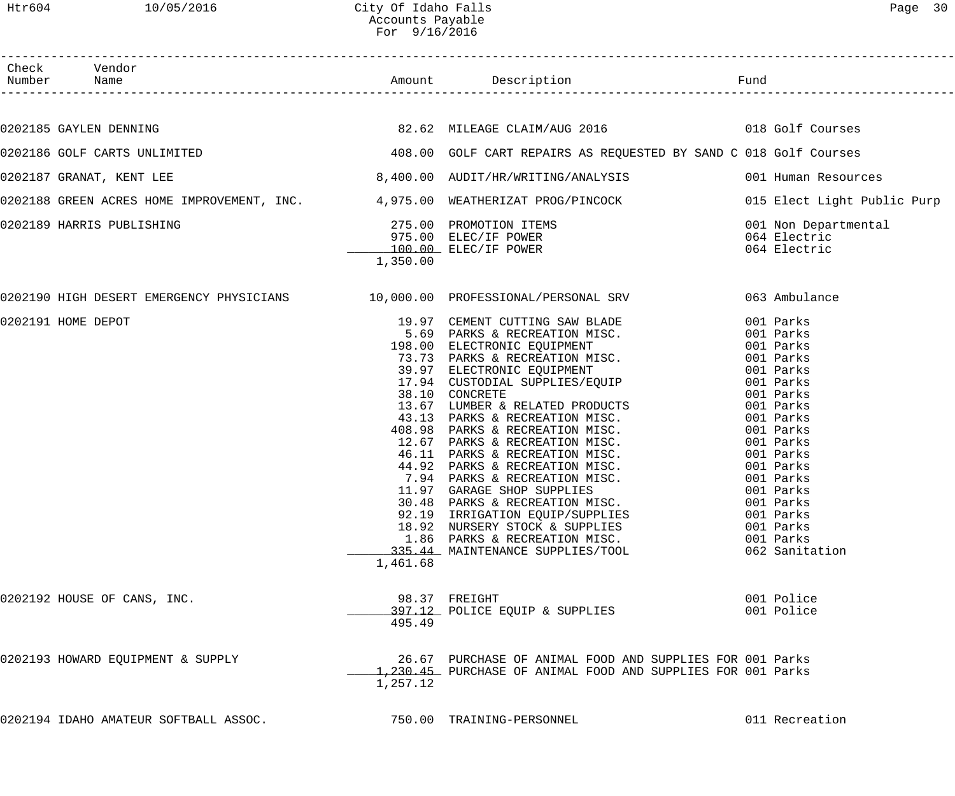| Check Vendor<br>Number Name                                                                                  |          |                                                                                                                                                                                                                                                                                                                                                                                                                                                                                                                                                                                                                                   |                                                       |
|--------------------------------------------------------------------------------------------------------------|----------|-----------------------------------------------------------------------------------------------------------------------------------------------------------------------------------------------------------------------------------------------------------------------------------------------------------------------------------------------------------------------------------------------------------------------------------------------------------------------------------------------------------------------------------------------------------------------------------------------------------------------------------|-------------------------------------------------------|
|                                                                                                              |          |                                                                                                                                                                                                                                                                                                                                                                                                                                                                                                                                                                                                                                   |                                                       |
| 0202185 GAYLEN DENNING                                                                                       |          |                                                                                                                                                                                                                                                                                                                                                                                                                                                                                                                                                                                                                                   |                                                       |
| 0202186 GOLF CARTS UNLIMITED (2015) THE MARKET AND MOST CART REPAIRS AS REQUESTED BY SAND C 018 Golf Courses |          |                                                                                                                                                                                                                                                                                                                                                                                                                                                                                                                                                                                                                                   |                                                       |
| 0202187 GRANAT, KENT LEE                                                                                     |          | 8,400.00 AUDIT/HR/WRITING/ANALYSIS 001 Human Resources                                                                                                                                                                                                                                                                                                                                                                                                                                                                                                                                                                            |                                                       |
| 0202188 GREEN ACRES HOME IMPROVEMENT, INC. 4,975.00 WEATHERIZAT PROG/PINCOCK 0015 Elect Light Public Purp    |          |                                                                                                                                                                                                                                                                                                                                                                                                                                                                                                                                                                                                                                   |                                                       |
| 0202189 HARRIS PUBLISHING                                                                                    | 1,350.00 | 275.00 PROMOTION ITEMS<br>975.00 ELEC/IF POWER<br>100.00 ELEC/IF POWER                                                                                                                                                                                                                                                                                                                                                                                                                                                                                                                                                            | 001 Non Departmental<br>064 Electric<br>064 Electric  |
| 0202190 HIGH DESERT EMERGENCY PHYSICIANS 10,000.00 PROFESSIONAL/PERSONAL SRV 663 Ambulance                   |          |                                                                                                                                                                                                                                                                                                                                                                                                                                                                                                                                                                                                                                   |                                                       |
| 0202191 HOME DEPOT                                                                                           | 1,461.68 | 19.97 CEMENT CUTTING SAW BLADE<br>5.69 PARKS & RECREATION MISC. 001 Parks<br>198.00 ELECTRONIC EQUIPMENT 001 Parks<br>73.73 PARKS & RECREATION MISC. 001 Parks<br>39.97 ELECTRONIC EQUIPMENT 001 Parks<br>17.94 CUSTODIAL SUPPLIES/EQUIP<br>38.10 CONCRETE<br>13.67 LUMBER & RELATED PRODUCTS<br>43.13 PARKS & RECREATION MISC.<br>408.98 PARKS & RECREATION MISC.<br>12.67 PARKS & RECREATION MISC.<br>12.67 PARKS & RECREATION MISC.<br>46.11 PARKS & RECREATION MISC.<br>47.92 PARKS<br>92.19 IRRIGATION EQUIP/SUPPLIES<br>18.92 NURSERY STOCK & SUPPLIES<br>1.86 PARKS & RECREATION MISC.<br>335.44 MAINTENANCE SUPPLIES/TOOL | 001 Parks<br>001 Parks<br>001 Parks<br>062 Sanitation |
| 0202192 HOUSE OF CANS, INC.                                                                                  | 495.49   | 98.37 FREIGHT<br>397.12 POLICE EQUIP & SUPPLIES                                                                                                                                                                                                                                                                                                                                                                                                                                                                                                                                                                                   | 001 Police<br>001 Police                              |
| 0202193 HOWARD EQUIPMENT & SUPPLY                                                                            | 1,257.12 | 26.67 PURCHASE OF ANIMAL FOOD AND SUPPLIES FOR 001 Parks<br>1,230.45 PURCHASE OF ANIMAL FOOD AND SUPPLIES FOR 001 Parks                                                                                                                                                                                                                                                                                                                                                                                                                                                                                                           |                                                       |
| 0202194 IDAHO AMATEUR SOFTBALL ASSOC.                                                                        |          | 750.00 TRAINING-PERSONNEL                                                                                                                                                                                                                                                                                                                                                                                                                                                                                                                                                                                                         | 011 Recreation                                        |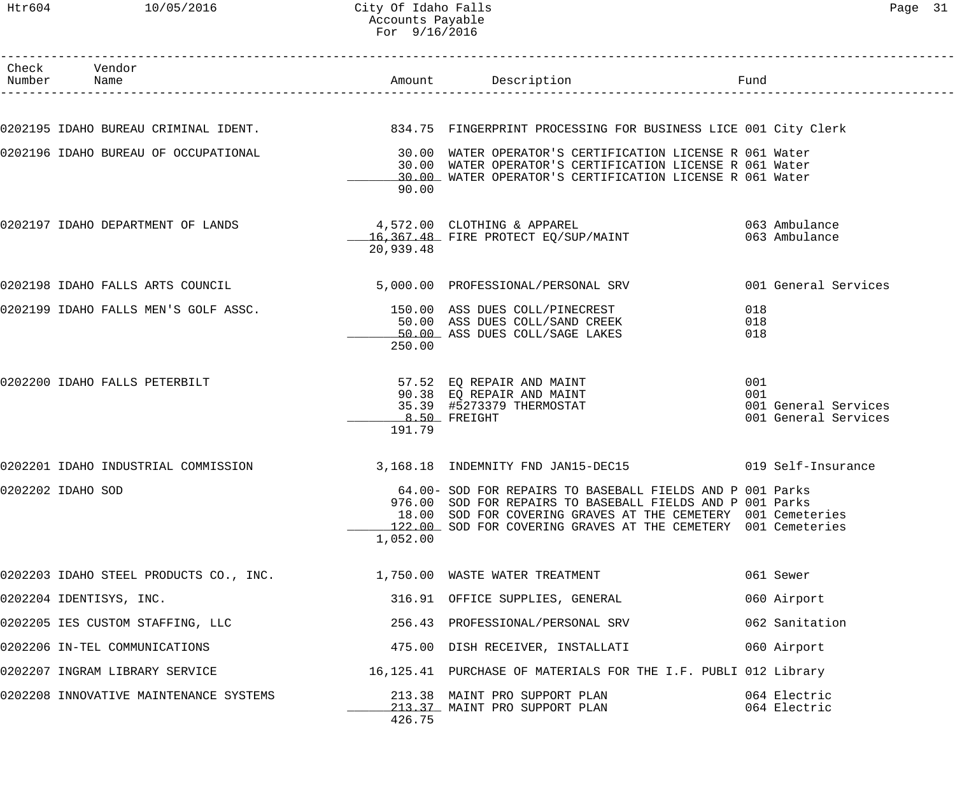## Htr604 10/05/2016 City Of Idaho Falls Page 31 Accounts Payable For 9/16/2016

| Check Vendor<br>Number Name            |                                                                         | Amount Description                                                                                                        | Fund                        |
|----------------------------------------|-------------------------------------------------------------------------|---------------------------------------------------------------------------------------------------------------------------|-----------------------------|
|                                        |                                                                         |                                                                                                                           |                             |
|                                        |                                                                         | 0202195 IDAHO BUREAU CRIMINAL IDENT. 2008 234.75 FINGERPRINT PROCESSING FOR BUSINESS LICE 001 City Clerk                  |                             |
| 0202196 IDAHO BUREAU OF OCCUPATIONAL   |                                                                         | 30.00 WATER OPERATOR'S CERTIFICATION LICENSE R 061 Water                                                                  |                             |
|                                        |                                                                         | 30.00 WATER OPERATOR'S CERTIFICATION LICENSE R 061 Water<br>30.00 WATER OPERATOR'S CERTIFICATION LICENSE R 061 Water      |                             |
|                                        | 90.00                                                                   |                                                                                                                           |                             |
| 0202197 IDAHO DEPARTMENT OF LANDS      |                                                                         | 4,572.00 CLOTHING & APPAREL<br>16,367.48 FIRE PROTECT EQ/SUP/MAINT                                                        | 063 Ambulance               |
|                                        | 20,939.48                                                               |                                                                                                                           | 063 Ambulance               |
| 0202198 IDAHO FALLS ARTS COUNCIL       |                                                                         | 5,000.00 PROFESSIONAL/PERSONAL SRV 001 General Services                                                                   |                             |
| 0202199 IDAHO FALLS MEN'S GOLF ASSC.   |                                                                         | 150.00 ASS DUES COLL/PINECREST                                                                                            | 018                         |
|                                        |                                                                         | 50.00 ASS DUES COLL/SAND CREEK                                                                                            | 018                         |
|                                        | 250.00                                                                  | 50.00 ASS DUES COLL/SAGE LAKES                                                                                            | 018                         |
|                                        |                                                                         |                                                                                                                           |                             |
| 0202200 IDAHO FALLS PETERBILT          |                                                                         | 57.52 EQ REPAIR AND MAINT                                                                                                 | 001                         |
|                                        |                                                                         | 90.38 EQ REPAIR AND MAINT<br>35.39 #5273379 THERMOSTAT                                                                    | 001<br>001 General Services |
|                                        |                                                                         | $8.50$ FREIGHT                                                                                                            | 001 General Services        |
|                                        | 191.79                                                                  |                                                                                                                           |                             |
| 0202201 IDAHO INDUSTRIAL COMMISSION    |                                                                         | 3,168.18 INDEMNITY FND JAN15-DEC15 019 Self-Insurance                                                                     |                             |
| 0202202 IDAHO SOD                      |                                                                         | 64.00- SOD FOR REPAIRS TO BASEBALL FIELDS AND P 001 Parks                                                                 |                             |
|                                        |                                                                         | 976.00 SOD FOR REPAIRS TO BASEBALL FIELDS AND P 001 Parks<br>18.00 SOD FOR COVERING GRAVES AT THE CEMETERY 001 Cemeteries |                             |
|                                        |                                                                         | 122.00 SOD FOR COVERING GRAVES AT THE CEMETERY 001 Cemeteries                                                             |                             |
|                                        | 1,052.00                                                                |                                                                                                                           |                             |
|                                        | 0202203 IDAHO STEEL PRODUCTS CO., INC. $1,750.00$ WASTE WATER TREATMENT |                                                                                                                           | 061 Sewer                   |
| 0202204 IDENTISYS, INC.                |                                                                         | 316.91 OFFICE SUPPLIES, GENERAL                                                                                           | 060 Airport                 |
| 0202205 IES CUSTOM STAFFING, LLC       |                                                                         | 256.43 PROFESSIONAL/PERSONAL SRV                                                                                          | 062 Sanitation              |
| 0202206 IN-TEL COMMUNICATIONS          |                                                                         | 475.00 DISH RECEIVER, INSTALLATI                                                                                          | 060 Airport                 |
| 0202207 INGRAM LIBRARY SERVICE         |                                                                         | 16,125.41 PURCHASE OF MATERIALS FOR THE I.F. PUBLI 012 Library                                                            |                             |
| 0202208 INNOVATIVE MAINTENANCE SYSTEMS |                                                                         | 213.38 MAINT PRO SUPPORT PLAN                                                                                             | 064 Electric                |
|                                        | 426.75                                                                  | 213.37 MAINT PRO SUPPORT PLAN                                                                                             | 064 Electric                |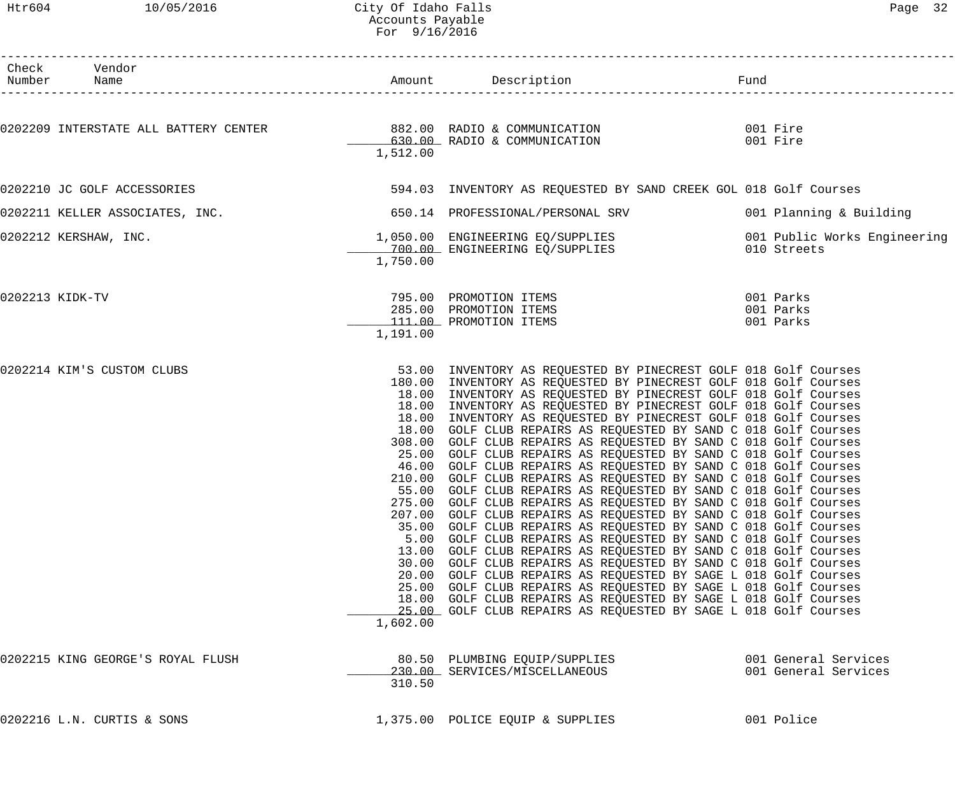## Htr604 10/05/2016 City Of Idaho Falls Page 32 Accounts Payable For 9/16/2016

| Check Vendor<br>Number Name       |          |                                                                                                                                                                                                                                                                                                                                                                                                                                                                                                                                                                                                                                                                                                                                                                                                                                                                                                                                                                                                                                                                                                                                                                                                                                                                                                                                                                                                                                                                 |                                              |
|-----------------------------------|----------|-----------------------------------------------------------------------------------------------------------------------------------------------------------------------------------------------------------------------------------------------------------------------------------------------------------------------------------------------------------------------------------------------------------------------------------------------------------------------------------------------------------------------------------------------------------------------------------------------------------------------------------------------------------------------------------------------------------------------------------------------------------------------------------------------------------------------------------------------------------------------------------------------------------------------------------------------------------------------------------------------------------------------------------------------------------------------------------------------------------------------------------------------------------------------------------------------------------------------------------------------------------------------------------------------------------------------------------------------------------------------------------------------------------------------------------------------------------------|----------------------------------------------|
|                                   |          | 0202209 INTERSTATE ALL BATTERY CENTER          882.00 RADIO & COMMUNICATION<br>630.00 RADIO & COMMUNICATION                                                                                                                                                                                                                                                                                                                                                                                                                                                                                                                                                                                                                                                                                                                                                                                                                                                                                                                                                                                                                                                                                                                                                                                                                                                                                                                                                     | 001 Fire<br>001 Fire                         |
|                                   | 1,512.00 |                                                                                                                                                                                                                                                                                                                                                                                                                                                                                                                                                                                                                                                                                                                                                                                                                                                                                                                                                                                                                                                                                                                                                                                                                                                                                                                                                                                                                                                                 |                                              |
| 0202210 JC GOLF ACCESSORIES       |          | 594.03 INVENTORY AS REQUESTED BY SAND CREEK GOL 018 Golf Courses                                                                                                                                                                                                                                                                                                                                                                                                                                                                                                                                                                                                                                                                                                                                                                                                                                                                                                                                                                                                                                                                                                                                                                                                                                                                                                                                                                                                |                                              |
| 0202211 KELLER ASSOCIATES, INC.   |          | 650.14 PROFESSIONAL/PERSONAL SRV                                                                                                                                                                                                                                                                                                                                                                                                                                                                                                                                                                                                                                                                                                                                                                                                                                                                                                                                                                                                                                                                                                                                                                                                                                                                                                                                                                                                                                | 001 Planning & Building                      |
| 0202212 KERSHAW, INC.             | 1,750.00 | 1,050.00 ENGINEERING EQ/SUPPLIES<br>700.00 ENGINEERING EQ/SUPPLIES                                                                                                                                                                                                                                                                                                                                                                                                                                                                                                                                                                                                                                                                                                                                                                                                                                                                                                                                                                                                                                                                                                                                                                                                                                                                                                                                                                                              | 001 Public Works Engineering<br>010 Streets  |
| 0202213 KIDK-TV                   | 1,191.00 | 795.00 PROMOTION ITEMS<br>285.00 PROMOTION ITEMS<br>111.00 PROMOTION ITEMS                                                                                                                                                                                                                                                                                                                                                                                                                                                                                                                                                                                                                                                                                                                                                                                                                                                                                                                                                                                                                                                                                                                                                                                                                                                                                                                                                                                      | 001 Parks<br>001 Parks<br>001 Parks          |
| 0202214 KIM'S CUSTOM CLUBS        | 1,602.00 | 53.00 INVENTORY AS REQUESTED BY PINECREST GOLF 018 Golf Courses<br>180.00 INVENTORY AS REQUESTED BY PINECREST GOLF 018 Golf Courses<br>18.00 INVENTORY AS REQUESTED BY PINECREST GOLF 018 Golf Courses<br>18.00 INVENTORY AS REQUESTED BY PINECREST GOLF 018 Golf Courses<br>18.00 INVENTORY AS REQUESTED BY PINECREST GOLF 018 Golf Courses<br>18.00 GOLF CLUB REPAIRS AS REQUESTED BY SAND C 018 Golf Courses<br>308.00 GOLF CLUB REPAIRS AS REQUESTED BY SAND C 018 Golf Courses<br>25.00 GOLF CLUB REPAIRS AS REQUESTED BY SAND C 018 Golf Courses<br>46.00 GOLF CLUB REPAIRS AS REQUESTED BY SAND C 018 Golf Courses<br>210.00 GOLF CLUB REPAIRS AS REQUESTED BY SAND C 018 Golf Courses<br>55.00 GOLF CLUB REPAIRS AS REQUESTED BY SAND C 018 Golf Courses<br>275.00 GOLF CLUB REPAIRS AS REQUESTED BY SAND C 018 Golf Courses<br>207.00 GOLF CLUB REPAIRS AS REQUESTED BY SAND C 018 Golf Courses<br>35.00 GOLF CLUB REPAIRS AS REQUESTED BY SAND C 018 Golf Courses<br>5.00 GOLF CLUB REPAIRS AS REQUESTED BY SAND C 018 Golf Courses<br>13.00 GOLF CLUB REPAIRS AS REQUESTED BY SAND C 018 Golf Courses<br>30.00 GOLF CLUB REPAIRS AS REQUESTED BY SAND C 018 Golf Courses<br>20.00 GOLF CLUB REPAIRS AS REQUESTED BY SAGE L 018 Golf Courses<br>25.00 GOLF CLUB REPAIRS AS REQUESTED BY SAGE L 018 Golf Courses<br>18.00 GOLF CLUB REPAIRS AS REQUESTED BY SAGE L 018 Golf Courses<br>25.00 GOLF CLUB REPAIRS AS REQUESTED BY SAGE L 018 Golf Courses |                                              |
| 0202215 KING GEORGE'S ROYAL FLUSH | 310.50   | 80.50 PLUMBING EQUIP/SUPPLIES<br>230.00 SERVICES/MISCELLANEOUS                                                                                                                                                                                                                                                                                                                                                                                                                                                                                                                                                                                                                                                                                                                                                                                                                                                                                                                                                                                                                                                                                                                                                                                                                                                                                                                                                                                                  | 001 General Services<br>001 General Services |
| 0202216 L.N. CURTIS & SONS        |          | 1,375.00 POLICE EQUIP & SUPPLIES                                                                                                                                                                                                                                                                                                                                                                                                                                                                                                                                                                                                                                                                                                                                                                                                                                                                                                                                                                                                                                                                                                                                                                                                                                                                                                                                                                                                                                | 001 Police                                   |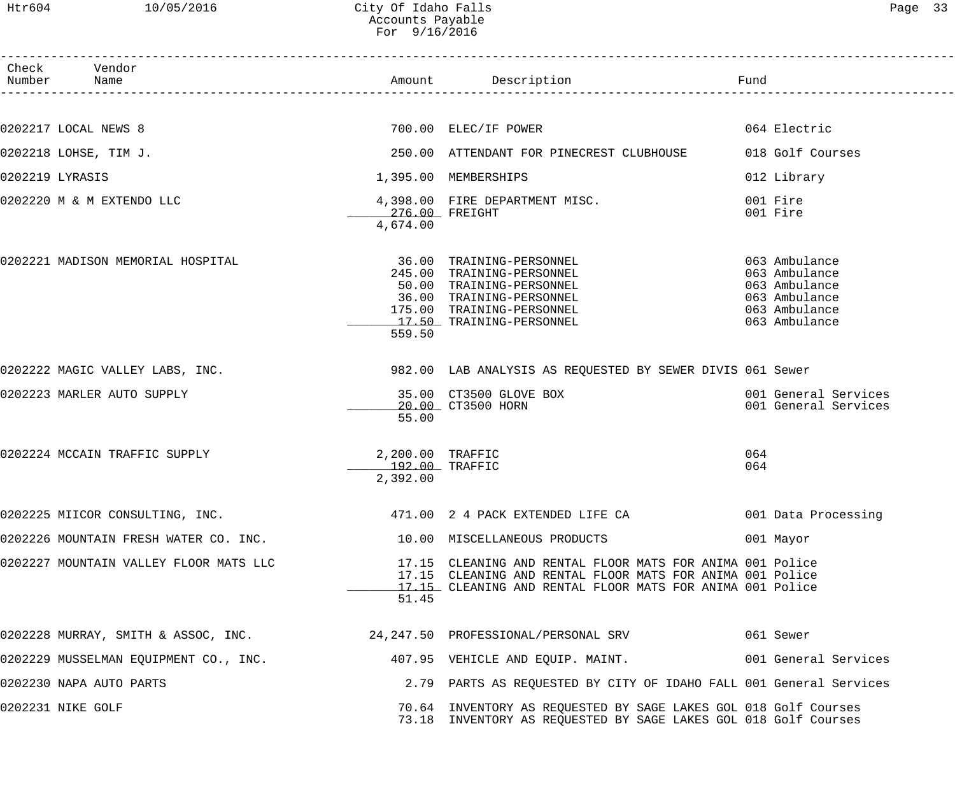Htr604 10/05/2016 City Of Idaho Falls Page 33 Accounts Payable For 9/16/2016

| Page |  |
|------|--|
|------|--|

| Check Vendor<br>Number Name                                                                 |                                                | Amount Description<br>Fund                                                                                                                                                          |                                                                                                    |
|---------------------------------------------------------------------------------------------|------------------------------------------------|-------------------------------------------------------------------------------------------------------------------------------------------------------------------------------------|----------------------------------------------------------------------------------------------------|
|                                                                                             |                                                |                                                                                                                                                                                     |                                                                                                    |
| 0202217 LOCAL NEWS 8                                                                        |                                                | 700.00 ELEC/IF POWER                                                                                                                                                                | 064 Electric                                                                                       |
| 0202218 LOHSE, TIM J.                                                                       |                                                | 250.00 ATTENDANT FOR PINECREST CLUBHOUSE                                                                                                                                            | 018 Golf Courses                                                                                   |
| 0202219 LYRASIS                                                                             |                                                | 1,395.00 MEMBERSHIPS                                                                                                                                                                | 012 Library                                                                                        |
| 0202220 M & M EXTENDO LLC                                                                   | 276.00 FREIGHT<br>4,674.00                     | 4,398.00 FIRE DEPARTMENT MISC.                                                                                                                                                      | 001 Fire<br>001 Fire                                                                               |
| 0202221 MADISON MEMORIAL HOSPITAL                                                           | 559.50                                         | 36.00 TRAINING-PERSONNEL<br>245.00 TRAINING-PERSONNEL<br>50.00 TRAINING-PERSONNEL<br>36.00 TRAINING-PERSONNEL<br>175.00 TRAINING-PERSONNEL<br>17.50 TRAINING-PERSONNEL              | 063 Ambulance<br>063 Ambulance<br>063 Ambulance<br>063 Ambulance<br>063 Ambulance<br>063 Ambulance |
| 0202222 MAGIC VALLEY LABS, INC.                                                             |                                                | 982.00 LAB ANALYSIS AS REQUESTED BY SEWER DIVIS 061 Sewer                                                                                                                           |                                                                                                    |
| 0202223 MARLER AUTO SUPPLY                                                                  | 55.00                                          | 35.00 CT3500 GLOVE BOX<br>20.00 CT3500 HORN                                                                                                                                         | 001 General Services<br>001 General Services                                                       |
| 0202224 MCCAIN TRAFFIC SUPPLY                                                               | 2,200.00 TRAFFIC<br>192.00 TRAFFIC<br>2,392.00 |                                                                                                                                                                                     | 064<br>064                                                                                         |
| 0202225 MIICOR CONSULTING, INC. 471.00 2 4 PACK EXTENDED LIFE CA 601 Data Processing        |                                                |                                                                                                                                                                                     |                                                                                                    |
| 0202226 MOUNTAIN FRESH WATER CO. INC. 10.00 MISCELLANEOUS PRODUCTS                          |                                                |                                                                                                                                                                                     | 001 Mayor                                                                                          |
| 0202227 MOUNTAIN VALLEY FLOOR MATS LLC                                                      | 51.45                                          | 17.15 CLEANING AND RENTAL FLOOR MATS FOR ANIMA 001 Police<br>17.15 CLEANING AND RENTAL FLOOR MATS FOR ANIMA 001 Police<br>17.15 CLEANING AND RENTAL FLOOR MATS FOR ANIMA 001 Police |                                                                                                    |
| 0202228 MURRAY, SMITH & ASSOC, INC. 24,247.50 PROFESSIONAL/PERSONAL SRV 061 Sewer           |                                                |                                                                                                                                                                                     |                                                                                                    |
| 0202229 MUSSELMAN EQUIPMENT CO., INC. 407.95 VEHICLE AND EQUIP. MAINT. 001 General Services |                                                |                                                                                                                                                                                     |                                                                                                    |
| 0202230 NAPA AUTO PARTS                                                                     |                                                | 2.79 PARTS AS REQUESTED BY CITY OF IDAHO FALL 001 General Services                                                                                                                  |                                                                                                    |
| 0202231 NIKE GOLF                                                                           |                                                | 70.64 INVENTORY AS REQUESTED BY SAGE LAKES GOL 018 Golf Courses<br>73.18 INVENTORY AS REQUESTED BY SAGE LAKES GOL 018 Golf Courses                                                  |                                                                                                    |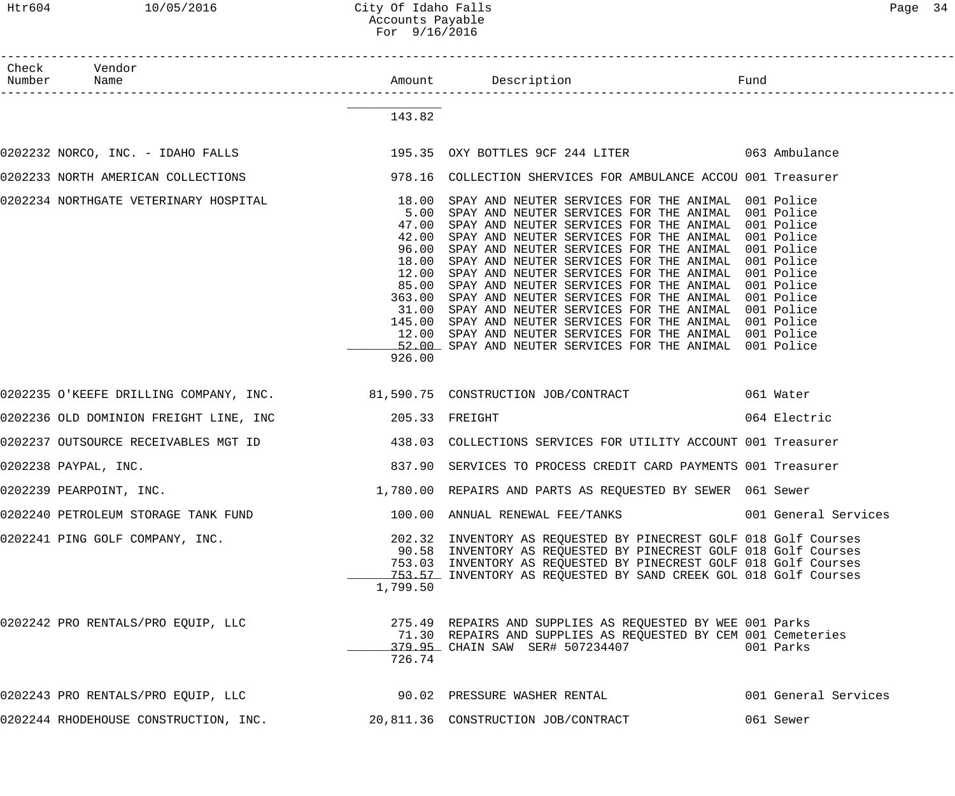Htr604 10/05/2016 City Of Idaho Falls 2016 Page 34 Accounts Payable For 9/16/2016

| Check Vendor<br>Number Name                                                                |                                  |                                                                                                                                                                                                                                                                                                                                                                                                                                                                                                                                                                                                                                                                                                                                                                                          |              |
|--------------------------------------------------------------------------------------------|----------------------------------|------------------------------------------------------------------------------------------------------------------------------------------------------------------------------------------------------------------------------------------------------------------------------------------------------------------------------------------------------------------------------------------------------------------------------------------------------------------------------------------------------------------------------------------------------------------------------------------------------------------------------------------------------------------------------------------------------------------------------------------------------------------------------------------|--------------|
|                                                                                            | 143.82                           |                                                                                                                                                                                                                                                                                                                                                                                                                                                                                                                                                                                                                                                                                                                                                                                          |              |
| 0202232 NORCO, INC. - IDAHO FALLS (295.35 OXY BOTTLES 9CF 244 LITER ) 063 Ambulance        |                                  |                                                                                                                                                                                                                                                                                                                                                                                                                                                                                                                                                                                                                                                                                                                                                                                          |              |
|                                                                                            |                                  |                                                                                                                                                                                                                                                                                                                                                                                                                                                                                                                                                                                                                                                                                                                                                                                          |              |
| 0202234 NORTHGATE VETERINARY HOSPITAL                                                      | 18.00<br>5.00<br>47.00<br>926.00 | SPAY AND NEUTER SERVICES FOR THE ANIMAL 001 Police<br>SPAY AND NEUTER SERVICES FOR THE ANIMAL 001 Police<br>SPAY AND NEUTER SERVICES FOR THE ANIMAL 001 Police<br>42.00 SPAY AND NEUTER SERVICES FOR THE ANIMAL 001 Police<br>96.00 SPAY AND NEUTER SERVICES FOR THE ANIMAL 001 Police<br>18.00 SPAY AND NEUTER SERVICES FOR THE ANIMAL 001 Police<br>12.00 SPAY AND NEUTER SERVICES FOR THE ANIMAL 001 Police<br>85.00 SPAY AND NEUTER SERVICES FOR THE ANIMAL 001 Police<br>363.00 SPAY AND NEUTER SERVICES FOR THE ANIMAL 001 Police<br>31.00 SPAY AND NEUTER SERVICES FOR THE ANIMAL 001 Police<br>145.00 SPAY AND NEUTER SERVICES FOR THE ANIMAL 001 Police<br>12.00 SPAY AND NEUTER SERVICES FOR THE ANIMAL 001 Police<br>52.00 SPAY AND NEUTER SERVICES FOR THE ANIMAL 001 Police |              |
| 0202235 O'KEEFE DRILLING COMPANY, INC. 31,590.75 CONSTRUCTION JOB/CONTRACT 661 Water       |                                  |                                                                                                                                                                                                                                                                                                                                                                                                                                                                                                                                                                                                                                                                                                                                                                                          |              |
|                                                                                            |                                  |                                                                                                                                                                                                                                                                                                                                                                                                                                                                                                                                                                                                                                                                                                                                                                                          | 064 Electric |
|                                                                                            |                                  |                                                                                                                                                                                                                                                                                                                                                                                                                                                                                                                                                                                                                                                                                                                                                                                          |              |
| 0202238 PAYPAL, INC.                                                                       |                                  | 837.90 SERVICES TO PROCESS CREDIT CARD PAYMENTS 001 Treasurer                                                                                                                                                                                                                                                                                                                                                                                                                                                                                                                                                                                                                                                                                                                            |              |
| 0202239 PEARPOINT, INC.                                                                    |                                  | 1,780.00 REPAIRS AND PARTS AS REQUESTED BY SEWER 061 Sewer                                                                                                                                                                                                                                                                                                                                                                                                                                                                                                                                                                                                                                                                                                                               |              |
| 0202240 PETROLEUM STORAGE TANK FUND                                                        |                                  | 100.00 ANNUAL RENEWAL FEE/TANKS                                  001 General Services                                                                                                                                                                                                                                                                                                                                                                                                                                                                                                                                                                                                                                                                                                    |              |
| 0202241 PING GOLF COMPANY, INC.                                                            | 1,799.50                         | 202.32 INVENTORY AS REQUESTED BY PINECREST GOLF 018 Golf Courses<br>90.58 INVENTORY AS REQUESTED BY PINECREST GOLF 018 Golf Courses<br>753.03 INVENTORY AS REQUESTED BY PINECREST GOLF 018 Golf Courses<br>153.57 INVENTORY AS REQUESTED BY SAND CREEK GOL 018 Golf Courses                                                                                                                                                                                                                                                                                                                                                                                                                                                                                                              |              |
| 0202242 PRO RENTALS/PRO EQUIP, LLC                                                         | 726.74                           | 275.49 REPAIRS AND SUPPLIES AS REQUESTED BY WEE 001 Parks<br>71.30 REPAIRS AND SUPPLIES AS REQUESTED BY CEM 001 Cemeteries<br>379.95 CHAIN SAW SER# 507234407 001 Parks                                                                                                                                                                                                                                                                                                                                                                                                                                                                                                                                                                                                                  |              |
| 0202243 PRO RENTALS/PRO EQUIP, LLC 190.02 PRESSURE WASHER RENTAL 1999 001 General Services |                                  |                                                                                                                                                                                                                                                                                                                                                                                                                                                                                                                                                                                                                                                                                                                                                                                          |              |
| 0202244 RHODEHOUSE CONSTRUCTION, INC. 20,811.36 CONSTRUCTION JOB/CONTRACT                  |                                  |                                                                                                                                                                                                                                                                                                                                                                                                                                                                                                                                                                                                                                                                                                                                                                                          | 061 Sewer    |
|                                                                                            |                                  |                                                                                                                                                                                                                                                                                                                                                                                                                                                                                                                                                                                                                                                                                                                                                                                          |              |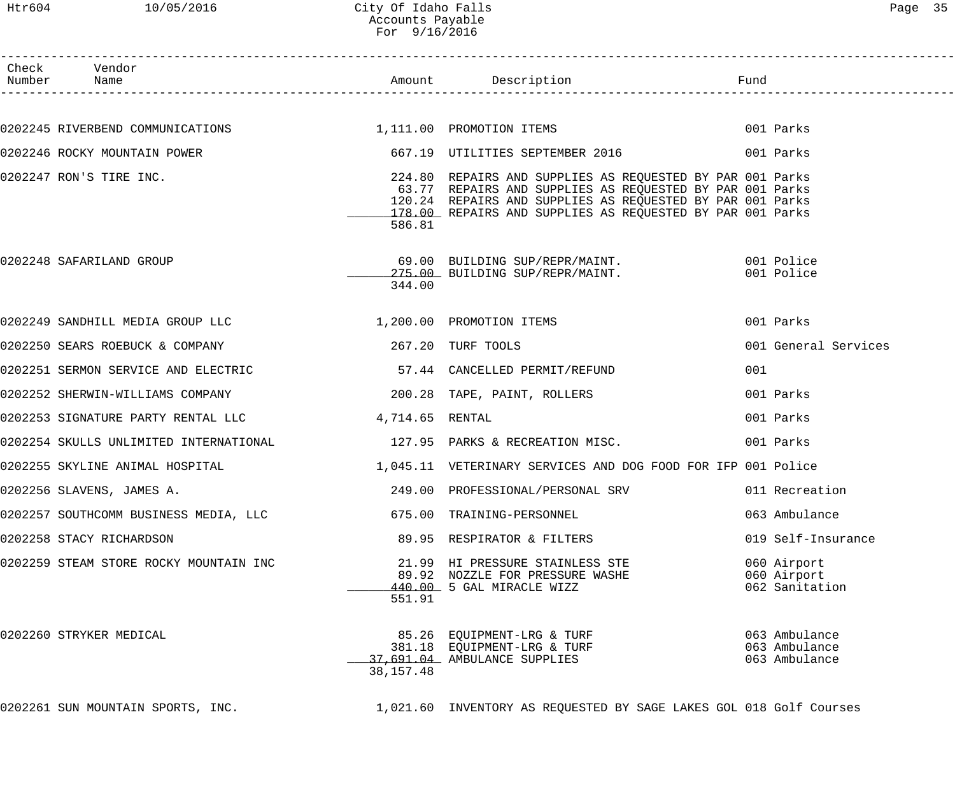## Htr604 10/05/2016 City Of Idaho Falls Page 35 Accounts Payable For 9/16/2016

| Раає |  |
|------|--|
|------|--|

| Check Vendor<br>Number Name                                                 |             |                                                                                                                                                                                                                                                                                          |     |                                                 |
|-----------------------------------------------------------------------------|-------------|------------------------------------------------------------------------------------------------------------------------------------------------------------------------------------------------------------------------------------------------------------------------------------------|-----|-------------------------------------------------|
|                                                                             |             |                                                                                                                                                                                                                                                                                          |     |                                                 |
|                                                                             |             | 0202245 RIVERBEND COMMUNICATIONS 1,111.00 PROMOTION ITEMS 001 Parks                                                                                                                                                                                                                      |     |                                                 |
|                                                                             |             |                                                                                                                                                                                                                                                                                          |     |                                                 |
|                                                                             | 586.81      | 0202247 RON'S TIRE INC. The Second Material Contract of the SUPPLIES AS REQUESTED BY PAR 001 Parks<br>63.77 REPAIRS AND SUPPLIES AS REQUESTED BY PAR 001 Parks<br>120.24 REPAIRS AND SUPPLIES AS REQUESTED BY PAR 001 Parks<br>178.00 REPAIRS AND SUPPLIES AS REQUESTED BY PAR 001 Parks |     |                                                 |
| 0202248 SAFARILAND GROUP                                                    | 344.00      | 69.00 BUILDING SUP/REPR/MAINT. 001 Police<br>275.00 BUILDING SUP/REPR/MAINT. 001 Police                                                                                                                                                                                                  |     |                                                 |
| 0202249 SANDHILL MEDIA GROUP LLC 1,200.00 PROMOTION ITEMS                   |             |                                                                                                                                                                                                                                                                                          |     | 001 Parks                                       |
| 0202250 SEARS ROEBUCK & COMPANY 1997 1997 1000 267.20 TURF TOOLS            |             |                                                                                                                                                                                                                                                                                          |     | 001 General Services                            |
| 0202251 SERMON SERVICE AND ELECTRIC TELECTRIC ST.44 CANCELLED PERMIT/REFUND |             |                                                                                                                                                                                                                                                                                          | 001 |                                                 |
| 0202252 SHERWIN-WILLIAMS COMPANY (2000) 200.28 TAPE, PAINT, ROLLERS         |             |                                                                                                                                                                                                                                                                                          |     | 001 Parks                                       |
| 0202253 SIGNATURE PARTY RENTAL LLC           4,714.65 RENTAL                |             |                                                                                                                                                                                                                                                                                          |     | 001 Parks                                       |
|                                                                             |             | 0202254 SKULLS UNLIMITED INTERNATIONAL                     127.95  PARKS & RECREATION MISC.                        001 Parks                                                                                                                                                             |     |                                                 |
|                                                                             |             | 0202255 SKYLINE ANIMAL HOSPITAL                                 1,045.11  VETERINARY SERVICES AND DOG FOOD FOR IFP 001 Police                                                                                                                                                            |     |                                                 |
| 0202256 SLAVENS, JAMES A.                                                   |             | 249.00 PROFESSIONAL/PERSONAL SRV 011 Recreation                                                                                                                                                                                                                                          |     |                                                 |
| 0202257 SOUTHCOMM BUSINESS MEDIA, LLC                                       |             | 675.00 TRAINING-PERSONNEL                                                                                                                                                                                                                                                                |     | 063 Ambulance                                   |
| 0202258 STACY RICHARDSON                                                    |             | 89.95 RESPIRATOR & FILTERS                                                                                                                                                                                                                                                               |     | 019 Self-Insurance                              |
| 0202259 STEAM STORE ROCKY MOUNTAIN INC                                      | 551.91      | 21.99 HI PRESSURE STAINLESS STE<br>89.92 NOZZLE FOR PRESSURE WASHE<br>440.00 5 GAL MIRACLE WIZZ                                                                                                                                                                                          |     | 060 Airport<br>060 Airport<br>062 Sanitation    |
| 0202260 STRYKER MEDICAL                                                     | 38, 157. 48 | 85.26 EQUIPMENT-LRG & TURF<br>381.18 EQUIPMENT-LRG & TURF<br>37,691.04 AMBULANCE SUPPLIES                                                                                                                                                                                                |     | 063 Ambulance<br>063 Ambulance<br>063 Ambulance |
| 0202261 SUN MOUNTAIN SPORTS, INC.                                           |             | 1,021.60 INVENTORY AS REQUESTED BY SAGE LAKES GOL 018 Golf Courses                                                                                                                                                                                                                       |     |                                                 |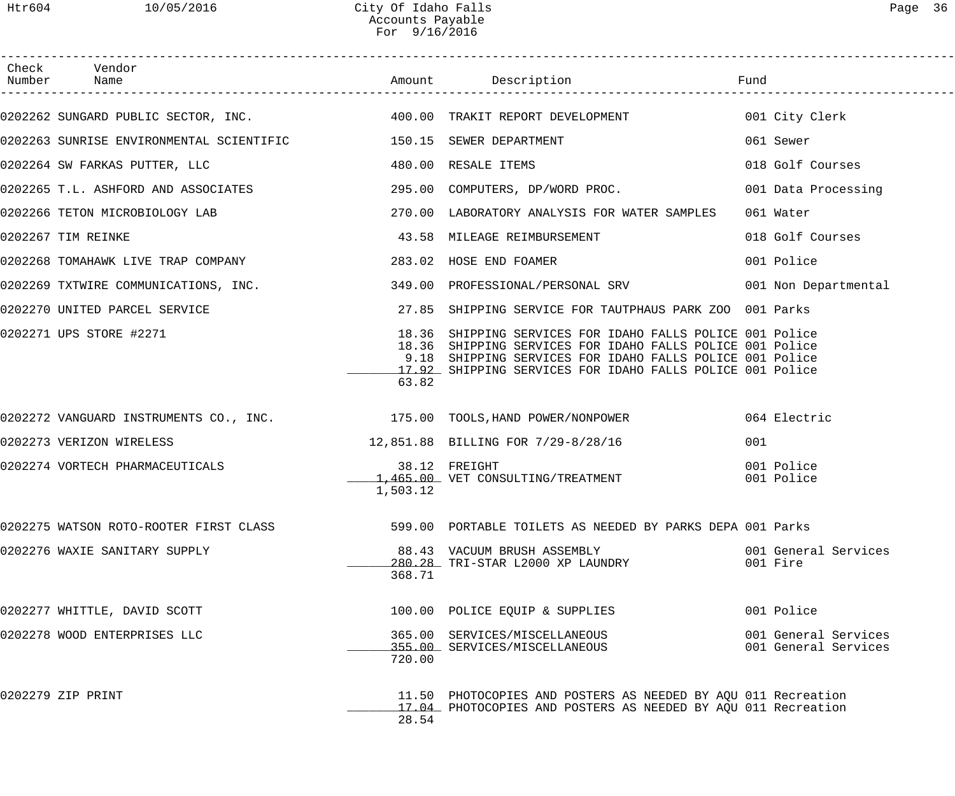| Check Vendor<br>Number Name                                                    |          |                                                                                                                                                                                                                                                 |                                              |
|--------------------------------------------------------------------------------|----------|-------------------------------------------------------------------------------------------------------------------------------------------------------------------------------------------------------------------------------------------------|----------------------------------------------|
|                                                                                |          | 0202262 SUNGARD PUBLIC SECTOR, INC. 400.00 TRAKIT REPORT DEVELOPMENT 601 City Clerk                                                                                                                                                             |                                              |
| 0202263 SUNRISE ENVIRONMENTAL SCIENTIFIC 150.15 SEWER DEPARTMENT               |          |                                                                                                                                                                                                                                                 | 061 Sewer                                    |
| 0202264 SW FARKAS PUTTER, LLC CONNECTED MANUSIC MANUSCRIPT AND ASSALE ITEMS    |          |                                                                                                                                                                                                                                                 | 018 Golf Courses                             |
|                                                                                |          | 0202265 T.L. ASHFORD AND ASSOCIATES (295.00 COMPUTERS, DP/WORD PROC. 201 Data Processing                                                                                                                                                        |                                              |
| 0202266 TETON MICROBIOLOGY LAB 270.00 LABORATORY ANALYSIS FOR WATER SAMPLES    |          |                                                                                                                                                                                                                                                 | 061 Water                                    |
| 0202267 TIM REINKE                                                             |          | 43.58 MILEAGE REIMBURSEMENT                                                                                                                                                                                                                     | 018 Golf Courses                             |
| 0202268 TOMAHAWK LIVE TRAP COMPANY THE SERIE RESOLUTION 283.02 HOSE END FOAMER |          |                                                                                                                                                                                                                                                 | 001 Police                                   |
|                                                                                |          | 0202269 TXTWIRE COMMUNICATIONS, INC. 349.00 PROFESSIONAL/PERSONAL SRV 001 Non Departmental                                                                                                                                                      |                                              |
|                                                                                |          | 0202270 UNITED PARCEL SERVICE THE SERVICE SERVICE POR TAUTPHAUS PARK ZOO 001 Parks                                                                                                                                                              |                                              |
| 0202271 UPS STORE #2271                                                        | 63.82    | 18.36 SHIPPING SERVICES FOR IDAHO FALLS POLICE 001 Police<br>18.36 SHIPPING SERVICES FOR IDAHO FALLS POLICE 001 Police<br>9.18 SHIPPING SERVICES FOR IDAHO FALLS POLICE 001 Police<br>17.92 SHIPPING SERVICES FOR IDAHO FALLS POLICE 001 Police |                                              |
|                                                                                |          | 0202272 VANGUARD INSTRUMENTS CO., INC. 175.00 TOOLS, HAND POWER/NONPOWER 064 Electric                                                                                                                                                           |                                              |
| 0202273 VERIZON WIRELESS                                                       |          | 12,851.88 BILLING FOR 7/29-8/28/16                                                                                                                                                                                                              | 001                                          |
| 0202274 VORTECH PHARMACEUTICALS                                                | 1,503.12 | 38.12 FREIGHT<br>1,465.00 VET CONSULTING/TREATMENT                                                                                                                                                                                              | 001 Police<br>001 Police                     |
| 0202275 WATSON ROTO-ROOTER FIRST CLASS                                         |          | 599.00 PORTABLE TOILETS AS NEEDED BY PARKS DEPA 001 Parks                                                                                                                                                                                       |                                              |
| 0202276 WAXIE SANITARY SUPPLY                                                  | 368.71   | 88.43 VACUUM BRUSH ASSEMBLY<br>280.28 TRI-STAR L2000 XP LAUNDRY                                                                                                                                                                                 | 001 General Services<br>001 Fire             |
| 0202277 WHITTLE, DAVID SCOTT                                                   |          | 100.00 POLICE EQUIP & SUPPLIES                                                                                                                                                                                                                  | 001 Police                                   |
| 0202278 WOOD ENTERPRISES LLC                                                   | 720.00   | 365.00 SERVICES/MISCELLANEOUS<br>355.00 SERVICES/MISCELLANEOUS                                                                                                                                                                                  | 001 General Services<br>001 General Services |
| 0202279 ZIP PRINT                                                              | 28.54    | 11.50 PHOTOCOPIES AND POSTERS AS NEEDED BY AQU 011 Recreation<br>17.04 PHOTOCOPIES AND POSTERS AS NEEDED BY AQU 011 Recreation                                                                                                                  |                                              |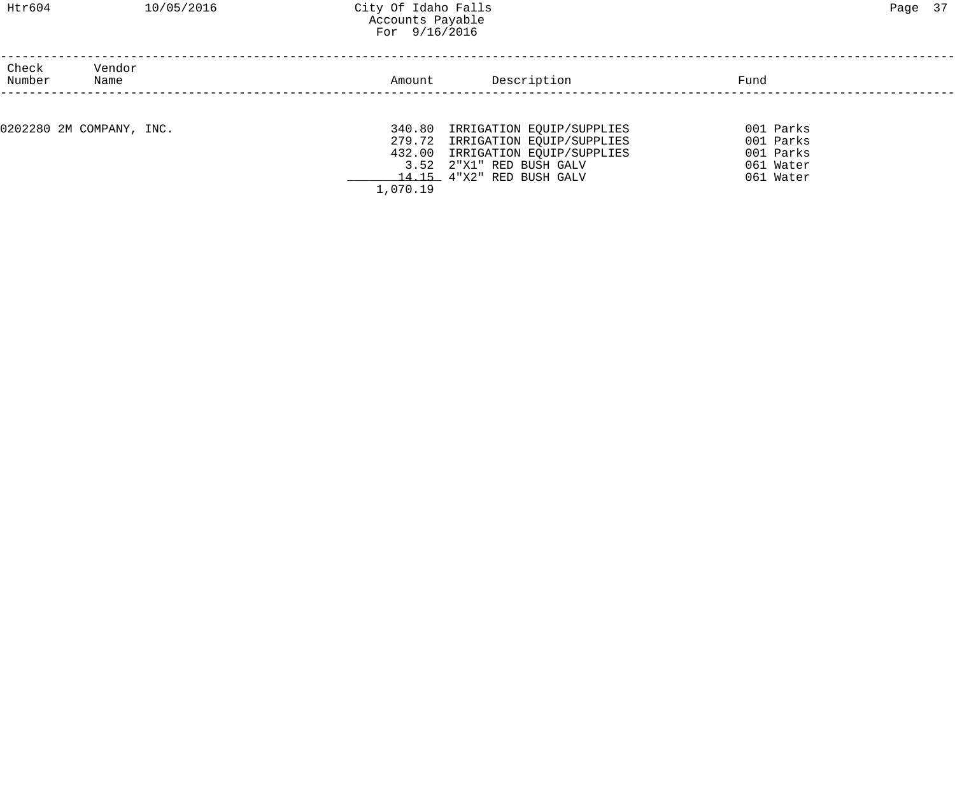## Htr604 10/05/2016 City Of Idaho Falls Page 37 Accounts Payable For 9/16/2016

| Check<br>Number | Vendor<br>Name           | Amount             | Description                                                                                                                                                | Fund                                                          |  |
|-----------------|--------------------------|--------------------|------------------------------------------------------------------------------------------------------------------------------------------------------------|---------------------------------------------------------------|--|
|                 |                          |                    |                                                                                                                                                            |                                                               |  |
|                 | 0202280 2M COMPANY, INC. | 340.80<br>1,070.19 | IRRIGATION EQUIP/SUPPLIES<br>279.72 IRRIGATION EQUIP/SUPPLIES<br>432.00 IRRIGATION EQUIP/SUPPLIES<br>3.52 2"X1" RED BUSH GALV<br>14.15 4"X2" RED BUSH GALV | 001 Parks<br>001 Parks<br>001 Parks<br>061 Water<br>061 Water |  |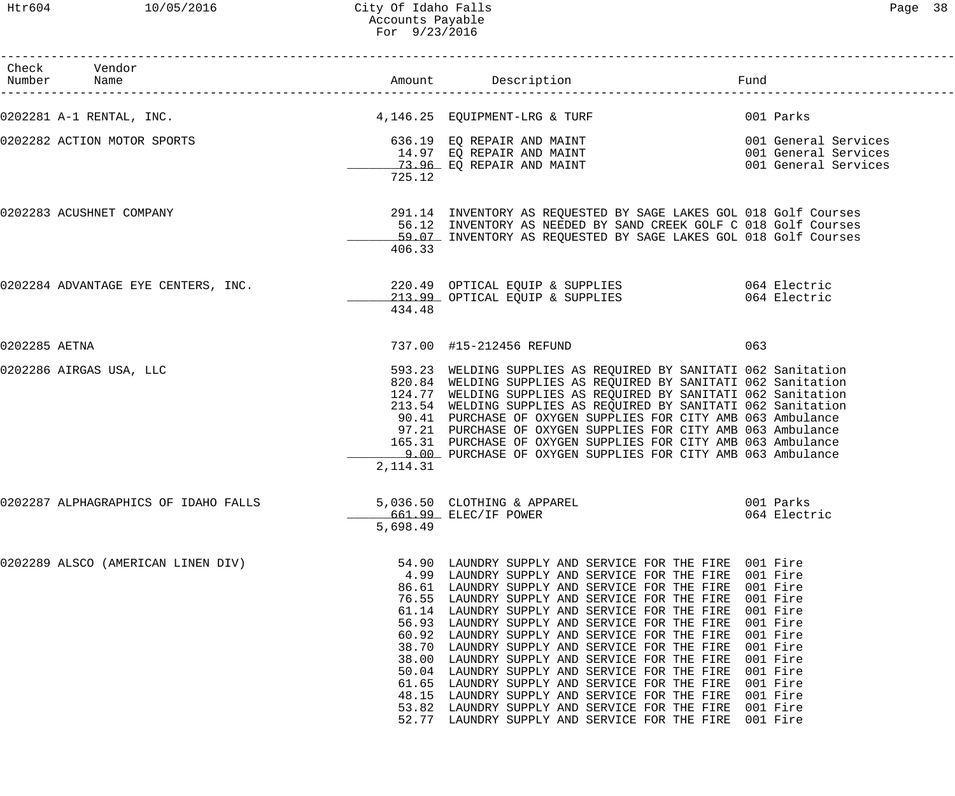|               | Check Vendor<br>Number Name          |            |                                                                                                                                                                                                                                                                                                                                                                                                                                                                                                                                                                                                                                                                                                                                                                    |                                                                                  |
|---------------|--------------------------------------|------------|--------------------------------------------------------------------------------------------------------------------------------------------------------------------------------------------------------------------------------------------------------------------------------------------------------------------------------------------------------------------------------------------------------------------------------------------------------------------------------------------------------------------------------------------------------------------------------------------------------------------------------------------------------------------------------------------------------------------------------------------------------------------|----------------------------------------------------------------------------------|
|               | 0202281 A-1 RENTAL, INC.             |            | 4,146.25 EQUIPMENT-LRG & TURF                                                                                                                                                                                                                                                                                                                                                                                                                                                                                                                                                                                                                                                                                                                                      | 001 Parks                                                                        |
|               | 0202282 ACTION MOTOR SPORTS          | 725.12     |                                                                                                                                                                                                                                                                                                                                                                                                                                                                                                                                                                                                                                                                                                                                                                    | 001 General Services<br>001 General Services<br>001 General Services             |
|               | 0202283 ACUSHNET COMPANY             | 406.33     | 291.14 INVENTORY AS REQUESTED BY SAGE LAKES GOL 018 Golf Courses<br>56.12 INVENTORY AS NEEDED BY SAND CREEK GOLF C 018 Golf Courses<br>59.07 INVENTORY AS REQUESTED BY SAGE LAKES GOL 018 Golf Courses                                                                                                                                                                                                                                                                                                                                                                                                                                                                                                                                                             |                                                                                  |
|               | 0202284 ADVANTAGE EYE CENTERS, INC.  | 434.48     | 220.49 OPTICAL EQUIP & SUPPLIES 6064 Electric<br>213.99 OPTICAL EQUIP & SUPPLIES                                                                                                                                                                                                                                                                                                                                                                                                                                                                                                                                                                                                                                                                                   | 064 Electric                                                                     |
| 0202285 AETNA |                                      |            | 737.00 #15-212456 REFUND                                                                                                                                                                                                                                                                                                                                                                                                                                                                                                                                                                                                                                                                                                                                           | 063                                                                              |
|               | 0202286 AIRGAS USA, LLC              | 2, 114. 31 | 593.23 WELDING SUPPLIES AS REQUIRED BY SANITATI 062 Sanitation<br>820.84 WELDING SUPPLIES AS REQUIRED BY SANITATI 062 Sanitation<br>124.77 WELDING SUPPLIES AS REQUIRED BY SANITATI 062 Sanitation<br>213.54 WELDING SUPPLIES AS REQUIRED BY SANITATI 062 Sanitation<br>90.41 PURCHASE OF OXYGEN SUPPLIES FOR CITY AMB 063 Ambulance<br>97.21 PURCHASE OF OXYGEN SUPPLIES FOR CITY AMB 063 Ambulance<br>165.31 PURCHASE OF OXYGEN SUPPLIES FOR CITY AMB 063 Ambulance<br>9.00 PURCHASE OF OXYGEN SUPPLIES FOR CITY AMB 063 Ambulance                                                                                                                                                                                                                               |                                                                                  |
|               | 0202287 ALPHAGRAPHICS OF IDAHO FALLS | 5,698.49   | 661.99 ELEC/IF POWER                                                                                                                                                                                                                                                                                                                                                                                                                                                                                                                                                                                                                                                                                                                                               | 064 Electric                                                                     |
|               | 0202289 ALSCO (AMERICAN LINEN DIV)   | 61.65      | 54.90 LAUNDRY SUPPLY AND SERVICE FOR THE FIRE 001 Fire<br>4.99 LAUNDRY SUPPLY AND SERVICE FOR THE FIRE 001 Fire<br>86.61 LAUNDRY SUPPLY AND SERVICE FOR THE FIRE 001 Fire<br>76.55 LAUNDRY SUPPLY AND SERVICE FOR THE FIRE 001 Fire<br>61.14 LAUNDRY SUPPLY AND SERVICE FOR THE FIRE 001 Fire<br>56.93 LAUNDRY SUPPLY AND SERVICE FOR THE FIRE<br>60.92 LAUNDRY SUPPLY AND SERVICE FOR THE FIRE<br>38.70 LAUNDRY SUPPLY AND SERVICE FOR THE FIRE<br>38.00 LAUNDRY SUPPLY AND SERVICE FOR THE FIRE<br>50.04 LAUNDRY SUPPLY AND SERVICE FOR THE FIRE<br>LAUNDRY SUPPLY AND SERVICE FOR THE FIRE<br>48.15 LAUNDRY SUPPLY AND SERVICE FOR THE FIRE<br>53.82 LAUNDRY SUPPLY AND SERVICE FOR THE FIRE 001 Fire<br>52.77 LAUNDRY SUPPLY AND SERVICE FOR THE FIRE 001 Fire | 001 Fire<br>001 Fire<br>001 Fire<br>001 Fire<br>001 Fire<br>001 Fire<br>001 Fire |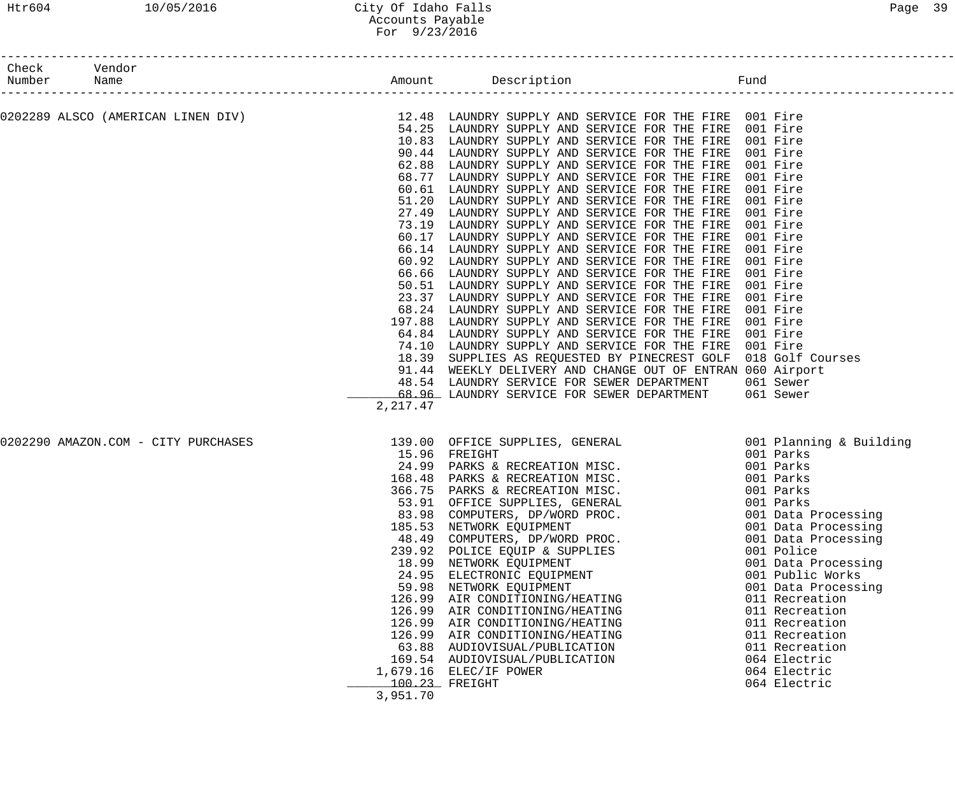### Htr604 10/05/2016 City Of Idaho Falls Page 39 Accounts Payable For 9/23/2016

| Check Vendor<br>Number Name | ---------------------               |                                               |                                                                                                                                                                                                                                                                                                                                                                                                                                                                                                                                                                                                                                                                                                                                                                                                                                                                                                                                                                                                                                                                                                                                                                                                                                                                                                                                                                                                                                           |                                                                                                                                                                                                                                                                                                          |
|-----------------------------|-------------------------------------|-----------------------------------------------|-------------------------------------------------------------------------------------------------------------------------------------------------------------------------------------------------------------------------------------------------------------------------------------------------------------------------------------------------------------------------------------------------------------------------------------------------------------------------------------------------------------------------------------------------------------------------------------------------------------------------------------------------------------------------------------------------------------------------------------------------------------------------------------------------------------------------------------------------------------------------------------------------------------------------------------------------------------------------------------------------------------------------------------------------------------------------------------------------------------------------------------------------------------------------------------------------------------------------------------------------------------------------------------------------------------------------------------------------------------------------------------------------------------------------------------------|----------------------------------------------------------------------------------------------------------------------------------------------------------------------------------------------------------------------------------------------------------------------------------------------------------|
|                             |                                     | 51.20<br>27.49<br>73.19<br>66.14<br>2, 217.47 | 0202289 ALSCO (AMERICAN LINEN DIV) 12.48 LAUNDRY SUPPLY AND SERVICE FOR THE FIRE 001 Fire<br>54.25 LAINDRY SUPPLY AND SERVICE FOR THE FIRE 001 Fire<br>54.25 LAUNDRY SUPPLY AND SERVICE FOR THE FIRE 001 Fire<br>10.83 LAUNDRY SUPPLY AND SERVICE FOR THE FIRE 001 Fire<br>90.44 LAUNDRY SUPPLY AND SERVICE FOR THE FIRE 001 Fire<br>62.88 LAUNDRY SUPPLY AND SERVICE FOR THE FIRE 001 Fire<br>68.77 LAUNDRY SUPPLY AND SERVICE FOR THE FIRE 001 Fire<br>60.61 LAUNDRY SUPPLY AND SERVICE FOR THE FIRE<br>LAUNDRY SUPPLY AND SERVICE FOR THE FIRE<br>LAUNDRY SUPPLY AND SERVICE FOR THE FIRE<br>LAUNDRY SUPPLY AND SERVICE FOR THE FIRE<br>60.17 LAUNDRY SUPPLY AND SERVICE FOR THE FIRE 001 Fire<br>LAUNDRY SUPPLY AND SERVICE FOR THE FIRE 001 Fire<br>60.92 LAUNDRY SUPPLY AND SERVICE FOR THE FIRE<br>66.66 LAUNDRY SUPPLY AND SERVICE FOR THE FIRE<br>50.51 LAUNDRY SUPPLY AND SERVICE FOR THE FIRE<br>23.37 LAUNDRY SUPPLY AND SERVICE FOR THE FIRE<br>68.24 LAUNDRY SUPPLY AND SERVICE FOR THE FIRE<br>197.88 LAUNDRY SUPPLY AND SERVICE FOR THE FIRE 001 Fire<br>64.84 LAUNDRY SUPPLY AND SERVICE FOR THE FIRE 001 Fire<br>74.10 LAUNDRY SUPPLY AND SERVICE FOR THE FIRE 001 Fire<br>18.39 SUPPLIES AS REQUESTED BY PINECREST GOLF 018 Golf Courses<br>91.44 WEEKLY DELIVERY AND CHANGE OUT OF ENTRAN 060 Airport<br>48.54 LAUNDRY SERVICE FOR SEWER DEPARTMENT 061 Sewer<br>68.96 LAUNDRY SERVICE FOR SEWER DEPARTMENT 061 Sewer | 001 Fire<br>001 Fire<br>001 Fire<br>001 Fire<br>001 Fire<br>001 Fire<br>001 Fire<br>001 Fire<br>001 Fire                                                                                                                                                                                                 |
|                             | 0202290 AMAZON.COM - CITY PURCHASES | 126.99<br>3,951.70                            | 139.00 OFFICE SUPPLIES, GENERAL 001 Planning & Building<br>15.96 FREIGHT 001 Parks<br>24.99 PARKS & RECREATION MISC. 001 Parks<br>168.48 PARKS & RECREATION MISC. 001 Parks<br>366.75 PARKS & RECREATION MISC. 001 Parks<br>53.91 OFFICE SUPP<br>53.91 OFFICE SUPPLIES, GENERAL<br>83.98 COMPUTERS, DP/WORD PROC.<br>185.53 NETWORK EQUIPMENT<br>48.49 COMPUTERS, DP/WORD PROC.<br>239.92 POLICE EQUIP & SUPPLIES<br>18.99 NETWORK EQUIPMENT<br>24.95 ELECTRONIC EQUIPMENT<br>59.98 NETWORK EQUIPMENT<br>126.99 AIR CONDITIONING/HEATING<br>AIR CONDITIONING/HEATING<br>126.99 AIR CONDITIONING/HEATING<br>126.99 AIR CONDITIONING/HEATING<br>63.88 AUDIOVISUAL/PUBLICATION<br>169.54 AUDIOVISUAL/PUBLICATION<br>1,679.16 ELEC/IF POWER<br>100.23 FREIGHT                                                                                                                                                                                                                                                                                                                                                                                                                                                                                                                                                                                                                                                                                 | 001 Parks<br>001 Data Processing<br>001 Data Processing<br>001 Data Processing<br>001 Police<br>001 Data Processing<br>001 Public Works<br>001 Data Processing<br>011 Recreation<br>011 Recreation<br>011 Recreation<br>011 Recreation<br>011 Recreation<br>064 Electric<br>064 Electric<br>064 Electric |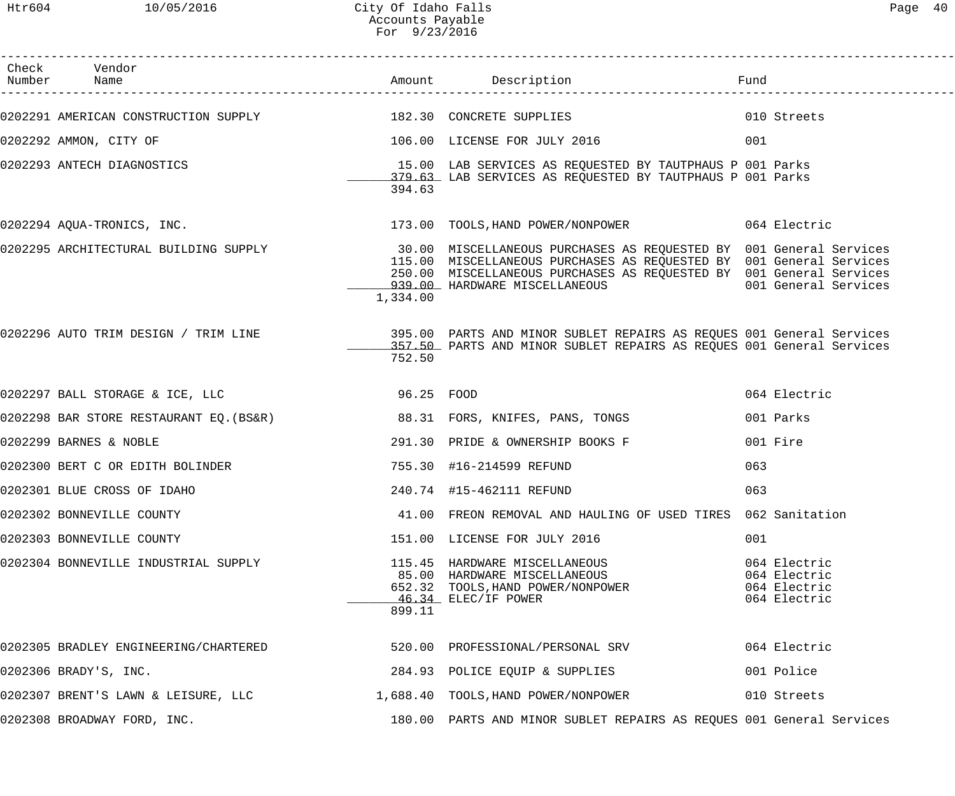------------------------------------------------------------------------------------------------------------------------------------

| Page | 40 |
|------|----|
|------|----|

| Check | Vendor<br>Number Name                                                  |            | Amount Description                                                                                                                                                                                                                                                                      | Fund                                                         |
|-------|------------------------------------------------------------------------|------------|-----------------------------------------------------------------------------------------------------------------------------------------------------------------------------------------------------------------------------------------------------------------------------------------|--------------------------------------------------------------|
|       | 0202291 AMERICAN CONSTRUCTION SUPPLY 182.30 CONCRETE SUPPLIES          |            |                                                                                                                                                                                                                                                                                         | 010 Streets                                                  |
|       | 0202292 AMMON, CITY OF                                                 |            | 106.00 LICENSE FOR JULY 2016                                                                                                                                                                                                                                                            | 001                                                          |
|       | 0202293 ANTECH DIAGNOSTICS                                             | 394.63     | 15.00 LAB SERVICES AS REQUESTED BY TAUTPHAUS P 001 Parks<br>379.63 LAB SERVICES AS REQUESTED BY TAUTPHAUS P 001 Parks                                                                                                                                                                   |                                                              |
|       |                                                                        |            |                                                                                                                                                                                                                                                                                         |                                                              |
|       |                                                                        | 1,334.00   | 0202295 ARCHITECTURAL BUILDING SUPPLY 30.00 MISCELLANEOUS PURCHASES AS REQUESTED BY 001 General Services<br>115.00 MISCELLANEOUS PURCHASES AS REQUESTED BY 001 General Services<br>250.00 MISCELLANEOUS PURCHASES AS REQUESTED BY 001 General Services<br>939.00 HARDWARE MISCELLANEOUS | 001 General Services                                         |
|       |                                                                        | 752.50     | 0202296 AUTO TRIM DESIGN / TRIM LINE                       395.00 PARTS AND MINOR SUBLET REPAIRS AS REQUES 001 General Services<br>157.50 PARTS AND MINOR SUBLET REPAIRS AS REQUES 001 General Services                                                                                 |                                                              |
|       | 0202297 BALL STORAGE & ICE, LLC                                        | 96.25 FOOD |                                                                                                                                                                                                                                                                                         | 064 Electric                                                 |
|       | 0202298 BAR STORE RESTAURANT EQ.(BS&R) 88.31 FORS, KNIFES, PANS, TONGS |            |                                                                                                                                                                                                                                                                                         | 001 Parks                                                    |
|       | 0202299 BARNES & NOBLE                                                 |            | 291.30 PRIDE & OWNERSHIP BOOKS F                                                                                                                                                                                                                                                        | 001 Fire                                                     |
|       | 0202300 BERT C OR EDITH BOLINDER                                       |            | 755.30 #16-214599 REFUND                                                                                                                                                                                                                                                                | 063                                                          |
|       | 0202301 BLUE CROSS OF IDAHO                                            |            | 240.74 #15-462111 REFUND                                                                                                                                                                                                                                                                | 063                                                          |
|       | 0202302 BONNEVILLE COUNTY                                              |            | 41.00 FREON REMOVAL AND HAULING OF USED TIRES 062 Sanitation                                                                                                                                                                                                                            |                                                              |
|       | 0202303 BONNEVILLE COUNTY                                              |            | 151.00 LICENSE FOR JULY 2016                                                                                                                                                                                                                                                            | 001                                                          |
|       | 0202304 BONNEVILLE INDUSTRIAL SUPPLY                                   | 899.11     | 115.45 HARDWARE MISCELLANEOUS<br>85.00 HARDWARE MISCELLANEOUS<br>652.32 TOOLS, HAND POWER/NONPOWER<br>$46.34$ ELEC/IF POWER                                                                                                                                                             | 064 Electric<br>064 Electric<br>064 Electric<br>064 Electric |
|       | 0202305 BRADLEY ENGINEERING/CHARTERED                                  |            | 520.00 PROFESSIONAL/PERSONAL SRV                                                                                                                                                                                                                                                        | 064 Electric                                                 |
|       | 0202306 BRADY'S, INC.                                                  |            | 284.93 POLICE EQUIP & SUPPLIES                                                                                                                                                                                                                                                          | 001 Police                                                   |
|       | 0202307 BRENT'S LAWN & LEISURE, LLC                                    |            | 1,688.40 TOOLS, HAND POWER/NONPOWER                                                                                                                                                                                                                                                     | 010 Streets                                                  |
|       | 0202308 BROADWAY FORD, INC.                                            |            | 180.00 PARTS AND MINOR SUBLET REPAIRS AS REQUES 001 General Services                                                                                                                                                                                                                    |                                                              |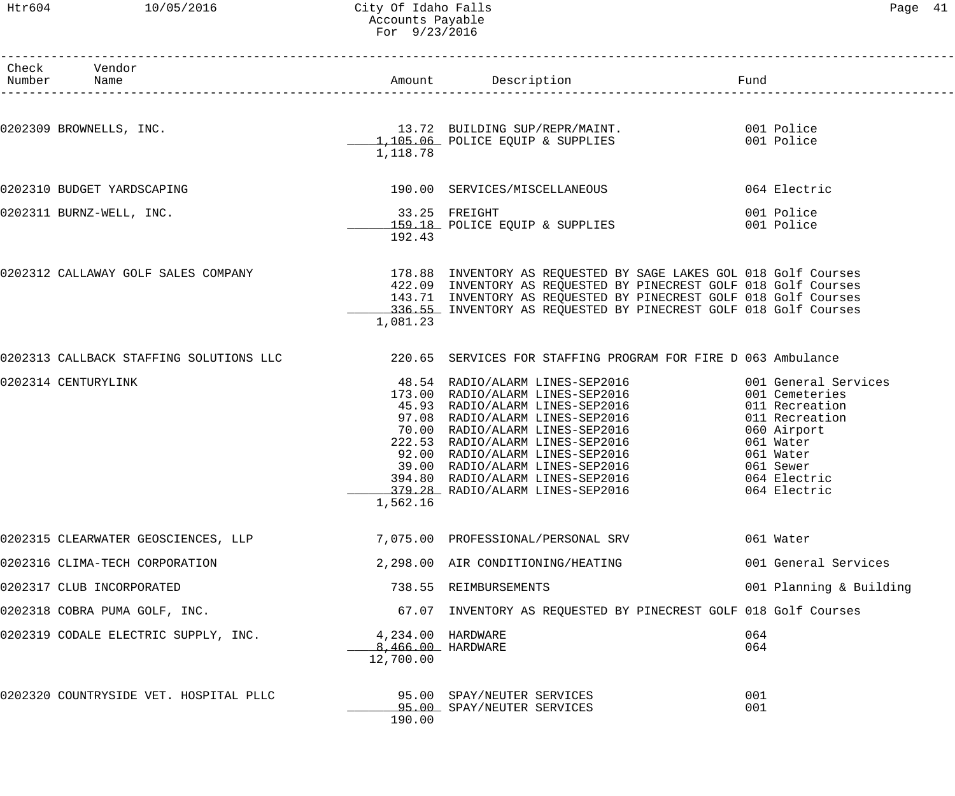## Htr604 10/05/2016 City Of Idaho Falls Page 41 Accounts Payable For 9/23/2016

| Раае |  |
|------|--|
|------|--|

| Check Vendor<br>Number Name            |                                                     |                                                                                                                                                                                                                                                                              |                                                                                                                                                                  |
|----------------------------------------|-----------------------------------------------------|------------------------------------------------------------------------------------------------------------------------------------------------------------------------------------------------------------------------------------------------------------------------------|------------------------------------------------------------------------------------------------------------------------------------------------------------------|
| 0202309 BROWNELLS, INC.                |                                                     | 13.72 BUILDING SUP/REPR/MAINT. 001 Police<br>1,105.06 POLICE EQUIP & SUPPLIES 001 Police                                                                                                                                                                                     |                                                                                                                                                                  |
|                                        | 1,118.78                                            |                                                                                                                                                                                                                                                                              |                                                                                                                                                                  |
| 0202310 BUDGET YARDSCAPING             |                                                     | 190.00 SERVICES/MISCELLANEOUS                                                                                                                                                                                                                                                | 064 Electric                                                                                                                                                     |
| 0202311 BURNZ-WELL, INC.               | $33.25$ FREIGHT<br>192.43                           | 159.18 POLICE EQUIP & SUPPLIES                                                                                                                                                                                                                                               | 001 Police<br>001 Police                                                                                                                                         |
| 0202312 CALLAWAY GOLF SALES COMPANY    | 1,081.23                                            | 178.88 INVENTORY AS REQUESTED BY SAGE LAKES GOL 018 Golf Courses<br>422.09 INVENTORY AS REQUESTED BY PINECREST GOLF 018 Golf Courses<br>143.71 INVENTORY AS REQUESTED BY PINECREST GOLF 018 Golf Courses<br>336.55 INVENTORY AS REQUESTED BY PINECREST GOLF 018 Golf Courses |                                                                                                                                                                  |
|                                        |                                                     | 0202313 CALLBACK STAFFING SOLUTIONS LLC 220.65 SERVICES FOR STAFFING PROGRAM FOR FIRE D 063 Ambulance                                                                                                                                                                        |                                                                                                                                                                  |
| 0202314 CENTURYLINK                    | 1,562.16                                            | 48.54 RADIO/ALARM LINES-SEP2016<br>173.00 RADIO/ALARM LINES-SEP2016<br>45.93 RADIO/ALARM LINES-SEP2016<br>97.08 RADIO/ALARM LINES-SEP2016<br>70.00 RADIO/ALARM LINES-SEP2016<br>222.53 RADIO/ALARM LINES-SEP2016<br>92.00 RADIO/ALARM LINES-SEP2                             | 001 General Services<br>001 Cemeteries<br>011 Recreation<br>011 Recreation<br>060 Airport<br>061 Water<br>061 Water<br>061 Sewer<br>064 Electric<br>064 Electric |
| 0202315 CLEARWATER GEOSCIENCES, LLP    |                                                     | 7,075.00 PROFESSIONAL/PERSONAL SRV                                                                                                                                                                                                                                           | 061 Water                                                                                                                                                        |
| 0202316 CLIMA-TECH CORPORATION         |                                                     | 2,298.00 AIR CONDITIONING/HEATING                                                                                                                                                                                                                                            | 001 General Services                                                                                                                                             |
| 0202317 CLUB INCORPORATED              |                                                     | 738.55 REIMBURSEMENTS                                                                                                                                                                                                                                                        | 001 Planning & Building                                                                                                                                          |
| 0202318 COBRA PUMA GOLF, INC.          |                                                     | 67.07 INVENTORY AS REQUESTED BY PINECREST GOLF 018 Golf Courses                                                                                                                                                                                                              |                                                                                                                                                                  |
| 0202319 CODALE ELECTRIC SUPPLY, INC.   | 4,234.00 HARDWARE<br>8,466.00 HARDWARE<br>12,700.00 |                                                                                                                                                                                                                                                                              | 064<br>064                                                                                                                                                       |
| 0202320 COUNTRYSIDE VET. HOSPITAL PLLC | 190.00                                              | 95.00 SPAY/NEUTER SERVICES<br>95.00 SPAY/NEUTER SERVICES                                                                                                                                                                                                                     | 001<br>001                                                                                                                                                       |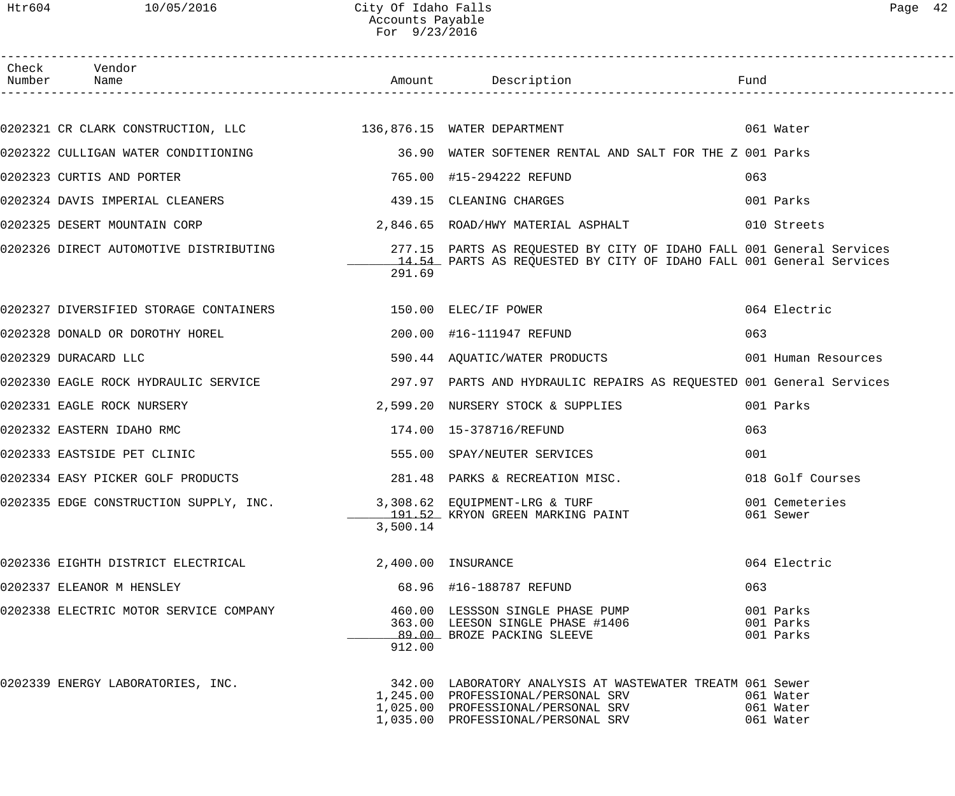## Htr604 10/05/2016 City Of Idaho Falls Page 42 Accounts Payable For 9/23/2016

| Page |  |
|------|--|
|------|--|

| Check Vendor<br>Number Name                                          |          |                                                                                                                                                                                                                                                                                   |                                     |
|----------------------------------------------------------------------|----------|-----------------------------------------------------------------------------------------------------------------------------------------------------------------------------------------------------------------------------------------------------------------------------------|-------------------------------------|
|                                                                      |          |                                                                                                                                                                                                                                                                                   |                                     |
|                                                                      |          |                                                                                                                                                                                                                                                                                   |                                     |
|                                                                      |          | 0202322 CULLIGAN WATER CONDITIONING THE SOLUTE SOFTENER RENTAL AND SALT FOR THE Z 001 Parks                                                                                                                                                                                       |                                     |
| 0202323 CURTIS AND PORTER                                            |          | 765.00 #15-294222 REFUND                                                                                                                                                                                                                                                          | 063                                 |
| 0202324 DAVIS IMPERIAL CLEANERS 439.15 CLEANING CHARGES              |          |                                                                                                                                                                                                                                                                                   | 001 Parks                           |
|                                                                      |          | 0202325 DESERT MOUNTAIN CORP 3,846.65 ROAD/HWY MATERIAL ASPHALT 610 Streets                                                                                                                                                                                                       |                                     |
|                                                                      | 291.69   | 0202326 DIRECT AUTOMOTIVE DISTRIBUTING                        277.15  PARTS AS REQUESTED BY CITY OF IDAHO FALL 001 General Services<br>14.54 PARTS AS REOUESTED BY CITY OF IDAHO FALL 001 General Services<br>14.54 PARTS AS REQUESTED BY CITY OF IDAHO FALL 001 General Services |                                     |
| 0202327 DIVERSIFIED STORAGE CONTAINERS 6 150.00 ELEC/IF POWER        |          |                                                                                                                                                                                                                                                                                   | 064 Electric                        |
| 0202328 DONALD OR DOROTHY HOREL 200.00 #16-111947 REFUND             |          |                                                                                                                                                                                                                                                                                   | 063                                 |
| 0202329 DURACARD LLC                                                 |          | 590.44 AQUATIC/WATER PRODUCTS 001 Human Resources                                                                                                                                                                                                                                 |                                     |
|                                                                      |          | 0202330 EAGLE ROCK HYDRAULIC SERVICE                    297.97 PARTS AND HYDRAULIC REPAIRS AS REQUESTED 001 General Services                                                                                                                                                      |                                     |
| 0202331 EAGLE ROCK NURSERY                                           |          | 2,599.20 NURSERY STOCK & SUPPLIES                                                                                                                                                                                                                                                 | 001 Parks                           |
| 0202332 EASTERN IDAHO RMC                                            |          |                                                                                                                                                                                                                                                                                   | 063                                 |
| 0202333 EASTSIDE PET CLINIC                                          |          | 555.00 SPAY/NEUTER SERVICES                                                                                                                                                                                                                                                       | 001                                 |
| 0202334 EASY PICKER GOLF PRODUCTS                                    |          | 281.48 PARKS & RECREATION MISC.                                                                                                                                                                                                                                                   | 018 Golf Courses                    |
| 0202335 EDGE CONSTRUCTION SUPPLY, INC. 3,308.62 EQUIPMENT-LRG & TURF | 3,500.14 | 191.52 KRYON GREEN MARKING PAINT                                                                                                                                                                                                                                                  | 001 Cemeteries<br>061 Sewer         |
| 0202336 EIGHTH DISTRICT ELECTRICAL                                   |          | 2,400.00 INSURANCE                                                                                                                                                                                                                                                                | 064 Electric                        |
| 0202337 ELEANOR M HENSLEY                                            |          | 68.96 #16-188787 REFUND                                                                                                                                                                                                                                                           | 063                                 |
| 0202338 ELECTRIC MOTOR SERVICE COMPANY                               | 912.00   | 460.00 LESSSON SINGLE PHASE PUMP<br>363.00 LEESON SINGLE PHASE #1406<br>89.00 BROZE PACKING SLEEVE                                                                                                                                                                                | 001 Parks<br>001 Parks<br>001 Parks |
| 0202339 ENERGY LABORATORIES, INC.                                    |          | 342.00 LABORATORY ANALYSIS AT WASTEWATER TREATM 061 Sewer<br>1,245.00 PROFESSIONAL/PERSONAL SRV<br>1,025.00 PROFESSIONAL/PERSONAL SRV<br>1,035.00 PROFESSIONAL/PERSONAL SRV                                                                                                       | 061 Water<br>061 Water<br>061 Water |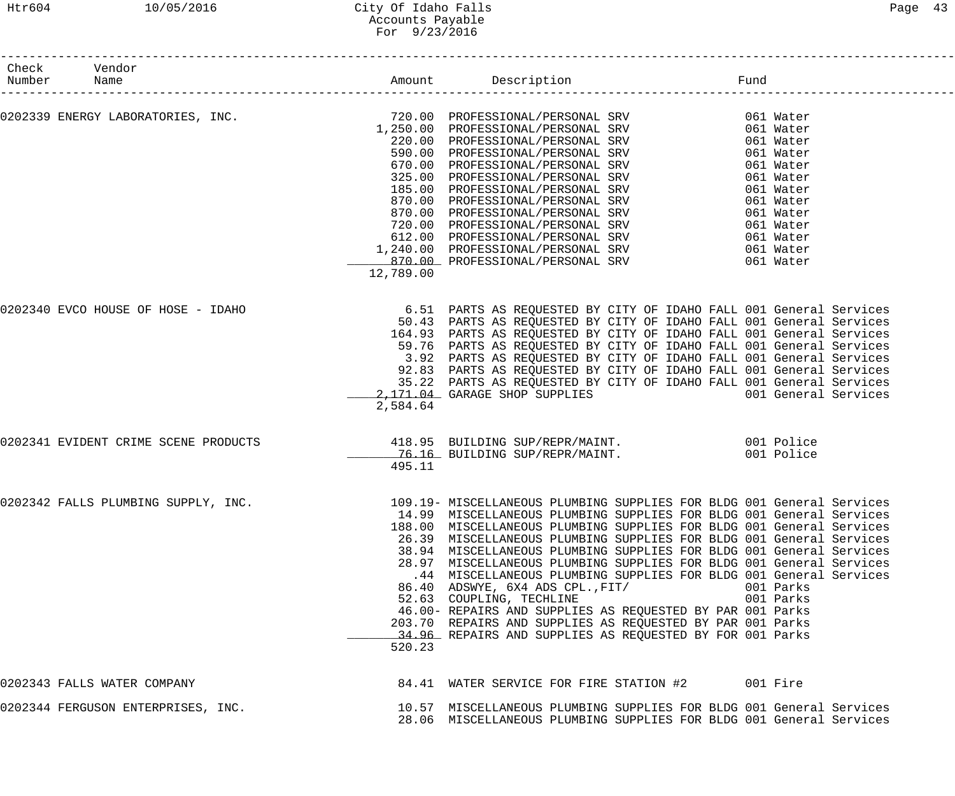### Htr604 10/05/2016 City Of Idaho Falls Page 43 Accounts Payable For 9/23/2016

| Check Vendor<br>Number Name          |           |                                                                                                                                                                                                                                                                                                                                                                                                                                                                                                                                                                                                                                                                                                                                                                      |                        |                      |
|--------------------------------------|-----------|----------------------------------------------------------------------------------------------------------------------------------------------------------------------------------------------------------------------------------------------------------------------------------------------------------------------------------------------------------------------------------------------------------------------------------------------------------------------------------------------------------------------------------------------------------------------------------------------------------------------------------------------------------------------------------------------------------------------------------------------------------------------|------------------------|----------------------|
|                                      |           |                                                                                                                                                                                                                                                                                                                                                                                                                                                                                                                                                                                                                                                                                                                                                                      |                        |                      |
|                                      |           | 1,250.00 PROFESSIONAL/PERSONAL SRV 061 Water<br>220.00 PROFESSIONAL/PERSONAL SRV 061 Water<br>590.00 PROFESSIONAL/PERSONAL SRV 061 Water<br>670.00 PROFESSIONAL/PERSONAL SRV 061 Water<br>325.00 PROFESSIONAL/PERSONAL SRV 061 Water<br>                                                                                                                                                                                                                                                                                                                                                                                                                                                                                                                             |                        |                      |
|                                      |           |                                                                                                                                                                                                                                                                                                                                                                                                                                                                                                                                                                                                                                                                                                                                                                      |                        |                      |
|                                      | 12,789.00 |                                                                                                                                                                                                                                                                                                                                                                                                                                                                                                                                                                                                                                                                                                                                                                      |                        |                      |
| 0202340 EVCO HOUSE OF HOSE - IDAHO   | 2,584.64  | 6.51 PARTS AS REQUESTED BY CITY OF IDAHO FALL 001 General Services<br>50.43 PARTS AS REQUESTED BY CITY OF IDAHO FALL 001 General Services<br>164.93 PARTS AS REQUESTED BY CITY OF IDAHO FALL 001 General Services<br>59.76 PARTS AS REQUESTED BY CITY OF IDAHO FALL 001 General Services<br>3.92 PARTS AS REQUESTED BY CITY OF IDAHO FALL 001 General Services<br>92.83 PARTS AS REQUESTED BY CITY OF IDAHO FALL 001 General Services<br>35.22 PARTS AS REQUESTED BY CITY OF IDAHO FALL 001 General Services<br>2,171.04 GARAGE SHOP SUPPLIES                                                                                                                                                                                                                        |                        | 001 General Services |
| 0202341 EVIDENT CRIME SCENE PRODUCTS | 495.11    | 76.16 BUILDING SUP/REPR/MAINT.                                                                                                                                                                                                                                                                                                                                                                                                                                                                                                                                                                                                                                                                                                                                       |                        |                      |
| 0202342 FALLS PLUMBING SUPPLY, INC.  | 520.23    | 109.19- MISCELLANEOUS PLUMBING SUPPLIES FOR BLDG 001 General Services<br>14.99 MISCELLANEOUS PLUMBING SUPPLIES FOR BLDG 001 General Services<br>188.00 MISCELLANEOUS PLUMBING SUPPLIES FOR BLDG 001 General Services<br>26.39 MISCELLANEOUS PLUMBING SUPPLIES FOR BLDG 001 General Services<br>38.94 MISCELLANEOUS PLUMBING SUPPLIES FOR BLDG 001 General Services<br>28.97 MISCELLANEOUS PLUMBING SUPPLIES FOR BLDG 001 General Services<br>.44 MISCELLANEOUS PLUMBING SUPPLIES FOR BLDG 001 General Services<br>86.40 ADSWYE, 6X4 ADS CPL., FIT/<br>52.63 COUPLING, TECHLINE<br>46.00- REPAIRS AND SUPPLIES AS REQUESTED BY PAR 001 Parks<br>203.70 REPAIRS AND SUPPLIES AS REQUESTED BY PAR 001 Parks<br>34.96 REPAIRS AND SUPPLIES AS REQUESTED BY FOR 001 Parks | 001 Parks<br>001 Parks |                      |
| 0202343 FALLS WATER COMPANY          |           | 84.41 WATER SERVICE FOR FIRE STATION #2 001 Fire                                                                                                                                                                                                                                                                                                                                                                                                                                                                                                                                                                                                                                                                                                                     |                        |                      |
| 0202344 FERGUSON ENTERPRISES, INC.   |           | 10.57 MISCELLANEOUS PLUMBING SUPPLIES FOR BLDG 001 General Services<br>28.06 MISCELLANEOUS PLUMBING SUPPLIES FOR BLDG 001 General Services                                                                                                                                                                                                                                                                                                                                                                                                                                                                                                                                                                                                                           |                        |                      |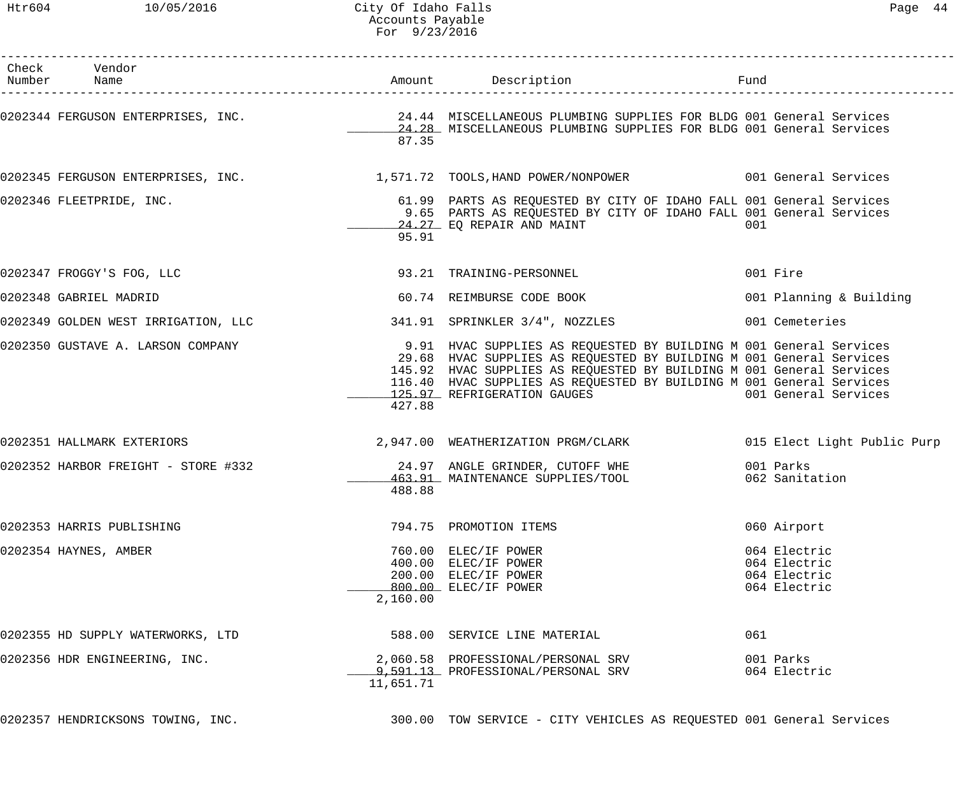| Pag<br>$\sim$ | 1 |
|---------------|---|
|---------------|---|

| Check Vendor<br>Number Name                           |           | Amount Description                                                                                                                                                                                                                                                                                                       | Fund                                                         |
|-------------------------------------------------------|-----------|--------------------------------------------------------------------------------------------------------------------------------------------------------------------------------------------------------------------------------------------------------------------------------------------------------------------------|--------------------------------------------------------------|
|                                                       | 87.35     | 0202344 FERGUSON ENTERPRISES, INC. 24.44 MISCELLANEOUS PLUMBING SUPPLIES FOR BLDG 001 General Services<br>24.28 MISCELLANEOUS PLUMBING SUPPLIES FOR BLDG 001 General Services                                                                                                                                            |                                                              |
|                                                       |           | 0202345 FERGUSON ENTERPRISES, INC. 1,571.72 TOOLS, HAND POWER/NONPOWER 001 General Services                                                                                                                                                                                                                              |                                                              |
| 0202346 FLEETPRIDE, INC.                              | 95.91     | 61.99 PARTS AS REQUESTED BY CITY OF IDAHO FALL 001 General Services<br>9.65 PARTS AS REQUESTED BY CITY OF IDAHO FALL 001 General Services<br>24.27 EQ REPAIR AND MAINT                                                                                                                                                   | 001                                                          |
| 0202347 FROGGY'S FOG, LLC 30 23.21 TRAINING-PERSONNEL |           |                                                                                                                                                                                                                                                                                                                          | 001 Fire                                                     |
| 0202348 GABRIEL MADRID                                |           | 60.74 REIMBURSE CODE BOOK                                                                                                                                                                                                                                                                                                | 001 Planning & Building                                      |
|                                                       |           | 0202349 GOLDEN WEST IRRIGATION, LLC 341.91 SPRINKLER 3/4", NOZZLES 001 Cemeteries                                                                                                                                                                                                                                        |                                                              |
| 0202350 GUSTAVE A. LARSON COMPANY                     | 427.88    | 9.91 HVAC SUPPLIES AS REQUESTED BY BUILDING M 001 General Services<br>29.68 HVAC SUPPLIES AS REQUESTED BY BUILDING M 001 General Services<br>145.92 HVAC SUPPLIES AS REQUESTED BY BUILDING M 001 General Services<br>116.40 HVAC SUPPLIES AS REQUESTED BY BUILDING M 001 General Services<br>125.97 REFRIGERATION GAUGES | 001 General Services                                         |
| 0202351 HALLMARK EXTERIORS                            |           | 2,947.00 WEATHERIZATION PRGM/CLARK 6 015 Elect Light Public Purp                                                                                                                                                                                                                                                         |                                                              |
|                                                       | 488.88    | 0202352 HARBOR FREIGHT - STORE #332 24.97 ANGLE GRINDER, CUTOFF WHE<br>463.91 MAINTENANCE SUPPLIES/TOOL 062 Sanitation                                                                                                                                                                                                   | 001 Parks                                                    |
| 0202353 HARRIS PUBLISHING                             |           | 794.75 PROMOTION ITEMS                                                                                                                                                                                                                                                                                                   | 060 Airport                                                  |
| 0202354 HAYNES, AMBER                                 | 2,160.00  | 760.00 ELEC/IF POWER<br>400.00 ELEC/IF POWER<br>200.00 ELEC/IF POWER<br>800.00 ELEC/IF POWER                                                                                                                                                                                                                             | 064 Electric<br>064 Electric<br>064 Electric<br>064 Electric |
| 0202355 HD SUPPLY WATERWORKS, LTD                     |           | 588.00 SERVICE LINE MATERIAL                                                                                                                                                                                                                                                                                             | 061                                                          |
| 0202356 HDR ENGINEERING, INC.                         | 11,651.71 | 2,060.58 PROFESSIONAL/PERSONAL SRV<br>9,591.13 PROFESSIONAL/PERSONAL SRV                                                                                                                                                                                                                                                 | 001 Parks<br>064 Electric                                    |
|                                                       |           | 0202357 HENDRICKSONS TOWING, INC. THE REASS OF TOW SERVICE - CITY VEHICLES AS REQUESTED 001 General Services                                                                                                                                                                                                             |                                                              |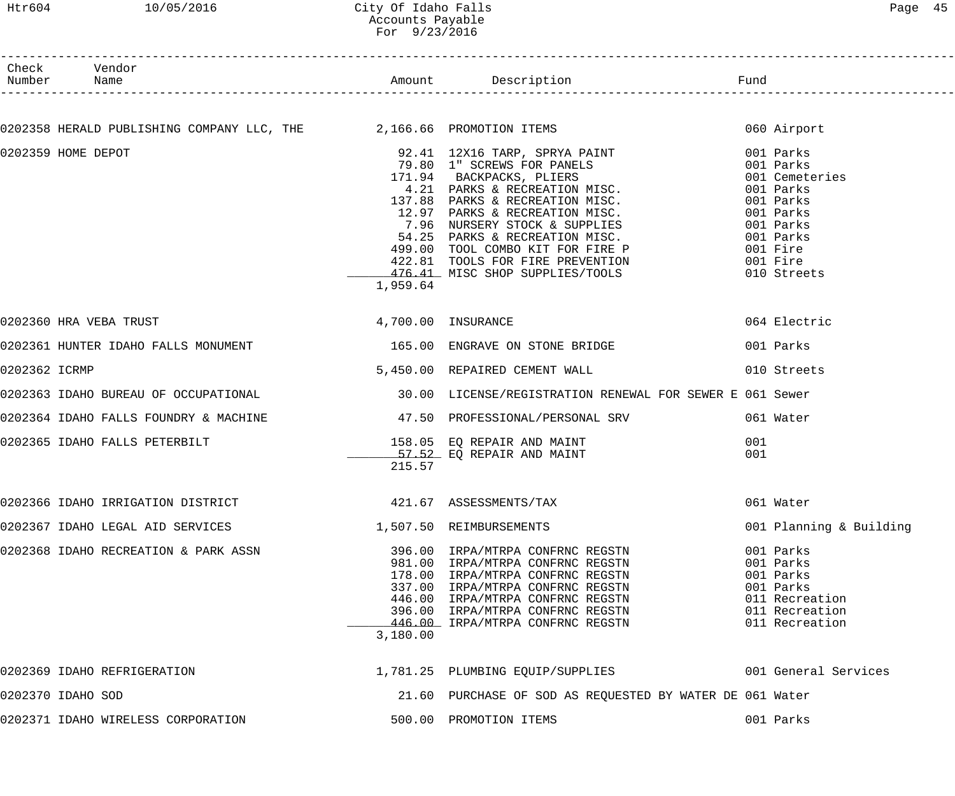## Htr604 10/05/2016 City Of Idaho Falls Communication of Page 45 Accounts Payable For 9/23/2016

|               | Check Vendor                                                                                   |          |                                                                                                                                                                                                                                              |                         |
|---------------|------------------------------------------------------------------------------------------------|----------|----------------------------------------------------------------------------------------------------------------------------------------------------------------------------------------------------------------------------------------------|-------------------------|
|               |                                                                                                |          |                                                                                                                                                                                                                                              |                         |
|               | 0202358 HERALD PUBLISHING COMPANY LLC, THE 2,166.66 PROMOTION ITEMS                            |          |                                                                                                                                                                                                                                              | 060 Airport             |
|               | 0202359 HOME DEPOT                                                                             | 1,959.64 | 92.41 12X16 TARP, SPRYA PAINT<br>79.80 1" SCREWS FOR PANELS<br>171.94 BACKPACKS, PLIERS<br>4.21 PARKS & RECREATION MISC.<br>137.88 PARKS & RECREATION MISC.<br>12.97 PARKS & RECREATION MISC.<br>7.96 NURSERY STOCK & SUPPLIES<br>54.25 PARK | 001 Cemeteries          |
|               |                                                                                                |          |                                                                                                                                                                                                                                              |                         |
|               | 4,700.00 INSURANCE<br>0202360 HRA VEBA TRUST                                                   |          |                                                                                                                                                                                                                                              | 064 Electric            |
|               | 0202361 HUNTER IDAHO FALLS MONUMENT TERRET THE SERIES OF STONE STONE BRIDGE                    |          |                                                                                                                                                                                                                                              | 001 Parks               |
| 0202362 ICRMP |                                                                                                |          | 5,450.00 REPAIRED CEMENT WALL 010 Streets                                                                                                                                                                                                    |                         |
|               | 0202363 IDAHO BUREAU OF OCCUPATIONAL (30.00 LICENSE/REGISTRATION RENEWAL FOR SEWER E 061 Sewer |          |                                                                                                                                                                                                                                              |                         |
|               | 0202364 IDAHO FALLS FOUNDRY & MACHINE 47.50 PROFESSIONAL/PERSONAL SRV 661 Water                |          |                                                                                                                                                                                                                                              |                         |
|               |                                                                                                | 215.57   |                                                                                                                                                                                                                                              | 001<br>001              |
|               | 0202366 IDAHO IRRIGATION DISTRICT                                                              |          | 421.67 ASSESSMENTS/TAX<br>061 Water                                                                                                                                                                                                          |                         |
|               |                                                                                                |          |                                                                                                                                                                                                                                              | 001 Planning & Building |
|               | 0202368 IDAHO RECREATION & PARK ASSN                                                           | 3,180.00 | 396.00 IRPA/MTRPA CONFRNC REGSTN 001 Parks<br>981.00 IRPA/MTRPA CONFRNC REGSTN 001 Parks<br>178.00 IRPA/MTRPA CONFRNC REGSTN 001 Parks<br>337.00 IRPA/MTRPA CONFRNC REGSTN 001 Parks<br>446.00 IRPA/MTRPA CONFRNC REGSTN 011 Recreatio       |                         |
|               | 0202369 IDAHO REFRIGERATION                                                                    |          | 1,781.25 PLUMBING EQUIP/SUPPLIES 6001 General Services                                                                                                                                                                                       |                         |
|               | 0202370 IDAHO SOD                                                                              |          | 21.60 PURCHASE OF SOD AS REQUESTED BY WATER DE 061 Water                                                                                                                                                                                     |                         |
|               | 0202371 IDAHO WIRELESS CORPORATION                                                             |          | 500.00 PROMOTION ITEMS                                                                                                                                                                                                                       | 001 Parks               |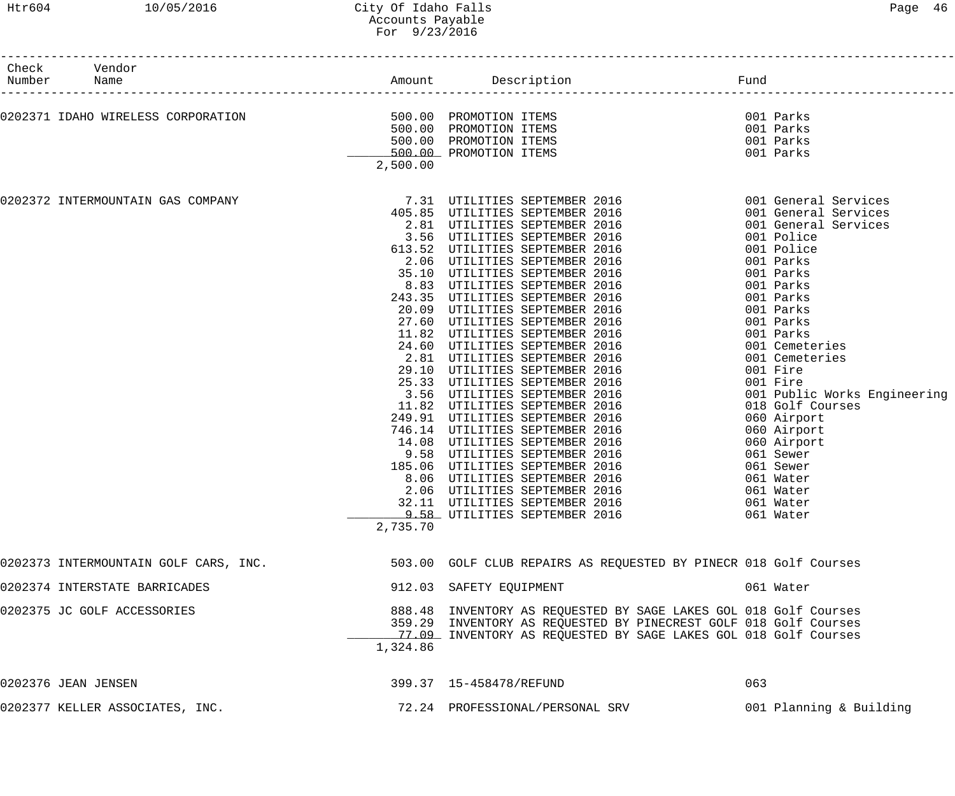| Paqe | 46 |
|------|----|
|      |    |

| Check<br>Vendor<br>Number<br>Name     |                                    | Amount Description                                                                                                                                                                                                                                                                                                                                                                                                                                                                                                                                                                                                                                                                                                                                                                                                                                                                                                                       | Fund                                                                                                                                                                                                                                                                                                                                                                                                                                   |
|---------------------------------------|------------------------------------|------------------------------------------------------------------------------------------------------------------------------------------------------------------------------------------------------------------------------------------------------------------------------------------------------------------------------------------------------------------------------------------------------------------------------------------------------------------------------------------------------------------------------------------------------------------------------------------------------------------------------------------------------------------------------------------------------------------------------------------------------------------------------------------------------------------------------------------------------------------------------------------------------------------------------------------|----------------------------------------------------------------------------------------------------------------------------------------------------------------------------------------------------------------------------------------------------------------------------------------------------------------------------------------------------------------------------------------------------------------------------------------|
| 0202371 IDAHO WIRELESS CORPORATION    | 500.00 PROMOTION ITEMS<br>2,500.00 | 500.00 PROMOTION ITEMS<br>500.00 PROMOTION ITEMS<br>500.00 PROMOTION ITEMS                                                                                                                                                                                                                                                                                                                                                                                                                                                                                                                                                                                                                                                                                                                                                                                                                                                               | 001 Parks<br>001 Parks<br>001 Parks<br>001 Parks                                                                                                                                                                                                                                                                                                                                                                                       |
| 0202372 INTERMOUNTAIN GAS COMPANY     | 2.06<br>2,735.70                   | 7.31 UTILITIES SEPTEMBER 2016<br>405.85 UTILITIES SEPTEMBER 2016<br>2.81 UTILITIES SEPTEMBER 2016<br>3.56 UTILITIES SEPTEMBER 2016<br>613.52 UTILITIES SEPTEMBER 2016<br>2.06 UTILITIES SEPTEMBER 2016<br>35.10 UTILITIES SEPTEMBER 2016<br>8.83 UTILITIES SEPTEMBER 2016<br>243.35 UTILITIES SEPTEMBER 2016<br>20.09 UTILITIES SEPTEMBER 2016<br>27.60 UTILITIES SEPTEMBER 2016<br>11.82 UTILITIES SEPTEMBER 2016<br>24.60 UTILITIES SEPTEMBER 2016<br>2.81 UTILITIES SEPTEMBER 2016<br>29.10 UTILITIES SEPTEMBER 2016<br>25.33 UTILITIES SEPTEMBER 2016<br>3.56 UTILITIES SEPTEMBER 2016<br>11.82 UTILITIES SEPTEMBER 2016<br>249.91 UTILITIES SEPTEMBER 2016<br>746.14 UTILITIES SEPTEMBER 2016<br>14.08 UTILITIES SEPTEMBER 2016<br>9.58 UTILITIES SEPTEMBER 2016<br>185.06 UTILITIES SEPTEMBER 2016<br>8.06 UTILITIES SEPTEMBER 2016<br>UTILITIES SEPTEMBER 2016<br>32.11 UTILITIES SEPTEMBER 2016<br>9.58 UTILITIES SEPTEMBER 2016 | 001 General Services<br>001 General Services<br>001 General Services<br>001 Police<br>001 Police<br>001 Parks<br>001 Parks<br>001 Parks<br>001 Parks<br>001 Parks<br>001 Parks<br>001 Parks<br>001 Cemeteries<br>001 Cemeteries<br>001 Fire<br>001 Fire<br>001 Public Works Engineering<br>018 Golf Courses<br>060 Airport<br>060 Airport<br>060 Airport<br>061 Sewer<br>061 Sewer<br>061 Water<br>061 Water<br>061 Water<br>061 Water |
| 0202373 INTERMOUNTAIN GOLF CARS, INC. |                                    | 503.00 GOLF CLUB REPAIRS AS REQUESTED BY PINECR 018 Golf Courses                                                                                                                                                                                                                                                                                                                                                                                                                                                                                                                                                                                                                                                                                                                                                                                                                                                                         |                                                                                                                                                                                                                                                                                                                                                                                                                                        |
| 0202374 INTERSTATE BARRICADES         |                                    | 912.03 SAFETY EQUIPMENT                                                                                                                                                                                                                                                                                                                                                                                                                                                                                                                                                                                                                                                                                                                                                                                                                                                                                                                  | 061 Water                                                                                                                                                                                                                                                                                                                                                                                                                              |
| 0202375 JC GOLF ACCESSORIES           | 1,324.86                           | 888.48 INVENTORY AS REQUESTED BY SAGE LAKES GOL 018 Golf Courses<br>359.29 INVENTORY AS REQUESTED BY PINECREST GOLF 018 Golf Courses<br>77.09 INVENTORY AS REQUESTED BY SAGE LAKES GOL 018 Golf Courses                                                                                                                                                                                                                                                                                                                                                                                                                                                                                                                                                                                                                                                                                                                                  |                                                                                                                                                                                                                                                                                                                                                                                                                                        |
| 0202376 JEAN JENSEN                   |                                    | 399.37   15-458478/REFUND                                                                                                                                                                                                                                                                                                                                                                                                                                                                                                                                                                                                                                                                                                                                                                                                                                                                                                                | 063                                                                                                                                                                                                                                                                                                                                                                                                                                    |
| 0202377 KELLER ASSOCIATES, INC.       |                                    | 72.24 PROFESSIONAL/PERSONAL SRV                                                                                                                                                                                                                                                                                                                                                                                                                                                                                                                                                                                                                                                                                                                                                                                                                                                                                                          | 001 Planning & Building                                                                                                                                                                                                                                                                                                                                                                                                                |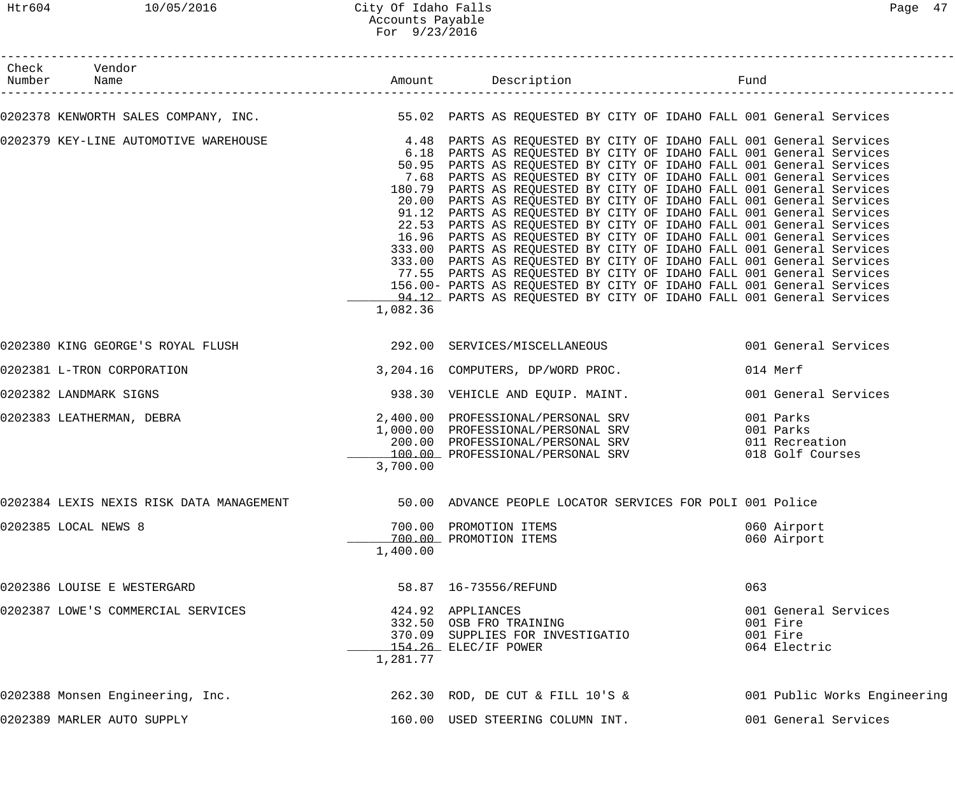## Htr604 10/05/2016 City Of Idaho Falls Page 47 Accounts Payable For 9/23/2016

| Check Vendor<br>Number Name           |          |                                                                                                                                                                                                                                                                                                                                                                                                                                                                                                                                                                                                                                                                                                                                                                                                                                                                                                                                                                                                                                  |                                                              |
|---------------------------------------|----------|----------------------------------------------------------------------------------------------------------------------------------------------------------------------------------------------------------------------------------------------------------------------------------------------------------------------------------------------------------------------------------------------------------------------------------------------------------------------------------------------------------------------------------------------------------------------------------------------------------------------------------------------------------------------------------------------------------------------------------------------------------------------------------------------------------------------------------------------------------------------------------------------------------------------------------------------------------------------------------------------------------------------------------|--------------------------------------------------------------|
|                                       |          | 0202378 KENWORTH SALES COMPANY, INC. THE SERIE REARTS AS REQUESTED BY CITY OF IDAHO FALL 001 General Services                                                                                                                                                                                                                                                                                                                                                                                                                                                                                                                                                                                                                                                                                                                                                                                                                                                                                                                    |                                                              |
| 0202379 KEY-LINE AUTOMOTIVE WAREHOUSE | 1,082.36 | 4.48 PARTS AS REQUESTED BY CITY OF IDAHO FALL 001 General Services<br>6.18 PARTS AS REQUESTED BY CITY OF IDAHO FALL 001 General Services<br>50.95 PARTS AS REQUESTED BY CITY OF IDAHO FALL 001 General Services<br>7.68 PARTS AS REQUESTED BY CITY OF IDAHO FALL 001 General Services<br>180.79 PARTS AS REQUESTED BY CITY OF IDAHO FALL 001 General Services<br>20.00 PARTS AS REQUESTED BY CITY OF IDAHO FALL 001 General Services<br>91.12 PARTS AS REQUESTED BY CITY OF IDAHO FALL 001 General Services<br>22.53 PARTS AS REQUESTED BY CITY OF IDAHO FALL 001 General Services<br>16.96 PARTS AS REQUESTED BY CITY OF IDAHO FALL 001 General Services<br>333.00 PARTS AS REQUESTED BY CITY OF IDAHO FALL 001 General Services<br>333.00 PARTS AS REQUESTED BY CITY OF IDAHO FALL 001 General Services<br>77.55 PARTS AS REQUESTED BY CITY OF IDAHO FALL 001 General Services<br>156.00- PARTS AS REQUESTED BY CITY OF IDAHO FALL 001 General Services<br>94.12 PARTS AS REQUESTED BY CITY OF IDAHO FALL 001 General Services |                                                              |
|                                       |          | 0202380 KING GEORGE'S ROYAL FLUSH 292.00 SERVICES/MISCELLANEOUS 6001 General Services                                                                                                                                                                                                                                                                                                                                                                                                                                                                                                                                                                                                                                                                                                                                                                                                                                                                                                                                            |                                                              |
|                                       |          |                                                                                                                                                                                                                                                                                                                                                                                                                                                                                                                                                                                                                                                                                                                                                                                                                                                                                                                                                                                                                                  |                                                              |
| 0202381 L-TRON CORPORATION            |          | 3,204.16 COMPUTERS, DP/WORD PROC.                                                                                                                                                                                                                                                                                                                                                                                                                                                                                                                                                                                                                                                                                                                                                                                                                                                                                                                                                                                                | 014 Merf                                                     |
| 0202382 LANDMARK SIGNS                |          | 938.30 VEHICLE AND EQUIP. MAINT.                                                                                                                                                                                                                                                                                                                                                                                                                                                                                                                                                                                                                                                                                                                                                                                                                                                                                                                                                                                                 | 001 General Services                                         |
| 0202383 LEATHERMAN, DEBRA             | 3,700.00 | 2,400.00 PROFESSIONAL/PERSONAL SRV<br>1,000.00 PROFESSIONAL/PERSONAL SRV<br>200.00 PROFESSIONAL/PERSONAL SRV (11.15)<br>100.00 PROFESSIONAL/PERSONAL SRV (18.018 Golf Course)                                                                                                                                                                                                                                                                                                                                                                                                                                                                                                                                                                                                                                                                                                                                                                                                                                                    | 001 Parks<br>001 Parks<br>018 Golf Courses                   |
|                                       |          | 0202384 LEXIS NEXIS RISK DATA MANAGEMENT 600 50.00 ADVANCE PEOPLE LOCATOR SERVICES FOR POLI 001 Police                                                                                                                                                                                                                                                                                                                                                                                                                                                                                                                                                                                                                                                                                                                                                                                                                                                                                                                           |                                                              |
| 0202385 LOCAL NEWS 8                  | 1,400.00 | 700.00 PROMOTION ITEMS<br>700.00 PROMOTION ITEMS                                                                                                                                                                                                                                                                                                                                                                                                                                                                                                                                                                                                                                                                                                                                                                                                                                                                                                                                                                                 | 060 Airport<br>060 Airport                                   |
| 0202386 LOUISE E WESTERGARD           |          | 58.87   16-73556/REFUND                                                                                                                                                                                                                                                                                                                                                                                                                                                                                                                                                                                                                                                                                                                                                                                                                                                                                                                                                                                                          | 063                                                          |
| 0202387 LOWE'S COMMERCIAL SERVICES    | 1,281.77 | 424.92 APPLIANCES<br>332.50 OSB FRO TRAINING<br>370.09 SUPPLIES FOR INVESTIGATIO<br>154.26 ELEC/IF POWER                                                                                                                                                                                                                                                                                                                                                                                                                                                                                                                                                                                                                                                                                                                                                                                                                                                                                                                         | 001 General Services<br>001 Fire<br>001 Fire<br>064 Electric |
| 0202388 Monsen Engineering, Inc.      |          | 262.30 ROD, DE CUT & FILL 10'S &                                                                                                                                                                                                                                                                                                                                                                                                                                                                                                                                                                                                                                                                                                                                                                                                                                                                                                                                                                                                 | 001 Public Works Engineering                                 |
| 0202389 MARLER AUTO SUPPLY            |          | 160.00 USED STEERING COLUMN INT.                                                                                                                                                                                                                                                                                                                                                                                                                                                                                                                                                                                                                                                                                                                                                                                                                                                                                                                                                                                                 | 001 General Services                                         |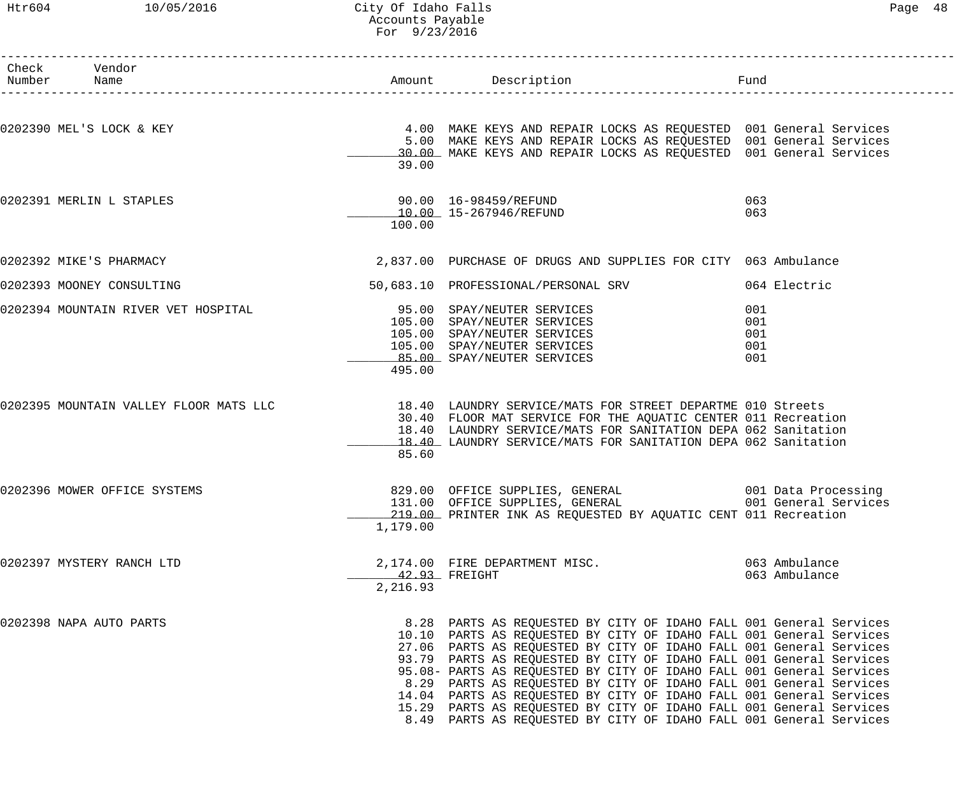# Htr604 10/05/2016 City Of Idaho Falls Content Content of Page 48 Accounts Payable For 9/23/2016

| Check Vendor                           |          |                                                                                                                                                                                                                                                                                                                                                                                                                                                                                                                                                                                                                                                           |                                             |
|----------------------------------------|----------|-----------------------------------------------------------------------------------------------------------------------------------------------------------------------------------------------------------------------------------------------------------------------------------------------------------------------------------------------------------------------------------------------------------------------------------------------------------------------------------------------------------------------------------------------------------------------------------------------------------------------------------------------------------|---------------------------------------------|
| Number Name                            |          | Amount Description                                                                                                                                                                                                                                                                                                                                                                                                                                                                                                                                                                                                                                        | Fund                                        |
| 0202390 MEL'S LOCK & KEY               | 39.00    | 4.00 MAKE KEYS AND REPAIR LOCKS AS REQUESTED 001 General Services<br>5.00 MAKE KEYS AND REPAIR LOCKS AS REQUESTED 001 General Services<br>30.00 MAKE KEYS AND REPAIR LOCKS AS REQUESTED 001 General Services                                                                                                                                                                                                                                                                                                                                                                                                                                              |                                             |
| 0202391 MERLIN L STAPLES               | 100.00   | 10.00 15-267946/REFUND                                                                                                                                                                                                                                                                                                                                                                                                                                                                                                                                                                                                                                    | 063<br>063                                  |
| 0202392 MIKE'S PHARMACY                |          | 2,837.00 PURCHASE OF DRUGS AND SUPPLIES FOR CITY 063 Ambulance                                                                                                                                                                                                                                                                                                                                                                                                                                                                                                                                                                                            |                                             |
| 0202393 MOONEY CONSULTING              |          | 50,683.10 PROFESSIONAL/PERSONAL SRV                                                                                                                                                                                                                                                                                                                                                                                                                                                                                                                                                                                                                       | 064 Electric                                |
| 0202394 MOUNTAIN RIVER VET HOSPITAL    | 495.00   | 95.00 SPAY/NEUTER SERVICES<br>105.00 SPAY/NEUTER SERVICES<br>105.00 SPAY/NEUTER SERVICES<br>105.00 SPAY/NEUTER SERVICES<br>85.00 SPAY/NEUTER SERVICES                                                                                                                                                                                                                                                                                                                                                                                                                                                                                                     | 001<br>001<br>001<br>001<br>001             |
| 0202395 MOUNTAIN VALLEY FLOOR MATS LLC | 85.60    | 18.40 LAUNDRY SERVICE/MATS FOR STREET DEPARTME 010 Streets<br>30.40 FLOOR MAT SERVICE FOR THE AQUATIC CENTER 011 Recreation<br>18.40 LAUNDRY SERVICE/MATS FOR SANITATION DEPA 062 Sanitation<br>18.40 LAUNDRY SERVICE/MATS FOR SANITATION DEPA 062 Sanitation                                                                                                                                                                                                                                                                                                                                                                                             |                                             |
| 0202396 MOWER OFFICE SYSTEMS           | 1,179.00 | 829.00 OFFICE SUPPLIES, GENERAL<br>131.00 OFFICE SUPPLIES, GENERAL<br>219.00 PRINTER INK AS REQUESTED BY AQUATIC CENT 011 Recreation                                                                                                                                                                                                                                                                                                                                                                                                                                                                                                                      | 001 Data Processing<br>001 General Services |
| 0202397 MYSTERY RANCH LTD              | 2,216.93 | 2,174.00 FIRE DEPARTMENT MISC.<br>42.93 FREIGHT                                                                                                                                                                                                                                                                                                                                                                                                                                                                                                                                                                                                           | 063 Ambulance<br>063 Ambulance              |
| 0202398 NAPA AUTO PARTS                |          | 8.28 PARTS AS REQUESTED BY CITY OF IDAHO FALL 001 General Services<br>10.10 PARTS AS REQUESTED BY CITY OF IDAHO FALL 001 General Services<br>27.06 PARTS AS REQUESTED BY CITY OF IDAHO FALL 001 General Services<br>93.79 PARTS AS REQUESTED BY CITY OF IDAHO FALL 001 General Services<br>95.08- PARTS AS REQUESTED BY CITY OF IDAHO FALL 001 General Services<br>8.29 PARTS AS REQUESTED BY CITY OF IDAHO FALL 001 General Services<br>14.04 PARTS AS REQUESTED BY CITY OF IDAHO FALL 001 General Services<br>15.29 PARTS AS REQUESTED BY CITY OF IDAHO FALL 001 General Services<br>8.49 PARTS AS REQUESTED BY CITY OF IDAHO FALL 001 General Services |                                             |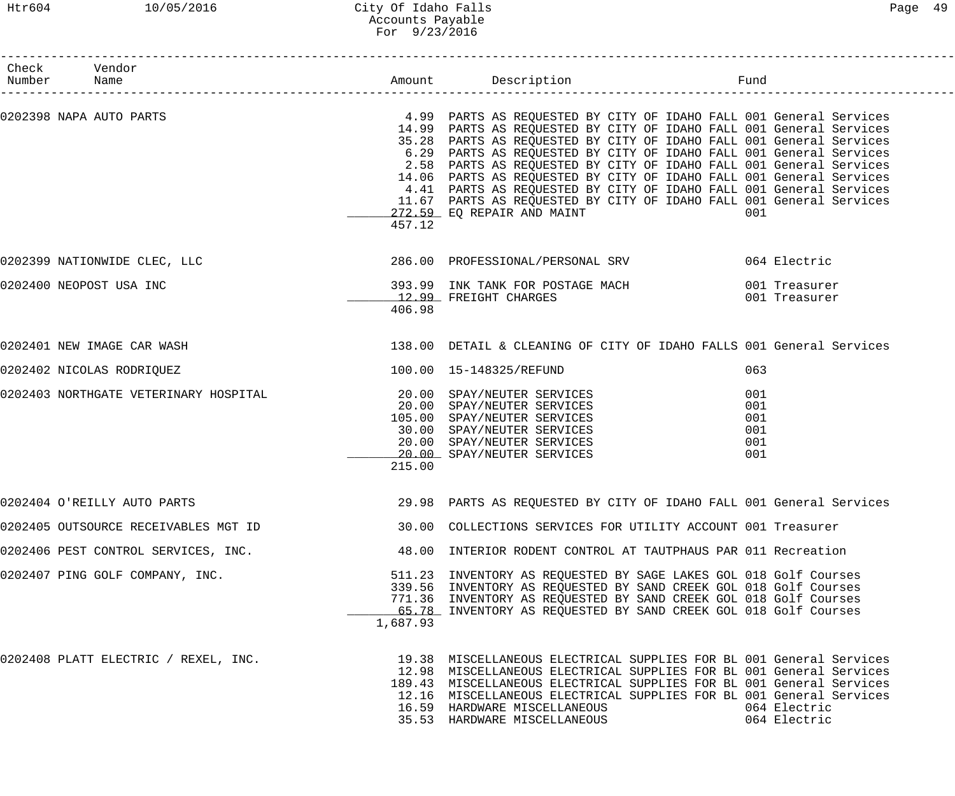## Htr604 10/05/2016 City Of Idaho Falls Page 49 Accounts Payable For 9/23/2016

| Check Vendor<br>Number Name           |          |                                                                                                                                                                                                                                                                                                                                                                                                                                                                                                                                                                                                                |                                        |                              |
|---------------------------------------|----------|----------------------------------------------------------------------------------------------------------------------------------------------------------------------------------------------------------------------------------------------------------------------------------------------------------------------------------------------------------------------------------------------------------------------------------------------------------------------------------------------------------------------------------------------------------------------------------------------------------------|----------------------------------------|------------------------------|
| 0202398 NAPA AUTO PARTS               | 457.12   | 4.99 PARTS AS REQUESTED BY CITY OF IDAHO FALL 001 General Services<br>14.99 PARTS AS REQUESTED BY CITY OF IDAHO FALL 001 General Services<br>35.28 PARTS AS REQUESTED BY CITY OF IDAHO FALL 001 General Services<br>6.29 PARTS AS REQUESTED BY CITY OF IDAHO FALL 001 General Services<br>2.58 PARTS AS REQUESTED BY CITY OF IDAHO FALL 001 General Services<br>14.06 PARTS AS REQUESTED BY CITY OF IDAHO FALL 001 General Services<br>4.41 PARTS AS REQUESTED BY CITY OF IDAHO FALL 001 General Services<br>11.67 PARTS AS REQUESTED BY CITY OF IDAHO FALL 001 General Services<br>272.59 EQ REPAIR AND MAINT | 001                                    |                              |
| 0202399 NATIONWIDE CLEC, LLC          |          | 286.00 PROFESSIONAL/PERSONAL SRV 664 Electric                                                                                                                                                                                                                                                                                                                                                                                                                                                                                                                                                                  |                                        |                              |
| 0202400 NEOPOST USA INC               | 406.98   | 393.99 INK TANK FOR POSTAGE MACH 6001 Treasurer<br>12.99 FREIGHT CHARGES                                                                                                                                                                                                                                                                                                                                                                                                                                                                                                                                       | 001 Treasurer                          |                              |
| 0202401 NEW IMAGE CAR WASH            |          | 138.00 DETAIL & CLEANING OF CITY OF IDAHO FALLS 001 General Services                                                                                                                                                                                                                                                                                                                                                                                                                                                                                                                                           |                                        |                              |
| 0202402 NICOLAS RODRIQUEZ             |          | 100.00  15-148325/REFUND                                                                                                                                                                                                                                                                                                                                                                                                                                                                                                                                                                                       | 063                                    |                              |
| 0202403 NORTHGATE VETERINARY HOSPITAL | 215.00   | 20.00 SPAY/NEUTER SERVICES<br>20.00 SPAY/NEUTER SERVICES<br>105.00 SPAY/NEUTER SERVICES<br>30.00 SPAY/NEUTER SERVICES<br>20.00 SPAY/NEUTER SERVICES<br>20.00 SPAY/NEUTER SERVICES                                                                                                                                                                                                                                                                                                                                                                                                                              | 001<br>001<br>001<br>001<br>001<br>001 |                              |
| 0202404 O'REILLY AUTO PARTS           |          | 29.98 PARTS AS REQUESTED BY CITY OF IDAHO FALL 001 General Services                                                                                                                                                                                                                                                                                                                                                                                                                                                                                                                                            |                                        |                              |
| 0202405 OUTSOURCE RECEIVABLES MGT ID  |          | 30.00 COLLECTIONS SERVICES FOR UTILITY ACCOUNT 001 Treasurer                                                                                                                                                                                                                                                                                                                                                                                                                                                                                                                                                   |                                        |                              |
| 0202406 PEST CONTROL SERVICES, INC.   |          | 48.00 INTERIOR RODENT CONTROL AT TAUTPHAUS PAR 011 Recreation                                                                                                                                                                                                                                                                                                                                                                                                                                                                                                                                                  |                                        |                              |
| 0202407 PING GOLF COMPANY, INC.       | 1,687.93 | 511.23 INVENTORY AS REQUESTED BY SAGE LAKES GOL 018 Golf Courses<br>339.56 INVENTORY AS REQUESTED BY SAND CREEK GOL 018 Golf Courses<br>771.36 INVENTORY AS REQUESTED BY SAND CREEK GOL 018 Golf Courses<br>65.78 INVENTORY AS REQUESTED BY SAND CREEK GOL 018 Golf Courses                                                                                                                                                                                                                                                                                                                                    |                                        |                              |
| 0202408 PLATT ELECTRIC / REXEL, INC.  |          | 19.38 MISCELLANEOUS ELECTRICAL SUPPLIES FOR BL 001 General Services<br>12.98 MISCELLANEOUS ELECTRICAL SUPPLIES FOR BL 001 General Services<br>189.43 MISCELLANEOUS ELECTRICAL SUPPLIES FOR BL 001 General Services<br>12.16 MISCELLANEOUS ELECTRICAL SUPPLIES FOR BL 001 General Services<br>16.59 HARDWARE MISCELLANEOUS<br>35.53 HARDWARE MISCELLANEOUS                                                                                                                                                                                                                                                      |                                        | 064 Electric<br>064 Electric |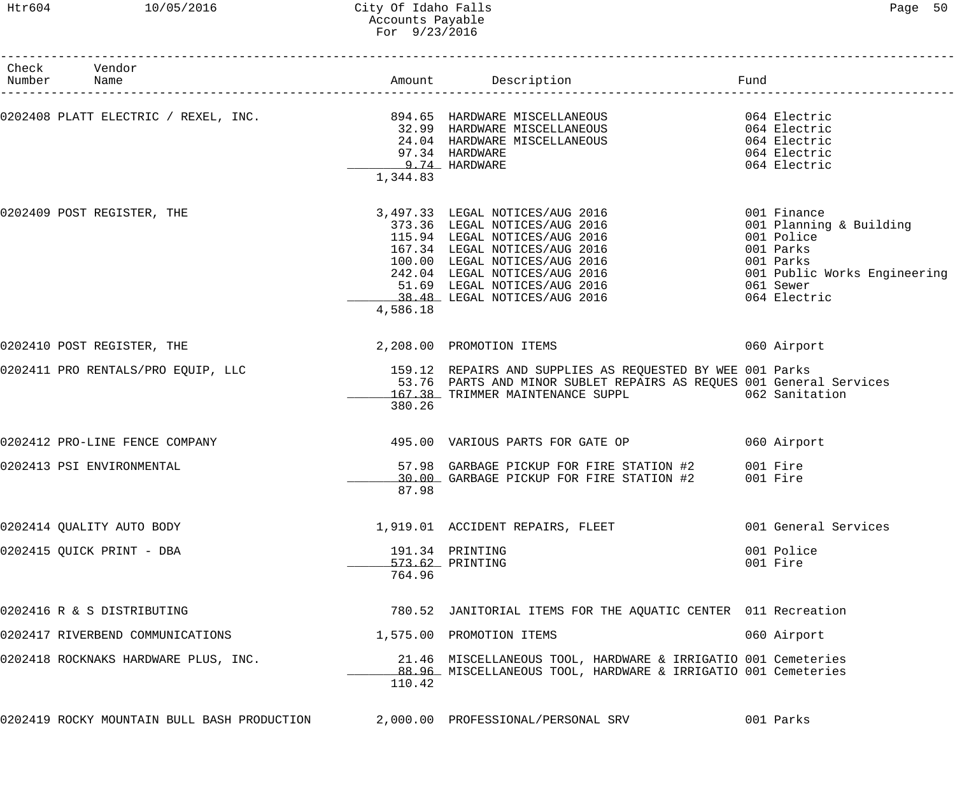### Htr604 10/05/2016 City Of Idaho Falls Page 50 Accounts Payable For 9/23/2016

| Check Vendor<br>Number Name                 |          |                                                                                                                                                                                                                                                     | Fund                                                                                                                                        |
|---------------------------------------------|----------|-----------------------------------------------------------------------------------------------------------------------------------------------------------------------------------------------------------------------------------------------------|---------------------------------------------------------------------------------------------------------------------------------------------|
|                                             | 1,344.83 | 97.34 HARDWARE<br>9.74 HARDWARE                                                                                                                                                                                                                     | 064 Electric<br>064 Electric                                                                                                                |
| 0202409 POST REGISTER, THE                  | 4,586.18 | 3,497.33 LEGAL NOTICES/AUG 2016<br>373.36 LEGAL NOTICES/AUG 2016<br>115.94 LEGAL NOTICES/AUG 2016<br>167.34 LEGAL NOTICES/AUG 2016<br>100.00 LEGAL NOTICES/AUG 2016<br>242.04 LEGAL NOTICES/AUG 2016<br>51.69 LEGAL NOTICES/AUG 2016<br>38.48 LEGAL | 001 Finance<br>001 Planning & Building<br>001 Police<br>001 Parks<br>001 Parks<br>001 Public Works Engineering<br>061 Sewer<br>064 Electric |
| 0202410 POST REGISTER, THE                  |          | 2,208.00 PROMOTION ITEMS                                                                                                                                                                                                                            | 060 Airport                                                                                                                                 |
|                                             | 380.26   | 0202411 PRO RENTALS/PRO EQUIP, LLC 159.12 REPAIRS AND SUPPLIES AS REQUESTED BY WEE 001 Parks<br>53.76 PARTS AND MINOR SUBLET REPAIRS AS REQUES 001 General Services<br>167.38 TRIMMER MAINTENANCE SUPPL 662 Sanitation                              |                                                                                                                                             |
| 0202412 PRO-LINE FENCE COMPANY              |          | 495.00 VARIOUS PARTS FOR GATE OP                                                                                                                                                                                                                    | 060 Airport                                                                                                                                 |
| 0202413 PSI ENVIRONMENTAL                   | 87.98    | 57.98 GARBAGE PICKUP FOR FIRE STATION #2 001 Fire<br>30.00 GARBAGE PICKUP FOR FIRE STATION #2 001 Fire                                                                                                                                              |                                                                                                                                             |
| 0202414 QUALITY AUTO BODY                   |          | 1,919.01 ACCIDENT REPAIRS, FLEET                                                                                                                                                                                                                    | 001 General Services                                                                                                                        |
| 0202415 QUICK PRINT - DBA                   | 764.96   | 191.34 PRINTING<br>573.62 PRINTING                                                                                                                                                                                                                  | 001 Police<br>001 Fire                                                                                                                      |
| 0202416 R & S DISTRIBUTING                  |          | 780.52 JANITORIAL ITEMS FOR THE AQUATIC CENTER 011 Recreation                                                                                                                                                                                       |                                                                                                                                             |
| 0202417 RIVERBEND COMMUNICATIONS            |          | 1,575.00 PROMOTION ITEMS                                                                                                                                                                                                                            | 060 Airport                                                                                                                                 |
| 0202418 ROCKNAKS HARDWARE PLUS, INC.        | 110.42   | 21.46 MISCELLANEOUS TOOL, HARDWARE & IRRIGATIO 001 Cemeteries<br>_88.96_ MISCELLANEOUS TOOL, HARDWARE & IRRIGATIO 001 Cemeteries                                                                                                                    |                                                                                                                                             |
| 0202419 ROCKY MOUNTAIN BULL BASH PRODUCTION |          | 2,000.00 PROFESSIONAL/PERSONAL SRV                                                                                                                                                                                                                  | 001 Parks                                                                                                                                   |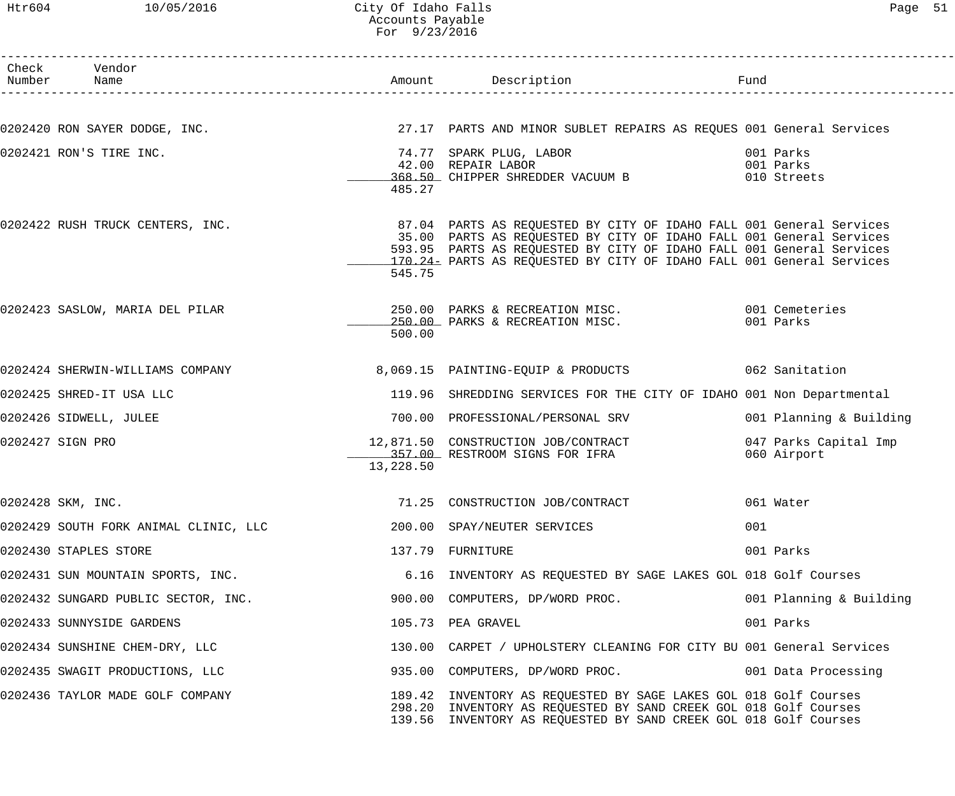### Htr604 10/05/2016 City Of Idaho Falls Page 51 Accounts Payable For 9/23/2016

| Check Vendor<br>Number Name           |           | Amount Description                                                                                                                                                                                                                                                                         |                                       |
|---------------------------------------|-----------|--------------------------------------------------------------------------------------------------------------------------------------------------------------------------------------------------------------------------------------------------------------------------------------------|---------------------------------------|
| 0202420 RON SAYER DODGE, INC.         |           | 27.17 PARTS AND MINOR SUBLET REPAIRS AS REQUES 001 General Services                                                                                                                                                                                                                        |                                       |
| 0202421 RON'S TIRE INC.               | 485.27    | 74.77  SPARK PLUG, LABOR<br>42.00  REPAIR LABOR<br>368.50 CHIPPER SHREDDER VACUUM B                                                                                                                                                                                                        | 001 Parks<br>001 Parks<br>010 Streets |
| 0202422 RUSH TRUCK CENTERS, INC.      | 545.75    | 87.04 PARTS AS REQUESTED BY CITY OF IDAHO FALL 001 General Services<br>35.00 PARTS AS REQUESTED BY CITY OF IDAHO FALL 001 General Services<br>593.95 PARTS AS REQUESTED BY CITY OF IDAHO FALL 001 General Services<br>170.24 PARTS AS REQUESTED BY CITY OF IDAHO FALL 001 General Services |                                       |
| 0202423 SASLOW, MARIA DEL PILAR       | 500.00    | 250.00 PARKS & RECREATION MISC. 001 Cemeteries<br>250.00 PARKS & RECREATION MISC.                                                                                                                                                                                                          | 001 Parks                             |
| 0202424 SHERWIN-WILLIAMS COMPANY      |           | 8,069.15 PAINTING-EQUIP & PRODUCTS 062 Sanitation                                                                                                                                                                                                                                          |                                       |
| 0202425 SHRED-IT USA LLC              |           | 119.96 SHREDDING SERVICES FOR THE CITY OF IDAHO 001 Non Departmental                                                                                                                                                                                                                       |                                       |
| 0202426 SIDWELL, JULEE                |           | 700.00 PROFESSIONAL/PERSONAL SRV                                                                                                                                                                                                                                                           | 001 Planning & Building               |
| 0202427 SIGN PRO                      | 13,228.50 | 12,871.50 CONSTRUCTION JOB/CONTRACT<br>357.00 RESTROOM SIGNS FOR IFRA                                                                                                                                                                                                                      | 047 Parks Capital Imp<br>060 Airport  |
| 0202428 SKM, INC.                     |           | 71.25 CONSTRUCTION JOB/CONTRACT 061 Water                                                                                                                                                                                                                                                  |                                       |
| 0202429 SOUTH FORK ANIMAL CLINIC, LLC |           | 200.00 SPAY/NEUTER SERVICES                                                                                                                                                                                                                                                                | 001                                   |
| 0202430 STAPLES STORE                 |           | 137.79 FURNITURE                                                                                                                                                                                                                                                                           | 001 Parks                             |
| 0202431 SUN MOUNTAIN SPORTS, INC.     |           | 6.16 INVENTORY AS REQUESTED BY SAGE LAKES GOL 018 Golf Courses                                                                                                                                                                                                                             |                                       |
| 0202432 SUNGARD PUBLIC SECTOR, INC.   |           | 900.00 COMPUTERS, DP/WORD PROC.                                                                                                                                                                                                                                                            | 001 Planning & Building               |
| 0202433 SUNNYSIDE GARDENS             |           | 105.73 PEA GRAVEL                                                                                                                                                                                                                                                                          | 001 Parks                             |
| 0202434 SUNSHINE CHEM-DRY, LLC        |           | 130.00 CARPET / UPHOLSTERY CLEANING FOR CITY BU 001 General Services                                                                                                                                                                                                                       |                                       |
| 0202435 SWAGIT PRODUCTIONS, LLC       |           | 935.00 COMPUTERS, DP/WORD PROC.                                                                                                                                                                                                                                                            | 001 Data Processing                   |
| 0202436 TAYLOR MADE GOLF COMPANY      |           | 189.42 INVENTORY AS REQUESTED BY SAGE LAKES GOL 018 Golf Courses<br>298.20 INVENTORY AS REQUESTED BY SAND CREEK GOL 018 Golf Courses<br>139.56 INVENTORY AS REQUESTED BY SAND CREEK GOL 018 Golf Courses                                                                                   |                                       |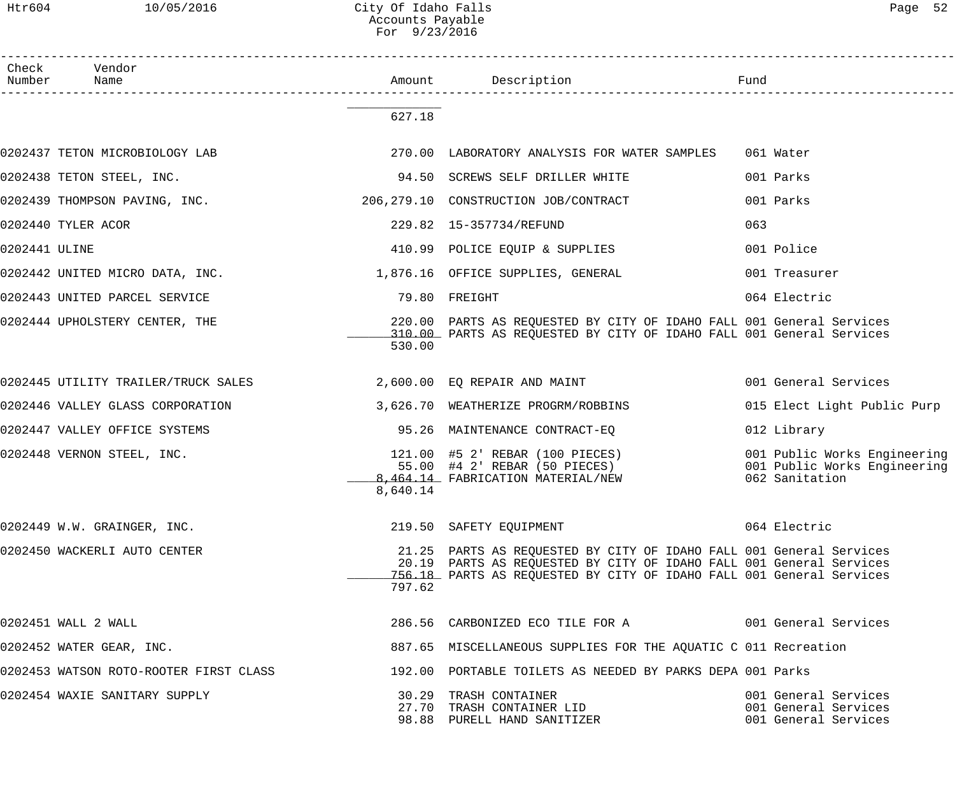Htr604 10/05/2016 City Of Idaho Falls Page 52 Accounts Payable For 9/23/2016

------------------------------------------------------------------------------------------------------------------------------------ Check Vendor Number Name Rund Reserves Name Rund Amount Description Communist Pund ------------------------------------------------------------------------------------------------------------------------------------ \_\_\_\_\_\_\_\_\_\_\_\_\_ 627.18 0202437 TETON MICROBIOLOGY LAB 270.00 LABORATORY ANALYSIS FOR WATER SAMPLES 061 Water 0202438 TETON STEEL, INC. 94.50 SCREWS SELF DRILLER WHITE 001 Parks 0202439 THOMPSON PAVING, INC. 206,279.10 CONSTRUCTION JOB/CONTRACT 001 Parks 0202440 TYLER ACOR 229.82 15-357734/REFUND 063 0202441 ULINE 410.99 POLICE EQUIP & SUPPLIES 001 Police 0202442 UNITED MICRO DATA, INC. 1,876.16 OFFICE SUPPLIES, GENERAL 001 Treasurer 0202443 UNITED PARCEL SERVICE 79.80 FREIGHT 064 Electric 0202444 UPHOLSTERY CENTER, THE 220.00 PARTS AS REQUESTED BY CITY OF IDAHO FALL 001 General Services \_\_\_\_\_\_\_\_\_\_\_\_\_ 310.00 PARTS AS REQUESTED BY CITY OF IDAHO FALL 001 General Services 530.00 0202445 UTILITY TRAILER/TRUCK SALES 2,600.00 EQ REPAIR AND MAINT 001 General Services 0202446 VALLEY GLASS CORPORATION 3,626.70 WEATHERIZE PROGRM/ROBBINS 015 Elect Light Public Purp 0202447 VALLEY OFFICE SYSTEMS 95.26 MAINTENANCE CONTRACT-EQ 012 Library 0202448 VERNON STEEL, INC. 121.00 #5 2' REBAR (100 PIECES) 001 Public Works Engineering 55.00 #4 2' REBAR (50 PIECES) 001 Public Works Engineering 1.12 FABRICATION MATERIAL/NEW 1997 062 Sanitation 8,640.14 0202449 W.W. GRAINGER, INC. 219.50 SAFETY EQUIPMENT 064 Electric 0202450 WACKERLI AUTO CENTER 21.25 PARTS AS REQUESTED BY CITY OF IDAHO FALL 001 General Services 20.19 PARTS AS REQUESTED BY CITY OF IDAHO FALL 001 General Services \_\_\_\_\_\_\_\_\_\_\_\_\_ 756.18 PARTS AS REQUESTED BY CITY OF IDAHO FALL 001 General Services 797.62 0202451 WALL 2 WALL 2 WALL 2 State of the State of the Services 286.56 CARBONIZED ECO TILE FOR A 001 General Services 0202452 WATER GEAR, INC. 887.65 MISCELLANEOUS SUPPLIES FOR THE AQUATIC C 011 Recreation 0202453 WATSON ROTO-ROOTER FIRST CLASS 192.00 PORTABLE TOILETS AS NEEDED BY PARKS DEPA 001 Parks 0202454 WAXIE SANITARY SUPPLY 30.29 TRASH CONTAINER 001 General Services 27.70 TRASH CONTAINER LID<br>198.88 PURELL HAND SANITIZER 199.88 PURELL HAND SANITIZER 1999 98.88 PURELL HAND SANITIZER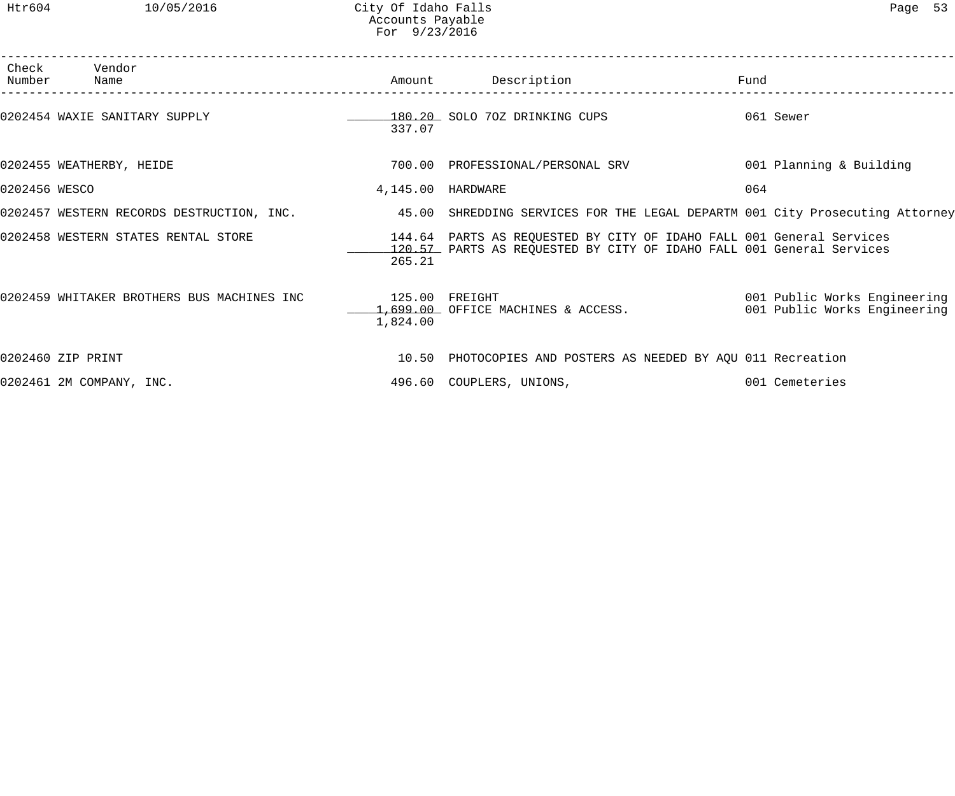| Number        | Check Vendor<br>Name                       |                    | Amount Description                                                                                                                           | Fund                                                         |
|---------------|--------------------------------------------|--------------------|----------------------------------------------------------------------------------------------------------------------------------------------|--------------------------------------------------------------|
|               | 0202454 WAXIE SANITARY SUPPLY              | 337.07             | 180.20 SOLO 70Z DRINKING CUPS                                                                                                                | 061 Sewer                                                    |
|               | 0202455 WEATHERBY, HEIDE                   |                    | 700.00 PROFESSIONAL/PERSONAL SRV                                                                                                             | 001 Planning & Building                                      |
| 0202456 WESCO |                                            | 4,145.00 HARDWARE  |                                                                                                                                              | 064                                                          |
|               | 0202457 WESTERN RECORDS DESTRUCTION, INC.  |                    | 45.00 SHREDDING SERVICES FOR THE LEGAL DEPARTM 001 City Prosecuting Attorney                                                                 |                                                              |
|               | 0202458 WESTERN STATES RENTAL STORE        | 265.21             | 144.64 PARTS AS REQUESTED BY CITY OF IDAHO FALL 001 General Services<br>120.57 PARTS AS REQUESTED BY CITY OF IDAHO FALL 001 General Services |                                                              |
|               | 0202459 WHITAKER BROTHERS BUS MACHINES INC | 125.00<br>1,824.00 | FREIGHT<br>1,699.00 OFFICE MACHINES & ACCESS.                                                                                                | 001 Public Works Engineering<br>001 Public Works Engineering |
|               | 0202460 ZIP PRINT                          |                    | 10.50 PHOTOCOPIES AND POSTERS AS NEEDED BY AQU 011 Recreation                                                                                |                                                              |
|               | 0202461 2M COMPANY, INC.                   |                    | 496.60 COUPLERS, UNIONS,                                                                                                                     | 001 Cemeteries                                               |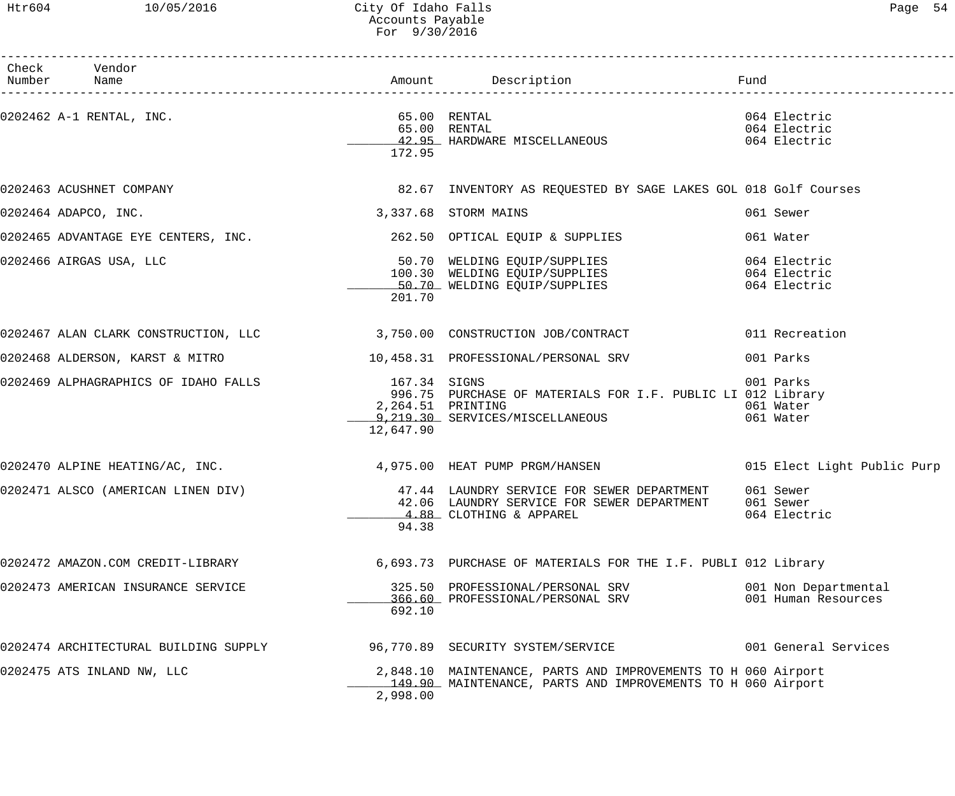## Htr604 10/05/2016 City Of Idaho Falls Page 54 Accounts Payable For 9/30/2016

| Check Vendor<br>Number Name                                                                |                                                |                                                                                                                              |                                              |
|--------------------------------------------------------------------------------------------|------------------------------------------------|------------------------------------------------------------------------------------------------------------------------------|----------------------------------------------|
| 0202462 A-1 RENTAL, INC.                                                                   | $65.00$ RENTAL<br>172.95                       | 65.00 RENTAL<br>42.95 HARDWARE MISCELLANEOUS                                                                                 | 064 Electric<br>064 Electric<br>064 Electric |
| 0202463 ACUSHNET COMPANY                                                                   |                                                | 82.67 INVENTORY AS REQUESTED BY SAGE LAKES GOL 018 Golf Courses                                                              |                                              |
| 0202464 ADAPCO, INC.                                                                       |                                                | 3,337.68 STORM MAINS                                                                                                         | 061 Sewer                                    |
| 0202465 ADVANTAGE EYE CENTERS, INC. 262.50 OPTICAL EQUIP & SUPPLIES                        |                                                |                                                                                                                              | 061 Water                                    |
| 0202466 AIRGAS USA, LLC                                                                    | 201.70                                         | 50.70 WELDING EQUIP/SUPPLIES<br>100.30 WELDING EQUIP/SUPPLIES<br>50.70 WELDING EQUIP/SUPPLIES                                | 064 Electric<br>064 Electric<br>064 Electric |
| 0202467 ALAN CLARK CONSTRUCTION, LLC 3,750.00 CONSTRUCTION JOB/CONTRACT 011 Recreation     |                                                |                                                                                                                              |                                              |
| 0202468 ALDERSON, KARST & MITRO                                                            |                                                | 10,458.31 PROFESSIONAL/PERSONAL SRV                                                                                          | 001 Parks                                    |
| 0202469 ALPHAGRAPHICS OF IDAHO FALLS                                                       | 167.34 SIGNS<br>2,264.51 PRINTING<br>12,647.90 | 996.75 PURCHASE OF MATERIALS FOR I.F. PUBLIC LI 012 Library<br>9, 219.30 SERVICES/MISCELLANEOUS                              | 001 Parks<br>061 Water<br>061 Water          |
| 0202470 ALPINE HEATING/AC, INC. 4,975.00 HEAT PUMP PRGM/HANSEN 015 Elect Light Public Purp |                                                |                                                                                                                              |                                              |
| 0202471 ALSCO (AMERICAN LINEN DIV)                                                         | 94.38                                          | 47.44 LAUNDRY SERVICE FOR SEWER DEPARTMENT<br>42.06 LAUNDRY SERVICE FOR SEWER DEPARTMENT<br>4.88 CLOTHING & APPAREL          | 061 Sewer<br>061 Sewer<br>064 Electric       |
| 0202472 AMAZON.COM CREDIT-LIBRARY                                                          |                                                | 6,693.73 PURCHASE OF MATERIALS FOR THE I.F. PUBLI 012 Library                                                                |                                              |
| 0202473 AMERICAN INSURANCE SERVICE                                                         | 692.10                                         | 325.50 PROFESSIONAL/PERSONAL SRV<br>366.60 PROFESSIONAL/PERSONAL SRV                                                         | 001 Non Departmental<br>001 Human Resources  |
| 0202474 ARCHITECTURAL BUILDING SUPPLY                                                      |                                                | 96,770.89 SECURITY SYSTEM/SERVICE                                                                                            | 001 General Services                         |
| 0202475 ATS INLAND NW, LLC                                                                 | 2,998.00                                       | 2,848.10 MAINTENANCE, PARTS AND IMPROVEMENTS TO H 060 Airport<br>149.90 MAINTENANCE, PARTS AND IMPROVEMENTS TO H 060 Airport |                                              |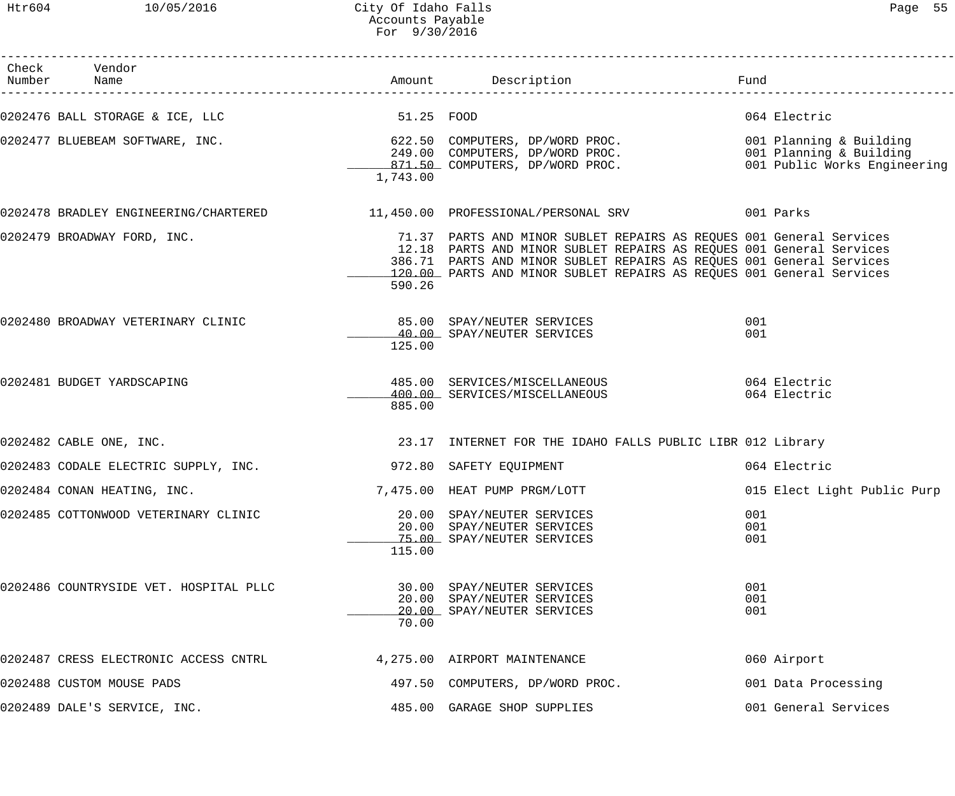Htr604 10/05/2016 City Of Idaho Falls Page 55 Accounts Payable For 9/30/2016

| Check Vendor<br>Number Name            |            | Amount Description                                                                                                                                                                                                                                                                         | Fund                        |
|----------------------------------------|------------|--------------------------------------------------------------------------------------------------------------------------------------------------------------------------------------------------------------------------------------------------------------------------------------------|-----------------------------|
| 0202476 BALL STORAGE & ICE, LLC        | 51.25 FOOD |                                                                                                                                                                                                                                                                                            | 064 Electric                |
|                                        | 1,743.00   |                                                                                                                                                                                                                                                                                            |                             |
|                                        |            | 0202478 BRADLEY ENGINEERING/CHARTERED 11,450.00 PROFESSIONAL/PERSONAL SRV 001 Parks                                                                                                                                                                                                        |                             |
| 0202479 BROADWAY FORD, INC.            | 590.26     | 71.37 PARTS AND MINOR SUBLET REPAIRS AS REQUES 001 General Services<br>12.18 PARTS AND MINOR SUBLET REPAIRS AS REQUES 001 General Services<br>386.71 PARTS AND MINOR SUBLET REPAIRS AS REQUES 001 General Services<br>120.00 PARTS AND MINOR SUBLET REPAIRS AS REQUES 001 General Services |                             |
| 0202480 BROADWAY VETERINARY CLINIC     | 125.00     | 85.00 SPAY/NEUTER SERVICES<br>40.00 SPAY/NEUTER SERVICES                                                                                                                                                                                                                                   | 001<br>001                  |
| 0202481 BUDGET YARDSCAPING             | 885.00     | 485.00 SERVICES/MISCELLANEOUS 064 Electric<br>400.00 SERVICES/MISCELLANEOUS                                                                                                                                                                                                                | 064 Electric                |
| 0202482 CABLE ONE, INC.                |            | 23.17 INTERNET FOR THE IDAHO FALLS PUBLIC LIBR 012 Library                                                                                                                                                                                                                                 |                             |
| 0202483 CODALE ELECTRIC SUPPLY, INC.   |            | 972.80 SAFETY EQUIPMENT                                                                                                                                                                                                                                                                    | 064 Electric                |
| 0202484 CONAN HEATING, INC.            |            | 7,475.00 HEAT PUMP PRGM/LOTT                                                                                                                                                                                                                                                               | 015 Elect Light Public Purp |
| 0202485 COTTONWOOD VETERINARY CLINIC   | 115.00     | 20.00 SPAY/NEUTER SERVICES<br>20.00 SPAY/NEUTER SERVICES<br>75.00 SPAY/NEUTER SERVICES                                                                                                                                                                                                     | 001<br>001<br>001           |
| 0202486 COUNTRYSIDE VET. HOSPITAL PLLC | 70.00      | 30.00 SPAY/NEUTER SERVICES<br>20.00 SPAY/NEUTER SERVICES<br>20.00 SPAY/NEUTER SERVICES                                                                                                                                                                                                     | 001<br>001<br>001           |
| 0202487 CRESS ELECTRONIC ACCESS CNTRL  |            | 4,275.00 AIRPORT MAINTENANCE                                                                                                                                                                                                                                                               | 060 Airport                 |
| 0202488 CUSTOM MOUSE PADS              |            | 497.50 COMPUTERS, DP/WORD PROC.                                                                                                                                                                                                                                                            | 001 Data Processing         |
| 0202489 DALE'S SERVICE, INC.           |            | 485.00 GARAGE SHOP SUPPLIES                                                                                                                                                                                                                                                                | 001 General Services        |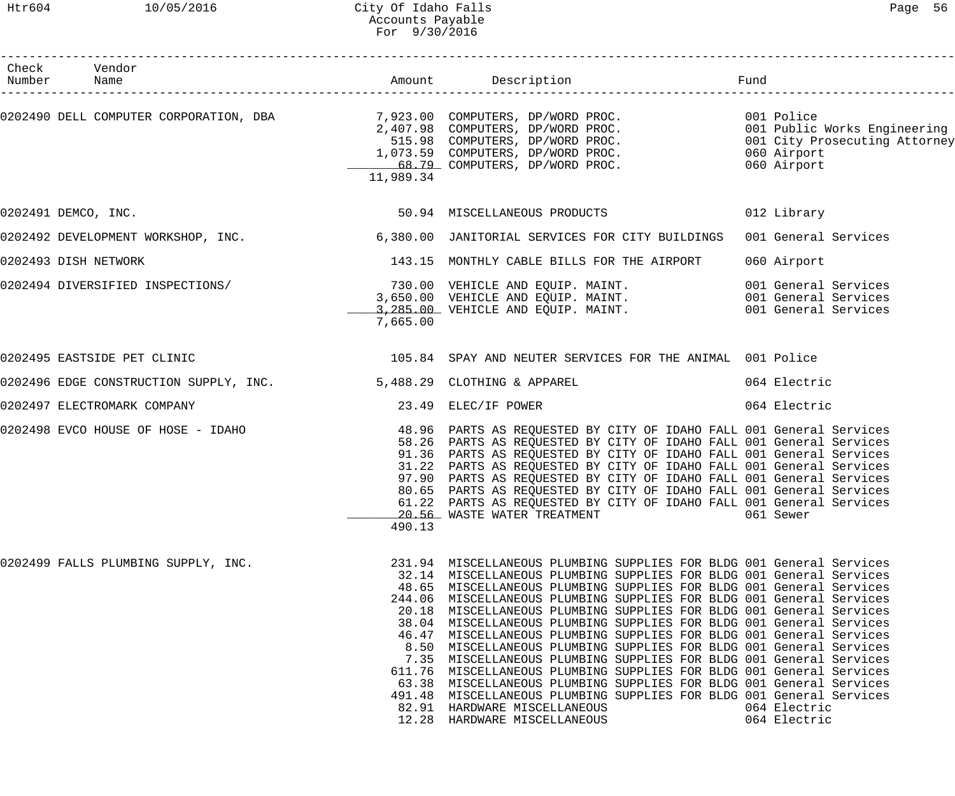Htr604 10/05/2016 City Of Idaho Falls Page 56 Accounts Payable For 9/30/2016

------------------------------------------------------------------------------------------------------------------------------------

| Check<br>Number | Vendor                                 |           |                                                                                                                                                                                                                                                                                                                                                                                                                                                                                                                                                                                                                                                                                                                                                                                                                                                                                                                                                    | Fund                                                                 |
|-----------------|----------------------------------------|-----------|----------------------------------------------------------------------------------------------------------------------------------------------------------------------------------------------------------------------------------------------------------------------------------------------------------------------------------------------------------------------------------------------------------------------------------------------------------------------------------------------------------------------------------------------------------------------------------------------------------------------------------------------------------------------------------------------------------------------------------------------------------------------------------------------------------------------------------------------------------------------------------------------------------------------------------------------------|----------------------------------------------------------------------|
|                 |                                        | 11,989.34 | 0202490 DELL COMPUTER CORPORATION, DBA 0202490 DELL COMPUTER CORPORATION, DBA 021.98 COMPUTERS, DP/WORD PROC. 001 Public Works Engineering 2,407.98 COMPUTERS, DP/WORD PROC. 001 Public Works Engineering 0202490 DELL COMPUTE                                                                                                                                                                                                                                                                                                                                                                                                                                                                                                                                                                                                                                                                                                                     |                                                                      |
|                 | 0202491 DEMCO, INC.                    |           | 50.94 MISCELLANEOUS PRODUCTS                                                                                                                                                                                                                                                                                                                                                                                                                                                                                                                                                                                                                                                                                                                                                                                                                                                                                                                       | 012 Library                                                          |
|                 | 0202492 DEVELOPMENT WORKSHOP, INC.     |           | 6,380.00 JANITORIAL SERVICES FOR CITY BUILDINGS                                                                                                                                                                                                                                                                                                                                                                                                                                                                                                                                                                                                                                                                                                                                                                                                                                                                                                    | 001 General Services                                                 |
|                 | 0202493 DISH NETWORK                   |           | 143.15 MONTHLY CABLE BILLS FOR THE AIRPORT                                                                                                                                                                                                                                                                                                                                                                                                                                                                                                                                                                                                                                                                                                                                                                                                                                                                                                         | 060 Airport                                                          |
|                 | 0202494 DIVERSIFIED INSPECTIONS/       | 7,665.00  | 730.00 VEHICLE AND EQUIP. MAINT.<br>3,650.00 VEHICLE AND EQUIP. MAINT.<br>3,285.00 VEHICLE AND EQUIP. MAINT.                                                                                                                                                                                                                                                                                                                                                                                                                                                                                                                                                                                                                                                                                                                                                                                                                                       | 001 General Services<br>001 General Services<br>001 General Services |
|                 | 0202495 EASTSIDE PET CLINIC            |           | 105.84 SPAY AND NEUTER SERVICES FOR THE ANIMAL 001 Police                                                                                                                                                                                                                                                                                                                                                                                                                                                                                                                                                                                                                                                                                                                                                                                                                                                                                          |                                                                      |
|                 | 0202496 EDGE CONSTRUCTION SUPPLY, INC. |           | 5,488.29 CLOTHING & APPAREL                                                                                                                                                                                                                                                                                                                                                                                                                                                                                                                                                                                                                                                                                                                                                                                                                                                                                                                        | 064 Electric                                                         |
|                 | 0202497 ELECTROMARK COMPANY            |           | 23.49 ELEC/IF POWER                                                                                                                                                                                                                                                                                                                                                                                                                                                                                                                                                                                                                                                                                                                                                                                                                                                                                                                                | 064 Electric                                                         |
|                 | 0202498 EVCO HOUSE OF HOSE - IDAHO     | 490.13    | 48.96 PARTS AS REQUESTED BY CITY OF IDAHO FALL 001 General Services<br>58.26 PARTS AS REQUESTED BY CITY OF IDAHO FALL 001 General Services<br>91.36 PARTS AS REQUESTED BY CITY OF IDAHO FALL 001 General Services<br>31.22 PARTS AS REQUESTED BY CITY OF IDAHO FALL 001 General Services<br>97.90 PARTS AS REQUESTED BY CITY OF IDAHO FALL 001 General Services<br>80.65 PARTS AS REQUESTED BY CITY OF IDAHO FALL 001 General Services<br>61.22 PARTS AS REQUESTED BY CITY OF IDAHO FALL 001 General Services<br>20.56 WASTE WATER TREATMENT 6061 Sewer                                                                                                                                                                                                                                                                                                                                                                                            |                                                                      |
|                 | 0202499 FALLS PLUMBING SUPPLY, INC.    |           | 231.94 MISCELLANEOUS PLUMBING SUPPLIES FOR BLDG 001 General Services<br>32.14 MISCELLANEOUS PLUMBING SUPPLIES FOR BLDG 001 General Services<br>48.65 MISCELLANEOUS PLUMBING SUPPLIES FOR BLDG 001 General Services<br>244.06 MISCELLANEOUS PLUMBING SUPPLIES FOR BLDG 001 General Services<br>20.18 MISCELLANEOUS PLUMBING SUPPLIES FOR BLDG 001 General Services<br>38.04 MISCELLANEOUS PLUMBING SUPPLIES FOR BLDG 001 General Services<br>46.47 MISCELLANEOUS PLUMBING SUPPLIES FOR BLDG 001 General Services<br>8.50 MISCELLANEOUS PLUMBING SUPPLIES FOR BLDG 001 General Services<br>7.35 MISCELLANEOUS PLUMBING SUPPLIES FOR BLDG 001 General Services<br>611.76 MISCELLANEOUS PLUMBING SUPPLIES FOR BLDG 001 General Services<br>63.38 MISCELLANEOUS PLUMBING SUPPLIES FOR BLDG 001 General Services<br>491.48 MISCELLANEOUS PLUMBING SUPPLIES FOR BLDG 001 General Services<br>82.91 HARDWARE MISCELLANEOUS<br>12.28 HARDWARE MISCELLANEOUS | 064 Electric<br>064 Electric                                         |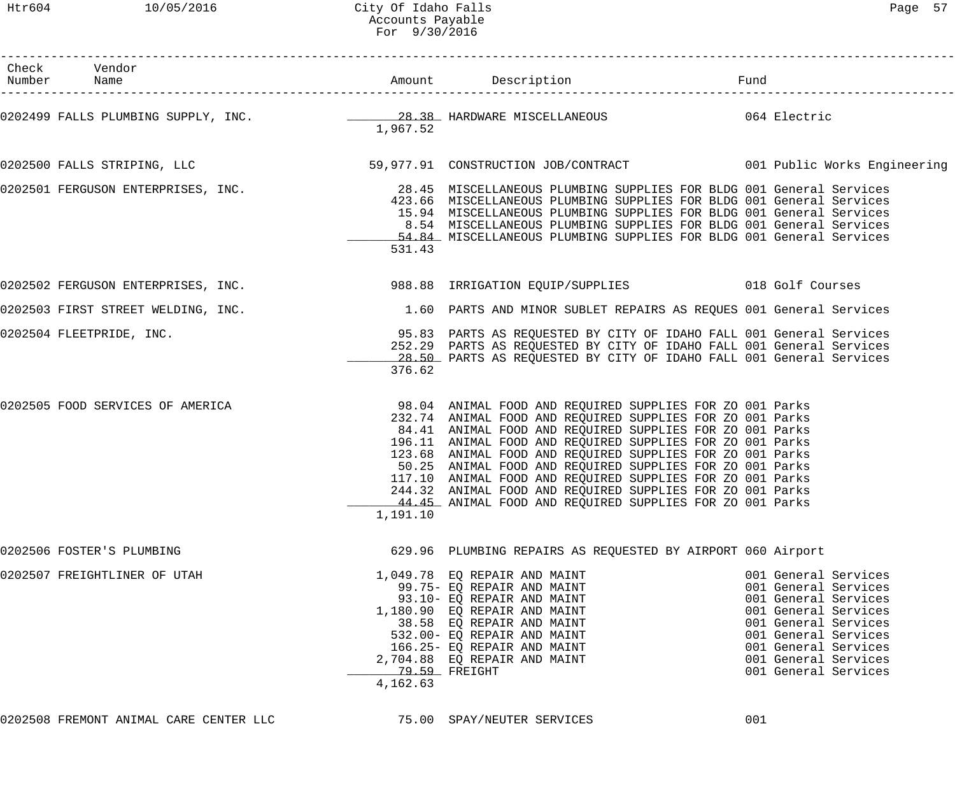| Check Vendor<br>Number Name                                                                                                 |                           |                                                                                                                                                                                                                                                                                                                                                                                                                                                                                                   |                                                                                                                                                                                                                      |
|-----------------------------------------------------------------------------------------------------------------------------|---------------------------|---------------------------------------------------------------------------------------------------------------------------------------------------------------------------------------------------------------------------------------------------------------------------------------------------------------------------------------------------------------------------------------------------------------------------------------------------------------------------------------------------|----------------------------------------------------------------------------------------------------------------------------------------------------------------------------------------------------------------------|
| 0202499 FALLS PLUMBING SUPPLY, INC. 28.38 HARDWARE MISCELLANEOUS 64 Electric                                                | 1,967.52                  |                                                                                                                                                                                                                                                                                                                                                                                                                                                                                                   |                                                                                                                                                                                                                      |
| 0202500 FALLS STRIPING, LLC 6 6 19 10 1000 108/CONTRACT 59,000 10B/CONTRACT 001 Public Works Engineering                    |                           |                                                                                                                                                                                                                                                                                                                                                                                                                                                                                                   |                                                                                                                                                                                                                      |
| 0202501 FERGUSON ENTERPRISES, INC. THE Reader Manuscritude of MISCELLANEOUS PLUMBING SUPPLIES FOR BLDG 001 General Services | 531.43                    | 423.66 MISCELLANEOUS PLUMBING SUPPLIES FOR BLDG 001 General Services<br>15.94 MISCELLANEOUS PLUMBING SUPPLIES FOR BLDG 001 General Services<br>8.54 MISCELLANEOUS PLUMBING SUPPLIES FOR BLDG 001 General Services<br>54.84 MISCELLANEOUS PLUMBING SUPPLIES FOR BLDG 001 General Services                                                                                                                                                                                                          |                                                                                                                                                                                                                      |
| 0202502 FERGUSON ENTERPRISES, INC. 388.88 IRRIGATION EQUIP/SUPPLIES 018 Golf Courses                                        |                           |                                                                                                                                                                                                                                                                                                                                                                                                                                                                                                   |                                                                                                                                                                                                                      |
| 0202503 FIRST STREET WELDING, INC. THE SALE MARTS AND MINOR SUBLET REPAIRS AS REQUES 001 General Services                   |                           |                                                                                                                                                                                                                                                                                                                                                                                                                                                                                                   |                                                                                                                                                                                                                      |
| 0202504 FLEETPRIDE, INC. <sup>95.83</sup> PARTS AS REQUESTED BY CITY OF IDAHO FALL 001 General Services                     | 376.62                    | 252.29 PARTS AS REQUESTED BY CITY OF IDAHO FALL 001 General Services<br>28.50 PARTS AS REQUESTED BY CITY OF IDAHO FALL 001 General Services                                                                                                                                                                                                                                                                                                                                                       |                                                                                                                                                                                                                      |
| 0202505 FOOD SERVICES OF AMERICA THE SERVICE SUPPLIES FOR ZO 001 Parks                                                      | 1,191.10                  | 232.74 ANIMAL FOOD AND REQUIRED SUPPLIES FOR ZO 001 Parks<br>84.41 ANIMAL FOOD AND REQUIRED SUPPLIES FOR ZO 001 Parks<br>196.11 ANIMAL FOOD AND REQUIRED SUPPLIES FOR ZO 001 Parks<br>123.68 ANIMAL FOOD AND REQUIRED SUPPLIES FOR ZO 001 Parks<br>50.25 ANIMAL FOOD AND REQUIRED SUPPLIES FOR ZO 001 Parks<br>117.10 ANIMAL FOOD AND REQUIRED SUPPLIES FOR ZO 001 Parks<br>244.32 ANIMAL FOOD AND REQUIRED SUPPLIES FOR ZO 001 Parks<br>44.45 ANIMAL FOOD AND REQUIRED SUPPLIES FOR ZO 001 Parks |                                                                                                                                                                                                                      |
| 0202506 FOSTER'S PLUMBING                                                                                                   |                           | 629.96 PLUMBING REPAIRS AS REQUESTED BY AIRPORT 060 Airport                                                                                                                                                                                                                                                                                                                                                                                                                                       |                                                                                                                                                                                                                      |
| 0202507 FREIGHTLINER OF UTAH                                                                                                | 79.59 FREIGHT<br>4,162.63 | 1,049.78 EQ REPAIR AND MAINT<br>99.75- EQ REPAIR AND MAINT<br>93.10- EQ REPAIR AND MAINT<br>1,180.90 EQ REPAIR AND MAINT<br>38.58 EQ REPAIR AND MAINT<br>532.00- EQ REPAIR AND MAINT<br>166.25- EQ REPAIR AND MAINT<br>2,704.88 EQ REPAIR AND MAINT                                                                                                                                                                                                                                               | 001 General Services<br>001 General Services<br>001 General Services<br>001 General Services<br>001 General Services<br>001 General Services<br>001 General Services<br>001 General Services<br>001 General Services |
|                                                                                                                             |                           |                                                                                                                                                                                                                                                                                                                                                                                                                                                                                                   |                                                                                                                                                                                                                      |

0202508 FREMONT ANIMAL CARE CENTER LLC  $\qquad \qquad$  75.00 SPAY/NEUTER SERVICES  $\qquad \qquad$  001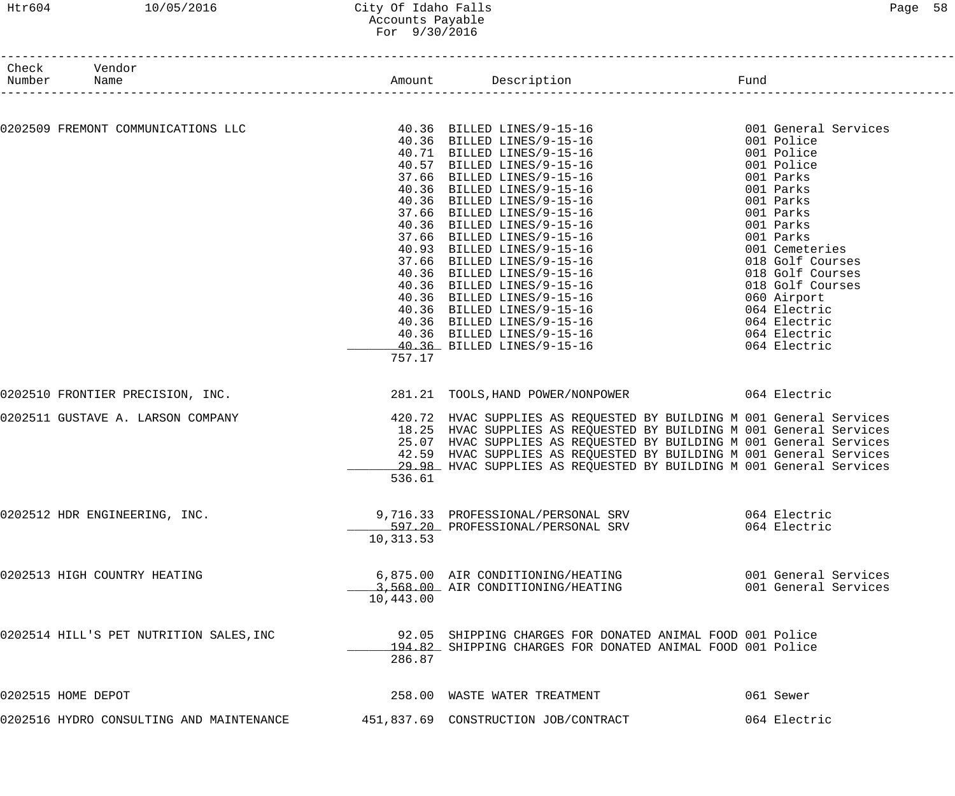### Htr604 10/05/2016 City Of Idaho Falls Page 58 Accounts Payable For 9/30/2016

| Check Vendor<br>Number Name                                                                                                                                                                                                                                                                                                                                                                                                                                     |           | Amount Description Description                                                                                                             |                      |
|-----------------------------------------------------------------------------------------------------------------------------------------------------------------------------------------------------------------------------------------------------------------------------------------------------------------------------------------------------------------------------------------------------------------------------------------------------------------|-----------|--------------------------------------------------------------------------------------------------------------------------------------------|----------------------|
| $0.202509 \text{ FRENONT CONMINTCATIONS LLC} \begin{minipage}{0.99\text{ FRENONT CONMINTCATIONS LLC} \end{minipage} \begin{minipage}{0.99\text{ FREMONT CONMINTCATIONS LLC} \end{minipage} \begin{minipage}{0.99\text{ FREMONT CONMINTCATIONS LLC} \end{minipage} \begin{minipage}{0.99\text{ FRE MONT}} \begin{minipage}{0.99\text{ FRE MONT}} \begin{minipage}{0.99\text{ FRE UNR}} \end{minipage} \begin{minipage}{0.99\text{ FRE UNR}} \begin{minipage}{0.$ |           |                                                                                                                                            |                      |
|                                                                                                                                                                                                                                                                                                                                                                                                                                                                 |           |                                                                                                                                            |                      |
|                                                                                                                                                                                                                                                                                                                                                                                                                                                                 |           |                                                                                                                                            |                      |
|                                                                                                                                                                                                                                                                                                                                                                                                                                                                 |           |                                                                                                                                            |                      |
|                                                                                                                                                                                                                                                                                                                                                                                                                                                                 |           |                                                                                                                                            |                      |
|                                                                                                                                                                                                                                                                                                                                                                                                                                                                 |           |                                                                                                                                            |                      |
|                                                                                                                                                                                                                                                                                                                                                                                                                                                                 |           |                                                                                                                                            |                      |
|                                                                                                                                                                                                                                                                                                                                                                                                                                                                 |           |                                                                                                                                            |                      |
|                                                                                                                                                                                                                                                                                                                                                                                                                                                                 |           |                                                                                                                                            |                      |
|                                                                                                                                                                                                                                                                                                                                                                                                                                                                 |           |                                                                                                                                            |                      |
|                                                                                                                                                                                                                                                                                                                                                                                                                                                                 |           |                                                                                                                                            |                      |
|                                                                                                                                                                                                                                                                                                                                                                                                                                                                 |           |                                                                                                                                            |                      |
|                                                                                                                                                                                                                                                                                                                                                                                                                                                                 |           |                                                                                                                                            |                      |
|                                                                                                                                                                                                                                                                                                                                                                                                                                                                 |           |                                                                                                                                            |                      |
|                                                                                                                                                                                                                                                                                                                                                                                                                                                                 |           |                                                                                                                                            |                      |
|                                                                                                                                                                                                                                                                                                                                                                                                                                                                 |           |                                                                                                                                            |                      |
|                                                                                                                                                                                                                                                                                                                                                                                                                                                                 |           |                                                                                                                                            |                      |
|                                                                                                                                                                                                                                                                                                                                                                                                                                                                 |           |                                                                                                                                            |                      |
|                                                                                                                                                                                                                                                                                                                                                                                                                                                                 |           |                                                                                                                                            |                      |
|                                                                                                                                                                                                                                                                                                                                                                                                                                                                 |           |                                                                                                                                            |                      |
|                                                                                                                                                                                                                                                                                                                                                                                                                                                                 | 757.17    |                                                                                                                                            |                      |
| 0202510 FRONTIER PRECISION, INC.                                                                                                                                                                                                                                                                                                                                                                                                                                |           | 281.21 TOOLS, HAND POWER/NONPOWER 064 Electric                                                                                             |                      |
|                                                                                                                                                                                                                                                                                                                                                                                                                                                                 |           |                                                                                                                                            |                      |
| 0202511 GUSTAVE A. LARSON COMPANY                                                                                                                                                                                                                                                                                                                                                                                                                               |           | 420.72 HVAC SUPPLIES AS REQUESTED BY BUILDING M 001 General Services                                                                       |                      |
|                                                                                                                                                                                                                                                                                                                                                                                                                                                                 |           | 18.25 HVAC SUPPLIES AS REQUESTED BY BUILDING M 001 General Services                                                                        |                      |
|                                                                                                                                                                                                                                                                                                                                                                                                                                                                 |           | 25.07 HVAC SUPPLIES AS REQUESTED BY BUILDING M 001 General Services                                                                        |                      |
|                                                                                                                                                                                                                                                                                                                                                                                                                                                                 |           | 42.59 HVAC SUPPLIES AS REQUESTED BY BUILDING M 001 General Services<br>29.98 HVAC SUPPLIES AS REQUESTED BY BUILDING M 001 General Services |                      |
|                                                                                                                                                                                                                                                                                                                                                                                                                                                                 | 536.61    |                                                                                                                                            |                      |
|                                                                                                                                                                                                                                                                                                                                                                                                                                                                 |           |                                                                                                                                            |                      |
| 0202512 HDR ENGINEERING, INC.                                                                                                                                                                                                                                                                                                                                                                                                                                   |           | 9,716.33 PROFESSIONAL/PERSONAL SRV                                                                                                         | 064 Electric         |
|                                                                                                                                                                                                                                                                                                                                                                                                                                                                 |           | 597.20 PROFESSIONAL/PERSONAL SRV                                                                                                           | 064 Electric         |
|                                                                                                                                                                                                                                                                                                                                                                                                                                                                 | 10,313.53 |                                                                                                                                            |                      |
|                                                                                                                                                                                                                                                                                                                                                                                                                                                                 |           |                                                                                                                                            |                      |
| 0202513 HIGH COUNTRY HEATING                                                                                                                                                                                                                                                                                                                                                                                                                                    |           | 6,875.00 AIR CONDITIONING/HEATING                                                                                                          | 001 General Services |
|                                                                                                                                                                                                                                                                                                                                                                                                                                                                 |           | 3,568.00 AIR CONDITIONING/HEATING                                                                                                          | 001 General Services |
|                                                                                                                                                                                                                                                                                                                                                                                                                                                                 | 10,443.00 |                                                                                                                                            |                      |
|                                                                                                                                                                                                                                                                                                                                                                                                                                                                 |           |                                                                                                                                            |                      |
| 0202514 HILL'S PET NUTRITION SALES, INC                                                                                                                                                                                                                                                                                                                                                                                                                         |           | 92.05 SHIPPING CHARGES FOR DONATED ANIMAL FOOD 001 Police                                                                                  |                      |
|                                                                                                                                                                                                                                                                                                                                                                                                                                                                 |           | 194.82 SHIPPING CHARGES FOR DONATED ANIMAL FOOD 001 Police                                                                                 |                      |
|                                                                                                                                                                                                                                                                                                                                                                                                                                                                 | 286.87    |                                                                                                                                            |                      |
| 0202515 HOME DEPOT                                                                                                                                                                                                                                                                                                                                                                                                                                              |           | 258.00 WASTE WATER TREATMENT                                                                                                               | 061 Sewer            |
|                                                                                                                                                                                                                                                                                                                                                                                                                                                                 |           |                                                                                                                                            |                      |
| 0202516 HYDRO CONSULTING AND MAINTENANCE                                                                                                                                                                                                                                                                                                                                                                                                                        |           | 451,837.69 CONSTRUCTION JOB/CONTRACT                                                                                                       | 064 Electric         |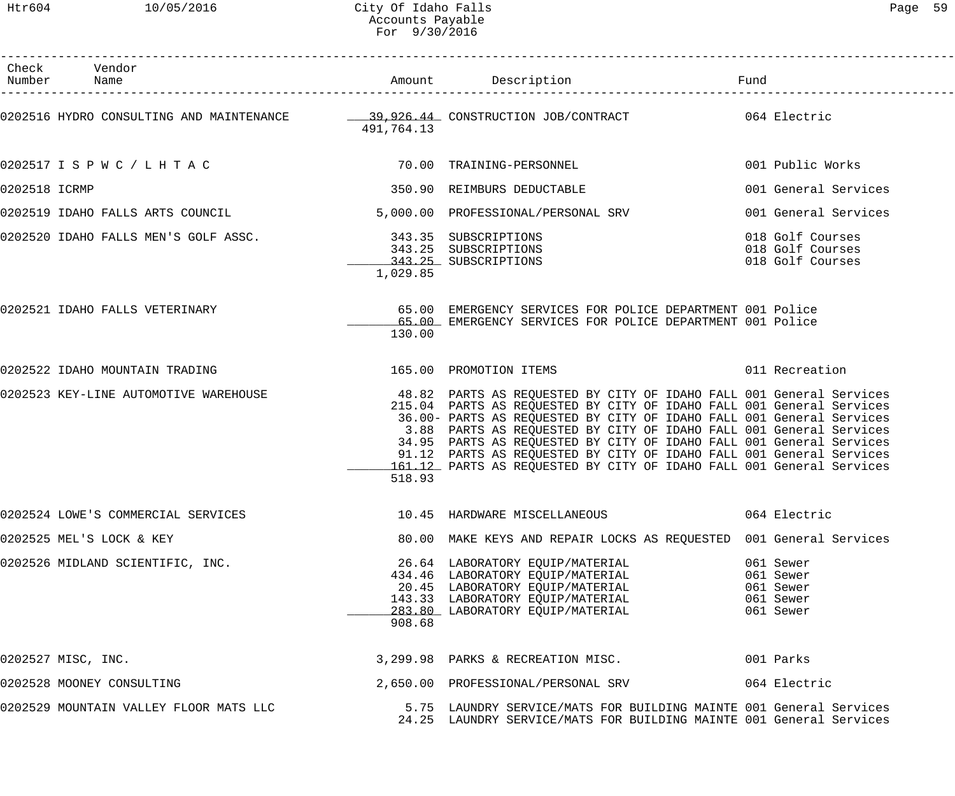Htr604 10/05/2016 City Of Idaho Falls Page 59 Accounts Payable For 9/30/2016

| Page |  |
|------|--|
|------|--|

|               | Check Vendor<br>Number Name                                                                               |            |                                                                                                                                                                                                                                                                                                                                                                                                                                                                                                                 |                                                               |
|---------------|-----------------------------------------------------------------------------------------------------------|------------|-----------------------------------------------------------------------------------------------------------------------------------------------------------------------------------------------------------------------------------------------------------------------------------------------------------------------------------------------------------------------------------------------------------------------------------------------------------------------------------------------------------------|---------------------------------------------------------------|
|               |                                                                                                           | 491,764.13 | 0202516 HYDRO CONSULTING AND MAINTENANCE - 29,926.44 CONSTRUCTION JOB/CONTRACT - 064 Electric                                                                                                                                                                                                                                                                                                                                                                                                                   |                                                               |
|               | 0202517 I S P W C / L H T A C 70.00 TRAINING-PERSONNEL                                                    |            |                                                                                                                                                                                                                                                                                                                                                                                                                                                                                                                 | 001 Public Works                                              |
| 0202518 ICRMP |                                                                                                           |            | 350.90 REIMBURS DEDUCTABLE                                                                                                                                                                                                                                                                                                                                                                                                                                                                                      | 001 General Services                                          |
|               | 0202519 IDAHO FALLS ARTS COUNCIL                                                                          |            | 5,000.00 PROFESSIONAL/PERSONAL SRV                                                                                                                                                                                                                                                                                                                                                                                                                                                                              | 001 General Services                                          |
|               | 0202520 IDAHO FALLS MEN'S GOLF ASSC.<br>243.25 SUBSCRIPTIONS 343.25 SUBSCRIPTIONS<br>243.25 SUBSCRIPTIONS | 1,029.85   |                                                                                                                                                                                                                                                                                                                                                                                                                                                                                                                 | 018 Golf Courses<br>018 Golf Courses<br>018 Golf Courses      |
|               | 0202521 IDAHO FALLS VETERINARY                                                                            | 130.00     | 65.00 EMERGENCY SERVICES FOR POLICE DEPARTMENT 001 Police<br>65.00 EMERGENCY SERVICES FOR POLICE DEPARTMENT 001 Police                                                                                                                                                                                                                                                                                                                                                                                          |                                                               |
|               | 0202522 IDAHO MOUNTAIN TRADING TERRORY NEWSLET MANUSCRIPT OF THE MESSAGE OF PROMOTION ITEMS               |            |                                                                                                                                                                                                                                                                                                                                                                                                                                                                                                                 | 011 Recreation                                                |
|               | 0202523 KEY-LINE AUTOMOTIVE WAREHOUSE                                                                     | 518.93     | 48.82 PARTS AS REQUESTED BY CITY OF IDAHO FALL 001 General Services<br>215.04 PARTS AS REQUESTED BY CITY OF IDAHO FALL 001 General Services<br>36.00- PARTS AS REQUESTED BY CITY OF IDAHO FALL 001 General Services<br>3.88 PARTS AS REQUESTED BY CITY OF IDAHO FALL 001 General Services<br>34.95 PARTS AS REQUESTED BY CITY OF IDAHO FALL 001 General Services<br>91.12 PARTS AS REQUESTED BY CITY OF IDAHO FALL 001 General Services<br>161.12 PARTS AS REQUESTED BY CITY OF IDAHO FALL 001 General Services |                                                               |
|               | 0202524 LOWE'S COMMERCIAL SERVICES                                                                        |            | 10.45 HARDWARE MISCELLANEOUS                                                                                                                                                                                                                                                                                                                                                                                                                                                                                    | 064 Electric                                                  |
|               | 0202525 MEL'S LOCK & KEY                                                                                  |            | 80.00 MAKE KEYS AND REPAIR LOCKS AS REQUESTED 001 General Services                                                                                                                                                                                                                                                                                                                                                                                                                                              |                                                               |
|               | 0202526 MIDLAND SCIENTIFIC, INC.                                                                          | 908.68     | 26.64 LABORATORY EQUIP/MATERIAL<br>434.46 LABORATORY EQUIP/MATERIAL<br>20.45 LABORATORY EQUIP/MATERIAL<br>143.33 LABORATORY EQUIP/MATERIAL<br>283.80 LABORATORY EQUIP/MATERIAL<br>908.68                                                                                                                                                                                                                                                                                                                        | 061 Sewer<br>061 Sewer<br>061 Sewer<br>061 Sewer<br>061 Sewer |
|               | 0202527 MISC, INC.                                                                                        |            | 3,299.98 PARKS & RECREATION MISC. 001 Parks                                                                                                                                                                                                                                                                                                                                                                                                                                                                     |                                                               |
|               | 0202528 MOONEY CONSULTING                                                                                 |            | 2,650.00 PROFESSIONAL/PERSONAL SRV 064 Electric                                                                                                                                                                                                                                                                                                                                                                                                                                                                 |                                                               |
|               | 0202529 MOUNTAIN VALLEY FLOOR MATS LLC                                                                    |            | 5.75 LAUNDRY SERVICE/MATS FOR BUILDING MAINTE 001 General Services<br>24.25 LAUNDRY SERVICE/MATS FOR BUILDING MAINTE 001 General Services                                                                                                                                                                                                                                                                                                                                                                       |                                                               |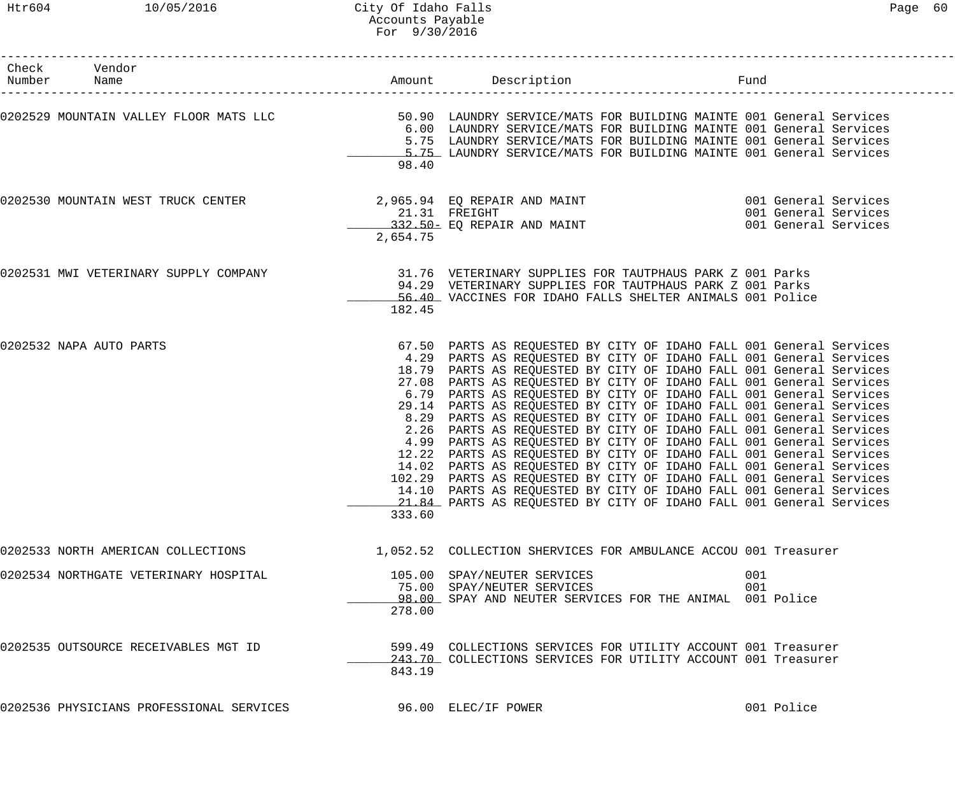| Check Vendor<br>Number Name              |                                | Amount Description                                                                                                                                                                                                                                                                                                                                                                                                                                                                                                                                                                                                                                                                                                                                                                                                                                                                                                                                                                                          | Fund       |                                                                      |
|------------------------------------------|--------------------------------|-------------------------------------------------------------------------------------------------------------------------------------------------------------------------------------------------------------------------------------------------------------------------------------------------------------------------------------------------------------------------------------------------------------------------------------------------------------------------------------------------------------------------------------------------------------------------------------------------------------------------------------------------------------------------------------------------------------------------------------------------------------------------------------------------------------------------------------------------------------------------------------------------------------------------------------------------------------------------------------------------------------|------------|----------------------------------------------------------------------|
|                                          | 98.40                          | 6.00 LAUNDRY SERVICE/MATS FOR BUILDING MAINTE 001 General Services<br>5.75 LAUNDRY SERVICE/MATS FOR BUILDING MAINTE 001 General Services<br>5.75 LAUNDRY SERVICE/MATS FOR BUILDING MAINTE 001 General Services                                                                                                                                                                                                                                                                                                                                                                                                                                                                                                                                                                                                                                                                                                                                                                                              |            |                                                                      |
| 0202530 MOUNTAIN WEST TRUCK CENTER       | 2,654.75                       | 2,965.94 EQ REPAIR AND MAINT<br>21.31 FREIGHT<br>332.50- EQ REPAIR AND MAINT                                                                                                                                                                                                                                                                                                                                                                                                                                                                                                                                                                                                                                                                                                                                                                                                                                                                                                                                |            | 001 General Services<br>001 General Services<br>001 General Services |
| 0202531 MWI VETERINARY SUPPLY COMPANY    | 182.45                         | 31.76 VETERINARY SUPPLIES FOR TAUTPHAUS PARK Z 001 Parks<br>94.29 VETERINARY SUPPLIES FOR TAUTPHAUS PARK Z 001 Parks<br>56.40 VACCINES FOR IDAHO FALLS SHELTER ANIMALS 001 Police                                                                                                                                                                                                                                                                                                                                                                                                                                                                                                                                                                                                                                                                                                                                                                                                                           |            |                                                                      |
| 0202532 NAPA AUTO PARTS                  | 8.29<br>2.26<br>4.99<br>333.60 | 67.50 PARTS AS REQUESTED BY CITY OF IDAHO FALL 001 General Services<br>4.29 PARTS AS REQUESTED BY CITY OF IDAHO FALL 001 General Services<br>18.79 PARTS AS REQUESTED BY CITY OF IDAHO FALL 001 General Services<br>27.08 PARTS AS REQUESTED BY CITY OF IDAHO FALL 001 General Services<br>6.79 PARTS AS REQUESTED BY CITY OF IDAHO FALL 001 General Services<br>29.14 PARTS AS REQUESTED BY CITY OF IDAHO FALL 001 General Services<br>PARTS AS REQUESTED BY CITY OF IDAHO FALL 001 General Services<br>PARTS AS REQUESTED BY CITY OF IDAHO FALL 001 General Services<br>PARTS AS REQUESTED BY CITY OF IDAHO FALL 001 General Services<br>12.22 PARTS AS REQUESTED BY CITY OF IDAHO FALL 001 General Services<br>14.02 PARTS AS REQUESTED BY CITY OF IDAHO FALL 001 General Services<br>102.29 PARTS AS REQUESTED BY CITY OF IDAHO FALL 001 General Services<br>14.10 PARTS AS REQUESTED BY CITY OF IDAHO FALL 001 General Services<br>21.84 PARTS AS REQUESTED BY CITY OF IDAHO FALL 001 General Services |            |                                                                      |
| 0202533 NORTH AMERICAN COLLECTIONS       |                                | 1,052.52 COLLECTION SHERVICES FOR AMBULANCE ACCOU 001 Treasurer                                                                                                                                                                                                                                                                                                                                                                                                                                                                                                                                                                                                                                                                                                                                                                                                                                                                                                                                             |            |                                                                      |
| 0202534 NORTHGATE VETERINARY HOSPITAL    | 278.00                         | 105.00 SPAY/NEUTER SERVICES<br>75.00 SPAY/NEUTER SERVICES<br>98.00 SPAY AND NEUTER SERVICES FOR THE ANIMAL 001 Police                                                                                                                                                                                                                                                                                                                                                                                                                                                                                                                                                                                                                                                                                                                                                                                                                                                                                       | 001<br>001 |                                                                      |
| 0202535 OUTSOURCE RECEIVABLES MGT ID     | 843.19                         | 599.49 COLLECTIONS SERVICES FOR UTILITY ACCOUNT 001 Treasurer<br>243.70 COLLECTIONS SERVICES FOR UTILITY ACCOUNT 001 Treasurer                                                                                                                                                                                                                                                                                                                                                                                                                                                                                                                                                                                                                                                                                                                                                                                                                                                                              |            |                                                                      |
| 0202536 PHYSICIANS PROFESSIONAL SERVICES |                                | 96.00 ELEC/IF POWER                                                                                                                                                                                                                                                                                                                                                                                                                                                                                                                                                                                                                                                                                                                                                                                                                                                                                                                                                                                         |            | 001 Police                                                           |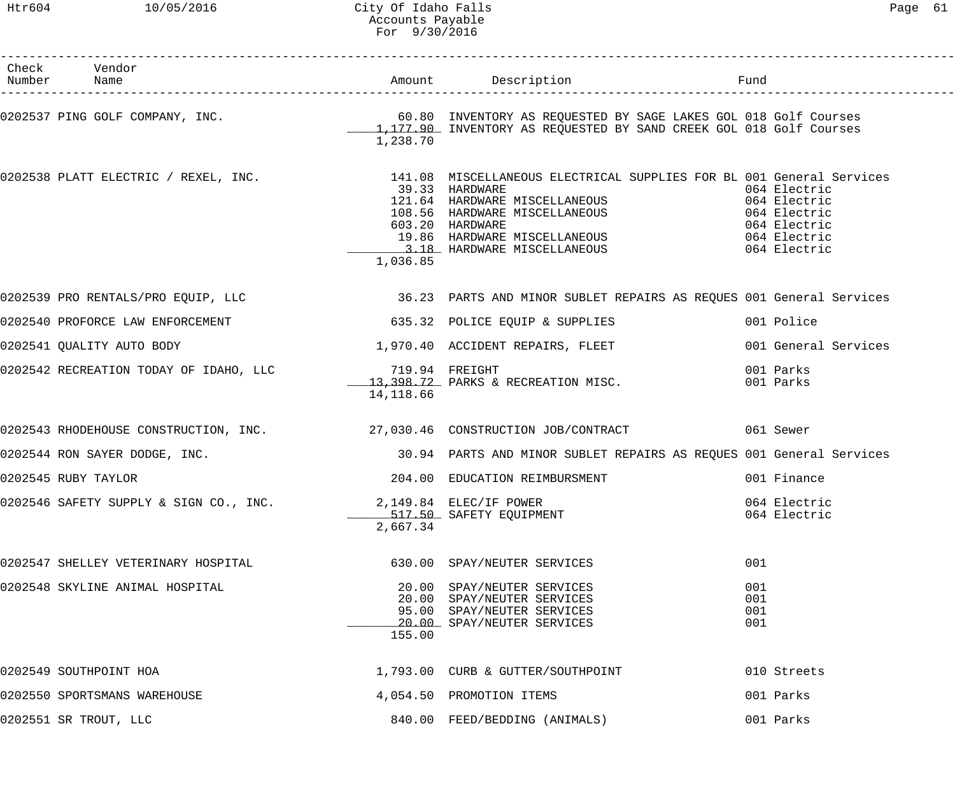### Htr604 10/05/2016 City Of Idaho Falls Page 61 Accounts Payable For 9/30/2016

| Check Vendor<br>Number Name                                             |                             | Amount Description                                                                                                                                                                                                                                                                                               | Fund                                                                                         |
|-------------------------------------------------------------------------|-----------------------------|------------------------------------------------------------------------------------------------------------------------------------------------------------------------------------------------------------------------------------------------------------------------------------------------------------------|----------------------------------------------------------------------------------------------|
|                                                                         | 1,238.70                    |                                                                                                                                                                                                                                                                                                                  |                                                                                              |
|                                                                         | 1,036.85                    | 0202538 PLATT ELECTRIC / REXEL, INC.               141.08 MISCELLANEOUS ELECTRICAL SUPPLIES FOR BL 001 General Services<br>39.33 HARDWARE<br>121.64 HARDWARE MISCELLANEOUS<br>108.56 HARDWARE MISCELLANEOUS<br>603.20 HARDWARE<br>603.20 HARDWARE<br>19.86 HARDWARE MISCELLANEOUS<br>3.18 HARDWARE MISCELLANEOUS | 064 Electric<br>064 Electric<br>064 Electric<br>064 Electric<br>064 Electric<br>064 Electric |
|                                                                         |                             | 0202539 PRO RENTALS/PRO EQUIP, LLC 36.23 PARTS AND MINOR SUBLET REPAIRS AS REQUES 001 General Services                                                                                                                                                                                                           |                                                                                              |
| 0202540 PROFORCE LAW ENFORCEMENT TELL THE STATE STATE STATE OF SUPPLIES |                             |                                                                                                                                                                                                                                                                                                                  | 001 Police                                                                                   |
| 0202541 QUALITY AUTO BODY                                               |                             | 1,970.40 ACCIDENT REPAIRS, FLEET                                                                                                                                                                                                                                                                                 | 001 General Services                                                                         |
| 0202542 RECREATION TODAY OF IDAHO, LLC                                  | 719.94 FREIGHT<br>14,118.66 | 13,398.72 PARKS & RECREATION MISC.                                                                                                                                                                                                                                                                               | 001 Parks<br>001 Parks                                                                       |
|                                                                         |                             | 0202543 RHODEHOUSE CONSTRUCTION, INC. 27,030.46 CONSTRUCTION JOB/CONTRACT 061 Sewer                                                                                                                                                                                                                              |                                                                                              |
| 0202544 RON SAYER DODGE, INC.                                           |                             | 30.94 PARTS AND MINOR SUBLET REPAIRS AS REQUES 001 General Services                                                                                                                                                                                                                                              |                                                                                              |
| 0202545 RUBY TAYLOR                                                     |                             | 204.00 EDUCATION REIMBURSMENT                                                                                                                                                                                                                                                                                    | 001 Finance                                                                                  |
| 0202546 SAFETY SUPPLY & SIGN CO., INC. 2,149.84 ELEC/IF POWER           | 2,667.34                    | 517.50 SAFETY EQUIPMENT                                                                                                                                                                                                                                                                                          | 064 Electric<br>064 Electric                                                                 |
| 0202547 SHELLEY VETERINARY HOSPITAL                                     |                             | 630.00 SPAY/NEUTER SERVICES                                                                                                                                                                                                                                                                                      | 001                                                                                          |
| 0202548 SKYLINE ANIMAL HOSPITAL                                         | 155.00                      | 20.00 SPAY/NEUTER SERVICES<br>20.00 SPAY/NEUTER SERVICES<br>95.00 SPAY/NEUTER SERVICES<br>20.00 SPAY/NEUTER SERVICES                                                                                                                                                                                             | 001<br>001<br>001<br>001                                                                     |
| 0202549 SOUTHPOINT HOA                                                  |                             | 1,793.00 CURB & GUTTER/SOUTHPOINT                                                                                                                                                                                                                                                                                | 010 Streets                                                                                  |
| 0202550 SPORTSMANS WAREHOUSE                                            |                             | 4,054.50 PROMOTION ITEMS                                                                                                                                                                                                                                                                                         | 001 Parks                                                                                    |
| 0202551 SR TROUT, LLC                                                   |                             | 840.00 FEED/BEDDING (ANIMALS)                                                                                                                                                                                                                                                                                    | 001 Parks                                                                                    |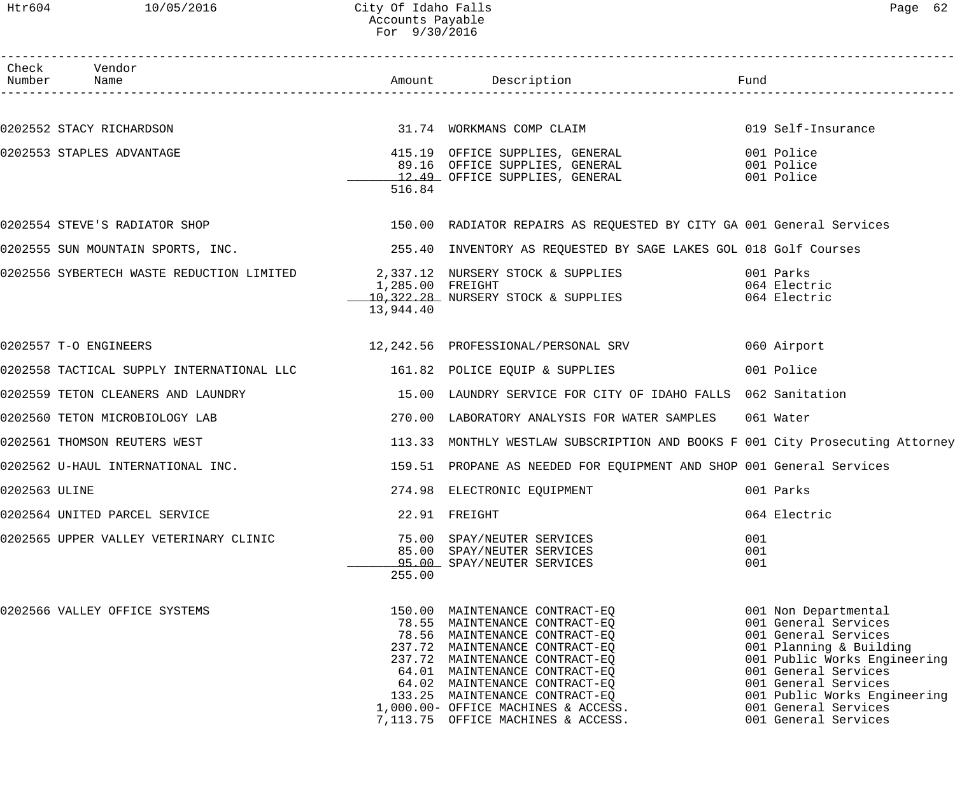## Htr604 10/05/2016 City Of Idaho Falls Page 62 Accounts Payable For 9/30/2016

|               | Check Vendor                                                                    |           |                                                                                                                                                                                                                                                                                                                                                       |                   |                                                                                                                                                                                                                                                                 |
|---------------|---------------------------------------------------------------------------------|-----------|-------------------------------------------------------------------------------------------------------------------------------------------------------------------------------------------------------------------------------------------------------------------------------------------------------------------------------------------------------|-------------------|-----------------------------------------------------------------------------------------------------------------------------------------------------------------------------------------------------------------------------------------------------------------|
|               |                                                                                 |           |                                                                                                                                                                                                                                                                                                                                                       |                   |                                                                                                                                                                                                                                                                 |
|               | 0202552 STACY RICHARDSON                                                        |           | 31.74 WORKMANS COMP CLAIM                                                                                                                                                                                                                                                                                                                             |                   | 019 Self-Insurance                                                                                                                                                                                                                                              |
|               | 0202553 STAPLES ADVANTAGE                                                       | 516.84    | 415.19 OFFICE SUPPLIES, GENERAL<br>89.16 OFFICE SUPPLIES, GENERAL<br>12.49 OFFICE SUPPLIES, GENERAL                                                                                                                                                                                                                                                   |                   | 001 Police<br>001 Police<br>001 Police                                                                                                                                                                                                                          |
|               |                                                                                 |           | 0202554 STEVE'S RADIATOR SHOP 150.00 RADIATOR REPAIRS AS REQUESTED BY CITY GA 001 General Services                                                                                                                                                                                                                                                    |                   |                                                                                                                                                                                                                                                                 |
|               |                                                                                 |           | 0202555 SUN MOUNTAIN SPORTS, INC. THE READ MANUSIC 255.40 INVENTORY AS REQUESTED BY SAGE LAKES GOL 018 Golf Courses                                                                                                                                                                                                                                   |                   |                                                                                                                                                                                                                                                                 |
|               |                                                                                 | 13,944.40 | 0202556 SYBERTECH WASTE REDUCTION LIMITED $1,285.00$ FREIGHT<br>1,285.00 FREIGHT<br>10,322.28 NURSERY STOCK & SUPPLIES                                                                                                                                                                                                                                |                   | 001 Parks<br>064 Electric<br>064 Electric                                                                                                                                                                                                                       |
|               | 0202557 T-O ENGINEERS                                                           |           | 12,242.56 PROFESSIONAL/PERSONAL SRV                                                                                                                                                                                                                                                                                                                   |                   | 060 Airport                                                                                                                                                                                                                                                     |
|               | 0202558 TACTICAL SUPPLY INTERNATIONAL LLC        161.82 POLICE EQUIP & SUPPLIES |           |                                                                                                                                                                                                                                                                                                                                                       |                   | 001 Police                                                                                                                                                                                                                                                      |
|               |                                                                                 |           | 0202559 TETON CLEANERS AND LAUNDRY THE SERUPT SERVICE FOR CITY OF IDAHO FALLS 062 Sanitation                                                                                                                                                                                                                                                          |                   |                                                                                                                                                                                                                                                                 |
|               | 0202560 TETON MICROBIOLOGY LAB                                                  |           | 270.00 LABORATORY ANALYSIS FOR WATER SAMPLES 061 Water                                                                                                                                                                                                                                                                                                |                   |                                                                                                                                                                                                                                                                 |
|               | 0202561 THOMSON REUTERS WEST                                                    |           | 113.33 MONTHLY WESTLAW SUBSCRIPTION AND BOOKS F 001 City Prosecuting Attorney                                                                                                                                                                                                                                                                         |                   |                                                                                                                                                                                                                                                                 |
|               | 0202562 U-HAUL INTERNATIONAL INC.                                               |           | 159.51 PROPANE AS NEEDED FOR EQUIPMENT AND SHOP 001 General Services                                                                                                                                                                                                                                                                                  |                   |                                                                                                                                                                                                                                                                 |
| 0202563 ULINE |                                                                                 |           | 274.98 ELECTRONIC EQUIPMENT                                                                                                                                                                                                                                                                                                                           |                   | 001 Parks                                                                                                                                                                                                                                                       |
|               | 0202564 UNITED PARCEL SERVICE                                                   |           | 22.91 FREIGHT                                                                                                                                                                                                                                                                                                                                         |                   | 064 Electric                                                                                                                                                                                                                                                    |
|               | 0202565 UPPER VALLEY VETERINARY CLINIC                                          | 255.00    | 75.00 SPAY/NEUTER SERVICES<br>85.00 SPAY/NEUTER SERVICES<br>95.00 SPAY/NEUTER SERVICES                                                                                                                                                                                                                                                                | 001<br>001<br>001 |                                                                                                                                                                                                                                                                 |
|               | 0202566 VALLEY OFFICE SYSTEMS                                                   |           | 150.00 MAINTENANCE CONTRACT-EQ<br>78.55 MAINTENANCE CONTRACT-EQ<br>78.56 MAINTENANCE CONTRACT-EQ<br>237.72 MAINTENANCE CONTRACT-EQ<br>237.72 MAINTENANCE CONTRACT-EQ<br>64.01 MAINTENANCE CONTRACT-EQ<br>64.02 MAINTENANCE CONTRACT-EQ<br>133.25 MAINTENANCE CONTRACT-EQ<br>1,000.00- OFFICE MACHINES & ACCESS.<br>7,113.75 OFFICE MACHINES & ACCESS. |                   | 001 Non Departmental<br>001 General Services<br>001 General Services<br>001 Planning & Building<br>001 Public Works Engineering<br>001 General Services<br>001 General Services<br>001 Public Works Engineering<br>001 General Services<br>001 General Services |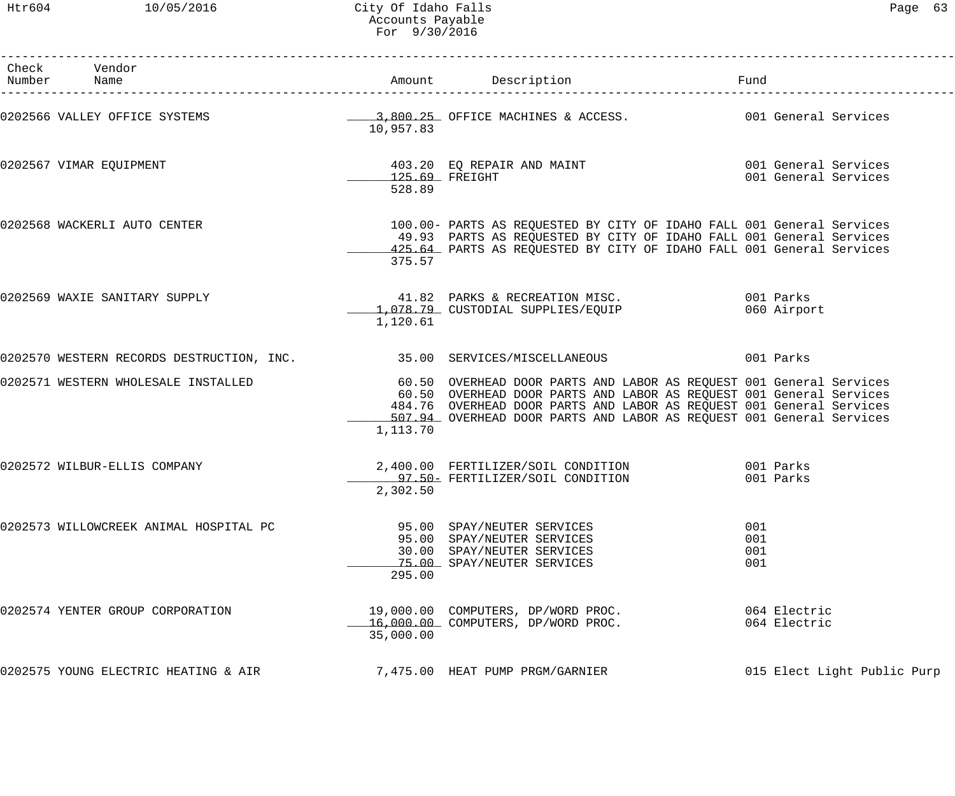Htr604 10/05/2016 City Of Idaho Falls Page 63 Accounts Payable For 9/30/2016

| Check Vendor<br>Number Name                                                                                 |                            | Amount Description                                                                                                                                                                                                                                                                         | Fund                     |                                              |
|-------------------------------------------------------------------------------------------------------------|----------------------------|--------------------------------------------------------------------------------------------------------------------------------------------------------------------------------------------------------------------------------------------------------------------------------------------|--------------------------|----------------------------------------------|
| 0202566 VALLEY OFFICE SYSTEMS <b>1990 CONTROVER SERVICE</b> OFFICE MACHINES & ACCESS. 2001 General Services | 10,957.83                  |                                                                                                                                                                                                                                                                                            |                          |                                              |
| 0202567 VIMAR EQUIPMENT                                                                                     | $125.69$ FREIGHT<br>528.89 | 403.20 EQ REPAIR AND MAINT                                                                                                                                                                                                                                                                 |                          | 001 General Services<br>001 General Services |
| 0202568 WACKERLI AUTO CENTER                                                                                | 375.57                     | 100.00- PARTS AS REQUESTED BY CITY OF IDAHO FALL 001 General Services<br>49.93 PARTS AS REQUESTED BY CITY OF IDAHO FALL 001 General Services<br>425.64 PARTS AS REQUESTED BY CITY OF IDAHO FALL 001 General Services                                                                       |                          |                                              |
| 0202569 WAXIE SANITARY SUPPLY                                                                               | 1,120.61                   | 41.82 PARKS & RECREATION MISC. 001 Parks<br>1,078.79 CUSTODIAL SUPPLIES/EQUIP                                                                                                                                                                                                              |                          | 060 Airport                                  |
| 0202570 WESTERN RECORDS DESTRUCTION, INC. 35.00 SERVICES/MISCELLANEOUS 001 Parks                            |                            |                                                                                                                                                                                                                                                                                            |                          |                                              |
| 0202571 WESTERN WHOLESALE INSTALLED                                                                         | 1,113.70                   | 60.50 OVERHEAD DOOR PARTS AND LABOR AS REQUEST 001 General Services<br>60.50 OVERHEAD DOOR PARTS AND LABOR AS REQUEST 001 General Services<br>484.76 OVERHEAD DOOR PARTS AND LABOR AS REQUEST 001 General Services<br>507.94 OVERHEAD DOOR PARTS AND LABOR AS REQUEST 001 General Services |                          |                                              |
| 0202572 WILBUR-ELLIS COMPANY                                                                                | 2,302.50                   | 2,400.00 FERTILIZER/SOIL CONDITION 001 Parks<br>97.50 FERTILIZER/SOIL CONDITION                                                                                                                                                                                                            |                          | 001 Parks                                    |
| 0202573 WILLOWCREEK ANIMAL HOSPITAL PC                                                                      | 295.00                     | 95.00 SPAY/NEUTER SERVICES<br>95.00 SPAY/NEUTER SERVICES<br>30.00 SPAY/NEUTER SERVICES<br>75.00 SPAY/NEUTER SERVICES                                                                                                                                                                       | 001<br>001<br>001<br>001 |                                              |
| 0202574 YENTER GROUP CORPORATION                                                                            | 35,000.00                  | 19,000.00 COMPUTERS, DP/WORD PROC.<br>16,000.00 COMPUTERS, DP/WORD PROC.                                                                                                                                                                                                                   |                          | 064 Electric<br>064 Electric                 |
| 0202575 YOUNG ELECTRIC HEATING & AIR                                                                        |                            | 7,475.00 HEAT PUMP PRGM/GARNIER                                                                                                                                                                                                                                                            |                          | 015 Elect Light Public Purp                  |
|                                                                                                             |                            |                                                                                                                                                                                                                                                                                            |                          |                                              |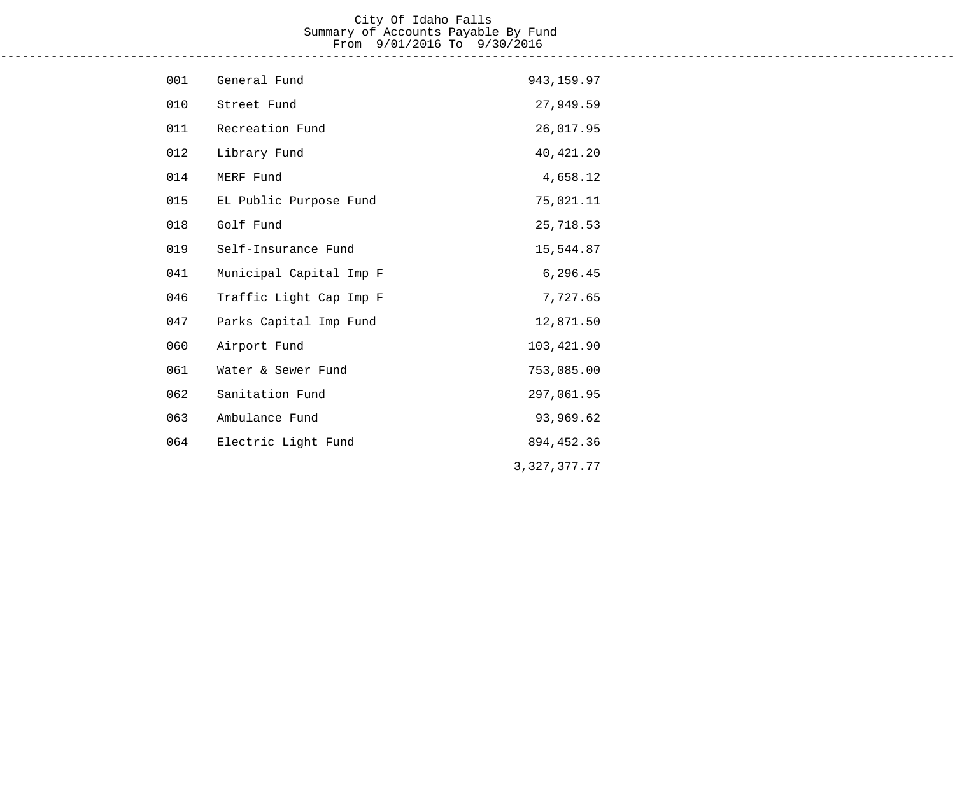#### City Of Idaho Falls Summary of Accounts Payable By Fund From 9/01/2016 To 9/30/2016 ------------------------------------------------------------------------------------------------------------------------------------

| 001 | General Fund            | 943,159.97   |
|-----|-------------------------|--------------|
| 010 | Street Fund             | 27,949.59    |
| 011 | Recreation Fund         | 26,017.95    |
| 012 | Library Fund            | 40, 421.20   |
| 014 | MERF Fund               | 4,658.12     |
| 015 | EL Public Purpose Fund  | 75,021.11    |
| 018 | Golf Fund               | 25,718.53    |
| 019 | Self-Insurance Fund     | 15,544.87    |
| 041 | Municipal Capital Imp F | 6,296.45     |
| 046 | Traffic Light Cap Imp F | 7,727.65     |
| 047 | Parks Capital Imp Fund  | 12,871.50    |
| 060 | Airport Fund            | 103,421.90   |
| 061 | Water & Sewer Fund      | 753,085.00   |
| 062 | Sanitation Fund         | 297,061.95   |
| 063 | Ambulance Fund          | 93,969.62    |
| 064 | Electric Light Fund     | 894, 452.36  |
|     |                         | 3,327,377.77 |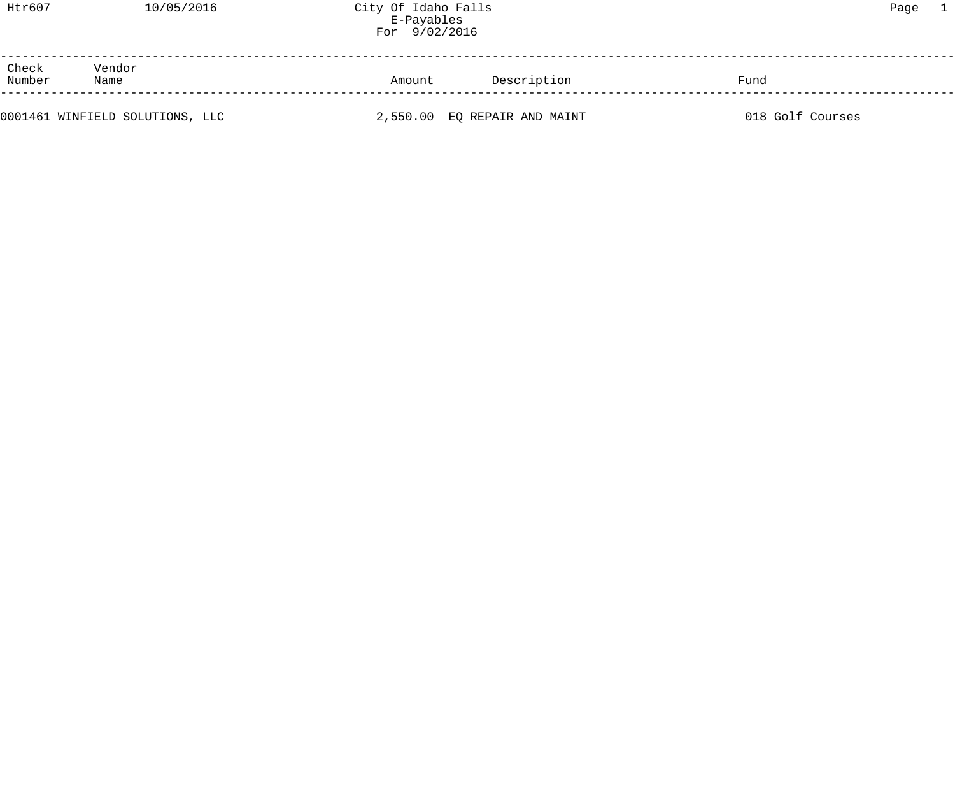| Htr607 | 10/05/2016<br>the contract of the contract of the contract of the contract of the contract of the contract of the contract of | City Of Idaho Falls | Paqe |  |
|--------|-------------------------------------------------------------------------------------------------------------------------------|---------------------|------|--|
|        |                                                                                                                               |                     |      |  |

|                                   |        | LOT ANAYATIO                 |                  |  |
|-----------------------------------|--------|------------------------------|------------------|--|
| Check<br>Vendor<br>Number<br>Name | Amount | Description                  | Fund             |  |
| 0001461 WINFIELD SOLUTIONS, LLC   |        | 2,550.00 EQ REPAIR AND MAINT | 018 Golf Courses |  |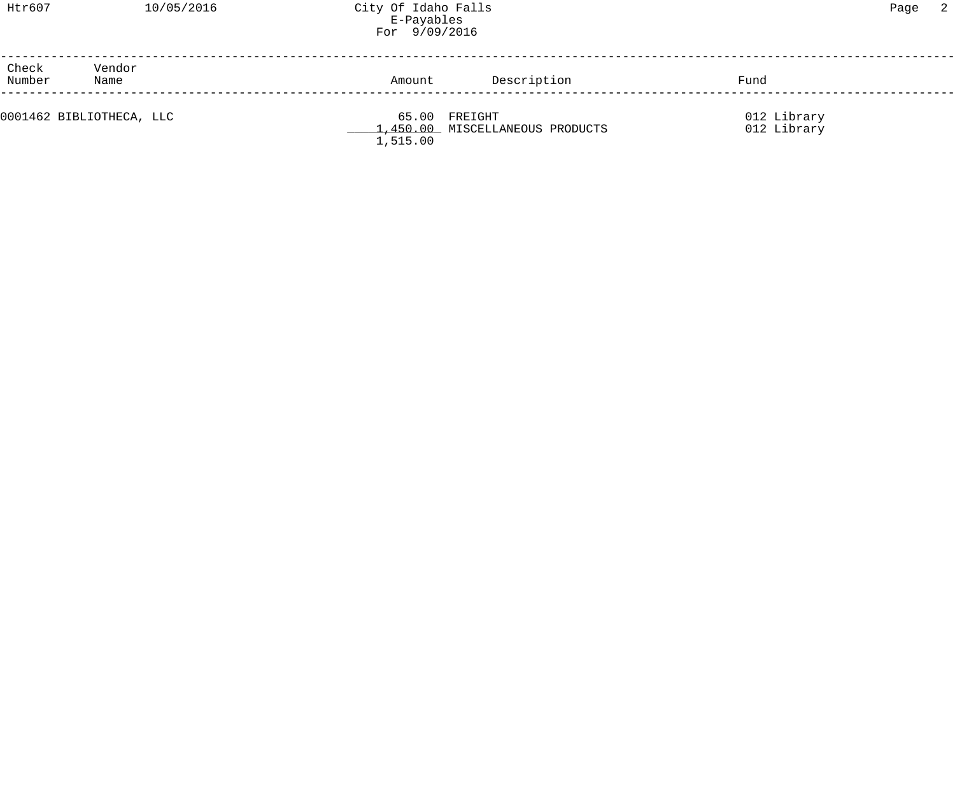| Htr607 | 10/ |
|--------|-----|
|        |     |

| Check<br>Number | Vendor<br>Name           | Amount   | Description                                      | Fund                       |  |
|-----------------|--------------------------|----------|--------------------------------------------------|----------------------------|--|
|                 | 0001462 BIBLIOTHECA, LLC | 1,515.00 | 65.00 FREIGHT<br>1,450.00 MISCELLANEOUS PRODUCTS | 012 Library<br>012 Library |  |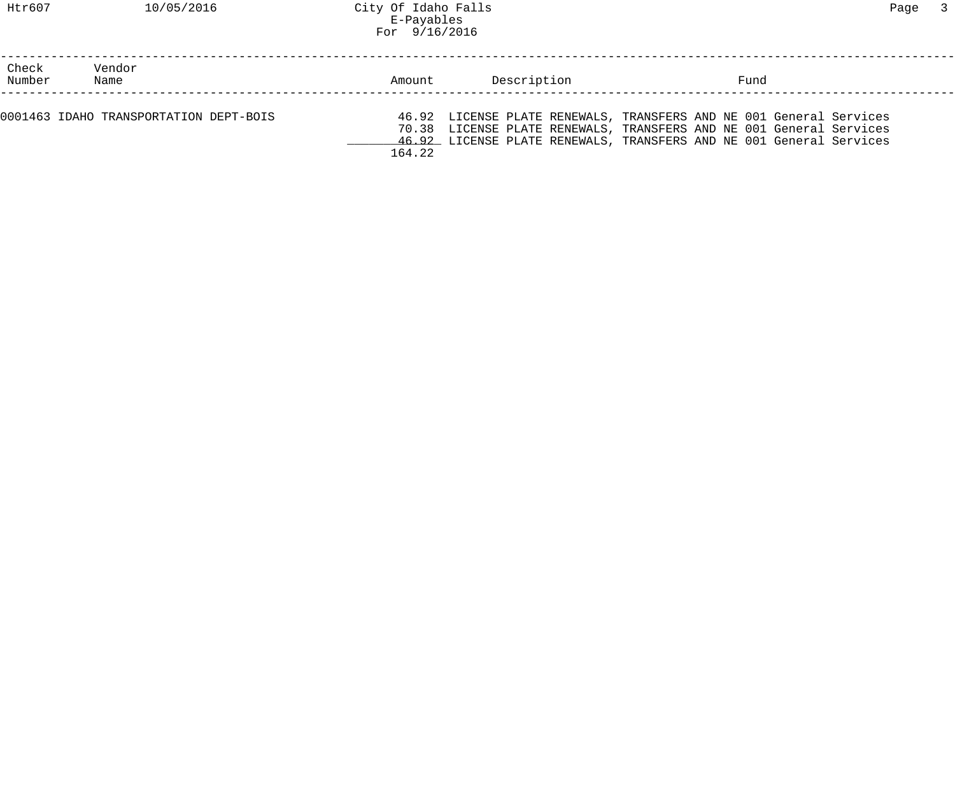| Check<br>Number | Vendor<br>Name                         | Amount | Description | Fund                                                                                                                                                                                                              |  |
|-----------------|----------------------------------------|--------|-------------|-------------------------------------------------------------------------------------------------------------------------------------------------------------------------------------------------------------------|--|
|                 | 0001463 IDAHO TRANSPORTATION DEPT-BOIS | 164.22 |             | 46.92 LICENSE PLATE RENEWALS, TRANSFERS AND NE 001 General Services<br>70.38 LICENSE PLATE RENEWALS, TRANSFERS AND NE 001 General Services<br>46.92 LICENSE PLATE RENEWALS, TRANSFERS AND NE 001 General Services |  |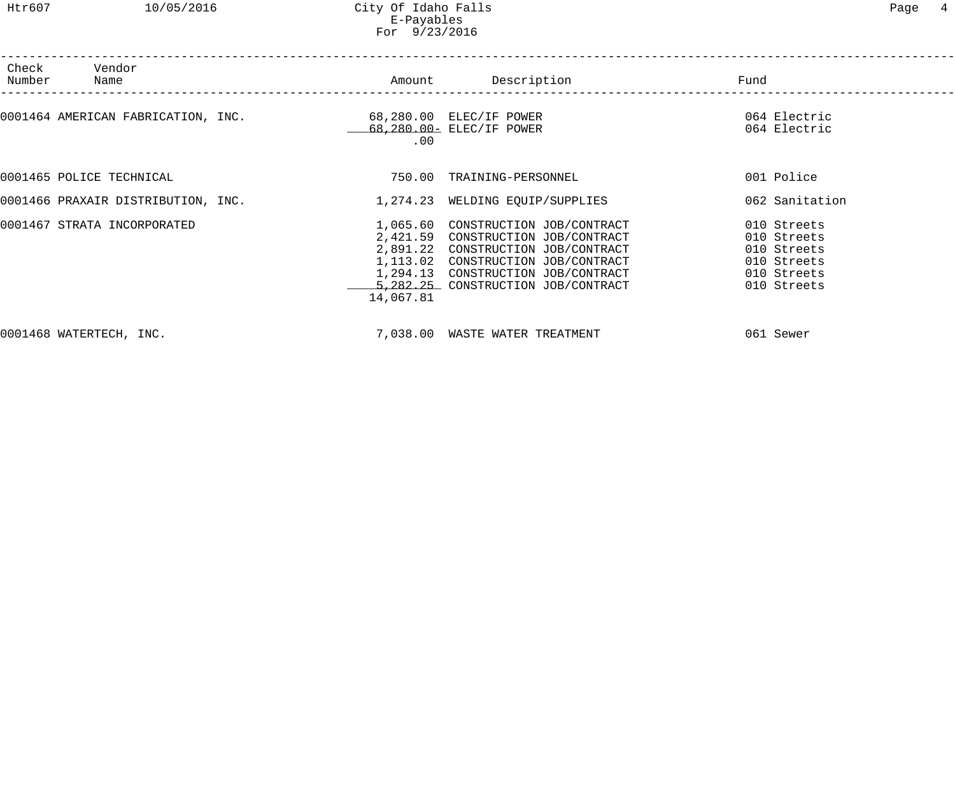| Check<br>Number | Vendor<br>Name                     |                                                                        | Amount Description                                                                                                                                                                                                               | Fund                                                                                   |
|-----------------|------------------------------------|------------------------------------------------------------------------|----------------------------------------------------------------------------------------------------------------------------------------------------------------------------------------------------------------------------------|----------------------------------------------------------------------------------------|
|                 |                                    | 0001464 AMERICAN FABRICATION, INC. 68,280.00 ELEC/IF POWER<br>$.00 \,$ | 68,280.00- ELEC/IF POWER                                                                                                                                                                                                         | 064 Electric<br>064 Electric                                                           |
|                 | 0001465 POLICE TECHNICAL           | 750.00                                                                 | TRAINING-PERSONNEL                                                                                                                                                                                                               | 001 Police                                                                             |
|                 | 0001466 PRAXAIR DISTRIBUTION, INC. |                                                                        | 1,274.23 WELDING EQUIP/SUPPLIES                                                                                                                                                                                                  | 062 Sanitation                                                                         |
|                 | 0001467 STRATA INCORPORATED        | 14,067.81                                                              | 1,065.60 CONSTRUCTION JOB/CONTRACT<br>2,421.59 CONSTRUCTION JOB/CONTRACT<br>2,891.22 CONSTRUCTION JOB/CONTRACT<br>1,113.02 CONSTRUCTION JOB/CONTRACT<br>1,294.13 CONSTRUCTION JOB/CONTRACT<br>5,282.25 CONSTRUCTION JOB/CONTRACT | 010 Streets<br>010 Streets<br>010 Streets<br>010 Streets<br>010 Streets<br>010 Streets |
|                 | 0001468 WATERTECH, INC.            |                                                                        | 7,038.00 WASTE WATER TREATMENT                                                                                                                                                                                                   | 061 Sewer                                                                              |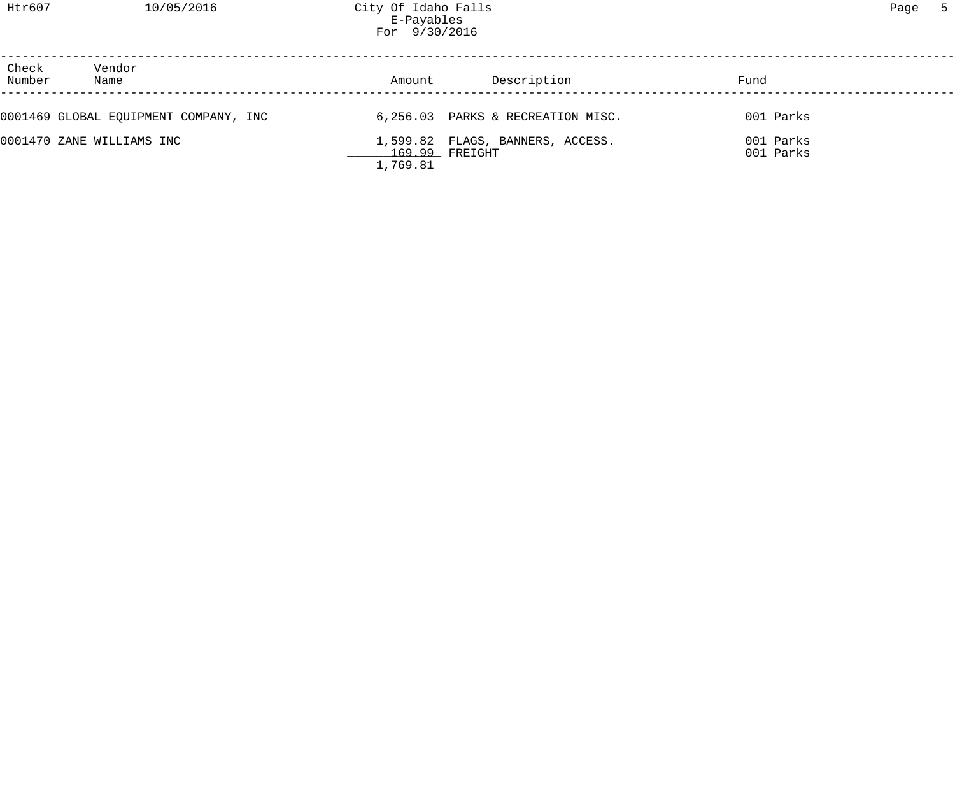Htr607 10/05/2016 City Of Idaho Falls Page 5 E-Payables For 9/30/2016

| Check<br>Vendor<br>Number<br>Name     | Amount   | Description                                          | Fund                   |  |
|---------------------------------------|----------|------------------------------------------------------|------------------------|--|
| 0001469 GLOBAL EQUIPMENT COMPANY, INC |          | 6,256.03 PARKS & RECREATION MISC.                    | 001 Parks              |  |
| 0001470 ZANE WILLIAMS INC             | 1,769.81 | 1,599.82 FLAGS, BANNERS, ACCESS.<br>$169.99$ FREIGHT | 001 Parks<br>001 Parks |  |